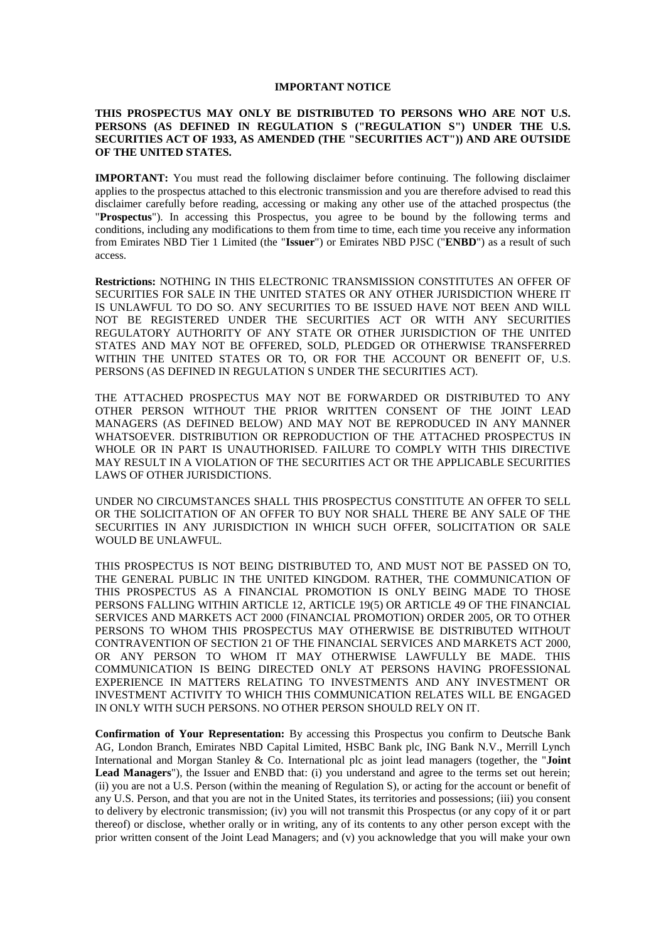#### **IMPORTANT NOTICE**

#### **THIS PROSPECTUS MAY ONLY BE DISTRIBUTED TO PERSONS WHO ARE NOT U.S. PERSONS (AS DEFINED IN REGULATION S ("REGULATION S") UNDER THE U.S. SECURITIES ACT OF 1933, AS AMENDED (THE "SECURITIES ACT")) AND ARE OUTSIDE OF THE UNITED STATES.**

**IMPORTANT:** You must read the following disclaimer before continuing. The following disclaimer applies to the prospectus attached to this electronic transmission and you are therefore advised to read this disclaimer carefully before reading, accessing or making any other use of the attached prospectus (the "**Prospectus**"). In accessing this Prospectus, you agree to be bound by the following terms and conditions, including any modifications to them from time to time, each time you receive any information from Emirates NBD Tier 1 Limited (the "**Issuer**") or Emirates NBD PJSC ("**ENBD**") as a result of such access.

**Restrictions:** NOTHING IN THIS ELECTRONIC TRANSMISSION CONSTITUTES AN OFFER OF SECURITIES FOR SALE IN THE UNITED STATES OR ANY OTHER JURISDICTION WHERE IT IS UNLAWFUL TO DO SO. ANY SECURITIES TO BE ISSUED HAVE NOT BEEN AND WILL NOT BE REGISTERED UNDER THE SECURITIES ACT OR WITH ANY SECURITIES REGULATORY AUTHORITY OF ANY STATE OR OTHER JURISDICTION OF THE UNITED STATES AND MAY NOT BE OFFERED, SOLD, PLEDGED OR OTHERWISE TRANSFERRED WITHIN THE UNITED STATES OR TO, OR FOR THE ACCOUNT OR BENEFIT OF, U.S. PERSONS (AS DEFINED IN REGULATION S UNDER THE SECURITIES ACT).

THE ATTACHED PROSPECTUS MAY NOT BE FORWARDED OR DISTRIBUTED TO ANY OTHER PERSON WITHOUT THE PRIOR WRITTEN CONSENT OF THE JOINT LEAD MANAGERS (AS DEFINED BELOW) AND MAY NOT BE REPRODUCED IN ANY MANNER WHATSOEVER. DISTRIBUTION OR REPRODUCTION OF THE ATTACHED PROSPECTUS IN WHOLE OR IN PART IS UNAUTHORISED. FAILURE TO COMPLY WITH THIS DIRECTIVE MAY RESULT IN A VIOLATION OF THE SECURITIES ACT OR THE APPLICABLE SECURITIES LAWS OF OTHER JURISDICTIONS.

UNDER NO CIRCUMSTANCES SHALL THIS PROSPECTUS CONSTITUTE AN OFFER TO SELL OR THE SOLICITATION OF AN OFFER TO BUY NOR SHALL THERE BE ANY SALE OF THE SECURITIES IN ANY JURISDICTION IN WHICH SUCH OFFER, SOLICITATION OR SALE WOULD BE UNLAWFUL.

THIS PROSPECTUS IS NOT BEING DISTRIBUTED TO, AND MUST NOT BE PASSED ON TO, THE GENERAL PUBLIC IN THE UNITED KINGDOM. RATHER, THE COMMUNICATION OF THIS PROSPECTUS AS A FINANCIAL PROMOTION IS ONLY BEING MADE TO THOSE PERSONS FALLING WITHIN ARTICLE 12, ARTICLE 19(5) OR ARTICLE 49 OF THE FINANCIAL SERVICES AND MARKETS ACT 2000 (FINANCIAL PROMOTION) ORDER 2005, OR TO OTHER PERSONS TO WHOM THIS PROSPECTUS MAY OTHERWISE BE DISTRIBUTED WITHOUT CONTRAVENTION OF SECTION 21 OF THE FINANCIAL SERVICES AND MARKETS ACT 2000, OR ANY PERSON TO WHOM IT MAY OTHERWISE LAWFULLY BE MADE. THIS COMMUNICATION IS BEING DIRECTED ONLY AT PERSONS HAVING PROFESSIONAL EXPERIENCE IN MATTERS RELATING TO INVESTMENTS AND ANY INVESTMENT OR INVESTMENT ACTIVITY TO WHICH THIS COMMUNICATION RELATES WILL BE ENGAGED IN ONLY WITH SUCH PERSONS. NO OTHER PERSON SHOULD RELY ON IT.

**Confirmation of Your Representation:** By accessing this Prospectus you confirm to Deutsche Bank AG, London Branch, Emirates NBD Capital Limited, HSBC Bank plc, ING Bank N.V., Merrill Lynch International and Morgan Stanley & Co. International plc as joint lead managers (together, the "**Joint Lead Managers**"), the Issuer and ENBD that: (i) you understand and agree to the terms set out herein; (ii) you are not a U.S. Person (within the meaning of Regulation S), or acting for the account or benefit of any U.S. Person, and that you are not in the United States, its territories and possessions; (iii) you consent to delivery by electronic transmission; (iv) you will not transmit this Prospectus (or any copy of it or part thereof) or disclose, whether orally or in writing, any of its contents to any other person except with the prior written consent of the Joint Lead Managers; and (v) you acknowledge that you will make your own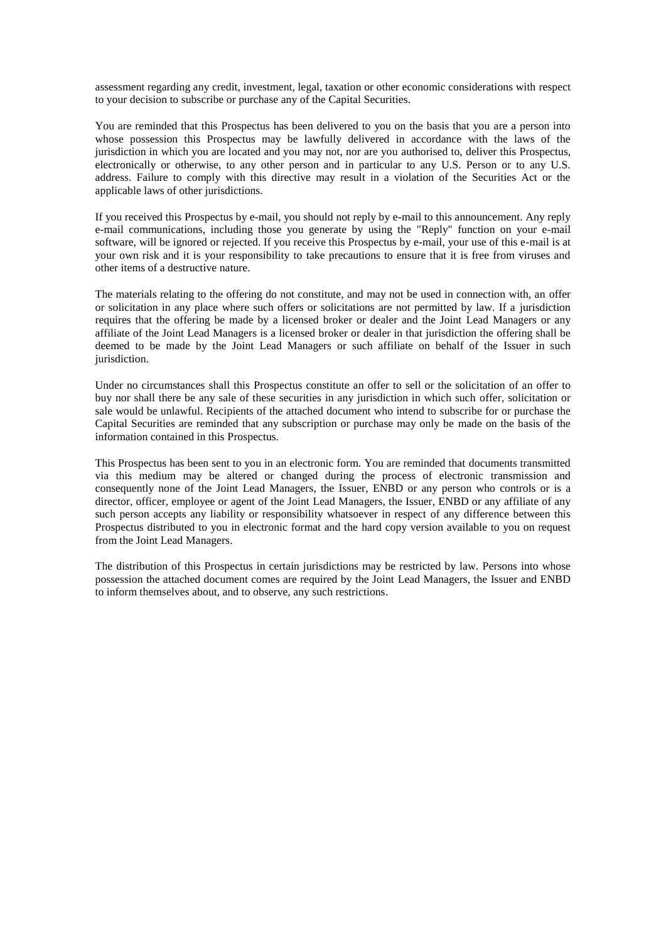assessment regarding any credit, investment, legal, taxation or other economic considerations with respect to your decision to subscribe or purchase any of the Capital Securities.

You are reminded that this Prospectus has been delivered to you on the basis that you are a person into whose possession this Prospectus may be lawfully delivered in accordance with the laws of the jurisdiction in which you are located and you may not, nor are you authorised to, deliver this Prospectus, electronically or otherwise, to any other person and in particular to any U.S. Person or to any U.S. address. Failure to comply with this directive may result in a violation of the Securities Act or the applicable laws of other jurisdictions.

If you received this Prospectus by e-mail, you should not reply by e-mail to this announcement. Any reply e-mail communications, including those you generate by using the "Reply" function on your e-mail software, will be ignored or rejected. If you receive this Prospectus by e-mail, your use of this e-mail is at your own risk and it is your responsibility to take precautions to ensure that it is free from viruses and other items of a destructive nature.

The materials relating to the offering do not constitute, and may not be used in connection with, an offer or solicitation in any place where such offers or solicitations are not permitted by law. If a jurisdiction requires that the offering be made by a licensed broker or dealer and the Joint Lead Managers or any affiliate of the Joint Lead Managers is a licensed broker or dealer in that jurisdiction the offering shall be deemed to be made by the Joint Lead Managers or such affiliate on behalf of the Issuer in such jurisdiction.

Under no circumstances shall this Prospectus constitute an offer to sell or the solicitation of an offer to buy nor shall there be any sale of these securities in any jurisdiction in which such offer, solicitation or sale would be unlawful. Recipients of the attached document who intend to subscribe for or purchase the Capital Securities are reminded that any subscription or purchase may only be made on the basis of the information contained in this Prospectus.

This Prospectus has been sent to you in an electronic form. You are reminded that documents transmitted via this medium may be altered or changed during the process of electronic transmission and consequently none of the Joint Lead Managers, the Issuer, ENBD or any person who controls or is a director, officer, employee or agent of the Joint Lead Managers, the Issuer, ENBD or any affiliate of any such person accepts any liability or responsibility whatsoever in respect of any difference between this Prospectus distributed to you in electronic format and the hard copy version available to you on request from the Joint Lead Managers.

The distribution of this Prospectus in certain jurisdictions may be restricted by law. Persons into whose possession the attached document comes are required by the Joint Lead Managers, the Issuer and ENBD to inform themselves about, and to observe, any such restrictions.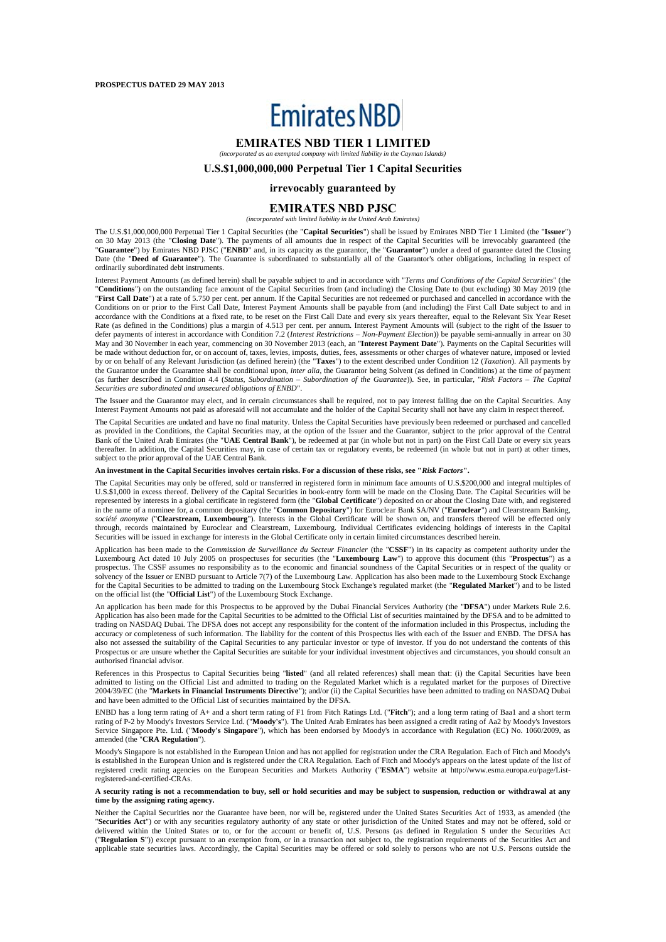# **Emirates NBD**

#### **EMIRATES NBD TIER 1 LIMITED** *(incorporated as an exempted company with limited liability in the Cayman Islands)*

#### **U.S.\$1,000,000,000 Perpetual Tier 1 Capital Securities**

#### **irrevocably guaranteed by**

#### **EMIRATES NBD PJSC**

*(incorporated with limited liability in the United Arab Emirates)*

The U.S.\$1,000,000,000 Perpetual Tier 1 Capital Securities (the "**Capital Securities**") shall be issued by Emirates NBD Tier 1 Limited (the "**Issuer**") on 30 May 2013 (the "**Closing Date**"). The payments of all amounts due in respect of the Capital Securities will be irrevocably guaranteed (the "**Guarantee**") by Emirates NBD PJSC ("**ENBD**" and, in its capacity as the guarantor, the "**Guarantor**") under a deed of guarantee dated the Closing Date (the "**Deed of Guarantee**"). The Guarantee is subordinated to substantially all of the Guarantor's other obligations, including in respect of ordinarily subordinated debt instruments.

Interest Payment Amounts (as defined herein) shall be payable subject to and in accordance with "*Terms and Conditions of the Capital Securities*" (the "**Conditions**") on the outstanding face amount of the Capital Securities from (and including) the Closing Date to (but excluding) 30 May 2019 (the "First Call Date") at a rate of 5.750 per cent. per annum. If the Capital Securities are not redeemed or purchased and cancelled in accordance with the Conditions on or prior to the First Call Date, Interest Payment Amounts shall be payable from (and including) the First Call Date subject to and in accordance with the Conditions at a fixed rate, to be reset on the First Call Date and every six years thereafter, equal to the Relevant Six Year Reset Rate (as defined in the Conditions) plus a margin of 4.513 per cent. per annum. Interest Payment Amounts will (subject to the right of the Issuer to defer payments of interest in accordance with Condition 7.2 (*Interest Restrictions – Non-Payment Election*)) be payable semi-annually in arrear on 30 May and 30 November in each year, commencing on 30 November 2013 (each, an "**Interest Payment Date**"). Payments on the Capital Securities will be made without deduction for, or on account of, taxes, levies, imposts, duties, fees, assessments or other charges of whatever nature, imposed or levied by or on behalf of any Relevant Jurisdiction (as defined herein) (the "**Taxes**") to the extent described under Condition 12 (*Taxation*). All payments by the Guarantor under the Guarantee shall be conditional upon, *inter alia*, the Guarantor being Solvent (as defined in Conditions) at the time of payment (as further described in Condition 4.4 (*Status, Subordination* – *Subordination of the Guarantee*)). See, in particular, "*Risk Factors – The Capital Securities are subordinated and unsecured obligations of ENBD*".

The Issuer and the Guarantor may elect, and in certain circumstances shall be required, not to pay interest falling due on the Capital Securities. Any Interest Payment Amounts not paid as aforesaid will not accumulate and the holder of the Capital Security shall not have any claim in respect thereof.

The Capital Securities are undated and have no final maturity. Unless the Capital Securities have previously been redeemed or purchased and cancelled as provided in the Conditions, the Capital Securities may, at the option of the Issuer and the Guarantor, subject to the prior approval of the Central Bank of the United Arab Emirates (the "**UAE Central Bank**"), be redeemed at par (in whole but not in part) on the First Call Date or every six years thereafter. In addition, the Capital Securities may, in case of certain tax or regulatory events, be redeemed (in whole but not in part) at other times, subject to the prior approval of the UAE Central Bank.

#### **An investment in the Capital Securities involves certain risks. For a discussion of these risks, see "***Risk Factors***".**

The Capital Securities may only be offered, sold or transferred in registered form in minimum face amounts of U.S.\$200,000 and integral multiples of U.S.\$1,000 in excess thereof. Delivery of the Capital Securities in book-entry form will be made on the Closing Date. The Capital Securities will be represented by interests in a global certificate in registered form (the "**Global Certificate**") deposited on or about the Closing Date with, and registered in the name of a nominee for, a common depositary (the "**Common Depositary**") for Euroclear Bank SA/NV ("**Euroclear**") and Clearstream Banking, *société anonyme* ("**Clearstream, Luxembourg**"). Interests in the Global Certificate will be shown on, and transfers thereof will be effected only through, records maintained by Euroclear and Clearstream, Luxembourg. Individual Certificates evidencing holdings of interests in the Capital Securities will be issued in exchange for interests in the Global Certificate only in certain limited circumstances described herein.

Application has been made to the *Commission de Surveillance du Secteur Financier* (the "CSSF") in its capacity as competent authority under the Luxembourg Act dated 10 July 2005 on prospectuses for securities (the "**Luxembourg Law**") to approve this document (this "**Prospectus**") as a prospectus. The CSSF assumes no responsibility as to the economic and financial soundness of the Capital Securities or in respect of the quality or solvency of the Issuer or ENBD pursuant to Article 7(7) of the Luxembourg Law. Application has also been made to the Luxembourg Stock Exchange for the Capital Securities to be admitted to trading on the Luxembourg Stock Exchange's regulated market (the "**Regulated Market**") and to be listed on the official list (the "**Official List**") of the Luxembourg Stock Exchange.

An application has been made for this Prospectus to be approved by the Dubai Financial Services Authority (the "**DFSA**") under Markets Rule 2.6. Application has also been made for the Capital Securities to be admitted to the Official List of securities maintained by the DFSA and to be admitted to trading on NASDAQ Dubai. The DFSA does not accept any responsibility for the content of the information included in this Prospectus, including the accuracy or completeness of such information. The liability for the content of this Prospectus lies with each of the Issuer and ENBD. The DFSA has also not assessed the suitability of the Capital Securities to any particular investor or type of investor. If you do not understand the contents of this Prospectus or are unsure whether the Capital Securities are suitable for your individual investment objectives and circumstances, you should consult an authorised financial advisor.

References in this Prospectus to Capital Securities being "**listed**" (and all related references) shall mean that: (i) the Capital Securities have been admitted to listing on the Official List and admitted to trading on the Regulated Market which is a regulated market for the purposes of Directive 2004/39/EC (the "**Markets in Financial Instruments Directive**"); and/or (ii) the Capital Securities have been admitted to trading on NASDAQ Dubai and have been admitted to the Official List of securities maintained by the DFSA.

ENBD has a long term rating of A+ and a short term rating of F1 from Fitch Ratings Ltd. ("**Fitch**"); and a long term rating of Baa1 and a short term rating of P-2 by Moody's Investors Service Ltd. ("**Moody's**"). The United Arab Emirates has been assigned a credit rating of Aa2 by Moody's Investors Service Singapore Pte. Ltd. ("**Moody's Singapore**"), which has been endorsed by Moody's in accordance with Regulation (EC) No. 1060/2009, as amended (the "**CRA Regulation**").

Moody's Singapore is not established in the European Union and has not applied for registration under the CRA Regulation. Each of Fitch and Moody's is established in the European Union and is registered under the CRA Regulation. Each of Fitch and Moody's appears on the latest update of the list of registered credit rating agencies on the European Securities and Markets Authority ("**ESMA**") website at http://www.esma.europa.eu/page/Listregistered-and-certified-CRAs.

#### **A security rating is not a recommendation to buy, sell or hold securities and may be subject to suspension, reduction or withdrawal at any time by the assigning rating agency.**

Neither the Capital Securities nor the Guarantee have been, nor will be, registered under the United States Securities Act of 1933, as amended (the "**Securities Act**") or with any securities regulatory authority of any state or other jurisdiction of the United States and may not be offered, sold or delivered within the United States or to, or for the account or benefit of, U.S. Persons (as defined in Regulation S under the Securities Act ("**Regulation S**")) except pursuant to an exemption from, or in a transaction not subject to, the registration requirements of the Securities Act and applicable state securities laws. Accordingly, the Capital Securities may be offered or sold solely to persons who are not U.S. Persons outside the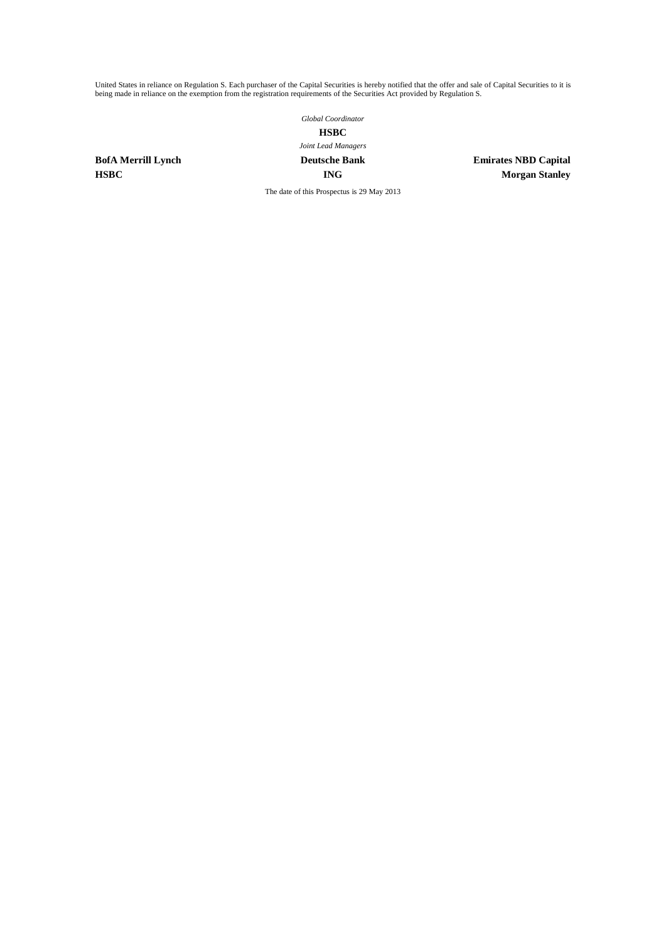United States in reliance on Regulation S. Each purchaser of the Capital Securities is hereby notified that the offer and sale of Capital Securities to it is being made in reliance on the exemption from the registration requirements of the Securities Act provided by Regulation S.

*Global Coordinator*

# **HSBC**

# *Joint Lead Managers*

**BofA Merrill Lynch Deutsche Bank Emirates NBD Capital HSBC ING Morgan Stanley**

The date of this Prospectus is 29 May 2013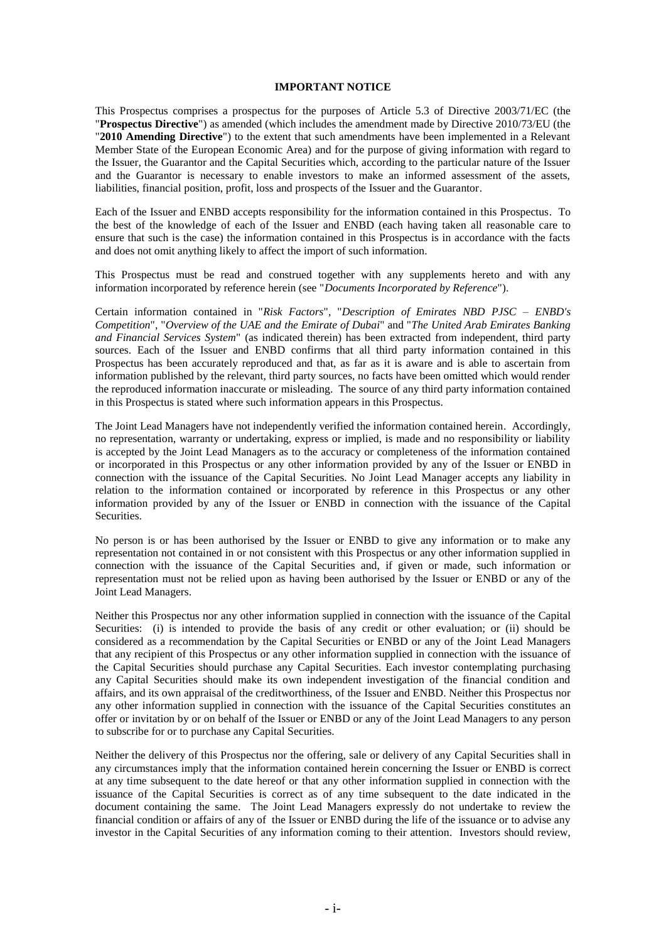#### **IMPORTANT NOTICE**

This Prospectus comprises a prospectus for the purposes of Article 5.3 of Directive 2003/71/EC (the "**Prospectus Directive**") as amended (which includes the amendment made by Directive 2010/73/EU (the "**2010 Amending Directive**") to the extent that such amendments have been implemented in a Relevant Member State of the European Economic Area) and for the purpose of giving information with regard to the Issuer, the Guarantor and the Capital Securities which, according to the particular nature of the Issuer and the Guarantor is necessary to enable investors to make an informed assessment of the assets, liabilities, financial position, profit, loss and prospects of the Issuer and the Guarantor.

Each of the Issuer and ENBD accepts responsibility for the information contained in this Prospectus. To the best of the knowledge of each of the Issuer and ENBD (each having taken all reasonable care to ensure that such is the case) the information contained in this Prospectus is in accordance with the facts and does not omit anything likely to affect the import of such information.

This Prospectus must be read and construed together with any supplements hereto and with any information incorporated by reference herein (see "*Documents Incorporated by Reference*").

Certain information contained in "*Risk Factors*", "*Description of Emirates NBD PJSC – ENBD's Competition*", "*Overview of the UAE and the Emirate of Dubai*" and "*The United Arab Emirates Banking and Financial Services System*" (as indicated therein) has been extracted from independent, third party sources. Each of the Issuer and ENBD confirms that all third party information contained in this Prospectus has been accurately reproduced and that, as far as it is aware and is able to ascertain from information published by the relevant, third party sources, no facts have been omitted which would render the reproduced information inaccurate or misleading. The source of any third party information contained in this Prospectus is stated where such information appears in this Prospectus.

The Joint Lead Managers have not independently verified the information contained herein. Accordingly, no representation, warranty or undertaking, express or implied, is made and no responsibility or liability is accepted by the Joint Lead Managers as to the accuracy or completeness of the information contained or incorporated in this Prospectus or any other information provided by any of the Issuer or ENBD in connection with the issuance of the Capital Securities. No Joint Lead Manager accepts any liability in relation to the information contained or incorporated by reference in this Prospectus or any other information provided by any of the Issuer or ENBD in connection with the issuance of the Capital Securities.

No person is or has been authorised by the Issuer or ENBD to give any information or to make any representation not contained in or not consistent with this Prospectus or any other information supplied in connection with the issuance of the Capital Securities and, if given or made, such information or representation must not be relied upon as having been authorised by the Issuer or ENBD or any of the Joint Lead Managers.

Neither this Prospectus nor any other information supplied in connection with the issuance of the Capital Securities: (i) is intended to provide the basis of any credit or other evaluation; or (ii) should be considered as a recommendation by the Capital Securities or ENBD or any of the Joint Lead Managers that any recipient of this Prospectus or any other information supplied in connection with the issuance of the Capital Securities should purchase any Capital Securities. Each investor contemplating purchasing any Capital Securities should make its own independent investigation of the financial condition and affairs, and its own appraisal of the creditworthiness, of the Issuer and ENBD. Neither this Prospectus nor any other information supplied in connection with the issuance of the Capital Securities constitutes an offer or invitation by or on behalf of the Issuer or ENBD or any of the Joint Lead Managers to any person to subscribe for or to purchase any Capital Securities.

Neither the delivery of this Prospectus nor the offering, sale or delivery of any Capital Securities shall in any circumstances imply that the information contained herein concerning the Issuer or ENBD is correct at any time subsequent to the date hereof or that any other information supplied in connection with the issuance of the Capital Securities is correct as of any time subsequent to the date indicated in the document containing the same. The Joint Lead Managers expressly do not undertake to review the financial condition or affairs of any of the Issuer or ENBD during the life of the issuance or to advise any investor in the Capital Securities of any information coming to their attention. Investors should review,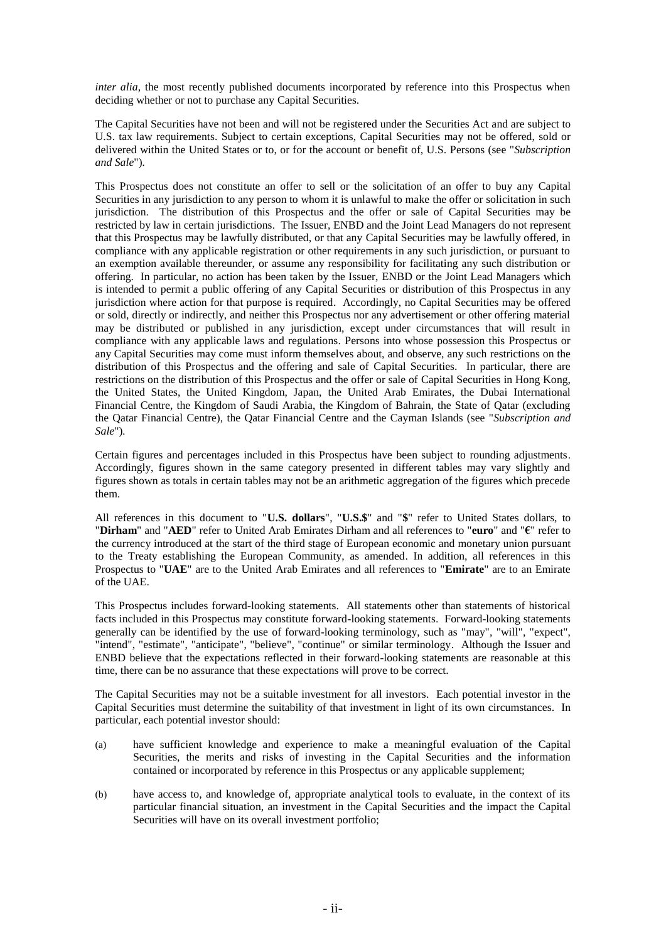*inter alia*, the most recently published documents incorporated by reference into this Prospectus when deciding whether or not to purchase any Capital Securities.

The Capital Securities have not been and will not be registered under the Securities Act and are subject to U.S. tax law requirements. Subject to certain exceptions, Capital Securities may not be offered, sold or delivered within the United States or to, or for the account or benefit of, U.S. Persons (see "*Subscription and Sale*")*.*

This Prospectus does not constitute an offer to sell or the solicitation of an offer to buy any Capital Securities in any jurisdiction to any person to whom it is unlawful to make the offer or solicitation in such jurisdiction. The distribution of this Prospectus and the offer or sale of Capital Securities may be restricted by law in certain jurisdictions. The Issuer, ENBD and the Joint Lead Managers do not represent that this Prospectus may be lawfully distributed, or that any Capital Securities may be lawfully offered, in compliance with any applicable registration or other requirements in any such jurisdiction, or pursuant to an exemption available thereunder, or assume any responsibility for facilitating any such distribution or offering. In particular, no action has been taken by the Issuer, ENBD or the Joint Lead Managers which is intended to permit a public offering of any Capital Securities or distribution of this Prospectus in any jurisdiction where action for that purpose is required. Accordingly, no Capital Securities may be offered or sold, directly or indirectly, and neither this Prospectus nor any advertisement or other offering material may be distributed or published in any jurisdiction, except under circumstances that will result in compliance with any applicable laws and regulations. Persons into whose possession this Prospectus or any Capital Securities may come must inform themselves about, and observe, any such restrictions on the distribution of this Prospectus and the offering and sale of Capital Securities. In particular, there are restrictions on the distribution of this Prospectus and the offer or sale of Capital Securities in Hong Kong, the United States, the United Kingdom, Japan, the United Arab Emirates, the Dubai International Financial Centre, the Kingdom of Saudi Arabia, the Kingdom of Bahrain, the State of Qatar (excluding the Qatar Financial Centre), the Qatar Financial Centre and the Cayman Islands (see "*Subscription and Sale*")*.*

Certain figures and percentages included in this Prospectus have been subject to rounding adjustments. Accordingly, figures shown in the same category presented in different tables may vary slightly and figures shown as totals in certain tables may not be an arithmetic aggregation of the figures which precede them.

All references in this document to "**U.S. dollars**", "**U.S.\$**" and "**\$**" refer to United States dollars, to "**Dirham**" and "**AED**" refer to United Arab Emirates Dirham and all references to "**euro**" and "**€**" refer to the currency introduced at the start of the third stage of European economic and monetary union pursuant to the Treaty establishing the European Community, as amended. In addition, all references in this Prospectus to "**UAE**" are to the United Arab Emirates and all references to "**Emirate**" are to an Emirate of the UAE.

This Prospectus includes forward-looking statements. All statements other than statements of historical facts included in this Prospectus may constitute forward-looking statements. Forward-looking statements generally can be identified by the use of forward-looking terminology, such as "may", "will", "expect", "intend", "estimate", "anticipate", "believe", "continue" or similar terminology. Although the Issuer and ENBD believe that the expectations reflected in their forward-looking statements are reasonable at this time, there can be no assurance that these expectations will prove to be correct.

The Capital Securities may not be a suitable investment for all investors. Each potential investor in the Capital Securities must determine the suitability of that investment in light of its own circumstances. In particular, each potential investor should:

- (a) have sufficient knowledge and experience to make a meaningful evaluation of the Capital Securities, the merits and risks of investing in the Capital Securities and the information contained or incorporated by reference in this Prospectus or any applicable supplement;
- (b) have access to, and knowledge of, appropriate analytical tools to evaluate, in the context of its particular financial situation, an investment in the Capital Securities and the impact the Capital Securities will have on its overall investment portfolio;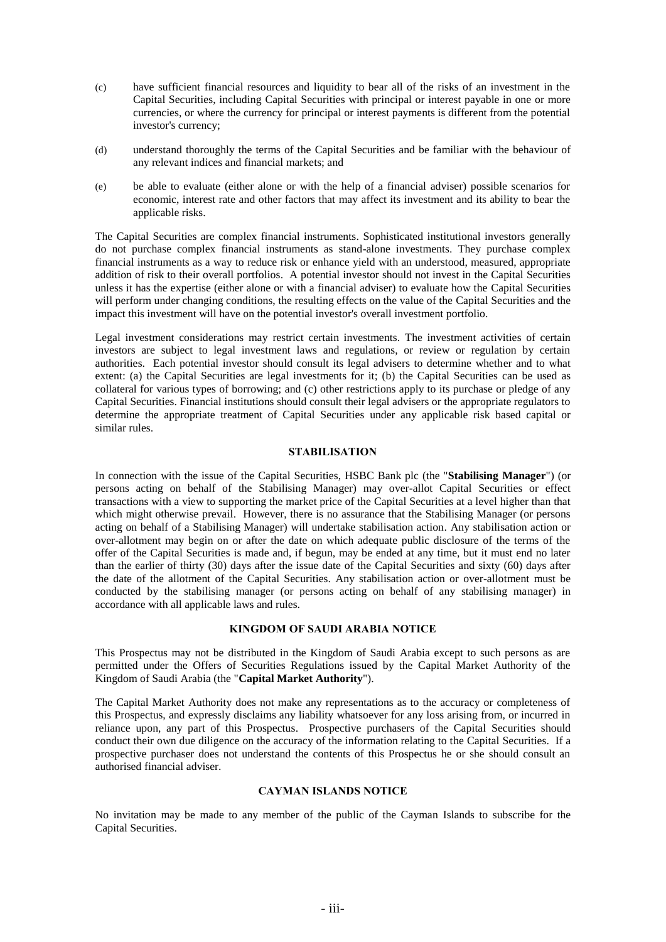- (c) have sufficient financial resources and liquidity to bear all of the risks of an investment in the Capital Securities, including Capital Securities with principal or interest payable in one or more currencies, or where the currency for principal or interest payments is different from the potential investor's currency;
- (d) understand thoroughly the terms of the Capital Securities and be familiar with the behaviour of any relevant indices and financial markets; and
- (e) be able to evaluate (either alone or with the help of a financial adviser) possible scenarios for economic, interest rate and other factors that may affect its investment and its ability to bear the applicable risks.

The Capital Securities are complex financial instruments. Sophisticated institutional investors generally do not purchase complex financial instruments as stand-alone investments. They purchase complex financial instruments as a way to reduce risk or enhance yield with an understood, measured, appropriate addition of risk to their overall portfolios. A potential investor should not invest in the Capital Securities unless it has the expertise (either alone or with a financial adviser) to evaluate how the Capital Securities will perform under changing conditions, the resulting effects on the value of the Capital Securities and the impact this investment will have on the potential investor's overall investment portfolio.

Legal investment considerations may restrict certain investments. The investment activities of certain investors are subject to legal investment laws and regulations, or review or regulation by certain authorities. Each potential investor should consult its legal advisers to determine whether and to what extent: (a) the Capital Securities are legal investments for it; (b) the Capital Securities can be used as collateral for various types of borrowing; and (c) other restrictions apply to its purchase or pledge of any Capital Securities. Financial institutions should consult their legal advisers or the appropriate regulators to determine the appropriate treatment of Capital Securities under any applicable risk based capital or similar rules.

### **STABILISATION**

In connection with the issue of the Capital Securities, HSBC Bank plc (the "**Stabilising Manager**") (or persons acting on behalf of the Stabilising Manager) may over-allot Capital Securities or effect transactions with a view to supporting the market price of the Capital Securities at a level higher than that which might otherwise prevail. However, there is no assurance that the Stabilising Manager (or persons acting on behalf of a Stabilising Manager) will undertake stabilisation action. Any stabilisation action or over-allotment may begin on or after the date on which adequate public disclosure of the terms of the offer of the Capital Securities is made and, if begun, may be ended at any time, but it must end no later than the earlier of thirty (30) days after the issue date of the Capital Securities and sixty (60) days after the date of the allotment of the Capital Securities. Any stabilisation action or over-allotment must be conducted by the stabilising manager (or persons acting on behalf of any stabilising manager) in accordance with all applicable laws and rules.

#### **KINGDOM OF SAUDI ARABIA NOTICE**

This Prospectus may not be distributed in the Kingdom of Saudi Arabia except to such persons as are permitted under the Offers of Securities Regulations issued by the Capital Market Authority of the Kingdom of Saudi Arabia (the "**Capital Market Authority**").

The Capital Market Authority does not make any representations as to the accuracy or completeness of this Prospectus, and expressly disclaims any liability whatsoever for any loss arising from, or incurred in reliance upon, any part of this Prospectus. Prospective purchasers of the Capital Securities should conduct their own due diligence on the accuracy of the information relating to the Capital Securities. If a prospective purchaser does not understand the contents of this Prospectus he or she should consult an authorised financial adviser.

#### **CAYMAN ISLANDS NOTICE**

No invitation may be made to any member of the public of the Cayman Islands to subscribe for the Capital Securities.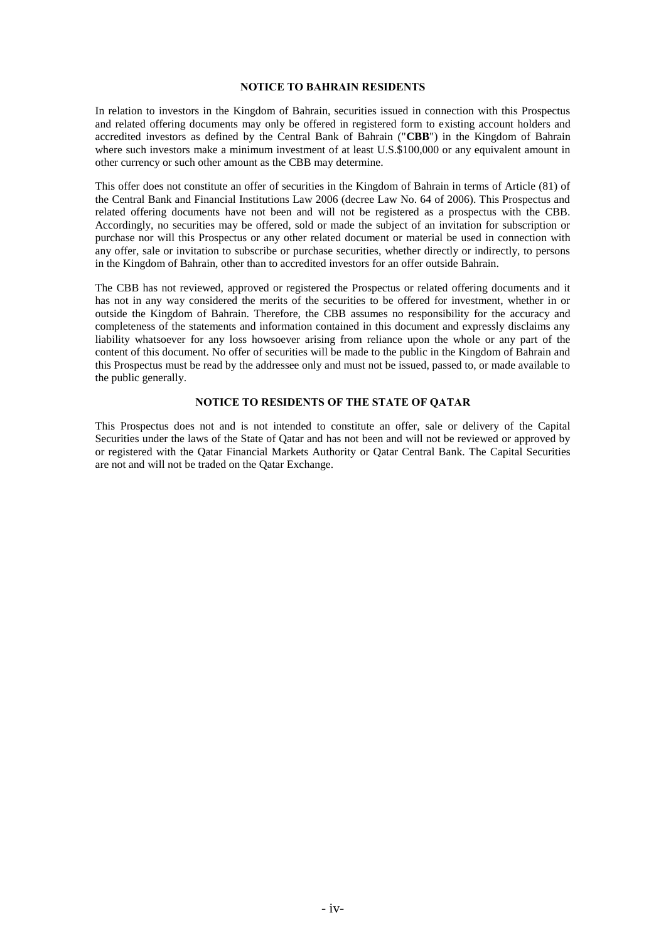#### **NOTICE TO BAHRAIN RESIDENTS**

In relation to investors in the Kingdom of Bahrain, securities issued in connection with this Prospectus and related offering documents may only be offered in registered form to existing account holders and accredited investors as defined by the Central Bank of Bahrain ("**CBB**") in the Kingdom of Bahrain where such investors make a minimum investment of at least U.S.\$100,000 or any equivalent amount in other currency or such other amount as the CBB may determine.

This offer does not constitute an offer of securities in the Kingdom of Bahrain in terms of Article (81) of the Central Bank and Financial Institutions Law 2006 (decree Law No. 64 of 2006). This Prospectus and related offering documents have not been and will not be registered as a prospectus with the CBB. Accordingly, no securities may be offered, sold or made the subject of an invitation for subscription or purchase nor will this Prospectus or any other related document or material be used in connection with any offer, sale or invitation to subscribe or purchase securities, whether directly or indirectly, to persons in the Kingdom of Bahrain, other than to accredited investors for an offer outside Bahrain.

The CBB has not reviewed, approved or registered the Prospectus or related offering documents and it has not in any way considered the merits of the securities to be offered for investment, whether in or outside the Kingdom of Bahrain. Therefore, the CBB assumes no responsibility for the accuracy and completeness of the statements and information contained in this document and expressly disclaims any liability whatsoever for any loss howsoever arising from reliance upon the whole or any part of the content of this document. No offer of securities will be made to the public in the Kingdom of Bahrain and this Prospectus must be read by the addressee only and must not be issued, passed to, or made available to the public generally.

#### **NOTICE TO RESIDENTS OF THE STATE OF QATAR**

This Prospectus does not and is not intended to constitute an offer, sale or delivery of the Capital Securities under the laws of the State of Qatar and has not been and will not be reviewed or approved by or registered with the Qatar Financial Markets Authority or Qatar Central Bank. The Capital Securities are not and will not be traded on the Qatar Exchange.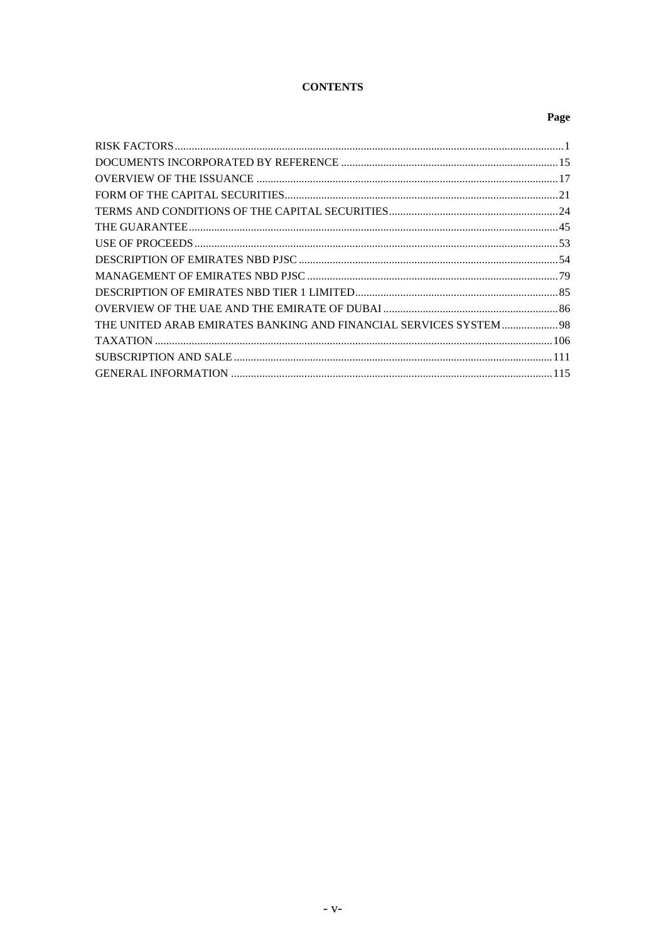# **CONTENTS**

# Page

| THE UNITED ARAB EMIRATES BANKING AND FINANCIAL SERVICES SYSTEM  98 |
|--------------------------------------------------------------------|
|                                                                    |
|                                                                    |
|                                                                    |
|                                                                    |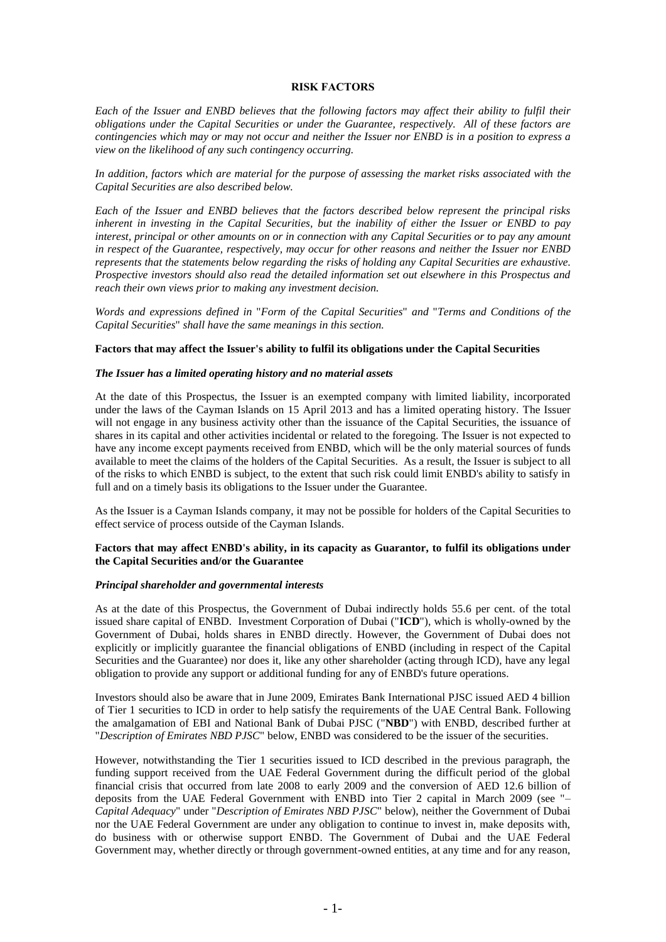#### **RISK FACTORS**

*Each of the Issuer and ENBD believes that the following factors may affect their ability to fulfil their obligations under the Capital Securities or under the Guarantee, respectively. All of these factors are contingencies which may or may not occur and neither the Issuer nor ENBD is in a position to express a view on the likelihood of any such contingency occurring.*

*In addition, factors which are material for the purpose of assessing the market risks associated with the Capital Securities are also described below.*

*Each of the Issuer and ENBD believes that the factors described below represent the principal risks inherent in investing in the Capital Securities, but the inability of either the Issuer or ENBD to pay interest, principal or other amounts on or in connection with any Capital Securities or to pay any amount in respect of the Guarantee, respectively, may occur for other reasons and neither the Issuer nor ENBD represents that the statements below regarding the risks of holding any Capital Securities are exhaustive. Prospective investors should also read the detailed information set out elsewhere in this Prospectus and reach their own views prior to making any investment decision.*

*Words and expressions defined in* "*Form of the Capital Securities*" *and* "*Terms and Conditions of the Capital Securities*" *shall have the same meanings in this section.*

#### **Factors that may affect the Issuer's ability to fulfil its obligations under the Capital Securities**

#### *The Issuer has a limited operating history and no material assets*

At the date of this Prospectus, the Issuer is an exempted company with limited liability, incorporated under the laws of the Cayman Islands on 15 April 2013 and has a limited operating history. The Issuer will not engage in any business activity other than the issuance of the Capital Securities, the issuance of shares in its capital and other activities incidental or related to the foregoing. The Issuer is not expected to have any income except payments received from ENBD, which will be the only material sources of funds available to meet the claims of the holders of the Capital Securities. As a result, the Issuer is subject to all of the risks to which ENBD is subject, to the extent that such risk could limit ENBD's ability to satisfy in full and on a timely basis its obligations to the Issuer under the Guarantee.

As the Issuer is a Cayman Islands company, it may not be possible for holders of the Capital Securities to effect service of process outside of the Cayman Islands.

#### **Factors that may affect ENBD's ability, in its capacity as Guarantor, to fulfil its obligations under the Capital Securities and/or the Guarantee**

#### *Principal shareholder and governmental interests*

As at the date of this Prospectus, the Government of Dubai indirectly holds 55.6 per cent. of the total issued share capital of ENBD. Investment Corporation of Dubai ("**ICD**"), which is wholly-owned by the Government of Dubai, holds shares in ENBD directly. However, the Government of Dubai does not explicitly or implicitly guarantee the financial obligations of ENBD (including in respect of the Capital Securities and the Guarantee) nor does it, like any other shareholder (acting through ICD), have any legal obligation to provide any support or additional funding for any of ENBD's future operations.

Investors should also be aware that in June 2009, Emirates Bank International PJSC issued AED 4 billion of Tier 1 securities to ICD in order to help satisfy the requirements of the UAE Central Bank. Following the amalgamation of EBI and National Bank of Dubai PJSC ("**NBD**") with ENBD, described further at "*Description of Emirates NBD PJSC*" below, ENBD was considered to be the issuer of the securities.

However, notwithstanding the Tier 1 securities issued to ICD described in the previous paragraph, the funding support received from the UAE Federal Government during the difficult period of the global financial crisis that occurred from late 2008 to early 2009 and the conversion of AED 12.6 billion of deposits from the UAE Federal Government with ENBD into Tier 2 capital in March 2009 (see "– *Capital Adequacy*" under "*Description of Emirates NBD PJSC*" below), neither the Government of Dubai nor the UAE Federal Government are under any obligation to continue to invest in, make deposits with, do business with or otherwise support ENBD. The Government of Dubai and the UAE Federal Government may, whether directly or through government-owned entities, at any time and for any reason,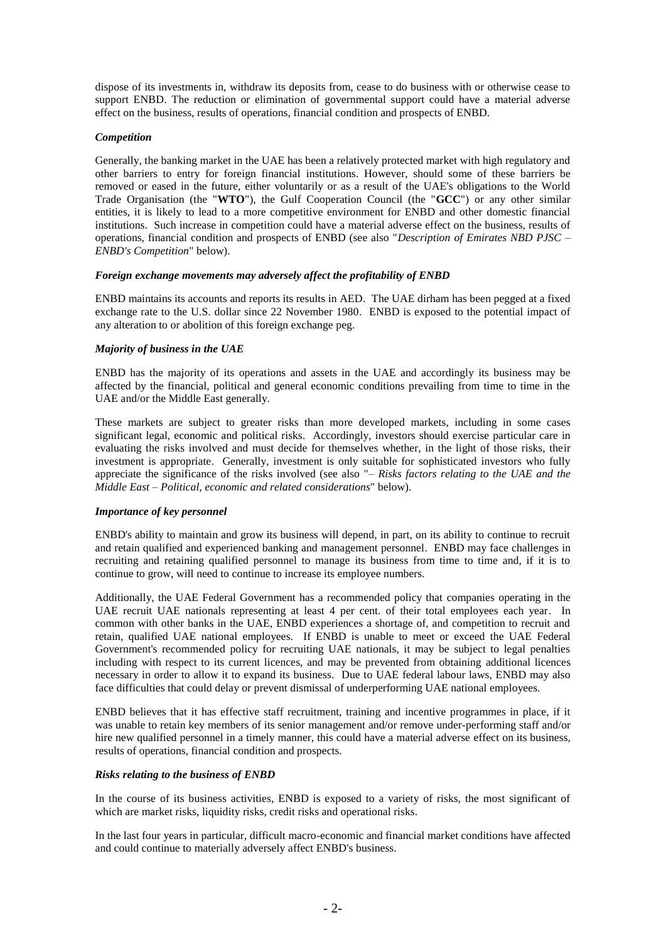dispose of its investments in, withdraw its deposits from, cease to do business with or otherwise cease to support ENBD. The reduction or elimination of governmental support could have a material adverse effect on the business, results of operations, financial condition and prospects of ENBD.

### *Competition*

Generally, the banking market in the UAE has been a relatively protected market with high regulatory and other barriers to entry for foreign financial institutions. However, should some of these barriers be removed or eased in the future, either voluntarily or as a result of the UAE's obligations to the World Trade Organisation (the "**WTO**"), the Gulf Cooperation Council (the "**GCC**") or any other similar entities, it is likely to lead to a more competitive environment for ENBD and other domestic financial institutions. Such increase in competition could have a material adverse effect on the business, results of operations, financial condition and prospects of ENBD (see also "*Description of Emirates NBD PJSC* – *ENBD's Competition*" below).

#### *Foreign exchange movements may adversely affect the profitability of ENBD*

ENBD maintains its accounts and reports its results in AED. The UAE dirham has been pegged at a fixed exchange rate to the U.S. dollar since 22 November 1980. ENBD is exposed to the potential impact of any alteration to or abolition of this foreign exchange peg.

### *Majority of business in the UAE*

ENBD has the majority of its operations and assets in the UAE and accordingly its business may be affected by the financial, political and general economic conditions prevailing from time to time in the UAE and/or the Middle East generally.

These markets are subject to greater risks than more developed markets, including in some cases significant legal, economic and political risks. Accordingly, investors should exercise particular care in evaluating the risks involved and must decide for themselves whether, in the light of those risks, their investment is appropriate. Generally, investment is only suitable for sophisticated investors who fully appreciate the significance of the risks involved (see also "– *Risks factors relating to the UAE and the Middle East* – *Political, economic and related considerations*" below).

# *Importance of key personnel*

ENBD's ability to maintain and grow its business will depend, in part, on its ability to continue to recruit and retain qualified and experienced banking and management personnel. ENBD may face challenges in recruiting and retaining qualified personnel to manage its business from time to time and, if it is to continue to grow, will need to continue to increase its employee numbers.

Additionally, the UAE Federal Government has a recommended policy that companies operating in the UAE recruit UAE nationals representing at least 4 per cent. of their total employees each year. In common with other banks in the UAE, ENBD experiences a shortage of, and competition to recruit and retain, qualified UAE national employees. If ENBD is unable to meet or exceed the UAE Federal Government's recommended policy for recruiting UAE nationals, it may be subject to legal penalties including with respect to its current licences, and may be prevented from obtaining additional licences necessary in order to allow it to expand its business. Due to UAE federal labour laws, ENBD may also face difficulties that could delay or prevent dismissal of underperforming UAE national employees.

ENBD believes that it has effective staff recruitment, training and incentive programmes in place, if it was unable to retain key members of its senior management and/or remove under-performing staff and/or hire new qualified personnel in a timely manner, this could have a material adverse effect on its business, results of operations, financial condition and prospects.

### *Risks relating to the business of ENBD*

In the course of its business activities, ENBD is exposed to a variety of risks, the most significant of which are market risks, liquidity risks, credit risks and operational risks.

In the last four years in particular, difficult macro-economic and financial market conditions have affected and could continue to materially adversely affect ENBD's business.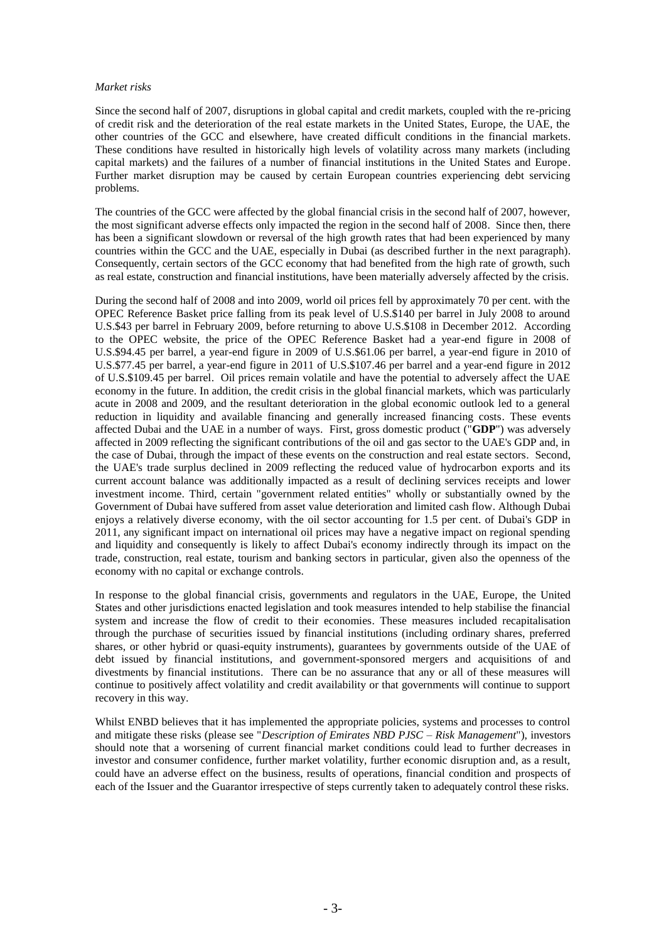#### *Market risks*

Since the second half of 2007, disruptions in global capital and credit markets, coupled with the re-pricing of credit risk and the deterioration of the real estate markets in the United States, Europe, the UAE, the other countries of the GCC and elsewhere, have created difficult conditions in the financial markets. These conditions have resulted in historically high levels of volatility across many markets (including capital markets) and the failures of a number of financial institutions in the United States and Europe. Further market disruption may be caused by certain European countries experiencing debt servicing problems.

The countries of the GCC were affected by the global financial crisis in the second half of 2007, however, the most significant adverse effects only impacted the region in the second half of 2008. Since then, there has been a significant slowdown or reversal of the high growth rates that had been experienced by many countries within the GCC and the UAE, especially in Dubai (as described further in the next paragraph). Consequently, certain sectors of the GCC economy that had benefited from the high rate of growth, such as real estate, construction and financial institutions, have been materially adversely affected by the crisis.

During the second half of 2008 and into 2009, world oil prices fell by approximately 70 per cent. with the OPEC Reference Basket price falling from its peak level of U.S.\$140 per barrel in July 2008 to around U.S.\$43 per barrel in February 2009, before returning to above U.S.\$108 in December 2012. According to the OPEC website, the price of the OPEC Reference Basket had a year-end figure in 2008 of U.S.\$94.45 per barrel, a year-end figure in 2009 of U.S.\$61.06 per barrel, a year-end figure in 2010 of U.S.\$77.45 per barrel, a year-end figure in 2011 of U.S.\$107.46 per barrel and a year-end figure in 2012 of U.S.\$109.45 per barrel. Oil prices remain volatile and have the potential to adversely affect the UAE economy in the future. In addition, the credit crisis in the global financial markets, which was particularly acute in 2008 and 2009, and the resultant deterioration in the global economic outlook led to a general reduction in liquidity and available financing and generally increased financing costs. These events affected Dubai and the UAE in a number of ways. First, gross domestic product ("**GDP**") was adversely affected in 2009 reflecting the significant contributions of the oil and gas sector to the UAE's GDP and, in the case of Dubai, through the impact of these events on the construction and real estate sectors. Second, the UAE's trade surplus declined in 2009 reflecting the reduced value of hydrocarbon exports and its current account balance was additionally impacted as a result of declining services receipts and lower investment income. Third, certain "government related entities" wholly or substantially owned by the Government of Dubai have suffered from asset value deterioration and limited cash flow. Although Dubai enjoys a relatively diverse economy, with the oil sector accounting for 1.5 per cent. of Dubai's GDP in 2011, any significant impact on international oil prices may have a negative impact on regional spending and liquidity and consequently is likely to affect Dubai's economy indirectly through its impact on the trade, construction, real estate, tourism and banking sectors in particular, given also the openness of the economy with no capital or exchange controls.

In response to the global financial crisis, governments and regulators in the UAE, Europe, the United States and other jurisdictions enacted legislation and took measures intended to help stabilise the financial system and increase the flow of credit to their economies. These measures included recapitalisation through the purchase of securities issued by financial institutions (including ordinary shares, preferred shares, or other hybrid or quasi-equity instruments), guarantees by governments outside of the UAE of debt issued by financial institutions, and government-sponsored mergers and acquisitions of and divestments by financial institutions. There can be no assurance that any or all of these measures will continue to positively affect volatility and credit availability or that governments will continue to support recovery in this way.

Whilst ENBD believes that it has implemented the appropriate policies, systems and processes to control and mitigate these risks (please see "*Description of Emirates NBD PJSC* – *Risk Management*"), investors should note that a worsening of current financial market conditions could lead to further decreases in investor and consumer confidence, further market volatility, further economic disruption and, as a result, could have an adverse effect on the business, results of operations, financial condition and prospects of each of the Issuer and the Guarantor irrespective of steps currently taken to adequately control these risks.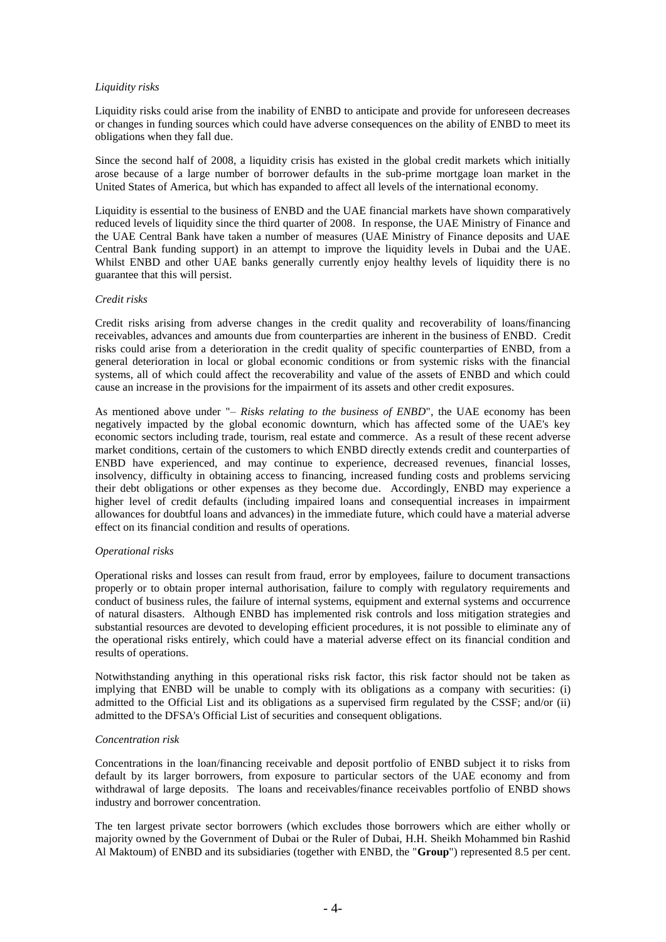#### *Liquidity risks*

Liquidity risks could arise from the inability of ENBD to anticipate and provide for unforeseen decreases or changes in funding sources which could have adverse consequences on the ability of ENBD to meet its obligations when they fall due.

Since the second half of 2008, a liquidity crisis has existed in the global credit markets which initially arose because of a large number of borrower defaults in the sub-prime mortgage loan market in the United States of America, but which has expanded to affect all levels of the international economy.

Liquidity is essential to the business of ENBD and the UAE financial markets have shown comparatively reduced levels of liquidity since the third quarter of 2008. In response, the UAE Ministry of Finance and the UAE Central Bank have taken a number of measures (UAE Ministry of Finance deposits and UAE Central Bank funding support) in an attempt to improve the liquidity levels in Dubai and the UAE. Whilst ENBD and other UAE banks generally currently enjoy healthy levels of liquidity there is no guarantee that this will persist.

#### *Credit risks*

Credit risks arising from adverse changes in the credit quality and recoverability of loans/financing receivables, advances and amounts due from counterparties are inherent in the business of ENBD. Credit risks could arise from a deterioration in the credit quality of specific counterparties of ENBD, from a general deterioration in local or global economic conditions or from systemic risks with the financial systems, all of which could affect the recoverability and value of the assets of ENBD and which could cause an increase in the provisions for the impairment of its assets and other credit exposures.

As mentioned above under "– *Risks relating to the business of ENBD*"*,* the UAE economy has been negatively impacted by the global economic downturn, which has affected some of the UAE's key economic sectors including trade, tourism, real estate and commerce. As a result of these recent adverse market conditions, certain of the customers to which ENBD directly extends credit and counterparties of ENBD have experienced, and may continue to experience, decreased revenues, financial losses, insolvency, difficulty in obtaining access to financing, increased funding costs and problems servicing their debt obligations or other expenses as they become due. Accordingly, ENBD may experience a higher level of credit defaults (including impaired loans and consequential increases in impairment allowances for doubtful loans and advances) in the immediate future, which could have a material adverse effect on its financial condition and results of operations.

#### *Operational risks*

Operational risks and losses can result from fraud, error by employees, failure to document transactions properly or to obtain proper internal authorisation, failure to comply with regulatory requirements and conduct of business rules, the failure of internal systems, equipment and external systems and occurrence of natural disasters. Although ENBD has implemented risk controls and loss mitigation strategies and substantial resources are devoted to developing efficient procedures, it is not possible to eliminate any of the operational risks entirely, which could have a material adverse effect on its financial condition and results of operations.

Notwithstanding anything in this operational risks risk factor, this risk factor should not be taken as implying that ENBD will be unable to comply with its obligations as a company with securities: (i) admitted to the Official List and its obligations as a supervised firm regulated by the CSSF; and/or (ii) admitted to the DFSA's Official List of securities and consequent obligations.

#### *Concentration risk*

Concentrations in the loan/financing receivable and deposit portfolio of ENBD subject it to risks from default by its larger borrowers, from exposure to particular sectors of the UAE economy and from withdrawal of large deposits. The loans and receivables/finance receivables portfolio of ENBD shows industry and borrower concentration.

The ten largest private sector borrowers (which excludes those borrowers which are either wholly or majority owned by the Government of Dubai or the Ruler of Dubai, H.H. Sheikh Mohammed bin Rashid Al Maktoum) of ENBD and its subsidiaries (together with ENBD, the "**Group**") represented 8.5 per cent.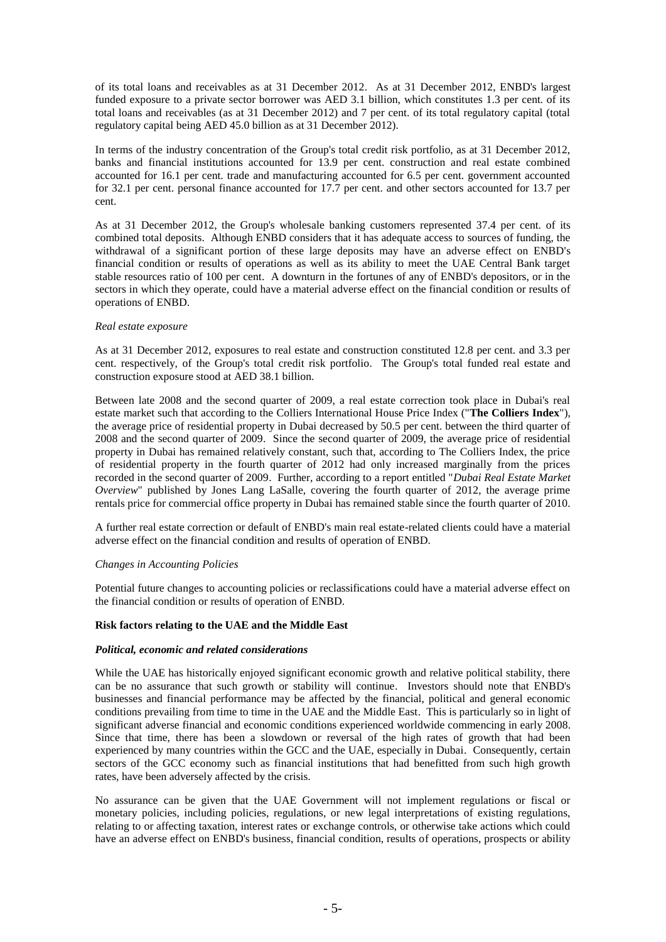of its total loans and receivables as at 31 December 2012. As at 31 December 2012, ENBD's largest funded exposure to a private sector borrower was AED 3.1 billion, which constitutes 1.3 per cent. of its total loans and receivables (as at 31 December 2012) and 7 per cent. of its total regulatory capital (total regulatory capital being AED 45.0 billion as at 31 December 2012).

In terms of the industry concentration of the Group's total credit risk portfolio, as at 31 December 2012, banks and financial institutions accounted for 13.9 per cent. construction and real estate combined accounted for 16.1 per cent. trade and manufacturing accounted for 6.5 per cent. government accounted for 32.1 per cent. personal finance accounted for 17.7 per cent. and other sectors accounted for 13.7 per cent.

As at 31 December 2012, the Group's wholesale banking customers represented 37.4 per cent. of its combined total deposits. Although ENBD considers that it has adequate access to sources of funding, the withdrawal of a significant portion of these large deposits may have an adverse effect on ENBD's financial condition or results of operations as well as its ability to meet the UAE Central Bank target stable resources ratio of 100 per cent. A downturn in the fortunes of any of ENBD's depositors, or in the sectors in which they operate, could have a material adverse effect on the financial condition or results of operations of ENBD.

#### *Real estate exposure*

As at 31 December 2012, exposures to real estate and construction constituted 12.8 per cent. and 3.3 per cent. respectively, of the Group's total credit risk portfolio. The Group's total funded real estate and construction exposure stood at AED 38.1 billion.

Between late 2008 and the second quarter of 2009, a real estate correction took place in Dubai's real estate market such that according to the Colliers International House Price Index ("**The Colliers Index**"), the average price of residential property in Dubai decreased by 50.5 per cent. between the third quarter of 2008 and the second quarter of 2009. Since the second quarter of 2009, the average price of residential property in Dubai has remained relatively constant, such that, according to The Colliers Index, the price of residential property in the fourth quarter of 2012 had only increased marginally from the prices recorded in the second quarter of 2009. Further, according to a report entitled "*Dubai Real Estate Market Overview*" published by Jones Lang LaSalle, covering the fourth quarter of 2012, the average prime rentals price for commercial office property in Dubai has remained stable since the fourth quarter of 2010.

A further real estate correction or default of ENBD's main real estate-related clients could have a material adverse effect on the financial condition and results of operation of ENBD.

#### *Changes in Accounting Policies*

Potential future changes to accounting policies or reclassifications could have a material adverse effect on the financial condition or results of operation of ENBD.

# **Risk factors relating to the UAE and the Middle East**

#### *Political, economic and related considerations*

While the UAE has historically enjoyed significant economic growth and relative political stability, there can be no assurance that such growth or stability will continue. Investors should note that ENBD's businesses and financial performance may be affected by the financial, political and general economic conditions prevailing from time to time in the UAE and the Middle East. This is particularly so in light of significant adverse financial and economic conditions experienced worldwide commencing in early 2008. Since that time, there has been a slowdown or reversal of the high rates of growth that had been experienced by many countries within the GCC and the UAE, especially in Dubai. Consequently, certain sectors of the GCC economy such as financial institutions that had benefitted from such high growth rates, have been adversely affected by the crisis.

No assurance can be given that the UAE Government will not implement regulations or fiscal or monetary policies, including policies, regulations, or new legal interpretations of existing regulations, relating to or affecting taxation, interest rates or exchange controls, or otherwise take actions which could have an adverse effect on ENBD's business, financial condition, results of operations, prospects or ability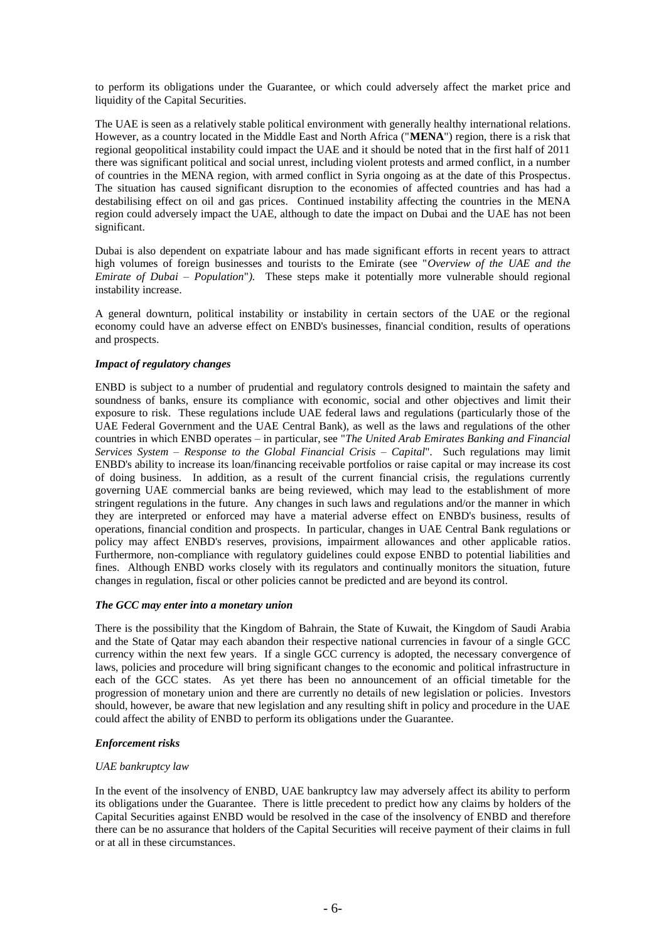to perform its obligations under the Guarantee, or which could adversely affect the market price and liquidity of the Capital Securities.

The UAE is seen as a relatively stable political environment with generally healthy international relations. However, as a country located in the Middle East and North Africa ("**MENA**") region, there is a risk that regional geopolitical instability could impact the UAE and it should be noted that in the first half of 2011 there was significant political and social unrest, including violent protests and armed conflict, in a number of countries in the MENA region, with armed conflict in Syria ongoing as at the date of this Prospectus. The situation has caused significant disruption to the economies of affected countries and has had a destabilising effect on oil and gas prices. Continued instability affecting the countries in the MENA region could adversely impact the UAE, although to date the impact on Dubai and the UAE has not been significant.

Dubai is also dependent on expatriate labour and has made significant efforts in recent years to attract high volumes of foreign businesses and tourists to the Emirate (see "*Overview of the UAE and the Emirate of Dubai – Population*"*).* These steps make it potentially more vulnerable should regional instability increase.

A general downturn, political instability or instability in certain sectors of the UAE or the regional economy could have an adverse effect on ENBD's businesses, financial condition, results of operations and prospects.

### *Impact of regulatory changes*

ENBD is subject to a number of prudential and regulatory controls designed to maintain the safety and soundness of banks, ensure its compliance with economic, social and other objectives and limit their exposure to risk. These regulations include UAE federal laws and regulations (particularly those of the UAE Federal Government and the UAE Central Bank), as well as the laws and regulations of the other countries in which ENBD operates – in particular, see "*The United Arab Emirates Banking and Financial Services System – Response to the Global Financial Crisis – Capital*"*.* Such regulations may limit ENBD's ability to increase its loan/financing receivable portfolios or raise capital or may increase its cost of doing business. In addition, as a result of the current financial crisis, the regulations currently governing UAE commercial banks are being reviewed, which may lead to the establishment of more stringent regulations in the future. Any changes in such laws and regulations and/or the manner in which they are interpreted or enforced may have a material adverse effect on ENBD's business, results of operations, financial condition and prospects. In particular, changes in UAE Central Bank regulations or policy may affect ENBD's reserves, provisions, impairment allowances and other applicable ratios. Furthermore, non-compliance with regulatory guidelines could expose ENBD to potential liabilities and fines. Although ENBD works closely with its regulators and continually monitors the situation, future changes in regulation, fiscal or other policies cannot be predicted and are beyond its control.

### *The GCC may enter into a monetary union*

There is the possibility that the Kingdom of Bahrain, the State of Kuwait, the Kingdom of Saudi Arabia and the State of Qatar may each abandon their respective national currencies in favour of a single GCC currency within the next few years. If a single GCC currency is adopted, the necessary convergence of laws, policies and procedure will bring significant changes to the economic and political infrastructure in each of the GCC states. As yet there has been no announcement of an official timetable for the progression of monetary union and there are currently no details of new legislation or policies. Investors should, however, be aware that new legislation and any resulting shift in policy and procedure in the UAE could affect the ability of ENBD to perform its obligations under the Guarantee.

### *Enforcement risks*

### *UAE bankruptcy law*

In the event of the insolvency of ENBD, UAE bankruptcy law may adversely affect its ability to perform its obligations under the Guarantee. There is little precedent to predict how any claims by holders of the Capital Securities against ENBD would be resolved in the case of the insolvency of ENBD and therefore there can be no assurance that holders of the Capital Securities will receive payment of their claims in full or at all in these circumstances.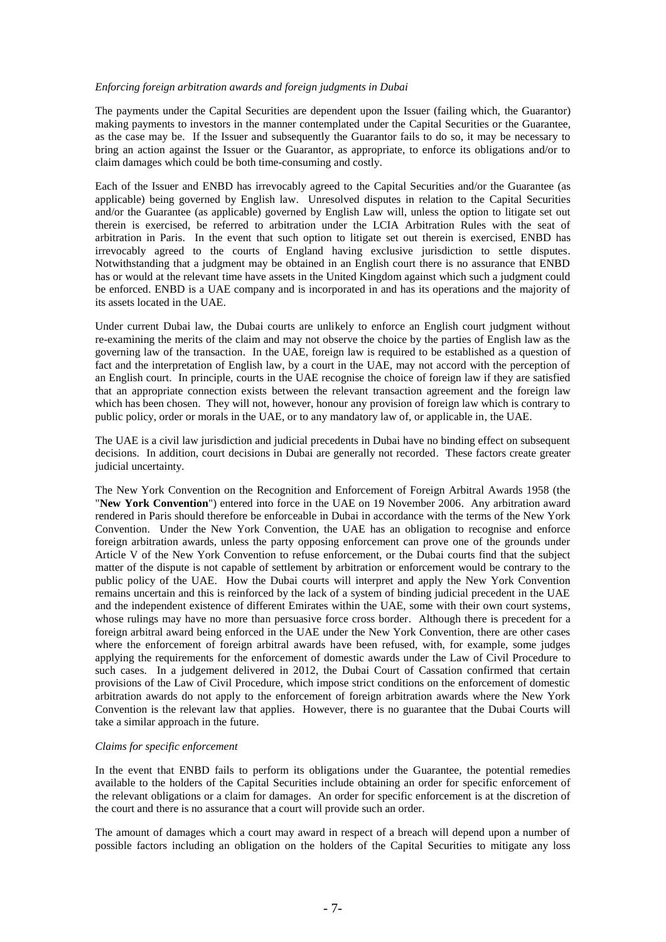#### *Enforcing foreign arbitration awards and foreign judgments in Dubai*

The payments under the Capital Securities are dependent upon the Issuer (failing which, the Guarantor) making payments to investors in the manner contemplated under the Capital Securities or the Guarantee, as the case may be. If the Issuer and subsequently the Guarantor fails to do so, it may be necessary to bring an action against the Issuer or the Guarantor, as appropriate, to enforce its obligations and/or to claim damages which could be both time-consuming and costly.

Each of the Issuer and ENBD has irrevocably agreed to the Capital Securities and/or the Guarantee (as applicable) being governed by English law. Unresolved disputes in relation to the Capital Securities and/or the Guarantee (as applicable) governed by English Law will, unless the option to litigate set out therein is exercised, be referred to arbitration under the LCIA Arbitration Rules with the seat of arbitration in Paris. In the event that such option to litigate set out therein is exercised, ENBD has irrevocably agreed to the courts of England having exclusive jurisdiction to settle disputes. Notwithstanding that a judgment may be obtained in an English court there is no assurance that ENBD has or would at the relevant time have assets in the United Kingdom against which such a judgment could be enforced. ENBD is a UAE company and is incorporated in and has its operations and the majority of its assets located in the UAE.

Under current Dubai law, the Dubai courts are unlikely to enforce an English court judgment without re-examining the merits of the claim and may not observe the choice by the parties of English law as the governing law of the transaction. In the UAE, foreign law is required to be established as a question of fact and the interpretation of English law, by a court in the UAE, may not accord with the perception of an English court. In principle, courts in the UAE recognise the choice of foreign law if they are satisfied that an appropriate connection exists between the relevant transaction agreement and the foreign law which has been chosen. They will not, however, honour any provision of foreign law which is contrary to public policy, order or morals in the UAE, or to any mandatory law of, or applicable in, the UAE.

The UAE is a civil law jurisdiction and judicial precedents in Dubai have no binding effect on subsequent decisions. In addition, court decisions in Dubai are generally not recorded. These factors create greater judicial uncertainty.

The New York Convention on the Recognition and Enforcement of Foreign Arbitral Awards 1958 (the "**New York Convention**") entered into force in the UAE on 19 November 2006. Any arbitration award rendered in Paris should therefore be enforceable in Dubai in accordance with the terms of the New York Convention. Under the New York Convention, the UAE has an obligation to recognise and enforce foreign arbitration awards, unless the party opposing enforcement can prove one of the grounds under Article V of the New York Convention to refuse enforcement, or the Dubai courts find that the subject matter of the dispute is not capable of settlement by arbitration or enforcement would be contrary to the public policy of the UAE. How the Dubai courts will interpret and apply the New York Convention remains uncertain and this is reinforced by the lack of a system of binding judicial precedent in the UAE and the independent existence of different Emirates within the UAE, some with their own court systems, whose rulings may have no more than persuasive force cross border. Although there is precedent for a foreign arbitral award being enforced in the UAE under the New York Convention, there are other cases where the enforcement of foreign arbitral awards have been refused, with, for example, some judges applying the requirements for the enforcement of domestic awards under the Law of Civil Procedure to such cases. In a judgement delivered in 2012, the Dubai Court of Cassation confirmed that certain provisions of the Law of Civil Procedure, which impose strict conditions on the enforcement of domestic arbitration awards do not apply to the enforcement of foreign arbitration awards where the New York Convention is the relevant law that applies. However, there is no guarantee that the Dubai Courts will take a similar approach in the future.

#### *Claims for specific enforcement*

In the event that ENBD fails to perform its obligations under the Guarantee, the potential remedies available to the holders of the Capital Securities include obtaining an order for specific enforcement of the relevant obligations or a claim for damages. An order for specific enforcement is at the discretion of the court and there is no assurance that a court will provide such an order.

The amount of damages which a court may award in respect of a breach will depend upon a number of possible factors including an obligation on the holders of the Capital Securities to mitigate any loss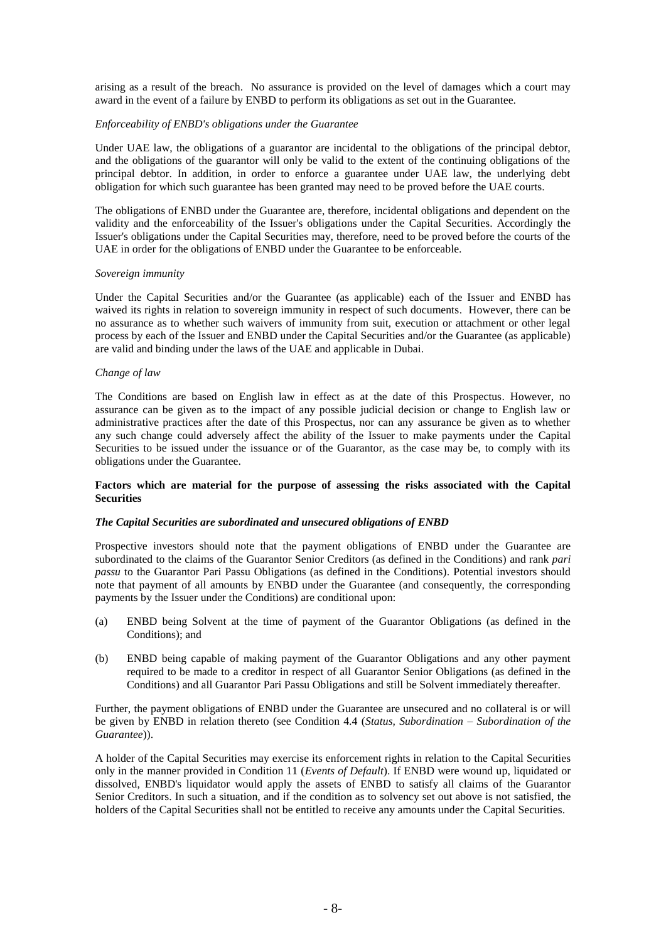arising as a result of the breach. No assurance is provided on the level of damages which a court may award in the event of a failure by ENBD to perform its obligations as set out in the Guarantee.

#### *Enforceability of ENBD's obligations under the Guarantee*

Under UAE law, the obligations of a guarantor are incidental to the obligations of the principal debtor, and the obligations of the guarantor will only be valid to the extent of the continuing obligations of the principal debtor. In addition, in order to enforce a guarantee under UAE law, the underlying debt obligation for which such guarantee has been granted may need to be proved before the UAE courts.

The obligations of ENBD under the Guarantee are, therefore, incidental obligations and dependent on the validity and the enforceability of the Issuer's obligations under the Capital Securities. Accordingly the Issuer's obligations under the Capital Securities may, therefore, need to be proved before the courts of the UAE in order for the obligations of ENBD under the Guarantee to be enforceable.

#### *Sovereign immunity*

Under the Capital Securities and/or the Guarantee (as applicable) each of the Issuer and ENBD has waived its rights in relation to sovereign immunity in respect of such documents. However, there can be no assurance as to whether such waivers of immunity from suit, execution or attachment or other legal process by each of the Issuer and ENBD under the Capital Securities and/or the Guarantee (as applicable) are valid and binding under the laws of the UAE and applicable in Dubai.

#### *Change of law*

The Conditions are based on English law in effect as at the date of this Prospectus. However, no assurance can be given as to the impact of any possible judicial decision or change to English law or administrative practices after the date of this Prospectus, nor can any assurance be given as to whether any such change could adversely affect the ability of the Issuer to make payments under the Capital Securities to be issued under the issuance or of the Guarantor, as the case may be, to comply with its obligations under the Guarantee.

### **Factors which are material for the purpose of assessing the risks associated with the Capital Securities**

### *The Capital Securities are subordinated and unsecured obligations of ENBD*

Prospective investors should note that the payment obligations of ENBD under the Guarantee are subordinated to the claims of the Guarantor Senior Creditors (as defined in the Conditions) and rank *pari passu* to the Guarantor Pari Passu Obligations (as defined in the Conditions). Potential investors should note that payment of all amounts by ENBD under the Guarantee (and consequently, the corresponding payments by the Issuer under the Conditions) are conditional upon:

- (a) ENBD being Solvent at the time of payment of the Guarantor Obligations (as defined in the Conditions); and
- (b) ENBD being capable of making payment of the Guarantor Obligations and any other payment required to be made to a creditor in respect of all Guarantor Senior Obligations (as defined in the Conditions) and all Guarantor Pari Passu Obligations and still be Solvent immediately thereafter.

Further, the payment obligations of ENBD under the Guarantee are unsecured and no collateral is or will be given by ENBD in relation thereto (see Condition 4.4 (*Status, Subordination – Subordination of the Guarantee*)).

A holder of the Capital Securities may exercise its enforcement rights in relation to the Capital Securities only in the manner provided in Condition 11 (*Events of Default*). If ENBD were wound up, liquidated or dissolved, ENBD's liquidator would apply the assets of ENBD to satisfy all claims of the Guarantor Senior Creditors. In such a situation, and if the condition as to solvency set out above is not satisfied, the holders of the Capital Securities shall not be entitled to receive any amounts under the Capital Securities.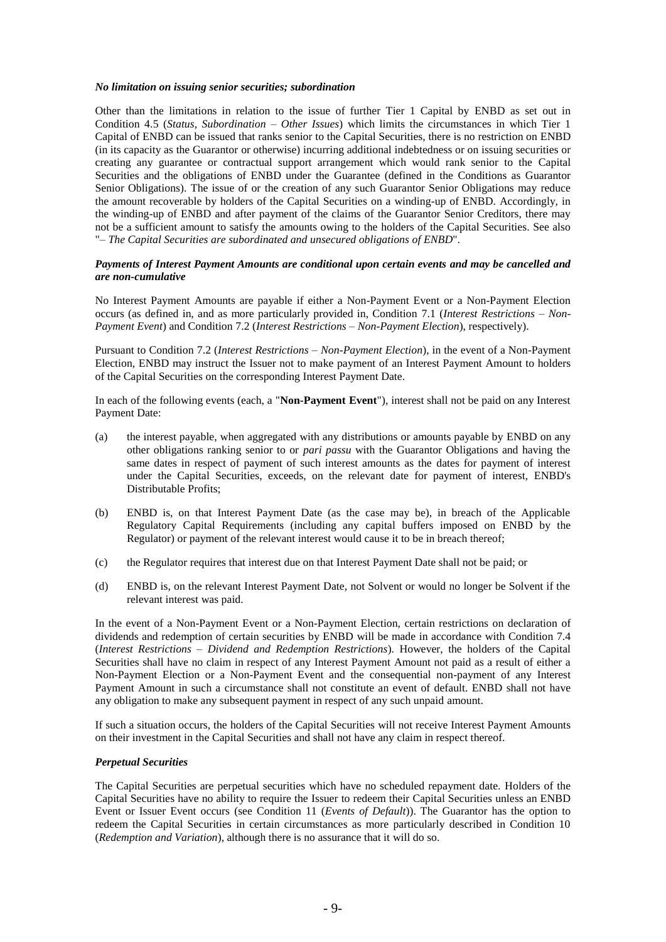#### *No limitation on issuing senior securities; subordination*

Other than the limitations in relation to the issue of further Tier 1 Capital by ENBD as set out in Condition 4.5 (*Status, Subordination – Other Issues*) which limits the circumstances in which Tier 1 Capital of ENBD can be issued that ranks senior to the Capital Securities, there is no restriction on ENBD (in its capacity as the Guarantor or otherwise) incurring additional indebtedness or on issuing securities or creating any guarantee or contractual support arrangement which would rank senior to the Capital Securities and the obligations of ENBD under the Guarantee (defined in the Conditions as Guarantor Senior Obligations). The issue of or the creation of any such Guarantor Senior Obligations may reduce the amount recoverable by holders of the Capital Securities on a winding-up of ENBD. Accordingly, in the winding-up of ENBD and after payment of the claims of the Guarantor Senior Creditors, there may not be a sufficient amount to satisfy the amounts owing to the holders of the Capital Securities. See also "*– The Capital Securities are subordinated and unsecured obligations of ENBD*".

#### *Payments of Interest Payment Amounts are conditional upon certain events and may be cancelled and are non-cumulative*

No Interest Payment Amounts are payable if either a Non-Payment Event or a Non-Payment Election occurs (as defined in, and as more particularly provided in, Condition 7.1 (*Interest Restrictions – Non-Payment Event*) and Condition 7.2 (*Interest Restrictions – Non-Payment Election*), respectively).

Pursuant to Condition 7.2 (*Interest Restrictions – Non-Payment Election*), in the event of a Non-Payment Election, ENBD may instruct the Issuer not to make payment of an Interest Payment Amount to holders of the Capital Securities on the corresponding Interest Payment Date.

In each of the following events (each, a "**Non-Payment Event**"), interest shall not be paid on any Interest Payment Date:

- (a) the interest payable, when aggregated with any distributions or amounts payable by ENBD on any other obligations ranking senior to or *pari passu* with the Guarantor Obligations and having the same dates in respect of payment of such interest amounts as the dates for payment of interest under the Capital Securities, exceeds, on the relevant date for payment of interest, ENBD's Distributable Profits;
- (b) ENBD is, on that Interest Payment Date (as the case may be), in breach of the Applicable Regulatory Capital Requirements (including any capital buffers imposed on ENBD by the Regulator) or payment of the relevant interest would cause it to be in breach thereof;
- (c) the Regulator requires that interest due on that Interest Payment Date shall not be paid; or
- (d) ENBD is, on the relevant Interest Payment Date, not Solvent or would no longer be Solvent if the relevant interest was paid.

In the event of a Non-Payment Event or a Non-Payment Election, certain restrictions on declaration of dividends and redemption of certain securities by ENBD will be made in accordance with Condition 7.4 (*Interest Restrictions – Dividend and Redemption Restrictions*). However, the holders of the Capital Securities shall have no claim in respect of any Interest Payment Amount not paid as a result of either a Non-Payment Election or a Non-Payment Event and the consequential non-payment of any Interest Payment Amount in such a circumstance shall not constitute an event of default. ENBD shall not have any obligation to make any subsequent payment in respect of any such unpaid amount.

If such a situation occurs, the holders of the Capital Securities will not receive Interest Payment Amounts on their investment in the Capital Securities and shall not have any claim in respect thereof.

### *Perpetual Securities*

The Capital Securities are perpetual securities which have no scheduled repayment date. Holders of the Capital Securities have no ability to require the Issuer to redeem their Capital Securities unless an ENBD Event or Issuer Event occurs (see Condition 11 (*Events of Default*)). The Guarantor has the option to redeem the Capital Securities in certain circumstances as more particularly described in Condition 10 (*Redemption and Variation*), although there is no assurance that it will do so.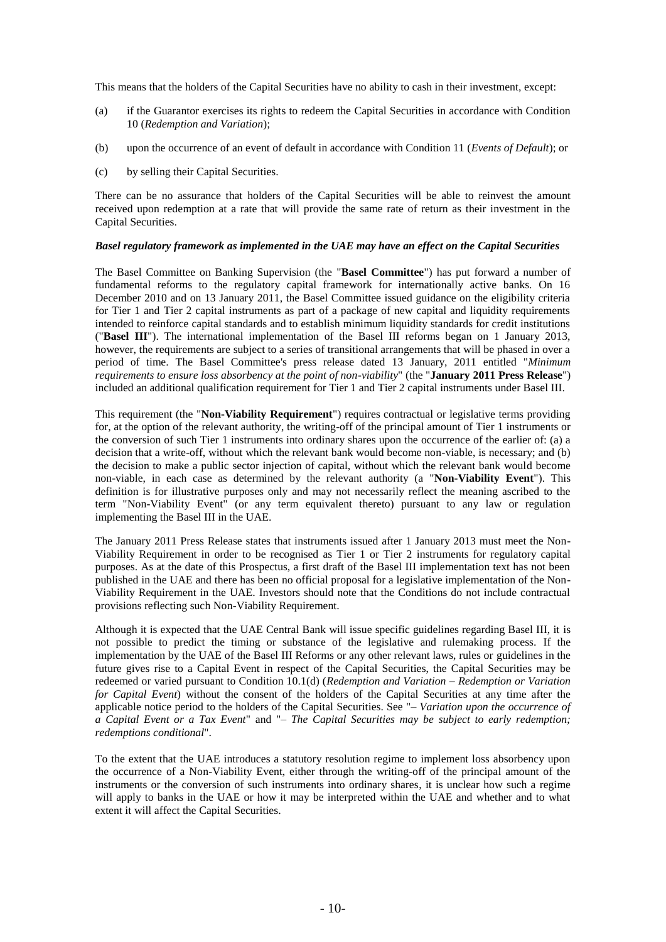This means that the holders of the Capital Securities have no ability to cash in their investment, except:

- (a) if the Guarantor exercises its rights to redeem the Capital Securities in accordance with Condition 10 (*Redemption and Variation*);
- (b) upon the occurrence of an event of default in accordance with Condition 11 (*Events of Default*); or
- (c) by selling their Capital Securities.

There can be no assurance that holders of the Capital Securities will be able to reinvest the amount received upon redemption at a rate that will provide the same rate of return as their investment in the Capital Securities.

#### *Basel regulatory framework as implemented in the UAE may have an effect on the Capital Securities*

The Basel Committee on Banking Supervision (the "**Basel Committee**") has put forward a number of fundamental reforms to the regulatory capital framework for internationally active banks. On 16 December 2010 and on 13 January 2011, the Basel Committee issued guidance on the eligibility criteria for Tier 1 and Tier 2 capital instruments as part of a package of new capital and liquidity requirements intended to reinforce capital standards and to establish minimum liquidity standards for credit institutions ("**Basel III**"). The international implementation of the Basel III reforms began on 1 January 2013, however, the requirements are subject to a series of transitional arrangements that will be phased in over a period of time. The Basel Committee's press release dated 13 January, 2011 entitled "*Minimum requirements to ensure loss absorbency at the point of non-viability*" (the "**January 2011 Press Release**") included an additional qualification requirement for Tier 1 and Tier 2 capital instruments under Basel III.

This requirement (the "**Non-Viability Requirement**") requires contractual or legislative terms providing for, at the option of the relevant authority, the writing-off of the principal amount of Tier 1 instruments or the conversion of such Tier 1 instruments into ordinary shares upon the occurrence of the earlier of: (a) a decision that a write-off, without which the relevant bank would become non-viable, is necessary; and (b) the decision to make a public sector injection of capital, without which the relevant bank would become non-viable, in each case as determined by the relevant authority (a "**Non-Viability Event**"). This definition is for illustrative purposes only and may not necessarily reflect the meaning ascribed to the term "Non-Viability Event" (or any term equivalent thereto) pursuant to any law or regulation implementing the Basel III in the UAE.

The January 2011 Press Release states that instruments issued after 1 January 2013 must meet the Non-Viability Requirement in order to be recognised as Tier 1 or Tier 2 instruments for regulatory capital purposes. As at the date of this Prospectus, a first draft of the Basel III implementation text has not been published in the UAE and there has been no official proposal for a legislative implementation of the Non-Viability Requirement in the UAE. Investors should note that the Conditions do not include contractual provisions reflecting such Non-Viability Requirement.

Although it is expected that the UAE Central Bank will issue specific guidelines regarding Basel III, it is not possible to predict the timing or substance of the legislative and rulemaking process. If the implementation by the UAE of the Basel III Reforms or any other relevant laws, rules or guidelines in the future gives rise to a Capital Event in respect of the Capital Securities, the Capital Securities may be redeemed or varied pursuant to Condition 10.1(d) (*Redemption and Variation – Redemption or Variation for Capital Event*) without the consent of the holders of the Capital Securities at any time after the applicable notice period to the holders of the Capital Securities. See "– *Variation upon the occurrence of a Capital Event or a Tax Event*" and "– *The Capital Securities may be subject to early redemption; redemptions conditional*".

To the extent that the UAE introduces a statutory resolution regime to implement loss absorbency upon the occurrence of a Non-Viability Event, either through the writing-off of the principal amount of the instruments or the conversion of such instruments into ordinary shares, it is unclear how such a regime will apply to banks in the UAE or how it may be interpreted within the UAE and whether and to what extent it will affect the Capital Securities.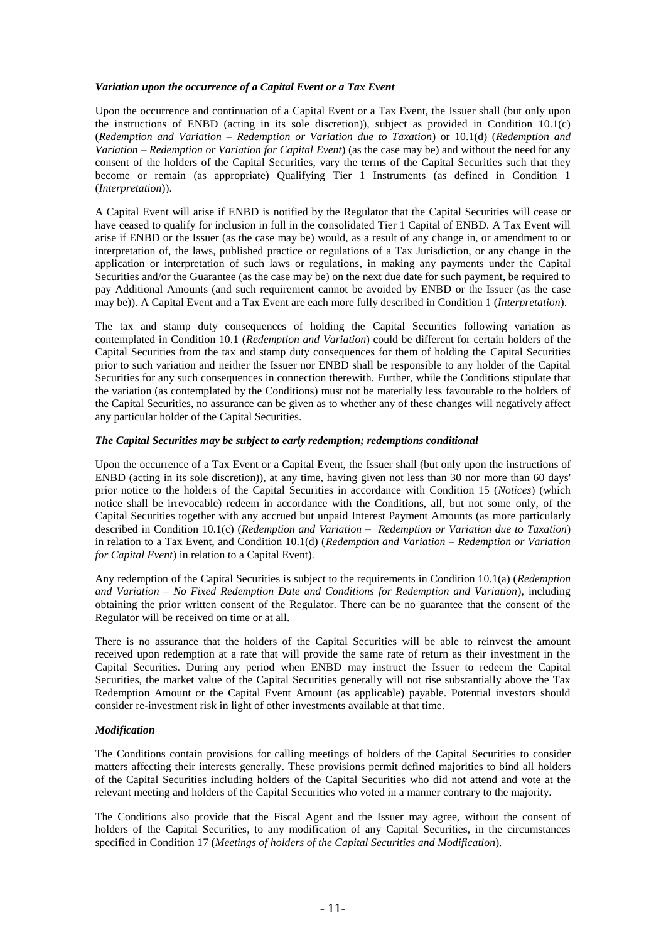#### *Variation upon the occurrence of a Capital Event or a Tax Event*

Upon the occurrence and continuation of a Capital Event or a Tax Event, the Issuer shall (but only upon the instructions of ENBD (acting in its sole discretion)), subject as provided in Condition 10.1(c) (*Redemption and Variation – Redemption or Variation due to Taxation*) or 10.1(d) (*Redemption and Variation – Redemption or Variation for Capital Event*) (as the case may be) and without the need for any consent of the holders of the Capital Securities, vary the terms of the Capital Securities such that they become or remain (as appropriate) Qualifying Tier 1 Instruments (as defined in Condition 1 (*Interpretation*)).

A Capital Event will arise if ENBD is notified by the Regulator that the Capital Securities will cease or have ceased to qualify for inclusion in full in the consolidated Tier 1 Capital of ENBD. A Tax Event will arise if ENBD or the Issuer (as the case may be) would, as a result of any change in, or amendment to or interpretation of, the laws, published practice or regulations of a Tax Jurisdiction, or any change in the application or interpretation of such laws or regulations, in making any payments under the Capital Securities and/or the Guarantee (as the case may be) on the next due date for such payment, be required to pay Additional Amounts (and such requirement cannot be avoided by ENBD or the Issuer (as the case may be)). A Capital Event and a Tax Event are each more fully described in Condition 1 (*Interpretation*).

The tax and stamp duty consequences of holding the Capital Securities following variation as contemplated in Condition 10.1 (*Redemption and Variation*) could be different for certain holders of the Capital Securities from the tax and stamp duty consequences for them of holding the Capital Securities prior to such variation and neither the Issuer nor ENBD shall be responsible to any holder of the Capital Securities for any such consequences in connection therewith. Further, while the Conditions stipulate that the variation (as contemplated by the Conditions) must not be materially less favourable to the holders of the Capital Securities, no assurance can be given as to whether any of these changes will negatively affect any particular holder of the Capital Securities.

# *The Capital Securities may be subject to early redemption; redemptions conditional*

Upon the occurrence of a Tax Event or a Capital Event, the Issuer shall (but only upon the instructions of ENBD (acting in its sole discretion)), at any time, having given not less than 30 nor more than 60 days' prior notice to the holders of the Capital Securities in accordance with Condition 15 (*Notices*) (which notice shall be irrevocable) redeem in accordance with the Conditions, all, but not some only, of the Capital Securities together with any accrued but unpaid Interest Payment Amounts (as more particularly described in Condition 10.1(c) (*Redemption and Variation – Redemption or Variation due to Taxation*) in relation to a Tax Event, and Condition 10.1(d) (*Redemption and Variation – Redemption or Variation for Capital Event*) in relation to a Capital Event).

Any redemption of the Capital Securities is subject to the requirements in Condition 10.1(a) (*Redemption and Variation – No Fixed Redemption Date and Conditions for Redemption and Variation*), including obtaining the prior written consent of the Regulator. There can be no guarantee that the consent of the Regulator will be received on time or at all.

There is no assurance that the holders of the Capital Securities will be able to reinvest the amount received upon redemption at a rate that will provide the same rate of return as their investment in the Capital Securities. During any period when ENBD may instruct the Issuer to redeem the Capital Securities, the market value of the Capital Securities generally will not rise substantially above the Tax Redemption Amount or the Capital Event Amount (as applicable) payable. Potential investors should consider re-investment risk in light of other investments available at that time.

# *Modification*

The Conditions contain provisions for calling meetings of holders of the Capital Securities to consider matters affecting their interests generally. These provisions permit defined majorities to bind all holders of the Capital Securities including holders of the Capital Securities who did not attend and vote at the relevant meeting and holders of the Capital Securities who voted in a manner contrary to the majority.

The Conditions also provide that the Fiscal Agent and the Issuer may agree, without the consent of holders of the Capital Securities, to any modification of any Capital Securities, in the circumstances specified in Condition 17 (*Meetings of holders of the Capital Securities and Modification*).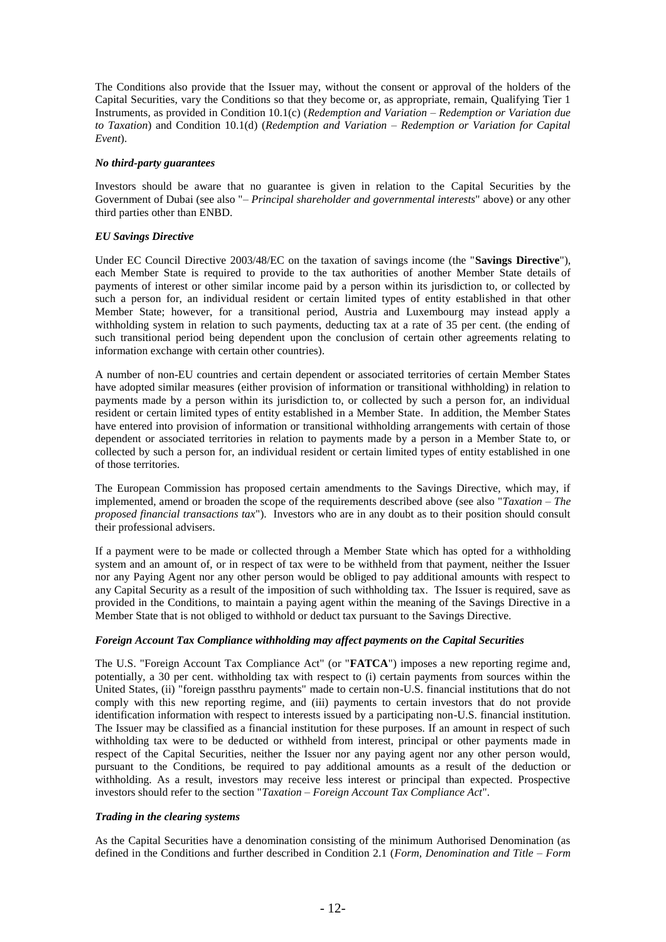The Conditions also provide that the Issuer may, without the consent or approval of the holders of the Capital Securities, vary the Conditions so that they become or, as appropriate, remain, Qualifying Tier 1 Instruments, as provided in Condition 10.1(c) (*Redemption and Variation – Redemption or Variation due to Taxation*) and Condition 10.1(d) (*Redemption and Variation – Redemption or Variation for Capital Event*).

### *No third-party guarantees*

Investors should be aware that no guarantee is given in relation to the Capital Securities by the Government of Dubai (see also "– *Principal shareholder and governmental interests*" above) or any other third parties other than ENBD.

### *EU Savings Directive*

Under EC Council Directive 2003/48/EC on the taxation of savings income (the "**Savings Directive**"), each Member State is required to provide to the tax authorities of another Member State details of payments of interest or other similar income paid by a person within its jurisdiction to, or collected by such a person for, an individual resident or certain limited types of entity established in that other Member State; however, for a transitional period, Austria and Luxembourg may instead apply a withholding system in relation to such payments, deducting tax at a rate of 35 per cent. (the ending of such transitional period being dependent upon the conclusion of certain other agreements relating to information exchange with certain other countries).

A number of non-EU countries and certain dependent or associated territories of certain Member States have adopted similar measures (either provision of information or transitional withholding) in relation to payments made by a person within its jurisdiction to, or collected by such a person for, an individual resident or certain limited types of entity established in a Member State. In addition, the Member States have entered into provision of information or transitional withholding arrangements with certain of those dependent or associated territories in relation to payments made by a person in a Member State to, or collected by such a person for, an individual resident or certain limited types of entity established in one of those territories.

The European Commission has proposed certain amendments to the Savings Directive, which may, if implemented, amend or broaden the scope of the requirements described above (see also "*Taxation – The proposed financial transactions tax*"). Investors who are in any doubt as to their position should consult their professional advisers.

If a payment were to be made or collected through a Member State which has opted for a withholding system and an amount of, or in respect of tax were to be withheld from that payment, neither the Issuer nor any Paying Agent nor any other person would be obliged to pay additional amounts with respect to any Capital Security as a result of the imposition of such withholding tax. The Issuer is required, save as provided in the Conditions*,* to maintain a paying agent within the meaning of the Savings Directive in a Member State that is not obliged to withhold or deduct tax pursuant to the Savings Directive.

### *Foreign Account Tax Compliance withholding may affect payments on the Capital Securities*

The U.S. "Foreign Account Tax Compliance Act" (or "**FATCA**") imposes a new reporting regime and, potentially, a 30 per cent. withholding tax with respect to (i) certain payments from sources within the United States, (ii) "foreign passthru payments" made to certain non-U.S. financial institutions that do not comply with this new reporting regime, and (iii) payments to certain investors that do not provide identification information with respect to interests issued by a participating non-U.S. financial institution. The Issuer may be classified as a financial institution for these purposes. If an amount in respect of such withholding tax were to be deducted or withheld from interest, principal or other payments made in respect of the Capital Securities, neither the Issuer nor any paying agent nor any other person would, pursuant to the Conditions, be required to pay additional amounts as a result of the deduction or withholding. As a result, investors may receive less interest or principal than expected. Prospective investors should refer to the section "*Taxation – Foreign Account Tax Compliance Act*".

# *Trading in the clearing systems*

As the Capital Securities have a denomination consisting of the minimum Authorised Denomination (as defined in the Conditions and further described in Condition 2.1 (*Form, Denomination and Title – Form*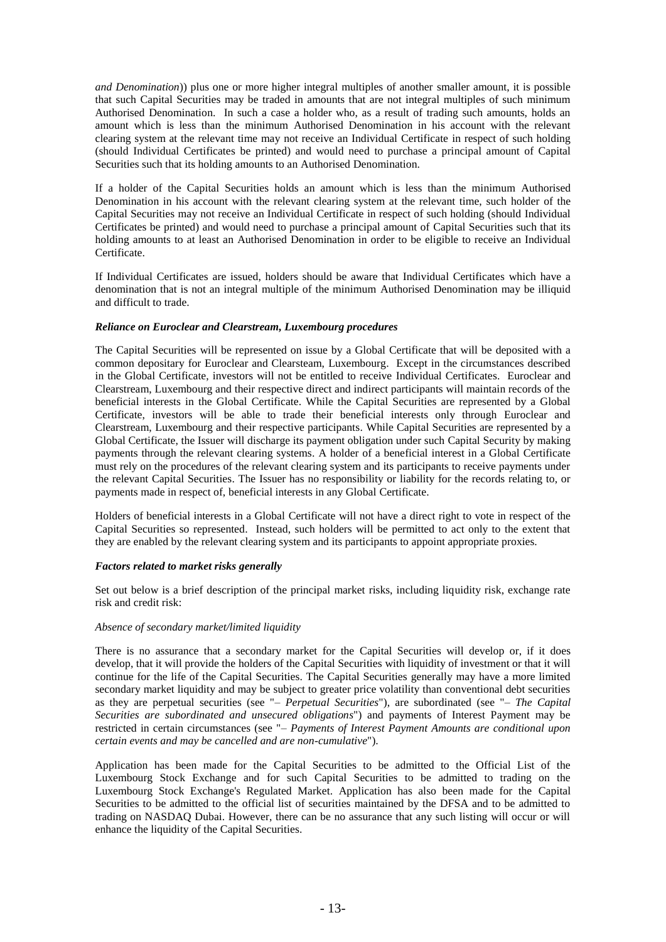*and Denomination*)) plus one or more higher integral multiples of another smaller amount, it is possible that such Capital Securities may be traded in amounts that are not integral multiples of such minimum Authorised Denomination. In such a case a holder who, as a result of trading such amounts, holds an amount which is less than the minimum Authorised Denomination in his account with the relevant clearing system at the relevant time may not receive an Individual Certificate in respect of such holding (should Individual Certificates be printed) and would need to purchase a principal amount of Capital Securities such that its holding amounts to an Authorised Denomination.

If a holder of the Capital Securities holds an amount which is less than the minimum Authorised Denomination in his account with the relevant clearing system at the relevant time, such holder of the Capital Securities may not receive an Individual Certificate in respect of such holding (should Individual Certificates be printed) and would need to purchase a principal amount of Capital Securities such that its holding amounts to at least an Authorised Denomination in order to be eligible to receive an Individual Certificate.

If Individual Certificates are issued, holders should be aware that Individual Certificates which have a denomination that is not an integral multiple of the minimum Authorised Denomination may be illiquid and difficult to trade.

### *Reliance on Euroclear and Clearstream, Luxembourg procedures*

The Capital Securities will be represented on issue by a Global Certificate that will be deposited with a common depositary for Euroclear and Clearsteam, Luxembourg. Except in the circumstances described in the Global Certificate, investors will not be entitled to receive Individual Certificates. Euroclear and Clearstream, Luxembourg and their respective direct and indirect participants will maintain records of the beneficial interests in the Global Certificate. While the Capital Securities are represented by a Global Certificate, investors will be able to trade their beneficial interests only through Euroclear and Clearstream, Luxembourg and their respective participants. While Capital Securities are represented by a Global Certificate, the Issuer will discharge its payment obligation under such Capital Security by making payments through the relevant clearing systems. A holder of a beneficial interest in a Global Certificate must rely on the procedures of the relevant clearing system and its participants to receive payments under the relevant Capital Securities. The Issuer has no responsibility or liability for the records relating to, or payments made in respect of, beneficial interests in any Global Certificate.

Holders of beneficial interests in a Global Certificate will not have a direct right to vote in respect of the Capital Securities so represented. Instead, such holders will be permitted to act only to the extent that they are enabled by the relevant clearing system and its participants to appoint appropriate proxies.

### *Factors related to market risks generally*

Set out below is a brief description of the principal market risks, including liquidity risk, exchange rate risk and credit risk:

### *Absence of secondary market/limited liquidity*

There is no assurance that a secondary market for the Capital Securities will develop or, if it does develop, that it will provide the holders of the Capital Securities with liquidity of investment or that it will continue for the life of the Capital Securities. The Capital Securities generally may have a more limited secondary market liquidity and may be subject to greater price volatility than conventional debt securities as they are perpetual securities (see "– *Perpetual Securities*"), are subordinated (see "– *The Capital Securities are subordinated and unsecured obligations*") and payments of Interest Payment may be restricted in certain circumstances (see "– *Payments of Interest Payment Amounts are conditional upon certain events and may be cancelled and are non-cumulative*").

Application has been made for the Capital Securities to be admitted to the Official List of the Luxembourg Stock Exchange and for such Capital Securities to be admitted to trading on the Luxembourg Stock Exchange's Regulated Market. Application has also been made for the Capital Securities to be admitted to the official list of securities maintained by the DFSA and to be admitted to trading on NASDAQ Dubai. However, there can be no assurance that any such listing will occur or will enhance the liquidity of the Capital Securities.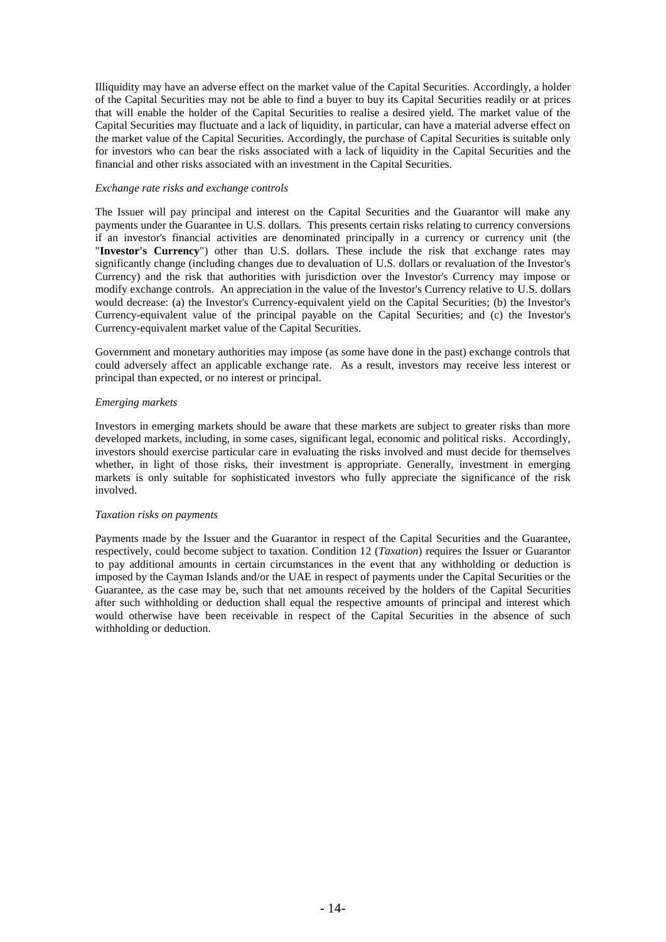Illiquidity may have an adverse effect on the market value of the Capital Securities. Accordingly, a holder of the Capital Securities may not be able to find a buyer to buy its Capital Securities readily or at prices that will enable the holder of the Capital Securities to realise a desired yield. The market value of the Capital Securities may fluctuate and a lack of liquidity, in particular, can have a material adverse effect on the market value of the Capital Securities. Accordingly, the purchase of Capital Securities is suitable only for investors who can bear the risks associated with a lack of liquidity in the Capital Securities and the financial and other risks associated with an investment in the Capital Securities.

#### *Exchange rate risks and exchange controls*

The Issuer will pay principal and interest on the Capital Securities and the Guarantor will make any payments under the Guarantee in U.S. dollars. This presents certain risks relating to currency conversions if an investor's financial activities are denominated principally in a currency or currency unit (the "**Investor's Currency**") other than U.S. dollars. These include the risk that exchange rates may significantly change (including changes due to devaluation of U.S. dollars or revaluation of the Investor's Currency) and the risk that authorities with jurisdiction over the Investor's Currency may impose or modify exchange controls. An appreciation in the value of the Investor's Currency relative to U.S. dollars would decrease: (a) the Investor's Currency-equivalent yield on the Capital Securities; (b) the Investor's Currency-equivalent value of the principal payable on the Capital Securities; and (c) the Investor's Currency-equivalent market value of the Capital Securities.

Government and monetary authorities may impose (as some have done in the past) exchange controls that could adversely affect an applicable exchange rate. As a result, investors may receive less interest or principal than expected, or no interest or principal.

#### *Emerging markets*

Investors in emerging markets should be aware that these markets are subject to greater risks than more developed markets, including, in some cases, significant legal, economic and political risks. Accordingly, investors should exercise particular care in evaluating the risks involved and must decide for themselves whether, in light of those risks, their investment is appropriate. Generally, investment in emerging markets is only suitable for sophisticated investors who fully appreciate the significance of the risk involved.

#### *Taxation risks on payments*

Payments made by the Issuer and the Guarantor in respect of the Capital Securities and the Guarantee, respectively, could become subject to taxation. Condition 12 (*Taxation*) requires the Issuer or Guarantor to pay additional amounts in certain circumstances in the event that any withholding or deduction is imposed by the Cayman Islands and/or the UAE in respect of payments under the Capital Securities or the Guarantee, as the case may be, such that net amounts received by the holders of the Capital Securities after such withholding or deduction shall equal the respective amounts of principal and interest which would otherwise have been receivable in respect of the Capital Securities in the absence of such withholding or deduction.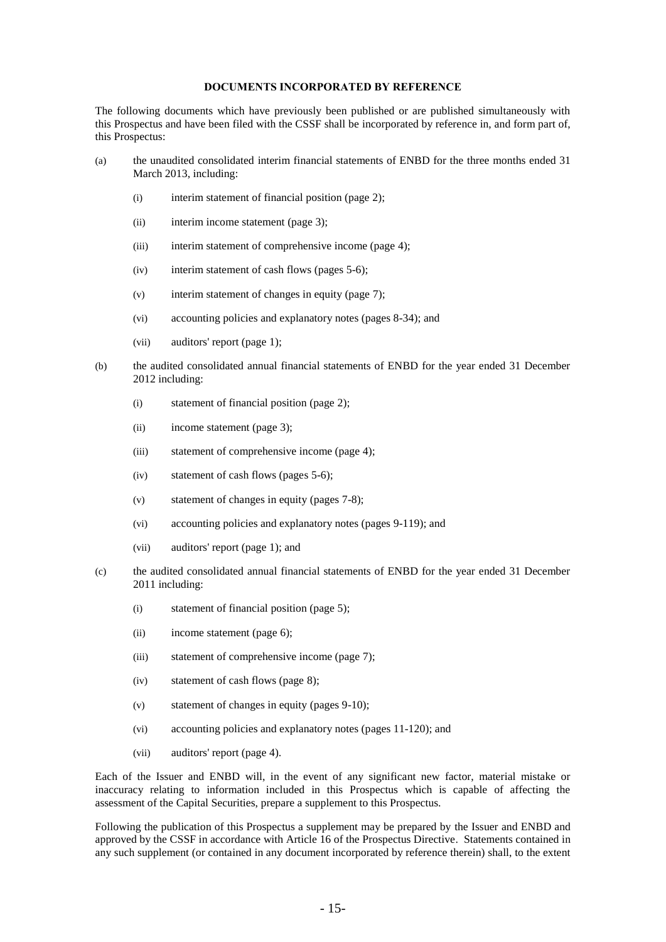#### **DOCUMENTS INCORPORATED BY REFERENCE**

The following documents which have previously been published or are published simultaneously with this Prospectus and have been filed with the CSSF shall be incorporated by reference in, and form part of, this Prospectus:

- (a) the unaudited consolidated interim financial statements of ENBD for the three months ended 31 March 2013, including:
	- (i) interim statement of financial position (page 2);
	- (ii) interim income statement (page 3);
	- (iii) interim statement of comprehensive income (page 4);
	- (iv) interim statement of cash flows (pages 5-6);
	- (v) interim statement of changes in equity (page 7);
	- (vi) accounting policies and explanatory notes (pages 8-34); and
	- (vii) auditors' report (page 1);
- (b) the audited consolidated annual financial statements of ENBD for the year ended 31 December 2012 including:
	- (i) statement of financial position (page 2);
	- (ii) income statement (page 3);
	- (iii) statement of comprehensive income (page 4);
	- (iv) statement of cash flows (pages 5-6);
	- (v) statement of changes in equity (pages 7-8);
	- (vi) accounting policies and explanatory notes (pages 9-119); and
	- (vii) auditors' report (page 1); and
- (c) the audited consolidated annual financial statements of ENBD for the year ended 31 December 2011 including:
	- (i) statement of financial position (page 5);
	- (ii) income statement (page 6);
	- (iii) statement of comprehensive income (page 7);
	- (iv) statement of cash flows (page 8);
	- (v) statement of changes in equity (pages 9-10);
	- (vi) accounting policies and explanatory notes (pages 11-120); and
	- (vii) auditors' report (page 4).

Each of the Issuer and ENBD will, in the event of any significant new factor, material mistake or inaccuracy relating to information included in this Prospectus which is capable of affecting the assessment of the Capital Securities, prepare a supplement to this Prospectus.

Following the publication of this Prospectus a supplement may be prepared by the Issuer and ENBD and approved by the CSSF in accordance with Article 16 of the Prospectus Directive. Statements contained in any such supplement (or contained in any document incorporated by reference therein) shall, to the extent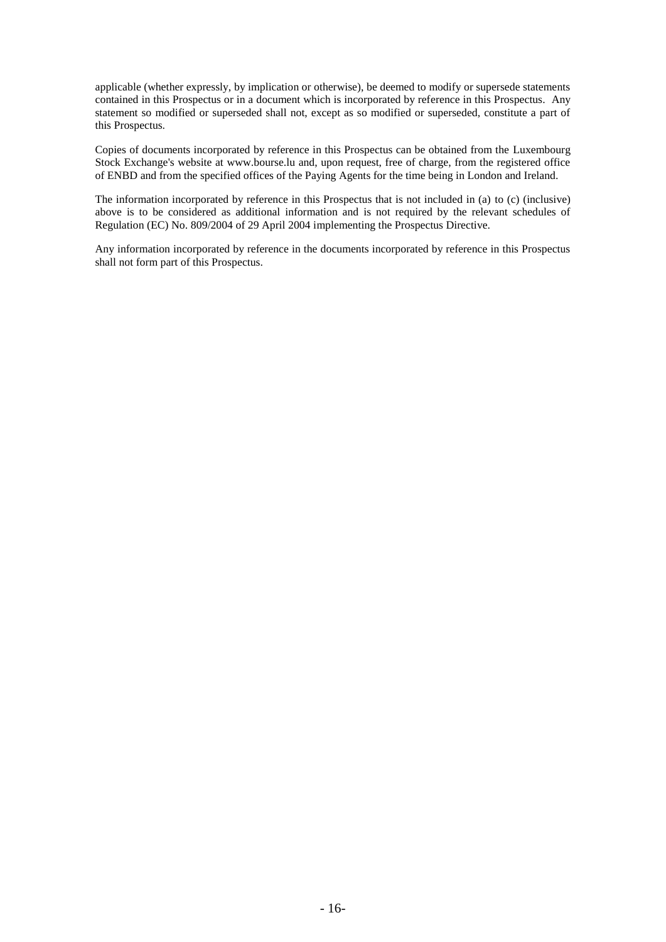applicable (whether expressly, by implication or otherwise), be deemed to modify or supersede statements contained in this Prospectus or in a document which is incorporated by reference in this Prospectus. Any statement so modified or superseded shall not, except as so modified or superseded, constitute a part of this Prospectus.

Copies of documents incorporated by reference in this Prospectus can be obtained from the Luxembourg Stock Exchange's website at www.bourse.lu and, upon request, free of charge, from the registered office of ENBD and from the specified offices of the Paying Agents for the time being in London and Ireland.

The information incorporated by reference in this Prospectus that is not included in (a) to (c) (inclusive) above is to be considered as additional information and is not required by the relevant schedules of Regulation (EC) No. 809/2004 of 29 April 2004 implementing the Prospectus Directive.

Any information incorporated by reference in the documents incorporated by reference in this Prospectus shall not form part of this Prospectus.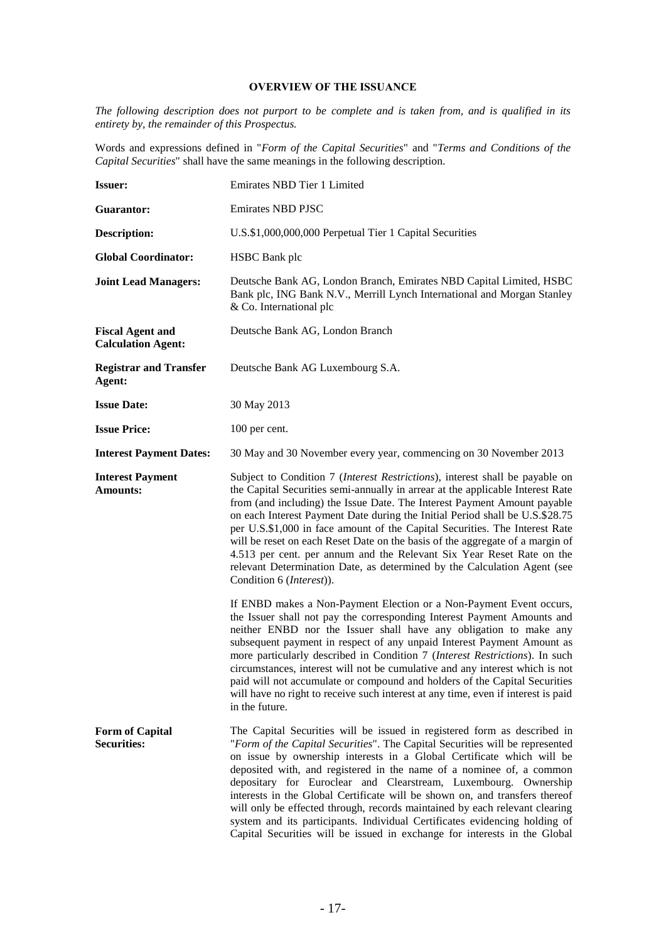# **OVERVIEW OF THE ISSUANCE**

*The following description does not purport to be complete and is taken from, and is qualified in its entirety by, the remainder of this Prospectus.*

Words and expressions defined in "*Form of the Capital Securities*" and "*Terms and Conditions of the Capital Securities*" shall have the same meanings in the following description.

| <b>Issuer:</b>                                       | Emirates NBD Tier 1 Limited                                                                                                                                                                                                                                                                                                                                                                                                                                                                                                                                                                                                                                                                           |
|------------------------------------------------------|-------------------------------------------------------------------------------------------------------------------------------------------------------------------------------------------------------------------------------------------------------------------------------------------------------------------------------------------------------------------------------------------------------------------------------------------------------------------------------------------------------------------------------------------------------------------------------------------------------------------------------------------------------------------------------------------------------|
| Guarantor:                                           | <b>Emirates NBD PJSC</b>                                                                                                                                                                                                                                                                                                                                                                                                                                                                                                                                                                                                                                                                              |
| Description:                                         | U.S.\$1,000,000,000 Perpetual Tier 1 Capital Securities                                                                                                                                                                                                                                                                                                                                                                                                                                                                                                                                                                                                                                               |
| <b>Global Coordinator:</b>                           | <b>HSBC</b> Bank plc                                                                                                                                                                                                                                                                                                                                                                                                                                                                                                                                                                                                                                                                                  |
| <b>Joint Lead Managers:</b>                          | Deutsche Bank AG, London Branch, Emirates NBD Capital Limited, HSBC<br>Bank plc, ING Bank N.V., Merrill Lynch International and Morgan Stanley<br>& Co. International plc                                                                                                                                                                                                                                                                                                                                                                                                                                                                                                                             |
| <b>Fiscal Agent and</b><br><b>Calculation Agent:</b> | Deutsche Bank AG, London Branch                                                                                                                                                                                                                                                                                                                                                                                                                                                                                                                                                                                                                                                                       |
| <b>Registrar and Transfer</b><br>Agent:              | Deutsche Bank AG Luxembourg S.A.                                                                                                                                                                                                                                                                                                                                                                                                                                                                                                                                                                                                                                                                      |
| <b>Issue Date:</b>                                   | 30 May 2013                                                                                                                                                                                                                                                                                                                                                                                                                                                                                                                                                                                                                                                                                           |
| <b>Issue Price:</b>                                  | 100 per cent.                                                                                                                                                                                                                                                                                                                                                                                                                                                                                                                                                                                                                                                                                         |
| <b>Interest Payment Dates:</b>                       | 30 May and 30 November every year, commencing on 30 November 2013                                                                                                                                                                                                                                                                                                                                                                                                                                                                                                                                                                                                                                     |
| <b>Interest Payment</b><br><b>Amounts:</b>           | Subject to Condition 7 (Interest Restrictions), interest shall be payable on<br>the Capital Securities semi-annually in arrear at the applicable Interest Rate<br>from (and including) the Issue Date. The Interest Payment Amount payable<br>on each Interest Payment Date during the Initial Period shall be U.S.\$28.75<br>per U.S.\$1,000 in face amount of the Capital Securities. The Interest Rate<br>will be reset on each Reset Date on the basis of the aggregate of a margin of<br>4.513 per cent. per annum and the Relevant Six Year Reset Rate on the<br>relevant Determination Date, as determined by the Calculation Agent (see<br>Condition 6 (Interest)).                           |
|                                                      | If ENBD makes a Non-Payment Election or a Non-Payment Event occurs,<br>the Issuer shall not pay the corresponding Interest Payment Amounts and<br>neither ENBD nor the Issuer shall have any obligation to make any<br>subsequent payment in respect of any unpaid Interest Payment Amount as<br>more particularly described in Condition 7 (Interest Restrictions). In such<br>circumstances, interest will not be cumulative and any interest which is not<br>paid will not accumulate or compound and holders of the Capital Securities<br>will have no right to receive such interest at any time, even if interest is paid<br>in the future.                                                     |
| <b>Form of Capital</b><br><b>Securities:</b>         | The Capital Securities will be issued in registered form as described in<br>"Form of the Capital Securities". The Capital Securities will be represented<br>on issue by ownership interests in a Global Certificate which will be<br>deposited with, and registered in the name of a nominee of, a common<br>depositary for Euroclear and Clearstream, Luxembourg. Ownership<br>interests in the Global Certificate will be shown on, and transfers thereof<br>will only be effected through, records maintained by each relevant clearing<br>system and its participants. Individual Certificates evidencing holding of<br>Capital Securities will be issued in exchange for interests in the Global |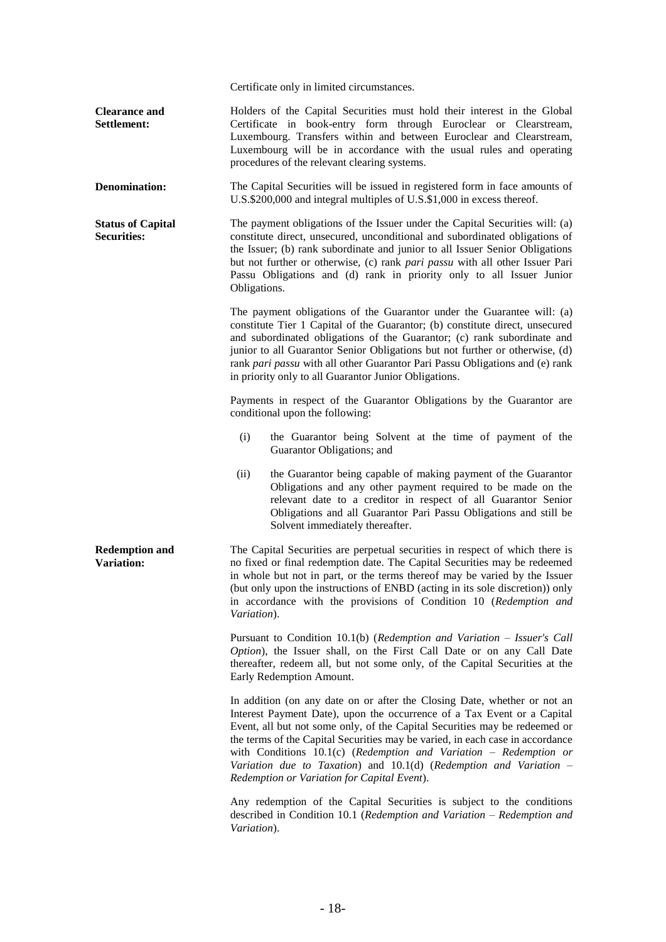Certificate only in limited circumstances.

**Clearance and Settlement:** Holders of the Capital Securities must hold their interest in the Global Certificate in book-entry form through Euroclear or Clearstream, Luxembourg. Transfers within and between Euroclear and Clearstream, Luxembourg will be in accordance with the usual rules and operating procedures of the relevant clearing systems.

**Denomination:** The Capital Securities will be issued in registered form in face amounts of U.S.\$200,000 and integral multiples of U.S.\$1,000 in excess thereof.

**Status of Capital Securities:** The payment obligations of the Issuer under the Capital Securities will: (a) constitute direct, unsecured, unconditional and subordinated obligations of the Issuer; (b) rank subordinate and junior to all Issuer Senior Obligations but not further or otherwise, (c) rank *pari passu* with all other Issuer Pari Passu Obligations and (d) rank in priority only to all Issuer Junior Obligations.

> The payment obligations of the Guarantor under the Guarantee will: (a) constitute Tier 1 Capital of the Guarantor; (b) constitute direct, unsecured and subordinated obligations of the Guarantor; (c) rank subordinate and junior to all Guarantor Senior Obligations but not further or otherwise, (d) rank *pari passu* with all other Guarantor Pari Passu Obligations and (e) rank in priority only to all Guarantor Junior Obligations.

> Payments in respect of the Guarantor Obligations by the Guarantor are conditional upon the following:

- (i) the Guarantor being Solvent at the time of payment of the Guarantor Obligations; and
- (ii) the Guarantor being capable of making payment of the Guarantor Obligations and any other payment required to be made on the relevant date to a creditor in respect of all Guarantor Senior Obligations and all Guarantor Pari Passu Obligations and still be Solvent immediately thereafter.

**Redemption and Variation:** The Capital Securities are perpetual securities in respect of which there is no fixed or final redemption date. The Capital Securities may be redeemed in whole but not in part, or the terms thereof may be varied by the Issuer (but only upon the instructions of ENBD (acting in its sole discretion)) only in accordance with the provisions of Condition 10 (*Redemption and Variation*).

> Pursuant to Condition 10.1(b) (*Redemption and Variation – Issuer's Call Option*), the Issuer shall, on the First Call Date or on any Call Date thereafter, redeem all, but not some only, of the Capital Securities at the Early Redemption Amount.

> In addition (on any date on or after the Closing Date, whether or not an Interest Payment Date), upon the occurrence of a Tax Event or a Capital Event, all but not some only, of the Capital Securities may be redeemed or the terms of the Capital Securities may be varied, in each case in accordance with Conditions 10.1(c) (*Redemption and Variation – Redemption or Variation due to Taxation*) and 10.1(d) (*Redemption and Variation – Redemption or Variation for Capital Event*).

> Any redemption of the Capital Securities is subject to the conditions described in Condition 10.1 (*Redemption and Variation – Redemption and Variation*).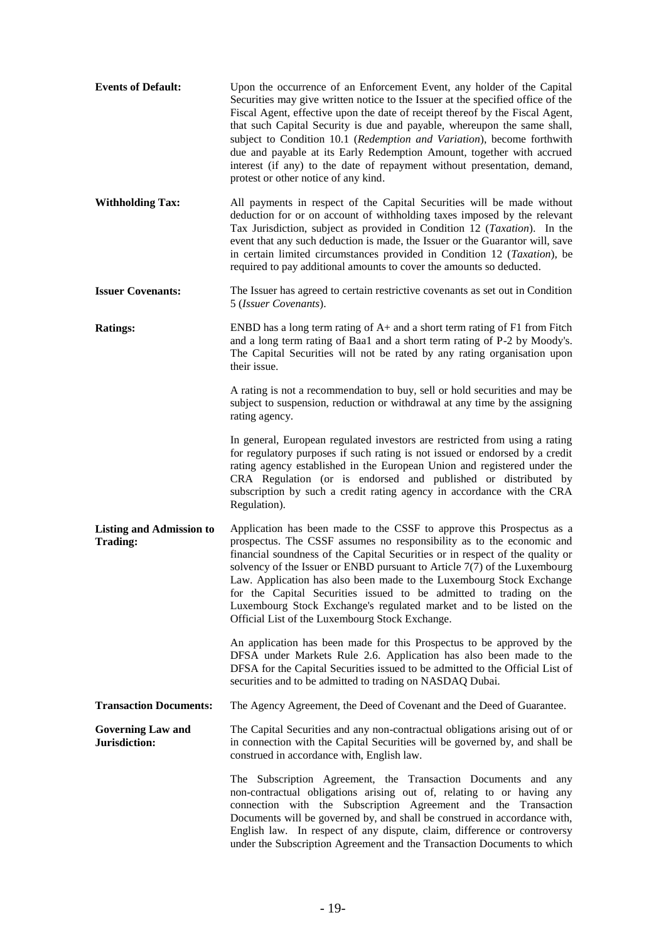| <b>Events of Default:</b>                          | Upon the occurrence of an Enforcement Event, any holder of the Capital<br>Securities may give written notice to the Issuer at the specified office of the<br>Fiscal Agent, effective upon the date of receipt thereof by the Fiscal Agent,<br>that such Capital Security is due and payable, whereupon the same shall,<br>subject to Condition 10.1 (Redemption and Variation), become forthwith<br>due and payable at its Early Redemption Amount, together with accrued<br>interest (if any) to the date of repayment without presentation, demand,<br>protest or other notice of any kind. |
|----------------------------------------------------|-----------------------------------------------------------------------------------------------------------------------------------------------------------------------------------------------------------------------------------------------------------------------------------------------------------------------------------------------------------------------------------------------------------------------------------------------------------------------------------------------------------------------------------------------------------------------------------------------|
| <b>Withholding Tax:</b>                            | All payments in respect of the Capital Securities will be made without<br>deduction for or on account of withholding taxes imposed by the relevant<br>Tax Jurisdiction, subject as provided in Condition 12 (Taxation). In the<br>event that any such deduction is made, the Issuer or the Guarantor will, save<br>in certain limited circumstances provided in Condition 12 (Taxation), be<br>required to pay additional amounts to cover the amounts so deducted.                                                                                                                           |
| <b>Issuer Covenants:</b>                           | The Issuer has agreed to certain restrictive covenants as set out in Condition<br>5 (Issuer Covenants).                                                                                                                                                                                                                                                                                                                                                                                                                                                                                       |
| <b>Ratings:</b>                                    | ENBD has a long term rating of A+ and a short term rating of F1 from Fitch<br>and a long term rating of Baa1 and a short term rating of P-2 by Moody's.<br>The Capital Securities will not be rated by any rating organisation upon<br>their issue.                                                                                                                                                                                                                                                                                                                                           |
|                                                    | A rating is not a recommendation to buy, sell or hold securities and may be<br>subject to suspension, reduction or withdrawal at any time by the assigning<br>rating agency.                                                                                                                                                                                                                                                                                                                                                                                                                  |
|                                                    | In general, European regulated investors are restricted from using a rating<br>for regulatory purposes if such rating is not issued or endorsed by a credit<br>rating agency established in the European Union and registered under the<br>CRA Regulation (or is endorsed and published or distributed by<br>subscription by such a credit rating agency in accordance with the CRA<br>Regulation).                                                                                                                                                                                           |
| <b>Listing and Admission to</b><br><b>Trading:</b> | Application has been made to the CSSF to approve this Prospectus as a<br>prospectus. The CSSF assumes no responsibility as to the economic and<br>financial soundness of the Capital Securities or in respect of the quality or<br>solvency of the Issuer or ENBD pursuant to Article $7(7)$ of the Luxembourg<br>Law. Application has also been made to the Luxembourg Stock Exchange<br>for the Capital Securities issued to be admitted to trading on the<br>Luxembourg Stock Exchange's regulated market and to be listed on the<br>Official List of the Luxembourg Stock Exchange.       |
|                                                    | An application has been made for this Prospectus to be approved by the<br>DFSA under Markets Rule 2.6. Application has also been made to the<br>DFSA for the Capital Securities issued to be admitted to the Official List of<br>securities and to be admitted to trading on NASDAQ Dubai.                                                                                                                                                                                                                                                                                                    |
| <b>Transaction Documents:</b>                      | The Agency Agreement, the Deed of Covenant and the Deed of Guarantee.                                                                                                                                                                                                                                                                                                                                                                                                                                                                                                                         |
| <b>Governing Law and</b><br>Jurisdiction:          | The Capital Securities and any non-contractual obligations arising out of or<br>in connection with the Capital Securities will be governed by, and shall be<br>construed in accordance with, English law.                                                                                                                                                                                                                                                                                                                                                                                     |
|                                                    | The Subscription Agreement, the Transaction Documents and any<br>non-contractual obligations arising out of, relating to or having any<br>connection with the Subscription Agreement and the Transaction<br>Documents will be governed by, and shall be construed in accordance with,<br>English law. In respect of any dispute, claim, difference or controversy<br>under the Subscription Agreement and the Transaction Documents to which                                                                                                                                                  |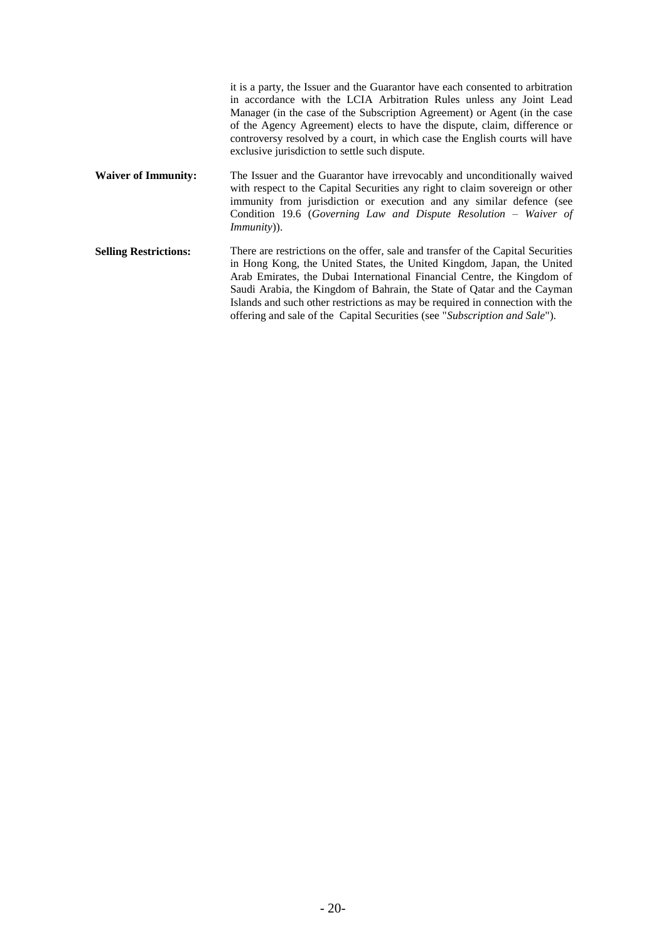|                              | it is a party, the Issuer and the Guarantor have each consented to arbitration<br>in accordance with the LCIA Arbitration Rules unless any Joint Lead<br>Manager (in the case of the Subscription Agreement) or Agent (in the case<br>of the Agency Agreement) elects to have the dispute, claim, difference or<br>controversy resolved by a court, in which case the English courts will have<br>exclusive jurisdiction to settle such dispute.                                |
|------------------------------|---------------------------------------------------------------------------------------------------------------------------------------------------------------------------------------------------------------------------------------------------------------------------------------------------------------------------------------------------------------------------------------------------------------------------------------------------------------------------------|
| <b>Waiver of Immunity:</b>   | The Issuer and the Guarantor have irrevocably and unconditionally waived<br>with respect to the Capital Securities any right to claim sovereign or other<br>immunity from jurisdiction or execution and any similar defence (see<br>Condition 19.6 (Governing Law and Dispute Resolution $-$ Waiver of<br>$Immunity)$ ).                                                                                                                                                        |
| <b>Selling Restrictions:</b> | There are restrictions on the offer, sale and transfer of the Capital Securities<br>in Hong Kong, the United States, the United Kingdom, Japan, the United<br>Arab Emirates, the Dubai International Financial Centre, the Kingdom of<br>Saudi Arabia, the Kingdom of Bahrain, the State of Qatar and the Cayman<br>Islands and such other restrictions as may be required in connection with the<br>offering and sale of the Capital Securities (see "Subscription and Sale"). |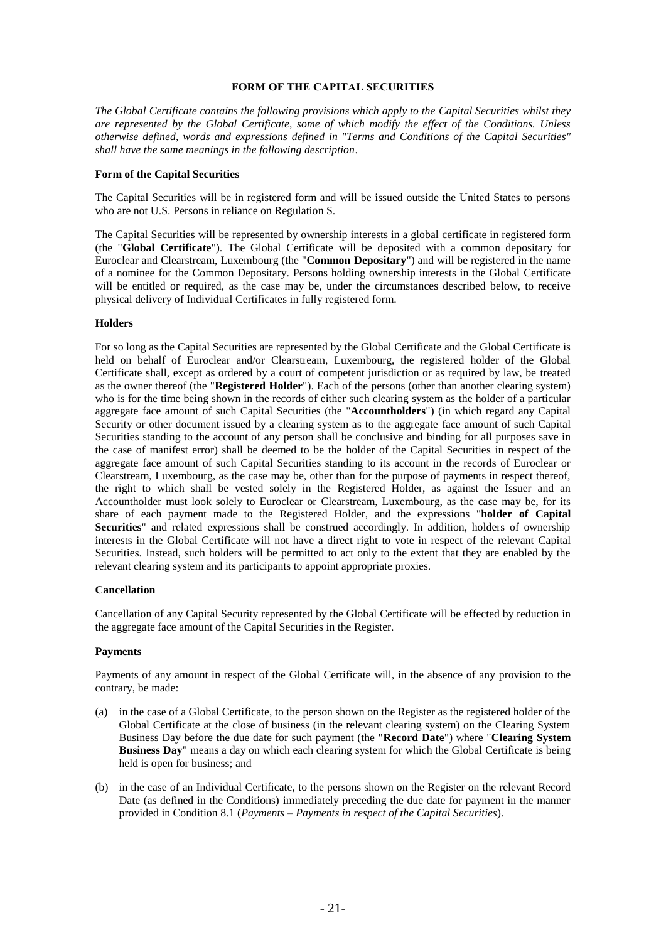### **FORM OF THE CAPITAL SECURITIES**

*The Global Certificate contains the following provisions which apply to the Capital Securities whilst they are represented by the Global Certificate, some of which modify the effect of the Conditions. Unless otherwise defined, words and expressions defined in "Terms and Conditions of the Capital Securities" shall have the same meanings in the following description*.

#### **Form of the Capital Securities**

The Capital Securities will be in registered form and will be issued outside the United States to persons who are not U.S. Persons in reliance on Regulation S.

The Capital Securities will be represented by ownership interests in a global certificate in registered form (the "**Global Certificate**"). The Global Certificate will be deposited with a common depositary for Euroclear and Clearstream, Luxembourg (the "**Common Depositary**") and will be registered in the name of a nominee for the Common Depositary. Persons holding ownership interests in the Global Certificate will be entitled or required, as the case may be, under the circumstances described below, to receive physical delivery of Individual Certificates in fully registered form.

#### **Holders**

For so long as the Capital Securities are represented by the Global Certificate and the Global Certificate is held on behalf of Euroclear and/or Clearstream, Luxembourg, the registered holder of the Global Certificate shall, except as ordered by a court of competent jurisdiction or as required by law, be treated as the owner thereof (the "**Registered Holder**"). Each of the persons (other than another clearing system) who is for the time being shown in the records of either such clearing system as the holder of a particular aggregate face amount of such Capital Securities (the "**Accountholders**") (in which regard any Capital Security or other document issued by a clearing system as to the aggregate face amount of such Capital Securities standing to the account of any person shall be conclusive and binding for all purposes save in the case of manifest error) shall be deemed to be the holder of the Capital Securities in respect of the aggregate face amount of such Capital Securities standing to its account in the records of Euroclear or Clearstream, Luxembourg, as the case may be, other than for the purpose of payments in respect thereof, the right to which shall be vested solely in the Registered Holder, as against the Issuer and an Accountholder must look solely to Euroclear or Clearstream, Luxembourg, as the case may be, for its share of each payment made to the Registered Holder, and the expressions "**holder of Capital Securities**" and related expressions shall be construed accordingly. In addition, holders of ownership interests in the Global Certificate will not have a direct right to vote in respect of the relevant Capital Securities. Instead, such holders will be permitted to act only to the extent that they are enabled by the relevant clearing system and its participants to appoint appropriate proxies.

#### **Cancellation**

Cancellation of any Capital Security represented by the Global Certificate will be effected by reduction in the aggregate face amount of the Capital Securities in the Register.

#### **Payments**

Payments of any amount in respect of the Global Certificate will, in the absence of any provision to the contrary, be made:

- (a) in the case of a Global Certificate, to the person shown on the Register as the registered holder of the Global Certificate at the close of business (in the relevant clearing system) on the Clearing System Business Day before the due date for such payment (the "**Record Date**") where "**Clearing System Business Day**" means a day on which each clearing system for which the Global Certificate is being held is open for business; and
- (b) in the case of an Individual Certificate, to the persons shown on the Register on the relevant Record Date (as defined in the Conditions) immediately preceding the due date for payment in the manner provided in Condition 8.1 (*Payments – Payments in respect of the Capital Securities*).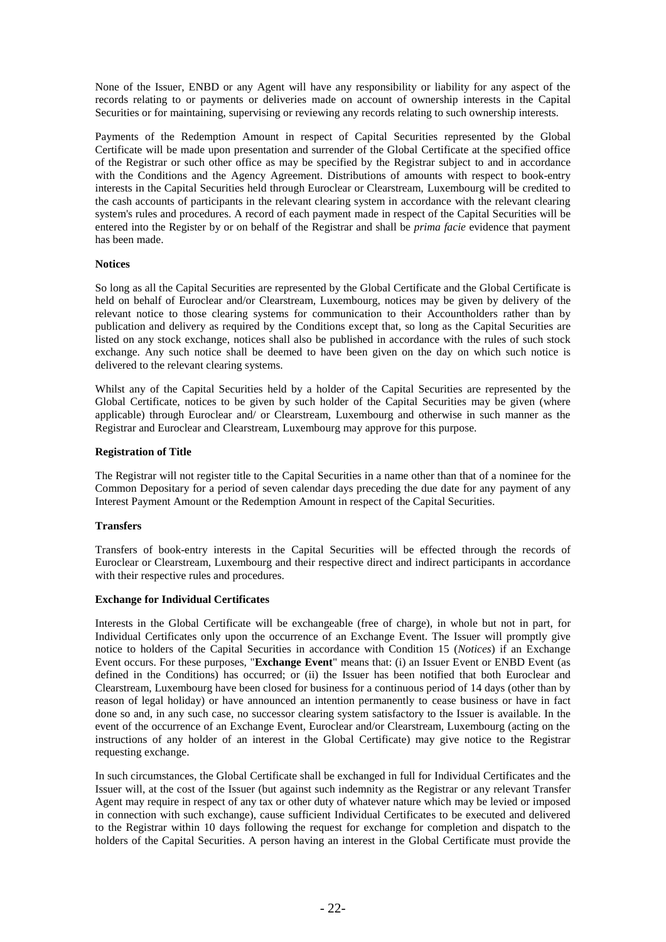None of the Issuer, ENBD or any Agent will have any responsibility or liability for any aspect of the records relating to or payments or deliveries made on account of ownership interests in the Capital Securities or for maintaining, supervising or reviewing any records relating to such ownership interests.

Payments of the Redemption Amount in respect of Capital Securities represented by the Global Certificate will be made upon presentation and surrender of the Global Certificate at the specified office of the Registrar or such other office as may be specified by the Registrar subject to and in accordance with the Conditions and the Agency Agreement. Distributions of amounts with respect to book-entry interests in the Capital Securities held through Euroclear or Clearstream, Luxembourg will be credited to the cash accounts of participants in the relevant clearing system in accordance with the relevant clearing system's rules and procedures. A record of each payment made in respect of the Capital Securities will be entered into the Register by or on behalf of the Registrar and shall be *prima facie* evidence that payment has been made.

#### **Notices**

So long as all the Capital Securities are represented by the Global Certificate and the Global Certificate is held on behalf of Euroclear and/or Clearstream, Luxembourg, notices may be given by delivery of the relevant notice to those clearing systems for communication to their Accountholders rather than by publication and delivery as required by the Conditions except that, so long as the Capital Securities are listed on any stock exchange, notices shall also be published in accordance with the rules of such stock exchange. Any such notice shall be deemed to have been given on the day on which such notice is delivered to the relevant clearing systems.

Whilst any of the Capital Securities held by a holder of the Capital Securities are represented by the Global Certificate, notices to be given by such holder of the Capital Securities may be given (where applicable) through Euroclear and/ or Clearstream, Luxembourg and otherwise in such manner as the Registrar and Euroclear and Clearstream, Luxembourg may approve for this purpose.

#### **Registration of Title**

The Registrar will not register title to the Capital Securities in a name other than that of a nominee for the Common Depositary for a period of seven calendar days preceding the due date for any payment of any Interest Payment Amount or the Redemption Amount in respect of the Capital Securities.

### **Transfers**

Transfers of book-entry interests in the Capital Securities will be effected through the records of Euroclear or Clearstream, Luxembourg and their respective direct and indirect participants in accordance with their respective rules and procedures.

#### **Exchange for Individual Certificates**

Interests in the Global Certificate will be exchangeable (free of charge), in whole but not in part, for Individual Certificates only upon the occurrence of an Exchange Event. The Issuer will promptly give notice to holders of the Capital Securities in accordance with Condition 15 (*Notices*) if an Exchange Event occurs. For these purposes, "**Exchange Event**" means that: (i) an Issuer Event or ENBD Event (as defined in the Conditions) has occurred; or (ii) the Issuer has been notified that both Euroclear and Clearstream, Luxembourg have been closed for business for a continuous period of 14 days (other than by reason of legal holiday) or have announced an intention permanently to cease business or have in fact done so and, in any such case, no successor clearing system satisfactory to the Issuer is available. In the event of the occurrence of an Exchange Event, Euroclear and/or Clearstream, Luxembourg (acting on the instructions of any holder of an interest in the Global Certificate) may give notice to the Registrar requesting exchange.

In such circumstances, the Global Certificate shall be exchanged in full for Individual Certificates and the Issuer will, at the cost of the Issuer (but against such indemnity as the Registrar or any relevant Transfer Agent may require in respect of any tax or other duty of whatever nature which may be levied or imposed in connection with such exchange), cause sufficient Individual Certificates to be executed and delivered to the Registrar within 10 days following the request for exchange for completion and dispatch to the holders of the Capital Securities. A person having an interest in the Global Certificate must provide the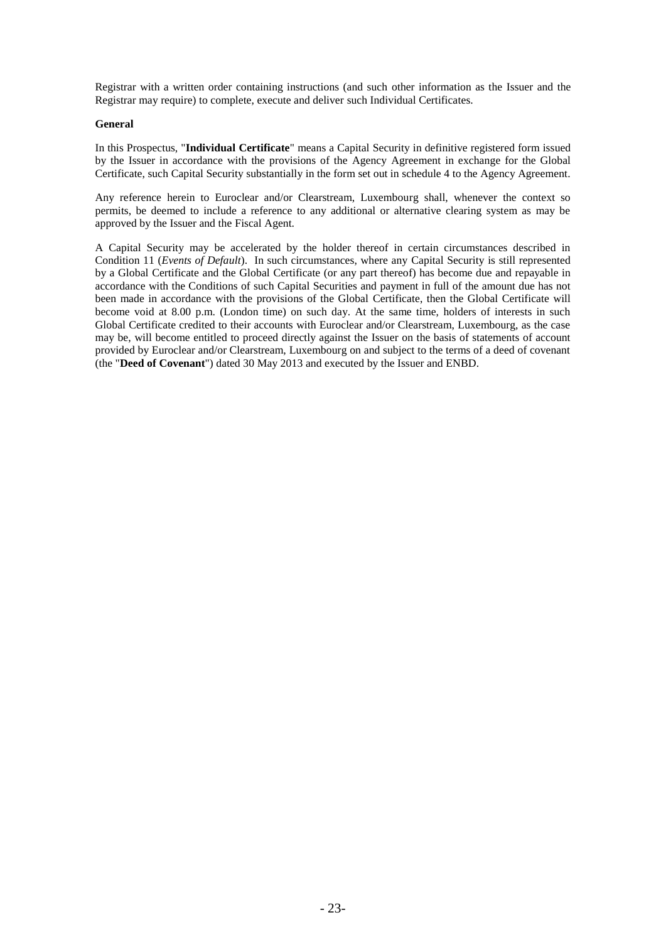Registrar with a written order containing instructions (and such other information as the Issuer and the Registrar may require) to complete, execute and deliver such Individual Certificates.

# **General**

In this Prospectus, "**Individual Certificate**" means a Capital Security in definitive registered form issued by the Issuer in accordance with the provisions of the Agency Agreement in exchange for the Global Certificate, such Capital Security substantially in the form set out in schedule 4 to the Agency Agreement.

Any reference herein to Euroclear and/or Clearstream, Luxembourg shall, whenever the context so permits, be deemed to include a reference to any additional or alternative clearing system as may be approved by the Issuer and the Fiscal Agent.

A Capital Security may be accelerated by the holder thereof in certain circumstances described in Condition 11 (*Events of Default*). In such circumstances, where any Capital Security is still represented by a Global Certificate and the Global Certificate (or any part thereof) has become due and repayable in accordance with the Conditions of such Capital Securities and payment in full of the amount due has not been made in accordance with the provisions of the Global Certificate, then the Global Certificate will become void at 8.00 p.m. (London time) on such day. At the same time, holders of interests in such Global Certificate credited to their accounts with Euroclear and/or Clearstream, Luxembourg, as the case may be, will become entitled to proceed directly against the Issuer on the basis of statements of account provided by Euroclear and/or Clearstream, Luxembourg on and subject to the terms of a deed of covenant (the "**Deed of Covenant**") dated 30 May 2013 and executed by the Issuer and ENBD.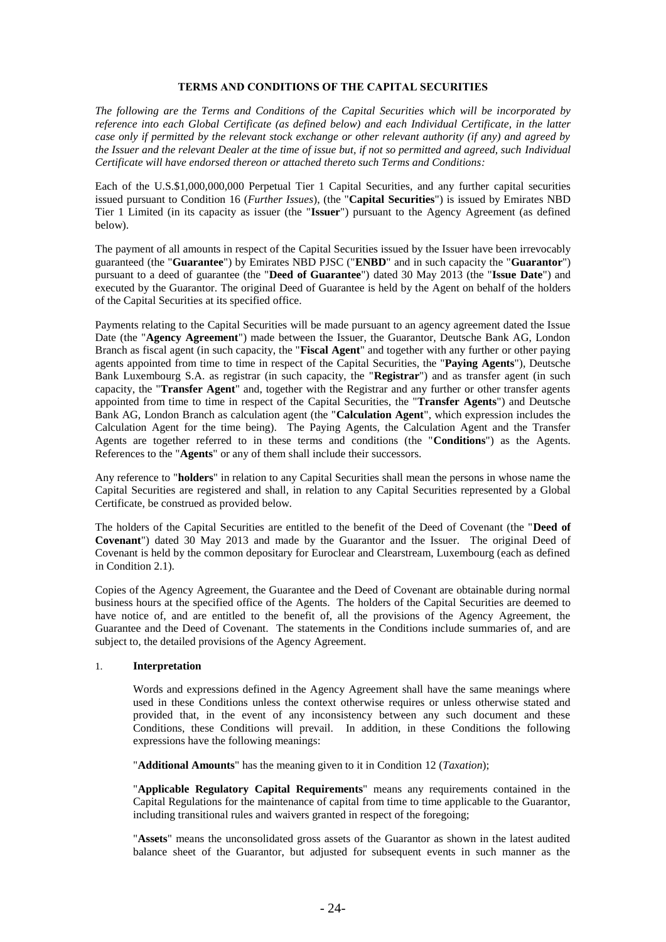# **TERMS AND CONDITIONS OF THE CAPITAL SECURITIES**

*The following are the Terms and Conditions of the Capital Securities which will be incorporated by reference into each Global Certificate (as defined below) and each Individual Certificate, in the latter case only if permitted by the relevant stock exchange or other relevant authority (if any) and agreed by the Issuer and the relevant Dealer at the time of issue but, if not so permitted and agreed, such Individual Certificate will have endorsed thereon or attached thereto such Terms and Conditions:*

Each of the U.S.\$1,000,000,000 Perpetual Tier 1 Capital Securities, and any further capital securities issued pursuant to Condition [16](#page-50-0) (*Further Issues*), (the "**Capital Securities**") is issued by Emirates NBD Tier 1 Limited (in its capacity as issuer (the "**Issuer**") pursuant to the Agency Agreement (as defined below).

The payment of all amounts in respect of the Capital Securities issued by the Issuer have been irrevocably guaranteed (the "**Guarantee**") by Emirates NBD PJSC ("**ENBD**" and in such capacity the "**Guarantor**") pursuant to a deed of guarantee (the "**Deed of Guarantee**") dated 30 May 2013 (the "**Issue Date**") and executed by the Guarantor. The original Deed of Guarantee is held by the Agent on behalf of the holders of the Capital Securities at its specified office.

Payments relating to the Capital Securities will be made pursuant to an agency agreement dated the Issue Date (the "**Agency Agreement**") made between the Issuer, the Guarantor, Deutsche Bank AG, London Branch as fiscal agent (in such capacity, the "**Fiscal Agent**" and together with any further or other paying agents appointed from time to time in respect of the Capital Securities, the "**Paying Agents**"), Deutsche Bank Luxembourg S.A. as registrar (in such capacity, the "**Registrar**") and as transfer agent (in such capacity, the "**Transfer Agent**" and, together with the Registrar and any further or other transfer agents appointed from time to time in respect of the Capital Securities, the "**Transfer Agents**") and Deutsche Bank AG, London Branch as calculation agent (the "**Calculation Agent**", which expression includes the Calculation Agent for the time being). The Paying Agents, the Calculation Agent and the Transfer Agents are together referred to in these terms and conditions (the "**Conditions**") as the Agents. References to the "**Agents**" or any of them shall include their successors.

Any reference to "**holders**" in relation to any Capital Securities shall mean the persons in whose name the Capital Securities are registered and shall, in relation to any Capital Securities represented by a Global Certificate, be construed as provided below.

The holders of the Capital Securities are entitled to the benefit of the Deed of Covenant (the "**Deed of Covenant**") dated 30 May 2013 and made by the Guarantor and the Issuer. The original Deed of Covenant is held by the common depositary for Euroclear and Clearstream, Luxembourg (each as defined in Condition 2.1).

Copies of the Agency Agreement, the Guarantee and the Deed of Covenant are obtainable during normal business hours at the specified office of the Agents. The holders of the Capital Securities are deemed to have notice of, and are entitled to the benefit of, all the provisions of the Agency Agreement, the Guarantee and the Deed of Covenant. The statements in the Conditions include summaries of, and are subject to, the detailed provisions of the Agency Agreement.

# 1. **Interpretation**

Words and expressions defined in the Agency Agreement shall have the same meanings where used in these Conditions unless the context otherwise requires or unless otherwise stated and provided that, in the event of any inconsistency between any such document and these Conditions, these Conditions will prevail. In addition, in these Conditions the following expressions have the following meanings:

"**Additional Amounts**" has the meaning given to it in Condition [12](#page-48-0) (*Taxation*);

"**Applicable Regulatory Capital Requirements**" means any requirements contained in the Capital Regulations for the maintenance of capital from time to time applicable to the Guarantor, including transitional rules and waivers granted in respect of the foregoing;

"**Assets**" means the unconsolidated gross assets of the Guarantor as shown in the latest audited balance sheet of the Guarantor, but adjusted for subsequent events in such manner as the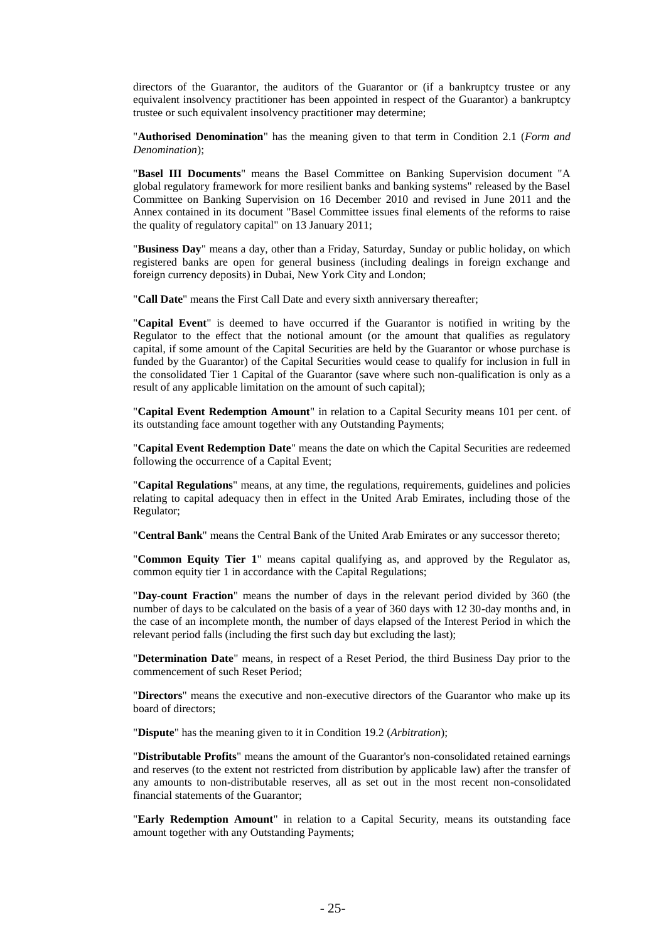directors of the Guarantor, the auditors of the Guarantor or (if a bankruptcy trustee or any equivalent insolvency practitioner has been appointed in respect of the Guarantor) a bankruptcy trustee or such equivalent insolvency practitioner may determine;

"**Authorised Denomination**" has the meaning given to that term in Condition [2.1](#page-37-0) (*Form and Denomination*);

"**Basel III Documents**" means the Basel Committee on Banking Supervision document "A global regulatory framework for more resilient banks and banking systems" released by the Basel Committee on Banking Supervision on 16 December 2010 and revised in June 2011 and the Annex contained in its document "Basel Committee issues final elements of the reforms to raise the quality of regulatory capital" on 13 January 2011;

"**Business Day**" means a day, other than a Friday, Saturday, Sunday or public holiday, on which registered banks are open for general business (including dealings in foreign exchange and foreign currency deposits) in Dubai, New York City and London;

"**Call Date**" means the First Call Date and every sixth anniversary thereafter;

"**Capital Event**" is deemed to have occurred if the Guarantor is notified in writing by the Regulator to the effect that the notional amount (or the amount that qualifies as regulatory capital, if some amount of the Capital Securities are held by the Guarantor or whose purchase is funded by the Guarantor) of the Capital Securities would cease to qualify for inclusion in full in the consolidated Tier 1 Capital of the Guarantor (save where such non-qualification is only as a result of any applicable limitation on the amount of such capital);

"**Capital Event Redemption Amount**" in relation to a Capital Security means 101 per cent. of its outstanding face amount together with any Outstanding Payments;

"**Capital Event Redemption Date**" means the date on which the Capital Securities are redeemed following the occurrence of a Capital Event;

"**Capital Regulations**" means, at any time, the regulations, requirements, guidelines and policies relating to capital adequacy then in effect in the United Arab Emirates, including those of the Regulator;

"**Central Bank**" means the Central Bank of the United Arab Emirates or any successor thereto;

"**Common Equity Tier 1**" means capital qualifying as, and approved by the Regulator as, common equity tier 1 in accordance with the Capital Regulations;

"**Day-count Fraction**" means the number of days in the relevant period divided by 360 (the number of days to be calculated on the basis of a year of 360 days with 12 30-day months and, in the case of an incomplete month, the number of days elapsed of the Interest Period in which the relevant period falls (including the first such day but excluding the last);

"**Determination Date**" means, in respect of a Reset Period, the third Business Day prior to the commencement of such Reset Period;

"**Directors**" means the executive and non-executive directors of the Guarantor who make up its board of directors;

"**Dispute**" has the meaning given to it in Condition [19.2](#page-51-0) (*Arbitration*);

"**Distributable Profits**" means the amount of the Guarantor's non-consolidated retained earnings and reserves (to the extent not restricted from distribution by applicable law) after the transfer of any amounts to non-distributable reserves, all as set out in the most recent non-consolidated financial statements of the Guarantor;

"**Early Redemption Amount**" in relation to a Capital Security, means its outstanding face amount together with any Outstanding Payments;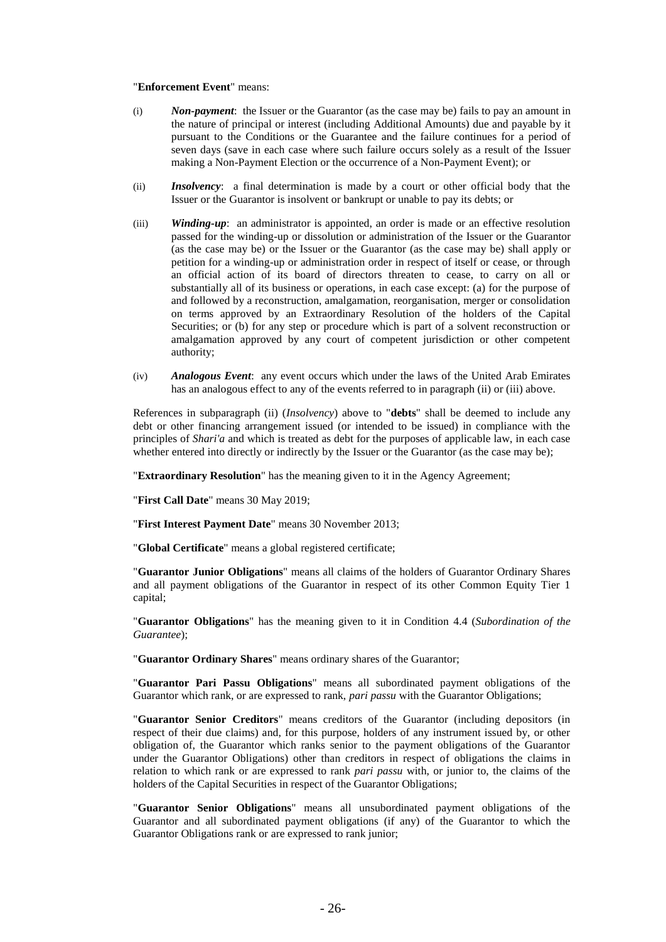#### "**Enforcement Event**" means:

- (i) *Non-payment*: the Issuer or the Guarantor (as the case may be) fails to pay an amount in the nature of principal or interest (including Additional Amounts) due and payable by it pursuant to the Conditions or the Guarantee and the failure continues for a period of seven days (save in each case where such failure occurs solely as a result of the Issuer making a Non-Payment Election or the occurrence of a Non-Payment Event); or
- (ii) *Insolvency*: a final determination is made by a court or other official body that the Issuer or the Guarantor is insolvent or bankrupt or unable to pay its debts; or
- (iii) *Winding-up*: an administrator is appointed, an order is made or an effective resolution passed for the winding-up or dissolution or administration of the Issuer or the Guarantor (as the case may be) or the Issuer or the Guarantor (as the case may be) shall apply or petition for a winding-up or administration order in respect of itself or cease, or through an official action of its board of directors threaten to cease, to carry on all or substantially all of its business or operations, in each case except: (a) for the purpose of and followed by a reconstruction, amalgamation, reorganisation, merger or consolidation on terms approved by an Extraordinary Resolution of the holders of the Capital Securities; or (b) for any step or procedure which is part of a solvent reconstruction or amalgamation approved by any court of competent jurisdiction or other competent authority;
- (iv) *Analogous Event*: any event occurs which under the laws of the United Arab Emirates has an analogous effect to any of the events referred to in paragraph (ii) or (iii) above.

References in subparagraph (ii) (*Insolvency*) above to "**debts**" shall be deemed to include any debt or other financing arrangement issued (or intended to be issued) in compliance with the principles of *Shari'a* and which is treated as debt for the purposes of applicable law, in each case whether entered into directly or indirectly by the Issuer or the Guarantor (as the case may be);

"**Extraordinary Resolution**" has the meaning given to it in the Agency Agreement;

"**First Call Date**" means 30 May 2019;

"**First Interest Payment Date**" means 30 November 2013;

"**Global Certificate**" means a global registered certificate;

"**Guarantor Junior Obligations**" means all claims of the holders of Guarantor Ordinary Shares and all payment obligations of the Guarantor in respect of its other Common Equity Tier 1 capital;

"**Guarantor Obligations**" has the meaning given to it in Condition [4.4](#page-39-0) (*Subordination of the Guarantee*);

"**Guarantor Ordinary Shares**" means ordinary shares of the Guarantor;

"**Guarantor Pari Passu Obligations**" means all subordinated payment obligations of the Guarantor which rank, or are expressed to rank, *pari passu* with the Guarantor Obligations;

"**Guarantor Senior Creditors**" means creditors of the Guarantor (including depositors (in respect of their due claims) and, for this purpose, holders of any instrument issued by, or other obligation of, the Guarantor which ranks senior to the payment obligations of the Guarantor under the Guarantor Obligations) other than creditors in respect of obligations the claims in relation to which rank or are expressed to rank *pari passu* with, or junior to, the claims of the holders of the Capital Securities in respect of the Guarantor Obligations;

"**Guarantor Senior Obligations**" means all unsubordinated payment obligations of the Guarantor and all subordinated payment obligations (if any) of the Guarantor to which the Guarantor Obligations rank or are expressed to rank junior;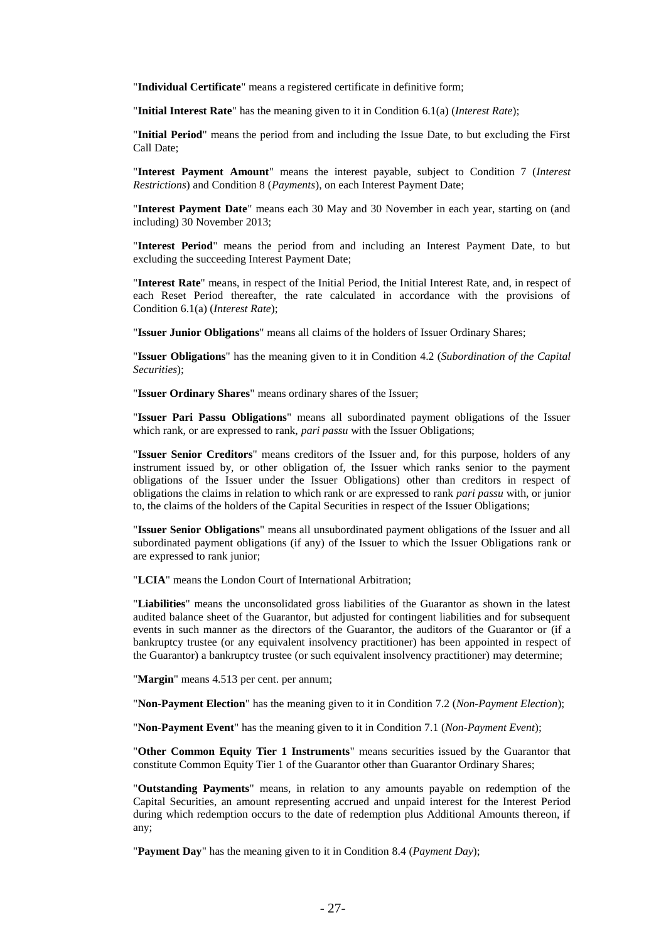"**Individual Certificate**" means a registered certificate in definitive form;

"**Initial Interest Rate**" has the meaning given to it in Condition [6.1\(a\)](#page-41-0) (*Interest Rate*);

"**Initial Period**" means the period from and including the Issue Date, to but excluding the First Call Date;

"**Interest Payment Amount**" means the interest payable, subject to Condition 7 (*Interest Restrictions*) and Condition 8 (*Payments*), on each Interest Payment Date;

"**Interest Payment Date**" means each 30 May and 30 November in each year, starting on (and including) 30 November 2013;

"**Interest Period**" means the period from and including an Interest Payment Date, to but excluding the succeeding Interest Payment Date;

"**Interest Rate**" means, in respect of the Initial Period, the Initial Interest Rate, and, in respect of each Reset Period thereafter, the rate calculated in accordance with the provisions of Condition [6.1\(a\)](#page-41-0) (*Interest Rate*);

"**Issuer Junior Obligations**" means all claims of the holders of Issuer Ordinary Shares;

"**Issuer Obligations**" has the meaning given to it in Condition [4.2](#page-39-1) (*Subordination of the Capital Securities*);

"**Issuer Ordinary Shares**" means ordinary shares of the Issuer;

"**Issuer Pari Passu Obligations**" means all subordinated payment obligations of the Issuer which rank, or are expressed to rank, *pari passu* with the Issuer Obligations;

"**Issuer Senior Creditors**" means creditors of the Issuer and, for this purpose, holders of any instrument issued by, or other obligation of, the Issuer which ranks senior to the payment obligations of the Issuer under the Issuer Obligations) other than creditors in respect of obligations the claims in relation to which rank or are expressed to rank *pari passu* with, or junior to, the claims of the holders of the Capital Securities in respect of the Issuer Obligations;

"**Issuer Senior Obligations**" means all unsubordinated payment obligations of the Issuer and all subordinated payment obligations (if any) of the Issuer to which the Issuer Obligations rank or are expressed to rank junior;

"**LCIA**" means the London Court of International Arbitration;

"**Liabilities**" means the unconsolidated gross liabilities of the Guarantor as shown in the latest audited balance sheet of the Guarantor, but adjusted for contingent liabilities and for subsequent events in such manner as the directors of the Guarantor, the auditors of the Guarantor or (if a bankruptcy trustee (or any equivalent insolvency practitioner) has been appointed in respect of the Guarantor) a bankruptcy trustee (or such equivalent insolvency practitioner) may determine;

"**Margin**" means 4.513 per cent. per annum;

"**Non-Payment Election**" has the meaning given to it in Condition [7.2](#page-42-0) (*Non-Payment Election*);

"**Non-Payment Event**" has the meaning given to it in Condition [7.1](#page-41-1) (*Non-Payment Event*);

"**Other Common Equity Tier 1 Instruments**" means securities issued by the Guarantor that constitute Common Equity Tier 1 of the Guarantor other than Guarantor Ordinary Shares;

"**Outstanding Payments**" means, in relation to any amounts payable on redemption of the Capital Securities, an amount representing accrued and unpaid interest for the Interest Period during which redemption occurs to the date of redemption plus Additional Amounts thereon, if any;

"**Payment Day**" has the meaning given to it in Condition [8.4](#page-44-0) (*Payment Day*);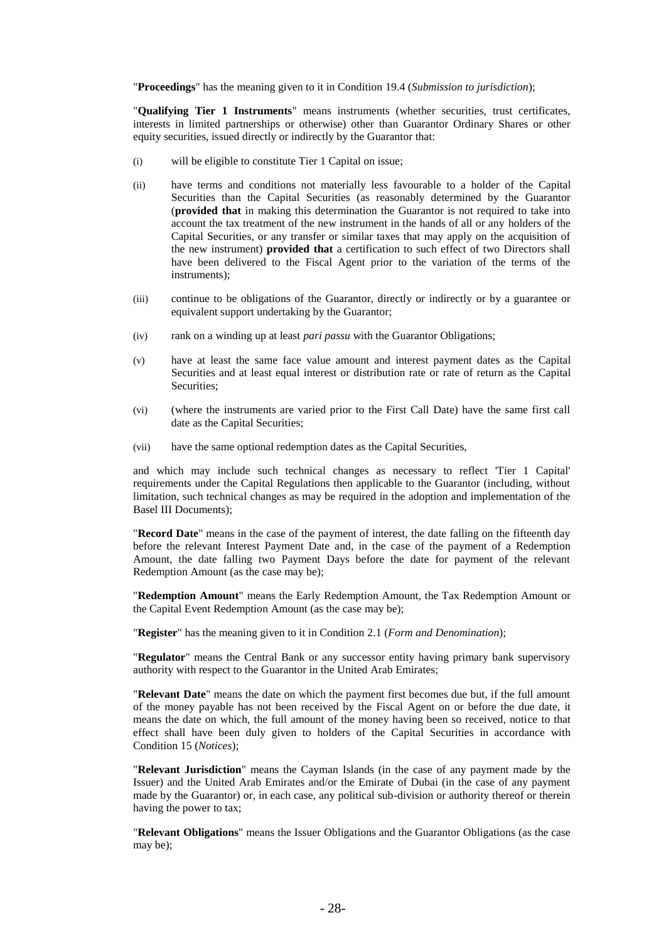"**Proceedings**" has the meaning given to it in Condition [19.4](#page-51-0) (*Submission to jurisdiction*);

"**Qualifying Tier 1 Instruments**" means instruments (whether securities, trust certificates, interests in limited partnerships or otherwise) other than Guarantor Ordinary Shares or other equity securities, issued directly or indirectly by the Guarantor that:

- (i) will be eligible to constitute Tier 1 Capital on issue;
- (ii) have terms and conditions not materially less favourable to a holder of the Capital Securities than the Capital Securities (as reasonably determined by the Guarantor (**provided that** in making this determination the Guarantor is not required to take into account the tax treatment of the new instrument in the hands of all or any holders of the Capital Securities, or any transfer or similar taxes that may apply on the acquisition of the new instrument) **provided that** a certification to such effect of two Directors shall have been delivered to the Fiscal Agent prior to the variation of the terms of the instruments);
- (iii) continue to be obligations of the Guarantor, directly or indirectly or by a guarantee or equivalent support undertaking by the Guarantor;
- (iv) rank on a winding up at least *pari passu* with the Guarantor Obligations;
- (v) have at least the same face value amount and interest payment dates as the Capital Securities and at least equal interest or distribution rate or rate of return as the Capital Securities;
- (vi) (where the instruments are varied prior to the First Call Date) have the same first call date as the Capital Securities;
- (vii) have the same optional redemption dates as the Capital Securities,

and which may include such technical changes as necessary to reflect 'Tier 1 Capital' requirements under the Capital Regulations then applicable to the Guarantor (including, without limitation, such technical changes as may be required in the adoption and implementation of the Basel III Documents);

"**Record Date**" means in the case of the payment of interest, the date falling on the fifteenth day before the relevant Interest Payment Date and, in the case of the payment of a Redemption Amount, the date falling two Payment Days before the date for payment of the relevant Redemption Amount (as the case may be);

"**Redemption Amount**" means the Early Redemption Amount, the Tax Redemption Amount or the Capital Event Redemption Amount (as the case may be);

"**Register**" has the meaning given to it in Condition [2.1](#page-37-0) (*Form and Denomination*);

"**Regulator**" means the Central Bank or any successor entity having primary bank supervisory authority with respect to the Guarantor in the United Arab Emirates;

"**Relevant Date**" means the date on which the payment first becomes due but, if the full amount of the money payable has not been received by the Fiscal Agent on or before the due date, it means the date on which, the full amount of the money having been so received, notice to that effect shall have been duly given to holders of the Capital Securities in accordance with Condition [15](#page-49-0) (*Notices*);

"**Relevant Jurisdiction**" means the Cayman Islands (in the case of any payment made by the Issuer) and the United Arab Emirates and/or the Emirate of Dubai (in the case of any payment made by the Guarantor) or, in each case, any political sub-division or authority thereof or therein having the power to tax;

"**Relevant Obligations**" means the Issuer Obligations and the Guarantor Obligations (as the case may be);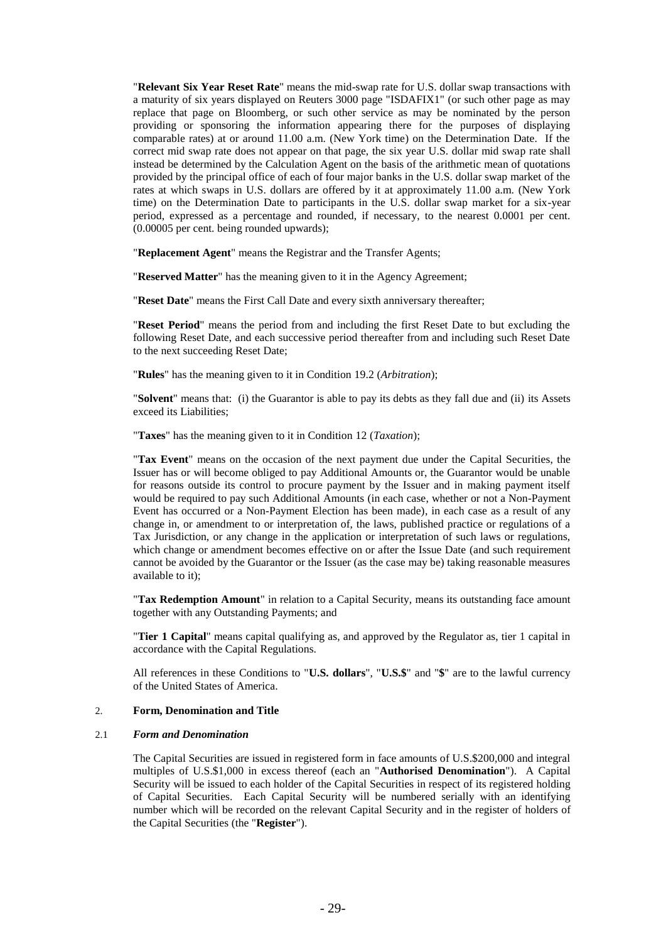"**Relevant Six Year Reset Rate**" means the mid-swap rate for U.S. dollar swap transactions with a maturity of six years displayed on Reuters 3000 page "ISDAFIX1" (or such other page as may replace that page on Bloomberg, or such other service as may be nominated by the person providing or sponsoring the information appearing there for the purposes of displaying comparable rates) at or around 11.00 a.m. (New York time) on the Determination Date. If the correct mid swap rate does not appear on that page, the six year U.S. dollar mid swap rate shall instead be determined by the Calculation Agent on the basis of the arithmetic mean of quotations provided by the principal office of each of four major banks in the U.S. dollar swap market of the rates at which swaps in U.S. dollars are offered by it at approximately 11.00 a.m. (New York time) on the Determination Date to participants in the U.S. dollar swap market for a six-year period, expressed as a percentage and rounded, if necessary, to the nearest 0.0001 per cent. (0.00005 per cent. being rounded upwards);

"**Replacement Agent**" means the Registrar and the Transfer Agents;

"**Reserved Matter**" has the meaning given to it in the Agency Agreement;

"**Reset Date**" means the First Call Date and every sixth anniversary thereafter;

"**Reset Period**" means the period from and including the first Reset Date to but excluding the following Reset Date, and each successive period thereafter from and including such Reset Date to the next succeeding Reset Date;

"**Rules**" has the meaning given to it in Condition [19.2](#page-51-1) (*Arbitration*);

"**Solvent**" means that: (i) the Guarantor is able to pay its debts as they fall due and (ii) its Assets exceed its Liabilities;

"**Taxes**" has the meaning given to it in Condition [12](#page-48-0) (*Taxation*);

"**Tax Event**" means on the occasion of the next payment due under the Capital Securities, the Issuer has or will become obliged to pay Additional Amounts or, the Guarantor would be unable for reasons outside its control to procure payment by the Issuer and in making payment itself would be required to pay such Additional Amounts (in each case, whether or not a Non-Payment Event has occurred or a Non-Payment Election has been made), in each case as a result of any change in, or amendment to or interpretation of, the laws, published practice or regulations of a Tax Jurisdiction, or any change in the application or interpretation of such laws or regulations, which change or amendment becomes effective on or after the Issue Date (and such requirement cannot be avoided by the Guarantor or the Issuer (as the case may be) taking reasonable measures available to it);

"**Tax Redemption Amount**" in relation to a Capital Security, means its outstanding face amount together with any Outstanding Payments; and

"**Tier 1 Capital**" means capital qualifying as, and approved by the Regulator as, tier 1 capital in accordance with the Capital Regulations.

All references in these Conditions to "**U.S. dollars**", "**U.S.\$**" and "**\$**" are to the lawful currency of the United States of America.

#### 2. **Form, Denomination and Title**

#### <span id="page-37-0"></span>2.1 *Form and Denomination*

The Capital Securities are issued in registered form in face amounts of U.S.\$200,000 and integral multiples of U.S.\$1,000 in excess thereof (each an "**Authorised Denomination**"). A Capital Security will be issued to each holder of the Capital Securities in respect of its registered holding of Capital Securities. Each Capital Security will be numbered serially with an identifying number which will be recorded on the relevant Capital Security and in the register of holders of the Capital Securities (the "**Register**").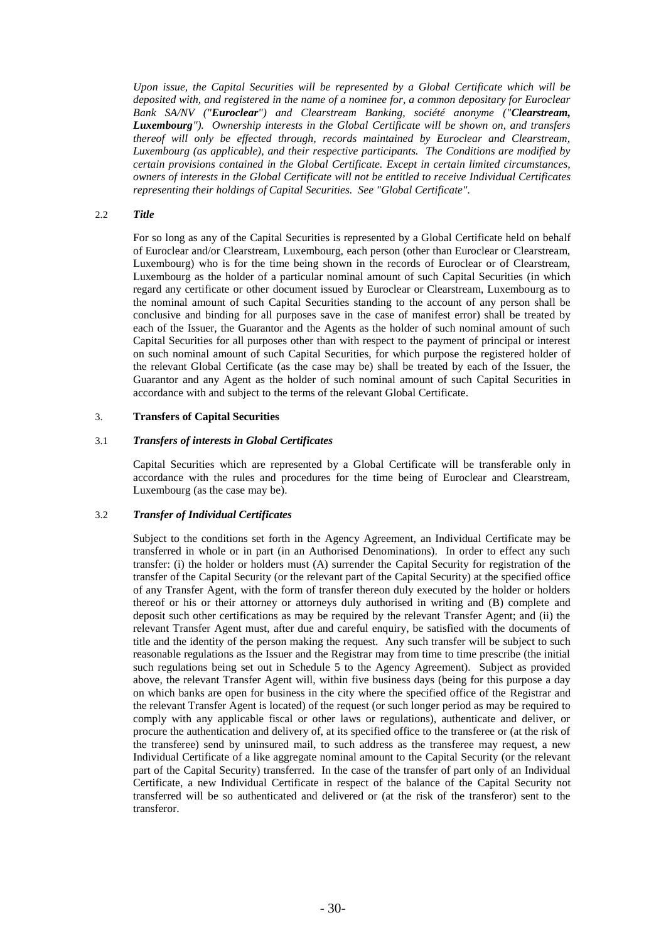*Upon issue, the Capital Securities will be represented by a Global Certificate which will be deposited with, and registered in the name of a nominee for, a common depositary for Euroclear Bank SA/NV ("Euroclear") and Clearstream Banking, société anonyme ("Clearstream, Luxembourg"). Ownership interests in the Global Certificate will be shown on, and transfers thereof will only be effected through, records maintained by Euroclear and Clearstream, Luxembourg (as applicable), and their respective participants. The Conditions are modified by certain provisions contained in the Global Certificate. Except in certain limited circumstances, owners of interests in the Global Certificate will not be entitled to receive Individual Certificates representing their holdings of Capital Securities. See "Global Certificate".*

# 2.2 *Title*

For so long as any of the Capital Securities is represented by a Global Certificate held on behalf of Euroclear and/or Clearstream, Luxembourg, each person (other than Euroclear or Clearstream, Luxembourg) who is for the time being shown in the records of Euroclear or of Clearstream, Luxembourg as the holder of a particular nominal amount of such Capital Securities (in which regard any certificate or other document issued by Euroclear or Clearstream, Luxembourg as to the nominal amount of such Capital Securities standing to the account of any person shall be conclusive and binding for all purposes save in the case of manifest error) shall be treated by each of the Issuer, the Guarantor and the Agents as the holder of such nominal amount of such Capital Securities for all purposes other than with respect to the payment of principal or interest on such nominal amount of such Capital Securities, for which purpose the registered holder of the relevant Global Certificate (as the case may be) shall be treated by each of the Issuer, the Guarantor and any Agent as the holder of such nominal amount of such Capital Securities in accordance with and subject to the terms of the relevant Global Certificate.

### 3. **Transfers of Capital Securities**

### 3.1 *Transfers of interests in Global Certificates*

Capital Securities which are represented by a Global Certificate will be transferable only in accordance with the rules and procedures for the time being of Euroclear and Clearstream, Luxembourg (as the case may be).

### 3.2 *Transfer of Individual Certificates*

Subject to the conditions set forth in the Agency Agreement, an Individual Certificate may be transferred in whole or in part (in an Authorised Denominations). In order to effect any such transfer: (i) the holder or holders must (A) surrender the Capital Security for registration of the transfer of the Capital Security (or the relevant part of the Capital Security) at the specified office of any Transfer Agent, with the form of transfer thereon duly executed by the holder or holders thereof or his or their attorney or attorneys duly authorised in writing and (B) complete and deposit such other certifications as may be required by the relevant Transfer Agent; and (ii) the relevant Transfer Agent must, after due and careful enquiry, be satisfied with the documents of title and the identity of the person making the request. Any such transfer will be subject to such reasonable regulations as the Issuer and the Registrar may from time to time prescribe (the initial such regulations being set out in Schedule 5 to the Agency Agreement). Subject as provided above, the relevant Transfer Agent will, within five business days (being for this purpose a day on which banks are open for business in the city where the specified office of the Registrar and the relevant Transfer Agent is located) of the request (or such longer period as may be required to comply with any applicable fiscal or other laws or regulations), authenticate and deliver, or procure the authentication and delivery of, at its specified office to the transferee or (at the risk of the transferee) send by uninsured mail, to such address as the transferee may request, a new Individual Certificate of a like aggregate nominal amount to the Capital Security (or the relevant part of the Capital Security) transferred. In the case of the transfer of part only of an Individual Certificate, a new Individual Certificate in respect of the balance of the Capital Security not transferred will be so authenticated and delivered or (at the risk of the transferor) sent to the transferor.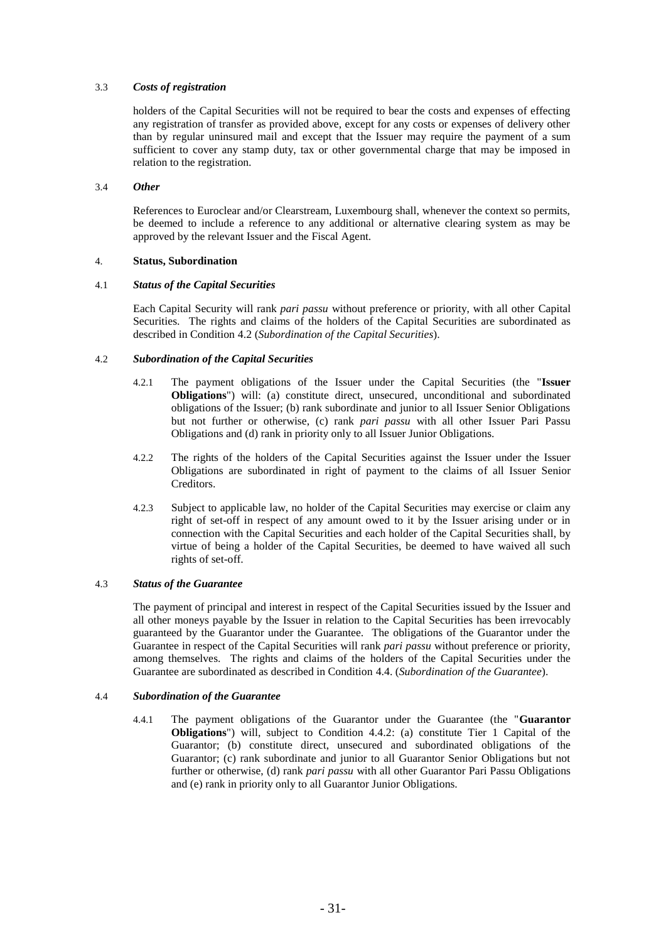# 3.3 *Costs of registration*

holders of the Capital Securities will not be required to bear the costs and expenses of effecting any registration of transfer as provided above, except for any costs or expenses of delivery other than by regular uninsured mail and except that the Issuer may require the payment of a sum sufficient to cover any stamp duty, tax or other governmental charge that may be imposed in relation to the registration.

# 3.4 *Other*

References to Euroclear and/or Clearstream, Luxembourg shall, whenever the context so permits, be deemed to include a reference to any additional or alternative clearing system as may be approved by the relevant Issuer and the Fiscal Agent.

# 4. **Status, Subordination**

# 4.1 *Status of the Capital Securities*

Each Capital Security will rank *pari passu* without preference or priority, with all other Capital Securities. The rights and claims of the holders of the Capital Securities are subordinated as described in Condition [4.2](#page-39-0) (*Subordination of the Capital Securities*).

# <span id="page-39-0"></span>4.2 *Subordination of the Capital Securities*

- 4.2.1 The payment obligations of the Issuer under the Capital Securities (the "**Issuer Obligations**") will: (a) constitute direct, unsecured, unconditional and subordinated obligations of the Issuer; (b) rank subordinate and junior to all Issuer Senior Obligations but not further or otherwise, (c) rank *pari passu* with all other Issuer Pari Passu Obligations and (d) rank in priority only to all Issuer Junior Obligations.
- 4.2.2 The rights of the holders of the Capital Securities against the Issuer under the Issuer Obligations are subordinated in right of payment to the claims of all Issuer Senior Creditors.
- 4.2.3 Subject to applicable law, no holder of the Capital Securities may exercise or claim any right of set-off in respect of any amount owed to it by the Issuer arising under or in connection with the Capital Securities and each holder of the Capital Securities shall, by virtue of being a holder of the Capital Securities, be deemed to have waived all such rights of set-off.

# 4.3 *Status of the Guarantee*

The payment of principal and interest in respect of the Capital Securities issued by the Issuer and all other moneys payable by the Issuer in relation to the Capital Securities has been irrevocably guaranteed by the Guarantor under the Guarantee. The obligations of the Guarantor under the Guarantee in respect of the Capital Securities will rank *pari passu* without preference or priority, among themselves. The rights and claims of the holders of the Capital Securities under the Guarantee are subordinated as described in Condition [4.4.](#page-39-1) (*Subordination of the Guarantee*).

# <span id="page-39-1"></span>4.4 *Subordination of the Guarantee*

4.4.1 The payment obligations of the Guarantor under the Guarantee (the "**Guarantor Obligations**") will, subject to Condition 4.4.2: (a) constitute Tier 1 Capital of the Guarantor; (b) constitute direct, unsecured and subordinated obligations of the Guarantor; (c) rank subordinate and junior to all Guarantor Senior Obligations but not further or otherwise, (d) rank *pari passu* with all other Guarantor Pari Passu Obligations and (e) rank in priority only to all Guarantor Junior Obligations.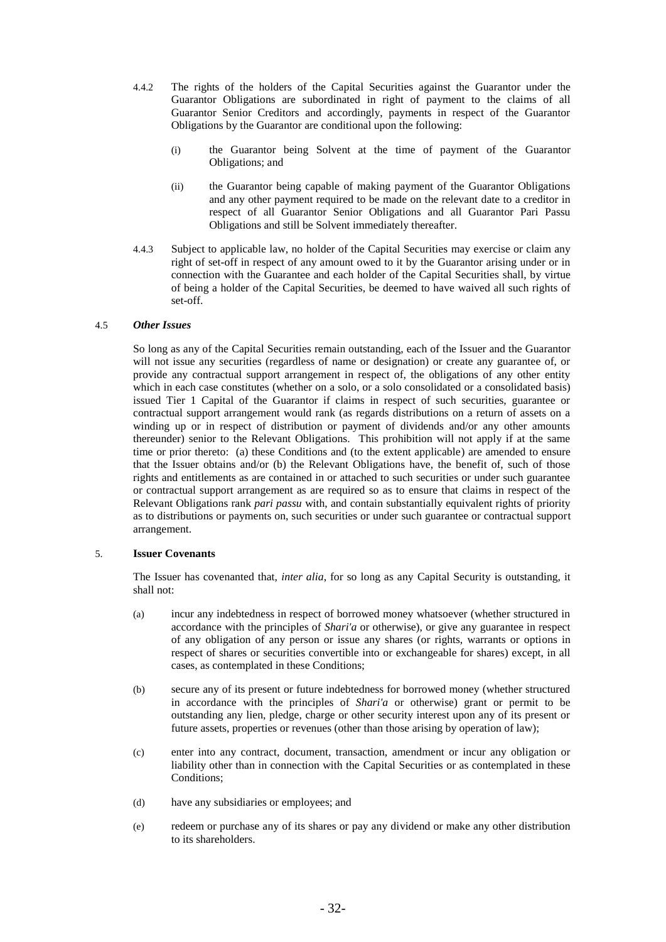- 4.4.2 The rights of the holders of the Capital Securities against the Guarantor under the Guarantor Obligations are subordinated in right of payment to the claims of all Guarantor Senior Creditors and accordingly, payments in respect of the Guarantor Obligations by the Guarantor are conditional upon the following:
	- (i) the Guarantor being Solvent at the time of payment of the Guarantor Obligations; and
	- (ii) the Guarantor being capable of making payment of the Guarantor Obligations and any other payment required to be made on the relevant date to a creditor in respect of all Guarantor Senior Obligations and all Guarantor Pari Passu Obligations and still be Solvent immediately thereafter.
- 4.4.3 Subject to applicable law, no holder of the Capital Securities may exercise or claim any right of set-off in respect of any amount owed to it by the Guarantor arising under or in connection with the Guarantee and each holder of the Capital Securities shall, by virtue of being a holder of the Capital Securities, be deemed to have waived all such rights of set-off.

### 4.5 *Other Issues*

So long as any of the Capital Securities remain outstanding, each of the Issuer and the Guarantor will not issue any securities (regardless of name or designation) or create any guarantee of, or provide any contractual support arrangement in respect of, the obligations of any other entity which in each case constitutes (whether on a solo, or a solo consolidated or a consolidated basis) issued Tier 1 Capital of the Guarantor if claims in respect of such securities, guarantee or contractual support arrangement would rank (as regards distributions on a return of assets on a winding up or in respect of distribution or payment of dividends and/or any other amounts thereunder) senior to the Relevant Obligations. This prohibition will not apply if at the same time or prior thereto: (a) these Conditions and (to the extent applicable) are amended to ensure that the Issuer obtains and/or (b) the Relevant Obligations have, the benefit of, such of those rights and entitlements as are contained in or attached to such securities or under such guarantee or contractual support arrangement as are required so as to ensure that claims in respect of the Relevant Obligations rank *pari passu* with, and contain substantially equivalent rights of priority as to distributions or payments on, such securities or under such guarantee or contractual support arrangement.

#### 5. **Issuer Covenants**

The Issuer has covenanted that, *inter alia*, for so long as any Capital Security is outstanding, it shall not:

- (a) incur any indebtedness in respect of borrowed money whatsoever (whether structured in accordance with the principles of *Shari'a* or otherwise), or give any guarantee in respect of any obligation of any person or issue any shares (or rights, warrants or options in respect of shares or securities convertible into or exchangeable for shares) except, in all cases, as contemplated in these Conditions;
- (b) secure any of its present or future indebtedness for borrowed money (whether structured in accordance with the principles of *Shari'a* or otherwise) grant or permit to be outstanding any lien, pledge, charge or other security interest upon any of its present or future assets, properties or revenues (other than those arising by operation of law);
- (c) enter into any contract, document, transaction, amendment or incur any obligation or liability other than in connection with the Capital Securities or as contemplated in these Conditions;
- (d) have any subsidiaries or employees; and
- (e) redeem or purchase any of its shares or pay any dividend or make any other distribution to its shareholders.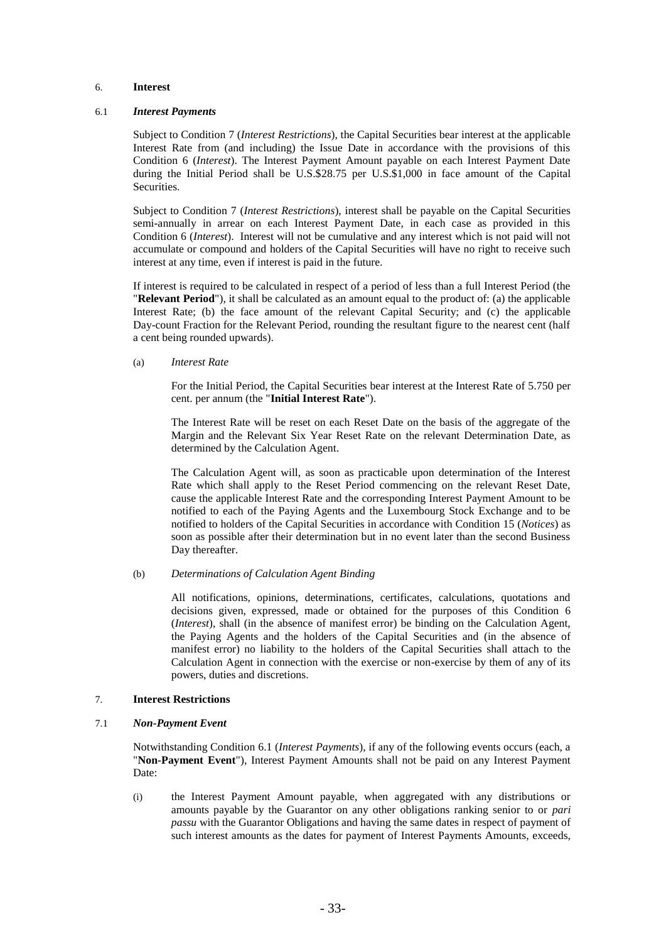### <span id="page-41-1"></span>6. **Interest**

#### <span id="page-41-2"></span>6.1 *Interest Payments*

Subject to Condition [7](#page-41-0) (*Interest Restrictions*), the Capital Securities bear interest at the applicable Interest Rate from (and including) the Issue Date in accordance with the provisions of this Condition [6](#page-41-1) (*Interest*). The Interest Payment Amount payable on each Interest Payment Date during the Initial Period shall be U.S.\$28.75 per U.S.\$1,000 in face amount of the Capital Securities.

Subject to Condition [7](#page-41-0) (*Interest Restrictions*), interest shall be payable on the Capital Securities semi-annually in arrear on each Interest Payment Date, in each case as provided in this Condition [6](#page-41-1) (*Interest*). Interest will not be cumulative and any interest which is not paid will not accumulate or compound and holders of the Capital Securities will have no right to receive such interest at any time, even if interest is paid in the future.

If interest is required to be calculated in respect of a period of less than a full Interest Period (the "**Relevant Period**"), it shall be calculated as an amount equal to the product of: (a) the applicable Interest Rate; (b) the face amount of the relevant Capital Security; and (c) the applicable Day-count Fraction for the Relevant Period, rounding the resultant figure to the nearest cent (half a cent being rounded upwards).

#### (a) *Interest Rate*

For the Initial Period, the Capital Securities bear interest at the Interest Rate of 5.750 per cent. per annum (the "**Initial Interest Rate**").

The Interest Rate will be reset on each Reset Date on the basis of the aggregate of the Margin and the Relevant Six Year Reset Rate on the relevant Determination Date, as determined by the Calculation Agent.

The Calculation Agent will, as soon as practicable upon determination of the Interest Rate which shall apply to the Reset Period commencing on the relevant Reset Date, cause the applicable Interest Rate and the corresponding Interest Payment Amount to be notified to each of the Paying Agents and the Luxembourg Stock Exchange and to be notified to holders of the Capital Securities in accordance with Condition [15](#page-49-0) (*Notices*) as soon as possible after their determination but in no event later than the second Business Day thereafter.

#### (b) *Determinations of Calculation Agent Binding*

All notifications, opinions, determinations, certificates, calculations, quotations and decisions given, expressed, made or obtained for the purposes of this Condition [6](#page-41-1) (*Interest*), shall (in the absence of manifest error) be binding on the Calculation Agent, the Paying Agents and the holders of the Capital Securities and (in the absence of manifest error) no liability to the holders of the Capital Securities shall attach to the Calculation Agent in connection with the exercise or non-exercise by them of any of its powers, duties and discretions.

#### <span id="page-41-0"></span>7. **Interest Restrictions**

#### <span id="page-41-3"></span>7.1 *Non-Payment Event*

Notwithstanding Condition [6.1](#page-41-2) (*Interest Payments*), if any of the following events occurs (each, a "**Non-Payment Event**"), Interest Payment Amounts shall not be paid on any Interest Payment Date:

(i) the Interest Payment Amount payable, when aggregated with any distributions or amounts payable by the Guarantor on any other obligations ranking senior to or *pari passu* with the Guarantor Obligations and having the same dates in respect of payment of such interest amounts as the dates for payment of Interest Payments Amounts, exceeds,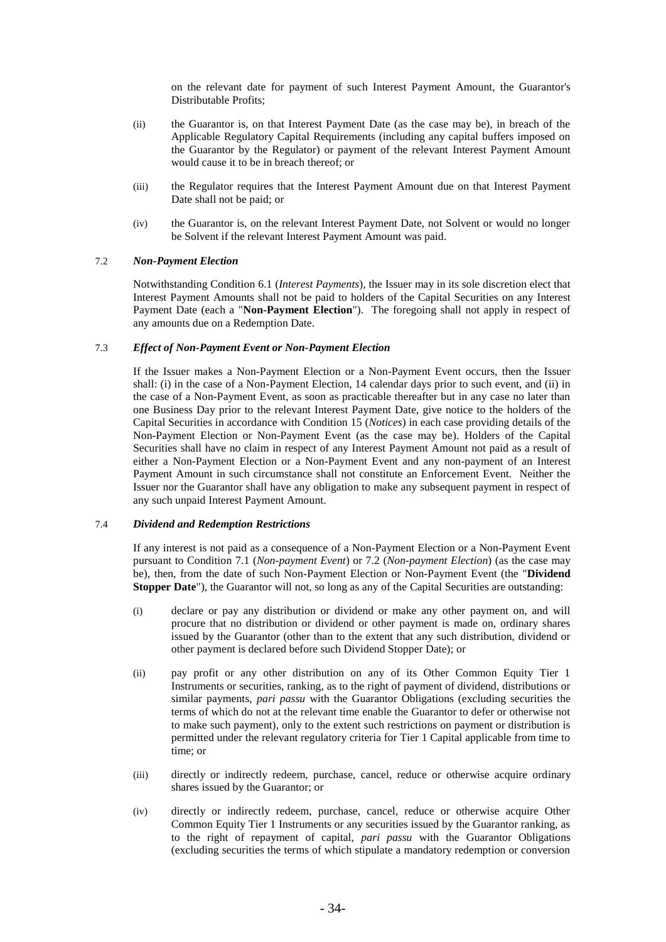on the relevant date for payment of such Interest Payment Amount, the Guarantor's Distributable Profits;

- (ii) the Guarantor is, on that Interest Payment Date (as the case may be), in breach of the Applicable Regulatory Capital Requirements (including any capital buffers imposed on the Guarantor by the Regulator) or payment of the relevant Interest Payment Amount would cause it to be in breach thereof; or
- (iii) the Regulator requires that the Interest Payment Amount due on that Interest Payment Date shall not be paid; or
- (iv) the Guarantor is, on the relevant Interest Payment Date, not Solvent or would no longer be Solvent if the relevant Interest Payment Amount was paid.

### <span id="page-42-0"></span>7.2 *Non-Payment Election*

Notwithstanding Condition [6.1](#page-41-2) (*Interest Payments*), the Issuer may in its sole discretion elect that Interest Payment Amounts shall not be paid to holders of the Capital Securities on any Interest Payment Date (each a "**Non-Payment Election**"). The foregoing shall not apply in respect of any amounts due on a Redemption Date.

### 7.3 *Effect of Non-Payment Event or Non-Payment Election*

If the Issuer makes a Non-Payment Election or a Non-Payment Event occurs, then the Issuer shall: (i) in the case of a Non-Payment Election, 14 calendar days prior to such event, and (ii) in the case of a Non-Payment Event, as soon as practicable thereafter but in any case no later than one Business Day prior to the relevant Interest Payment Date, give notice to the holders of the Capital Securities in accordance with Condition [15](#page-49-0) (*Notices*) in each case providing details of the Non-Payment Election or Non-Payment Event (as the case may be). Holders of the Capital Securities shall have no claim in respect of any Interest Payment Amount not paid as a result of either a Non-Payment Election or a Non-Payment Event and any non-payment of an Interest Payment Amount in such circumstance shall not constitute an Enforcement Event. Neither the Issuer nor the Guarantor shall have any obligation to make any subsequent payment in respect of any such unpaid Interest Payment Amount.

### 7.4 *Dividend and Redemption Restrictions*

If any interest is not paid as a consequence of a Non-Payment Election or a Non-Payment Event pursuant to Condition [7.1](#page-41-3) (*Non-payment Event*) or [7.2](#page-42-0) (*Non-payment Election*) (as the case may be), then, from the date of such Non-Payment Election or Non-Payment Event (the "**Dividend Stopper Date**"), the Guarantor will not, so long as any of the Capital Securities are outstanding:

- (i) declare or pay any distribution or dividend or make any other payment on, and will procure that no distribution or dividend or other payment is made on, ordinary shares issued by the Guarantor (other than to the extent that any such distribution, dividend or other payment is declared before such Dividend Stopper Date); or
- (ii) pay profit or any other distribution on any of its Other Common Equity Tier 1 Instruments or securities, ranking, as to the right of payment of dividend, distributions or similar payments, *pari passu* with the Guarantor Obligations (excluding securities the terms of which do not at the relevant time enable the Guarantor to defer or otherwise not to make such payment), only to the extent such restrictions on payment or distribution is permitted under the relevant regulatory criteria for Tier 1 Capital applicable from time to time; or
- (iii) directly or indirectly redeem, purchase, cancel, reduce or otherwise acquire ordinary shares issued by the Guarantor; or
- (iv) directly or indirectly redeem, purchase, cancel, reduce or otherwise acquire Other Common Equity Tier 1 Instruments or any securities issued by the Guarantor ranking, as to the right of repayment of capital, *pari passu* with the Guarantor Obligations (excluding securities the terms of which stipulate a mandatory redemption or conversion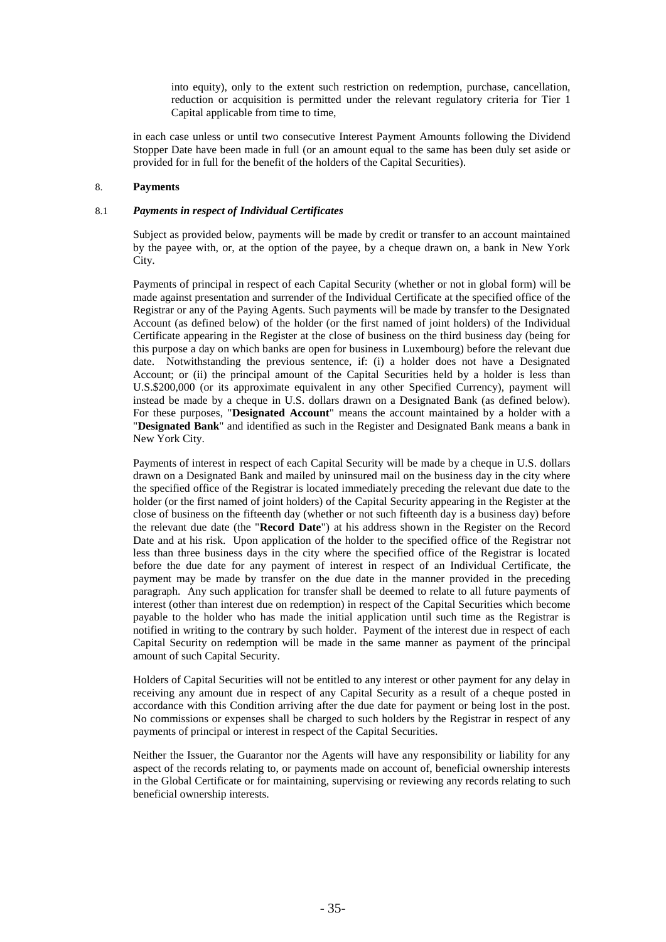into equity), only to the extent such restriction on redemption, purchase, cancellation, reduction or acquisition is permitted under the relevant regulatory criteria for Tier 1 Capital applicable from time to time,

in each case unless or until two consecutive Interest Payment Amounts following the Dividend Stopper Date have been made in full (or an amount equal to the same has been duly set aside or provided for in full for the benefit of the holders of the Capital Securities).

# 8. **Payments**

### 8.1 *Payments in respect of Individual Certificates*

Subject as provided below, payments will be made by credit or transfer to an account maintained by the payee with, or, at the option of the payee, by a cheque drawn on, a bank in New York City.

Payments of principal in respect of each Capital Security (whether or not in global form) will be made against presentation and surrender of the Individual Certificate at the specified office of the Registrar or any of the Paying Agents. Such payments will be made by transfer to the Designated Account (as defined below) of the holder (or the first named of joint holders) of the Individual Certificate appearing in the Register at the close of business on the third business day (being for this purpose a day on which banks are open for business in Luxembourg) before the relevant due date. Notwithstanding the previous sentence, if: (i) a holder does not have a Designated Account; or (ii) the principal amount of the Capital Securities held by a holder is less than U.S.\$200,000 (or its approximate equivalent in any other Specified Currency), payment will instead be made by a cheque in U.S. dollars drawn on a Designated Bank (as defined below). For these purposes, "**Designated Account**" means the account maintained by a holder with a "**Designated Bank**" and identified as such in the Register and Designated Bank means a bank in New York City.

Payments of interest in respect of each Capital Security will be made by a cheque in U.S. dollars drawn on a Designated Bank and mailed by uninsured mail on the business day in the city where the specified office of the Registrar is located immediately preceding the relevant due date to the holder (or the first named of joint holders) of the Capital Security appearing in the Register at the close of business on the fifteenth day (whether or not such fifteenth day is a business day) before the relevant due date (the "**Record Date**") at his address shown in the Register on the Record Date and at his risk. Upon application of the holder to the specified office of the Registrar not less than three business days in the city where the specified office of the Registrar is located before the due date for any payment of interest in respect of an Individual Certificate, the payment may be made by transfer on the due date in the manner provided in the preceding paragraph. Any such application for transfer shall be deemed to relate to all future payments of interest (other than interest due on redemption) in respect of the Capital Securities which become payable to the holder who has made the initial application until such time as the Registrar is notified in writing to the contrary by such holder. Payment of the interest due in respect of each Capital Security on redemption will be made in the same manner as payment of the principal amount of such Capital Security.

Holders of Capital Securities will not be entitled to any interest or other payment for any delay in receiving any amount due in respect of any Capital Security as a result of a cheque posted in accordance with this Condition arriving after the due date for payment or being lost in the post. No commissions or expenses shall be charged to such holders by the Registrar in respect of any payments of principal or interest in respect of the Capital Securities.

Neither the Issuer, the Guarantor nor the Agents will have any responsibility or liability for any aspect of the records relating to, or payments made on account of, beneficial ownership interests in the Global Certificate or for maintaining, supervising or reviewing any records relating to such beneficial ownership interests.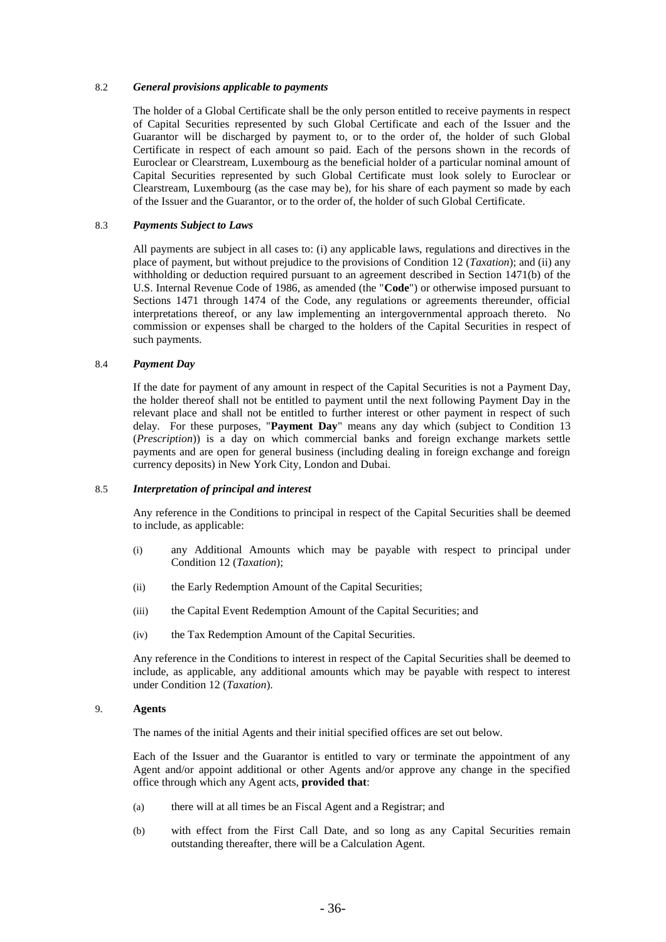#### 8.2 *General provisions applicable to payments*

The holder of a Global Certificate shall be the only person entitled to receive payments in respect of Capital Securities represented by such Global Certificate and each of the Issuer and the Guarantor will be discharged by payment to, or to the order of, the holder of such Global Certificate in respect of each amount so paid. Each of the persons shown in the records of Euroclear or Clearstream, Luxembourg as the beneficial holder of a particular nominal amount of Capital Securities represented by such Global Certificate must look solely to Euroclear or Clearstream, Luxembourg (as the case may be), for his share of each payment so made by each of the Issuer and the Guarantor, or to the order of, the holder of such Global Certificate.

### 8.3 *Payments Subject to Laws*

All payments are subject in all cases to: (i) any applicable laws, regulations and directives in the place of payment, but without prejudice to the provisions of Condition [12](#page-48-0) (*Taxation*); and (ii) any withholding or deduction required pursuant to an agreement described in Section 1471(b) of the U.S. Internal Revenue Code of 1986, as amended (the "**Code**") or otherwise imposed pursuant to Sections 1471 through 1474 of the Code, any regulations or agreements thereunder, official interpretations thereof, or any law implementing an intergovernmental approach thereto. No commission or expenses shall be charged to the holders of the Capital Securities in respect of such payments.

### 8.4 *Payment Day*

If the date for payment of any amount in respect of the Capital Securities is not a Payment Day, the holder thereof shall not be entitled to payment until the next following Payment Day in the relevant place and shall not be entitled to further interest or other payment in respect of such delay. For these purposes, "**Payment Day**" means any day which (subject to Condition [13](#page-49-1) (*Prescription*)) is a day on which commercial banks and foreign exchange markets settle payments and are open for general business (including dealing in foreign exchange and foreign currency deposits) in New York City, London and Dubai.

### 8.5 *Interpretation of principal and interest*

Any reference in the Conditions to principal in respect of the Capital Securities shall be deemed to include, as applicable:

- (i) any Additional Amounts which may be payable with respect to principal under Conditio[n 12](#page-48-0) (*Taxation*);
- (ii) the Early Redemption Amount of the Capital Securities;
- (iii) the Capital Event Redemption Amount of the Capital Securities; and
- (iv) the Tax Redemption Amount of the Capital Securities.

Any reference in the Conditions to interest in respect of the Capital Securities shall be deemed to include, as applicable, any additional amounts which may be payable with respect to interest under Condition [12](#page-48-0) (*Taxation*).

#### 9. **Agents**

The names of the initial Agents and their initial specified offices are set out below.

Each of the Issuer and the Guarantor is entitled to vary or terminate the appointment of any Agent and/or appoint additional or other Agents and/or approve any change in the specified office through which any Agent acts, **provided that**:

- (a) there will at all times be an Fiscal Agent and a Registrar; and
- (b) with effect from the First Call Date, and so long as any Capital Securities remain outstanding thereafter, there will be a Calculation Agent.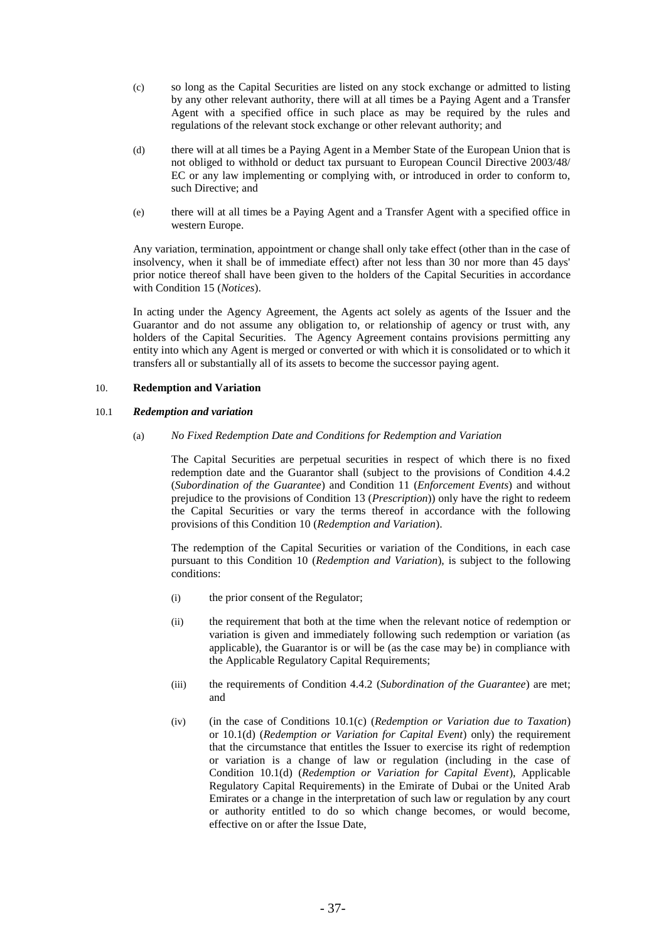- (c) so long as the Capital Securities are listed on any stock exchange or admitted to listing by any other relevant authority, there will at all times be a Paying Agent and a Transfer Agent with a specified office in such place as may be required by the rules and regulations of the relevant stock exchange or other relevant authority; and
- (d) there will at all times be a Paying Agent in a Member State of the European Union that is not obliged to withhold or deduct tax pursuant to European Council Directive 2003/48/ EC or any law implementing or complying with, or introduced in order to conform to, such Directive; and
- (e) there will at all times be a Paying Agent and a Transfer Agent with a specified office in western Europe.

Any variation, termination, appointment or change shall only take effect (other than in the case of insolvency, when it shall be of immediate effect) after not less than 30 nor more than 45 days' prior notice thereof shall have been given to the holders of the Capital Securities in accordance with Condition [15](#page-49-0) (*Notices*).

In acting under the Agency Agreement, the Agents act solely as agents of the Issuer and the Guarantor and do not assume any obligation to, or relationship of agency or trust with, any holders of the Capital Securities. The Agency Agreement contains provisions permitting any entity into which any Agent is merged or converted or with which it is consolidated or to which it transfers all or substantially all of its assets to become the successor paying agent.

# <span id="page-45-0"></span>10. **Redemption and Variation**

### <span id="page-45-2"></span><span id="page-45-1"></span>10.1 *Redemption and variation*

(a) *No Fixed Redemption Date and Conditions for Redemption and Variation*

The Capital Securities are perpetual securities in respect of which there is no fixed redemption date and the Guarantor shall (subject to the provisions of Condition 4.4.2 (*Subordination of the Guarantee*) and Condition 11 (*Enforcement Events*) and without prejudice to the provisions of Condition [13](#page-49-1) (*Prescription*)) only have the right to redeem the Capital Securities or vary the terms thereof in accordance with the following provisions of this Condition [10](#page-45-0) (*Redemption and Variation*).

The redemption of the Capital Securities or variation of the Conditions, in each case pursuant to this Condition [10](#page-45-0) (*Redemption and Variation*), is subject to the following conditions:

- (i) the prior consent of the Regulator;
- (ii) the requirement that both at the time when the relevant notice of redemption or variation is given and immediately following such redemption or variation (as applicable), the Guarantor is or will be (as the case may be) in compliance with the Applicable Regulatory Capital Requirements;
- (iii) the requirements of Condition 4.4.2 (*Subordination of the Guarantee*) are met; and
- (iv) (in the case of Conditions [10.1\(c\)](#page-46-0) (*Redemption or Variation due to Taxation*) or [10.1\(d\)](#page-47-0) (*Redemption or Variation for Capital Event*) only) the requirement that the circumstance that entitles the Issuer to exercise its right of redemption or variation is a change of law or regulation (including in the case of Condition [10.1\(d\)](#page-47-0) (*Redemption or Variation for Capital Event*), Applicable Regulatory Capital Requirements) in the Emirate of Dubai or the United Arab Emirates or a change in the interpretation of such law or regulation by any court or authority entitled to do so which change becomes, or would become, effective on or after the Issue Date,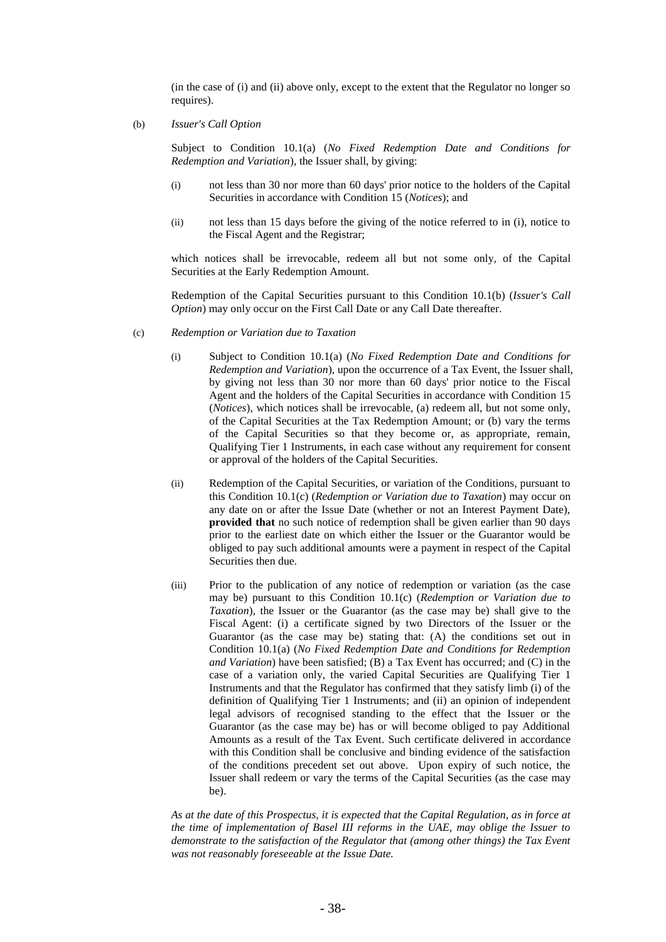(in the case of (i) and (ii) above only, except to the extent that the Regulator no longer so requires).

<span id="page-46-1"></span>(b) *Issuer's Call Option*

Subject to Condition [10.1\(a\)](#page-45-1) (*No Fixed Redemption Date and Conditions for Redemption and Variation*), the Issuer shall, by giving:

- (i) not less than 30 nor more than 60 days' prior notice to the holders of the Capital Securities in accordance with Condition [15](#page-49-0) (*Notices*); and
- (ii) not less than 15 days before the giving of the notice referred to in (i), notice to the Fiscal Agent and the Registrar;

which notices shall be irrevocable, redeem all but not some only, of the Capital Securities at the Early Redemption Amount.

Redemption of the Capital Securities pursuant to this Condition [10.1\(b\)](#page-46-1) (*Issuer's Call Option*) may only occur on the First Call Date or any Call Date thereafter.

- <span id="page-46-0"></span>(c) *Redemption or Variation due to Taxation*
	- (i) Subject to Condition [10.1\(a\)](#page-45-1) (*No Fixed Redemption Date and Conditions for Redemption and Variation*), upon the occurrence of a Tax Event, the Issuer shall, by giving not less than 30 nor more than 60 days' prior notice to the Fiscal Agent and the holders of the Capital Securities in accordance with Condition [15](#page-49-0) (*Notices*), which notices shall be irrevocable, (a) redeem all, but not some only, of the Capital Securities at the Tax Redemption Amount; or (b) vary the terms of the Capital Securities so that they become or, as appropriate, remain, Qualifying Tier 1 Instruments, in each case without any requirement for consent or approval of the holders of the Capital Securities.
	- (ii) Redemption of the Capital Securities, or variation of the Conditions, pursuant to this Condition [10.1\(c\)](#page-46-0) (*Redemption or Variation due to Taxation*) may occur on any date on or after the Issue Date (whether or not an Interest Payment Date), **provided that** no such notice of redemption shall be given earlier than 90 days prior to the earliest date on which either the Issuer or the Guarantor would be obliged to pay such additional amounts were a payment in respect of the Capital Securities then due.
	- (iii) Prior to the publication of any notice of redemption or variation (as the case may be) pursuant to this Condition [10.1\(c\)](#page-46-0) (*Redemption or Variation due to Taxation*), the Issuer or the Guarantor (as the case may be) shall give to the Fiscal Agent: (i) a certificate signed by two Directors of the Issuer or the Guarantor (as the case may be) stating that: (A) the conditions set out in Condition [10.1\(a\)](#page-45-1) (*No Fixed Redemption Date and Conditions for Redemption and Variation*) have been satisfied; (B) a Tax Event has occurred; and (C) in the case of a variation only, the varied Capital Securities are Qualifying Tier 1 Instruments and that the Regulator has confirmed that they satisfy limb (i) of the definition of Qualifying Tier 1 Instruments; and (ii) an opinion of independent legal advisors of recognised standing to the effect that the Issuer or the Guarantor (as the case may be) has or will become obliged to pay Additional Amounts as a result of the Tax Event. Such certificate delivered in accordance with this Condition shall be conclusive and binding evidence of the satisfaction of the conditions precedent set out above. Upon expiry of such notice, the Issuer shall redeem or vary the terms of the Capital Securities (as the case may be).

*As at the date of this Prospectus, it is expected that the Capital Regulation, as in force at the time of implementation of Basel III reforms in the UAE, may oblige the Issuer to demonstrate to the satisfaction of the Regulator that (among other things) the Tax Event was not reasonably foreseeable at the Issue Date.*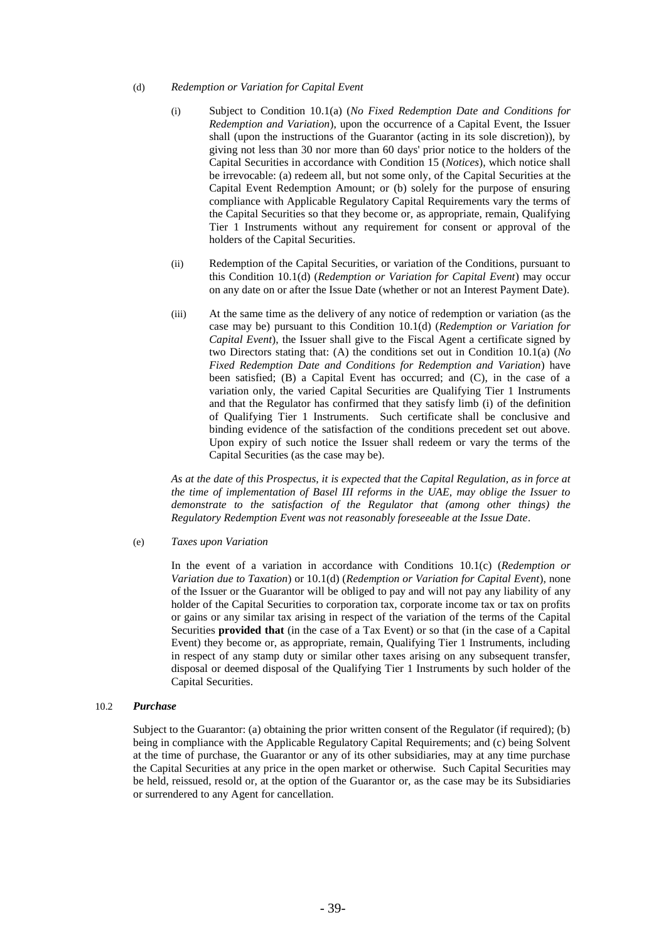#### <span id="page-47-0"></span>(d) *Redemption or Variation for Capital Event*

- (i) Subject to Condition [10.1\(a\)](#page-45-1) (*No Fixed Redemption Date and Conditions for Redemption and Variation*), upon the occurrence of a Capital Event, the Issuer shall (upon the instructions of the Guarantor (acting in its sole discretion)), by giving not less than 30 nor more than 60 days' prior notice to the holders of the Capital Securities in accordance with Condition [15](#page-49-0) (*Notices*), which notice shall be irrevocable: (a) redeem all, but not some only, of the Capital Securities at the Capital Event Redemption Amount; or (b) solely for the purpose of ensuring compliance with Applicable Regulatory Capital Requirements vary the terms of the Capital Securities so that they become or, as appropriate, remain, Qualifying Tier 1 Instruments without any requirement for consent or approval of the holders of the Capital Securities.
- (ii) Redemption of the Capital Securities, or variation of the Conditions, pursuant to this Condition [10.1\(d\)](#page-47-0) (*Redemption or Variation for Capital Event*) may occur on any date on or after the Issue Date (whether or not an Interest Payment Date).
- (iii) At the same time as the delivery of any notice of redemption or variation (as the case may be) pursuant to this Condition [10.1\(d\)](#page-47-0) (*Redemption or Variation for Capital Event*), the Issuer shall give to the Fiscal Agent a certificate signed by two Directors stating that: (A) the conditions set out in Condition [10.1\(a\)](#page-45-1) (*No Fixed Redemption Date and Conditions for Redemption and Variation*) have been satisfied; (B) a Capital Event has occurred; and (C), in the case of a variation only, the varied Capital Securities are Qualifying Tier 1 Instruments and that the Regulator has confirmed that they satisfy limb (i) of the definition of Qualifying Tier 1 Instruments. Such certificate shall be conclusive and binding evidence of the satisfaction of the conditions precedent set out above. Upon expiry of such notice the Issuer shall redeem or vary the terms of the Capital Securities (as the case may be).

*As at the date of this Prospectus, it is expected that the Capital Regulation, as in force at the time of implementation of Basel III reforms in the UAE, may oblige the Issuer to demonstrate to the satisfaction of the Regulator that (among other things) the Regulatory Redemption Event was not reasonably foreseeable at the Issue Date.*

#### (e) *Taxes upon Variation*

In the event of a variation in accordance with Conditions [10.1\(c\)](#page-46-0) (*Redemption or Variation due to Taxation*) or 10.1(d) (*Redemption or Variation for Capital Event*), none of the Issuer or the Guarantor will be obliged to pay and will not pay any liability of any holder of the Capital Securities to corporation tax, corporate income tax or tax on profits or gains or any similar tax arising in respect of the variation of the terms of the Capital Securities **provided that** (in the case of a Tax Event) or so that (in the case of a Capital Event) they become or, as appropriate, remain, Qualifying Tier 1 Instruments, including in respect of any stamp duty or similar other taxes arising on any subsequent transfer, disposal or deemed disposal of the Qualifying Tier 1 Instruments by such holder of the Capital Securities.

#### <span id="page-47-1"></span>10.2 *Purchase*

Subject to the Guarantor: (a) obtaining the prior written consent of the Regulator (if required); (b) being in compliance with the Applicable Regulatory Capital Requirements; and (c) being Solvent at the time of purchase, the Guarantor or any of its other subsidiaries, may at any time purchase the Capital Securities at any price in the open market or otherwise. Such Capital Securities may be held, reissued, resold or, at the option of the Guarantor or, as the case may be its Subsidiaries or surrendered to any Agent for cancellation.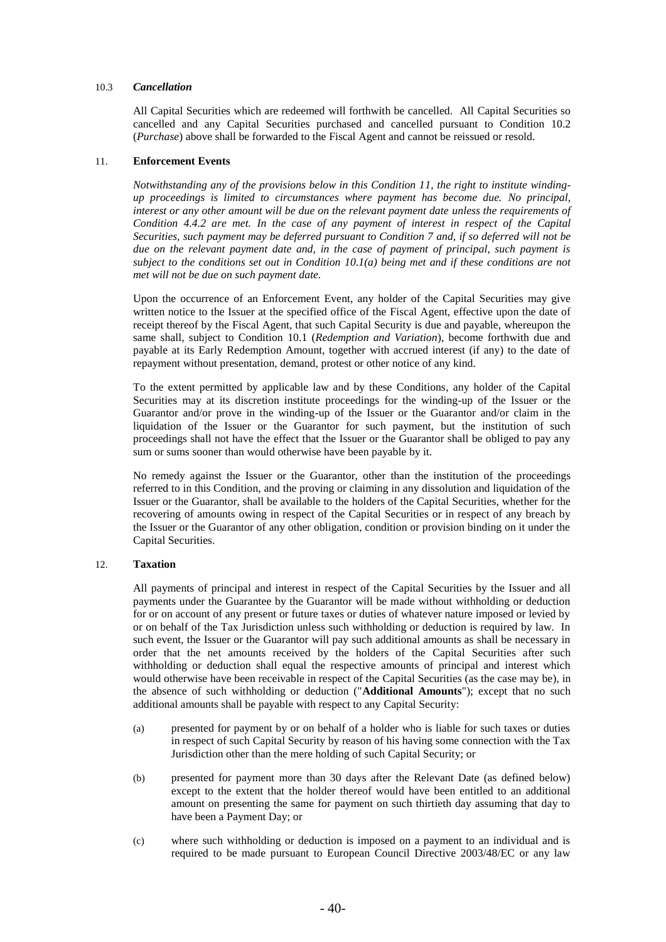### 10.3 *Cancellation*

All Capital Securities which are redeemed will forthwith be cancelled. All Capital Securities so cancelled and any Capital Securities purchased and cancelled pursuant to Condition [10.2](#page-47-1) (*Purchase*) above shall be forwarded to the Fiscal Agent and cannot be reissued or resold.

#### 11. **Enforcement Events**

*Notwithstanding any of the provisions below in this Condition 11, the right to institute windingup proceedings is limited to circumstances where payment has become due. No principal, interest or any other amount will be due on the relevant payment date unless the requirements of Condition 4.4.2 are met. In the case of any payment of interest in respect of the Capital Securities, such payment may be deferred pursuant to Condition 7 and, if so deferred will not be due on the relevant payment date and, in the case of payment of principal, such payment is subject to the conditions set out in Condition 10.1(a) being met and if these conditions are not met will not be due on such payment date.*

Upon the occurrence of an Enforcement Event, any holder of the Capital Securities may give written notice to the Issuer at the specified office of the Fiscal Agent, effective upon the date of receipt thereof by the Fiscal Agent, that such Capital Security is due and payable, whereupon the same shall, subject to Condition [10.1](#page-45-2) (*Redemption and Variation*), become forthwith due and payable at its Early Redemption Amount, together with accrued interest (if any) to the date of repayment without presentation, demand, protest or other notice of any kind.

To the extent permitted by applicable law and by these Conditions, any holder of the Capital Securities may at its discretion institute proceedings for the winding-up of the Issuer or the Guarantor and/or prove in the winding-up of the Issuer or the Guarantor and/or claim in the liquidation of the Issuer or the Guarantor for such payment, but the institution of such proceedings shall not have the effect that the Issuer or the Guarantor shall be obliged to pay any sum or sums sooner than would otherwise have been payable by it.

No remedy against the Issuer or the Guarantor, other than the institution of the proceedings referred to in this Condition, and the proving or claiming in any dissolution and liquidation of the Issuer or the Guarantor, shall be available to the holders of the Capital Securities, whether for the recovering of amounts owing in respect of the Capital Securities or in respect of any breach by the Issuer or the Guarantor of any other obligation, condition or provision binding on it under the Capital Securities.

#### <span id="page-48-0"></span>12. **Taxation**

All payments of principal and interest in respect of the Capital Securities by the Issuer and all payments under the Guarantee by the Guarantor will be made without withholding or deduction for or on account of any present or future taxes or duties of whatever nature imposed or levied by or on behalf of the Tax Jurisdiction unless such withholding or deduction is required by law. In such event, the Issuer or the Guarantor will pay such additional amounts as shall be necessary in order that the net amounts received by the holders of the Capital Securities after such withholding or deduction shall equal the respective amounts of principal and interest which would otherwise have been receivable in respect of the Capital Securities (as the case may be), in the absence of such withholding or deduction ("**Additional Amounts**"); except that no such additional amounts shall be payable with respect to any Capital Security:

- (a) presented for payment by or on behalf of a holder who is liable for such taxes or duties in respect of such Capital Security by reason of his having some connection with the Tax Jurisdiction other than the mere holding of such Capital Security; or
- (b) presented for payment more than 30 days after the Relevant Date (as defined below) except to the extent that the holder thereof would have been entitled to an additional amount on presenting the same for payment on such thirtieth day assuming that day to have been a Payment Day; or
- (c) where such withholding or deduction is imposed on a payment to an individual and is required to be made pursuant to European Council Directive 2003/48/EC or any law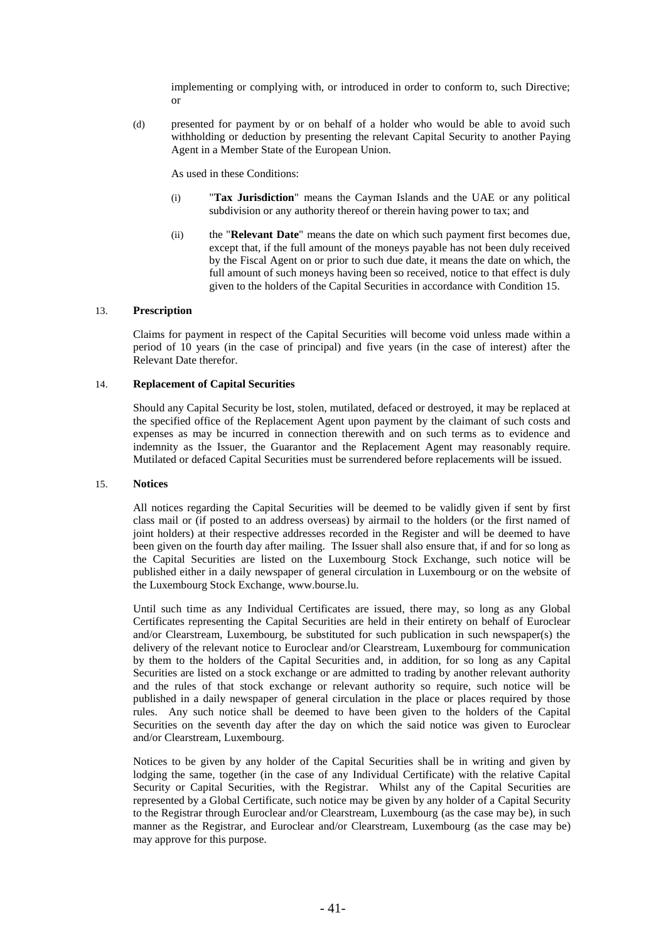implementing or complying with, or introduced in order to conform to, such Directive; or

(d) presented for payment by or on behalf of a holder who would be able to avoid such withholding or deduction by presenting the relevant Capital Security to another Paying Agent in a Member State of the European Union.

As used in these Conditions:

- (i) "**Tax Jurisdiction**" means the Cayman Islands and the UAE or any political subdivision or any authority thereof or therein having power to tax; and
- (ii) the "**Relevant Date**" means the date on which such payment first becomes due, except that, if the full amount of the moneys payable has not been duly received by the Fiscal Agent on or prior to such due date, it means the date on which, the full amount of such moneys having been so received, notice to that effect is duly given to the holders of the Capital Securities in accordance with Condition 15.

# <span id="page-49-1"></span>13. **Prescription**

Claims for payment in respect of the Capital Securities will become void unless made within a period of 10 years (in the case of principal) and five years (in the case of interest) after the Relevant Date therefor.

### 14. **Replacement of Capital Securities**

Should any Capital Security be lost, stolen, mutilated, defaced or destroyed, it may be replaced at the specified office of the Replacement Agent upon payment by the claimant of such costs and expenses as may be incurred in connection therewith and on such terms as to evidence and indemnity as the Issuer, the Guarantor and the Replacement Agent may reasonably require. Mutilated or defaced Capital Securities must be surrendered before replacements will be issued.

#### <span id="page-49-0"></span>15. **Notices**

All notices regarding the Capital Securities will be deemed to be validly given if sent by first class mail or (if posted to an address overseas) by airmail to the holders (or the first named of joint holders) at their respective addresses recorded in the Register and will be deemed to have been given on the fourth day after mailing. The Issuer shall also ensure that, if and for so long as the Capital Securities are listed on the Luxembourg Stock Exchange, such notice will be published either in a daily newspaper of general circulation in Luxembourg or on the website of the Luxembourg Stock Exchange, www.bourse.lu.

Until such time as any Individual Certificates are issued, there may, so long as any Global Certificates representing the Capital Securities are held in their entirety on behalf of Euroclear and/or Clearstream, Luxembourg, be substituted for such publication in such newspaper(s) the delivery of the relevant notice to Euroclear and/or Clearstream, Luxembourg for communication by them to the holders of the Capital Securities and, in addition, for so long as any Capital Securities are listed on a stock exchange or are admitted to trading by another relevant authority and the rules of that stock exchange or relevant authority so require, such notice will be published in a daily newspaper of general circulation in the place or places required by those rules. Any such notice shall be deemed to have been given to the holders of the Capital Securities on the seventh day after the day on which the said notice was given to Euroclear and/or Clearstream, Luxembourg.

Notices to be given by any holder of the Capital Securities shall be in writing and given by lodging the same, together (in the case of any Individual Certificate) with the relative Capital Security or Capital Securities, with the Registrar. Whilst any of the Capital Securities are represented by a Global Certificate, such notice may be given by any holder of a Capital Security to the Registrar through Euroclear and/or Clearstream, Luxembourg (as the case may be), in such manner as the Registrar, and Euroclear and/or Clearstream, Luxembourg (as the case may be) may approve for this purpose.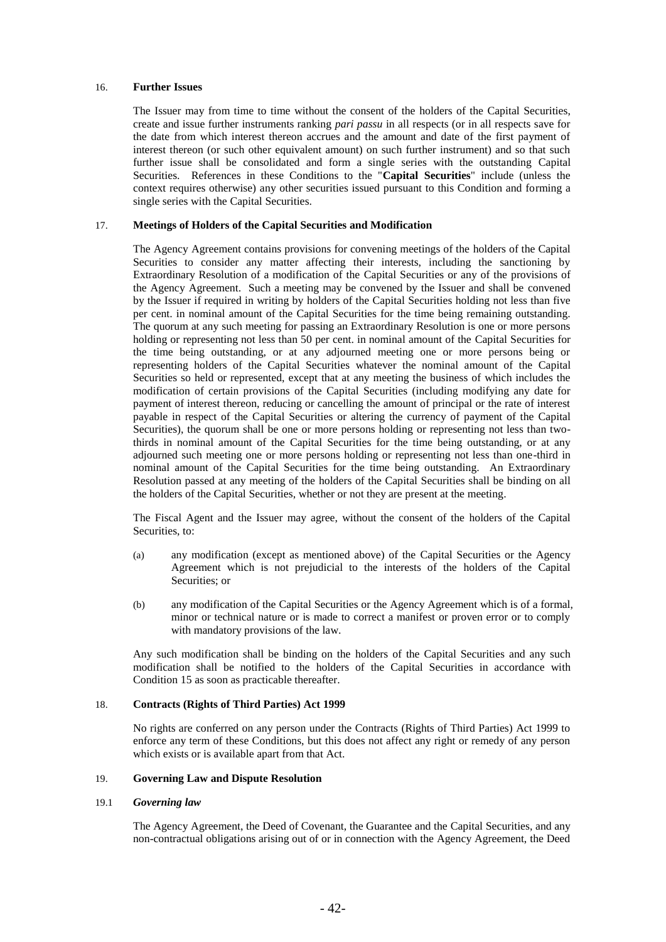### 16. **Further Issues**

The Issuer may from time to time without the consent of the holders of the Capital Securities, create and issue further instruments ranking *pari passu* in all respects (or in all respects save for the date from which interest thereon accrues and the amount and date of the first payment of interest thereon (or such other equivalent amount) on such further instrument) and so that such further issue shall be consolidated and form a single series with the outstanding Capital Securities. References in these Conditions to the "**Capital Securities**" include (unless the context requires otherwise) any other securities issued pursuant to this Condition and forming a single series with the Capital Securities.

### 17. **Meetings of Holders of the Capital Securities and Modification**

The Agency Agreement contains provisions for convening meetings of the holders of the Capital Securities to consider any matter affecting their interests, including the sanctioning by Extraordinary Resolution of a modification of the Capital Securities or any of the provisions of the Agency Agreement. Such a meeting may be convened by the Issuer and shall be convened by the Issuer if required in writing by holders of the Capital Securities holding not less than five per cent. in nominal amount of the Capital Securities for the time being remaining outstanding. The quorum at any such meeting for passing an Extraordinary Resolution is one or more persons holding or representing not less than 50 per cent. in nominal amount of the Capital Securities for the time being outstanding, or at any adjourned meeting one or more persons being or representing holders of the Capital Securities whatever the nominal amount of the Capital Securities so held or represented, except that at any meeting the business of which includes the modification of certain provisions of the Capital Securities (including modifying any date for payment of interest thereon, reducing or cancelling the amount of principal or the rate of interest payable in respect of the Capital Securities or altering the currency of payment of the Capital Securities), the quorum shall be one or more persons holding or representing not less than twothirds in nominal amount of the Capital Securities for the time being outstanding, or at any adjourned such meeting one or more persons holding or representing not less than one-third in nominal amount of the Capital Securities for the time being outstanding. An Extraordinary Resolution passed at any meeting of the holders of the Capital Securities shall be binding on all the holders of the Capital Securities, whether or not they are present at the meeting.

The Fiscal Agent and the Issuer may agree, without the consent of the holders of the Capital Securities, to:

- (a) any modification (except as mentioned above) of the Capital Securities or the Agency Agreement which is not prejudicial to the interests of the holders of the Capital Securities; or
- (b) any modification of the Capital Securities or the Agency Agreement which is of a formal, minor or technical nature or is made to correct a manifest or proven error or to comply with mandatory provisions of the law.

Any such modification shall be binding on the holders of the Capital Securities and any such modification shall be notified to the holders of the Capital Securities in accordance with Condition [15](#page-49-0) as soon as practicable thereafter.

#### 18. **Contracts (Rights of Third Parties) Act 1999**

No rights are conferred on any person under the Contracts (Rights of Third Parties) Act 1999 to enforce any term of these Conditions, but this does not affect any right or remedy of any person which exists or is available apart from that Act.

### 19. **Governing Law and Dispute Resolution**

#### 19.1 *Governing law*

The Agency Agreement, the Deed of Covenant, the Guarantee and the Capital Securities, and any non-contractual obligations arising out of or in connection with the Agency Agreement, the Deed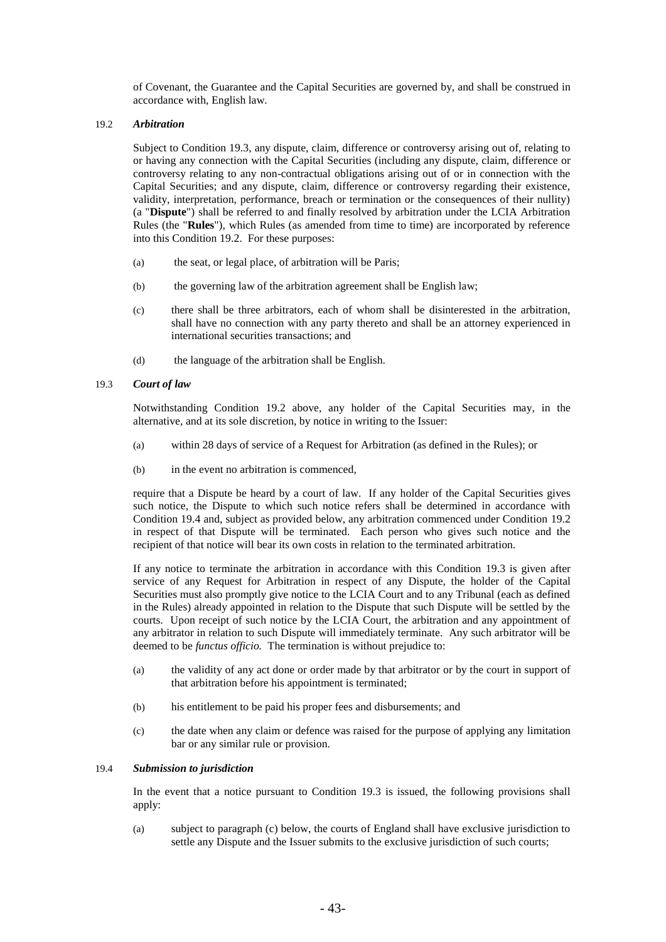of Covenant, the Guarantee and the Capital Securities are governed by, and shall be construed in accordance with, English law.

### <span id="page-51-1"></span>19.2 *Arbitration*

Subject to Condition [19.3,](#page-51-2) any dispute, claim, difference or controversy arising out of, relating to or having any connection with the Capital Securities (including any dispute, claim, difference or controversy relating to any non-contractual obligations arising out of or in connection with the Capital Securities; and any dispute, claim, difference or controversy regarding their existence, validity, interpretation, performance, breach or termination or the consequences of their nullity) (a "**Dispute**") shall be referred to and finally resolved by arbitration under the LCIA Arbitration Rules (the "**Rules**"), which Rules (as amended from time to time) are incorporated by reference into this Condition [19.2.](#page-51-1) For these purposes:

- (a) the seat, or legal place, of arbitration will be Paris;
- (b) the governing law of the arbitration agreement shall be English law;
- (c) there shall be three arbitrators, each of whom shall be disinterested in the arbitration, shall have no connection with any party thereto and shall be an attorney experienced in international securities transactions; and
- (d) the language of the arbitration shall be English.

### <span id="page-51-2"></span>19.3 *Court of law*

Notwithstanding Condition [19.2](#page-51-1) above, any holder of the Capital Securities may, in the alternative, and at its sole discretion, by notice in writing to the Issuer:

- (a) within 28 days of service of a Request for Arbitration (as defined in the Rules); or
- (b) in the event no arbitration is commenced,

require that a Dispute be heard by a court of law. If any holder of the Capital Securities gives such notice, the Dispute to which such notice refers shall be determined in accordance with Condition [19.4](#page-51-0) and, subject as provided below, any arbitration commenced under Condition [19.2](#page-51-1) in respect of that Dispute will be terminated. Each person who gives such notice and the recipient of that notice will bear its own costs in relation to the terminated arbitration.

If any notice to terminate the arbitration in accordance with this Condition [19.3](#page-51-2) is given after service of any Request for Arbitration in respect of any Dispute, the holder of the Capital Securities must also promptly give notice to the LCIA Court and to any Tribunal (each as defined in the Rules) already appointed in relation to the Dispute that such Dispute will be settled by the courts. Upon receipt of such notice by the LCIA Court, the arbitration and any appointment of any arbitrator in relation to such Dispute will immediately terminate. Any such arbitrator will be deemed to be *functus officio.* The termination is without prejudice to:

- (a) the validity of any act done or order made by that arbitrator or by the court in support of that arbitration before his appointment is terminated;
- (b) his entitlement to be paid his proper fees and disbursements; and
- (c) the date when any claim or defence was raised for the purpose of applying any limitation bar or any similar rule or provision.

#### <span id="page-51-0"></span>19.4 *Submission to jurisdiction*

In the event that a notice pursuant to Condition [19.3](#page-51-2) is issued, the following provisions shall apply:

(a) subject to paragraph (c) below, the courts of England shall have exclusive jurisdiction to settle any Dispute and the Issuer submits to the exclusive jurisdiction of such courts;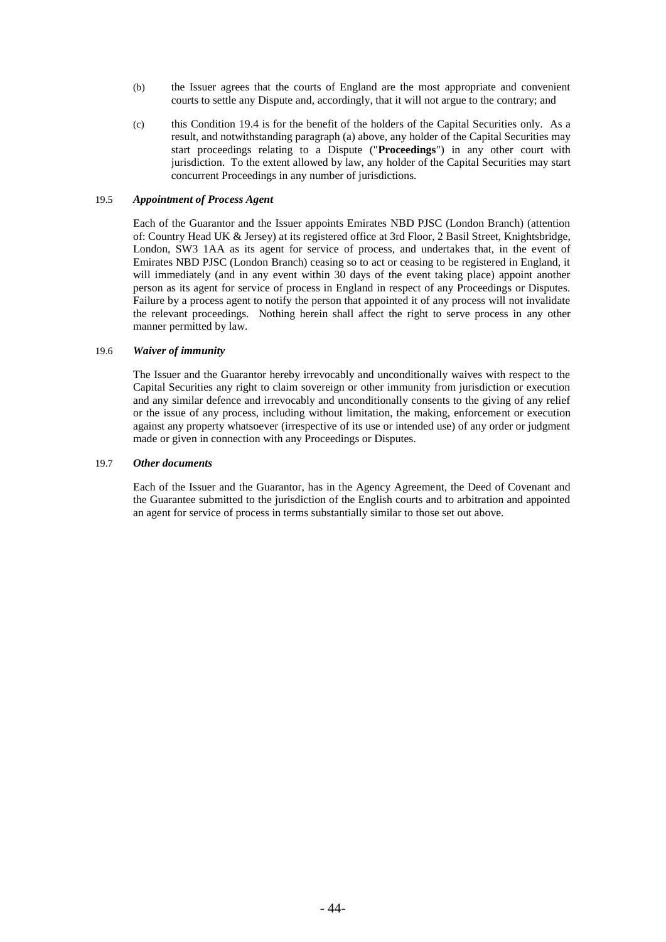- (b) the Issuer agrees that the courts of England are the most appropriate and convenient courts to settle any Dispute and, accordingly, that it will not argue to the contrary; and
- (c) this Condition [19.4](#page-51-0) is for the benefit of the holders of the Capital Securities only. As a result, and notwithstanding paragraph (a) above, any holder of the Capital Securities may start proceedings relating to a Dispute ("**Proceedings**") in any other court with jurisdiction. To the extent allowed by law, any holder of the Capital Securities may start concurrent Proceedings in any number of jurisdictions.

#### 19.5 *Appointment of Process Agent*

Each of the Guarantor and the Issuer appoints Emirates NBD PJSC (London Branch) (attention of: Country Head UK & Jersey) at its registered office at 3rd Floor, 2 Basil Street, Knightsbridge, London, SW3 1AA as its agent for service of process, and undertakes that, in the event of Emirates NBD PJSC (London Branch) ceasing so to act or ceasing to be registered in England, it will immediately (and in any event within 30 days of the event taking place) appoint another person as its agent for service of process in England in respect of any Proceedings or Disputes. Failure by a process agent to notify the person that appointed it of any process will not invalidate the relevant proceedings. Nothing herein shall affect the right to serve process in any other manner permitted by law.

# 19.6 *Waiver of immunity*

The Issuer and the Guarantor hereby irrevocably and unconditionally waives with respect to the Capital Securities any right to claim sovereign or other immunity from jurisdiction or execution and any similar defence and irrevocably and unconditionally consents to the giving of any relief or the issue of any process, including without limitation, the making, enforcement or execution against any property whatsoever (irrespective of its use or intended use) of any order or judgment made or given in connection with any Proceedings or Disputes.

### 19.7 *Other documents*

Each of the Issuer and the Guarantor, has in the Agency Agreement, the Deed of Covenant and the Guarantee submitted to the jurisdiction of the English courts and to arbitration and appointed an agent for service of process in terms substantially similar to those set out above.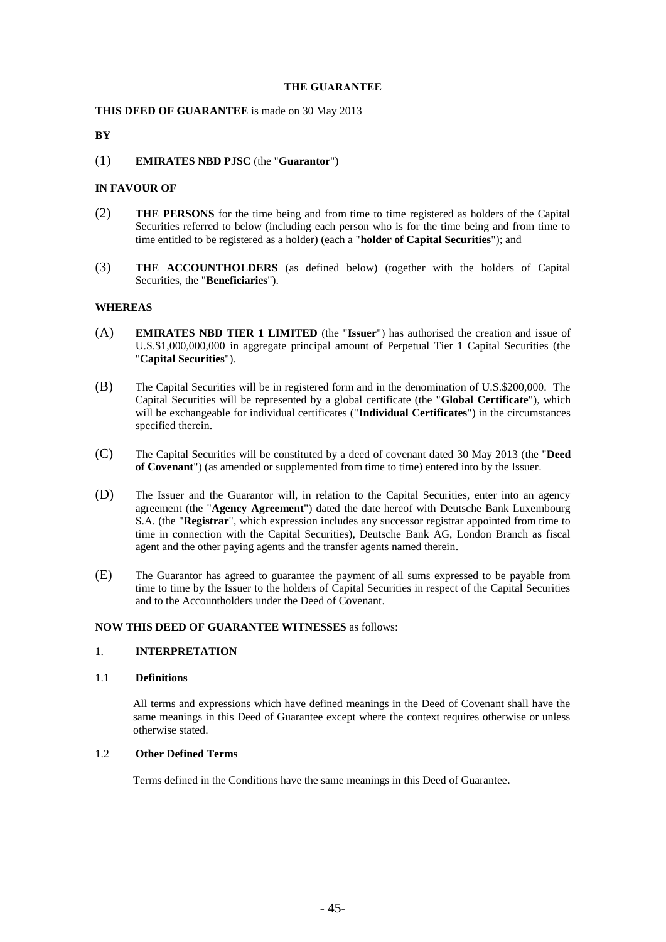## **THE GUARANTEE**

## **THIS DEED OF GUARANTEE** is made on 30 May 2013

# **BY**

# (1) **EMIRATES NBD PJSC** (the "**Guarantor**")

### **IN FAVOUR OF**

- (2) **THE PERSONS** for the time being and from time to time registered as holders of the Capital Securities referred to below (including each person who is for the time being and from time to time entitled to be registered as a holder) (each a "**holder of Capital Securities**"); and
- (3) **THE ACCOUNTHOLDERS** (as defined below) (together with the holders of Capital Securities, the "**Beneficiaries**").

### **WHEREAS**

- (A) **EMIRATES NBD TIER 1 LIMITED** (the "**Issuer**") has authorised the creation and issue of U.S.\$1,000,000,000 in aggregate principal amount of Perpetual Tier 1 Capital Securities (the "**Capital Securities**").
- (B) The Capital Securities will be in registered form and in the denomination of U.S.\$200,000. The Capital Securities will be represented by a global certificate (the "**Global Certificate**"), which will be exchangeable for individual certificates ("**Individual Certificates**") in the circumstances specified therein.
- (C) The Capital Securities will be constituted by a deed of covenant dated 30 May 2013 (the "**Deed of Covenant**") (as amended or supplemented from time to time) entered into by the Issuer.
- (D) The Issuer and the Guarantor will, in relation to the Capital Securities, enter into an agency agreement (the "**Agency Agreement**") dated the date hereof with Deutsche Bank Luxembourg S.A. (the "**Registrar**", which expression includes any successor registrar appointed from time to time in connection with the Capital Securities), Deutsche Bank AG, London Branch as fiscal agent and the other paying agents and the transfer agents named therein.
- (E) The Guarantor has agreed to guarantee the payment of all sums expressed to be payable from time to time by the Issuer to the holders of Capital Securities in respect of the Capital Securities and to the Accountholders under the Deed of Covenant.

### **NOW THIS DEED OF GUARANTEE WITNESSES** as follows:

### 1. **INTERPRETATION**

#### 1.1 **Definitions**

All terms and expressions which have defined meanings in the Deed of Covenant shall have the same meanings in this Deed of Guarantee except where the context requires otherwise or unless otherwise stated.

# 1.2 **Other Defined Terms**

Terms defined in the Conditions have the same meanings in this Deed of Guarantee.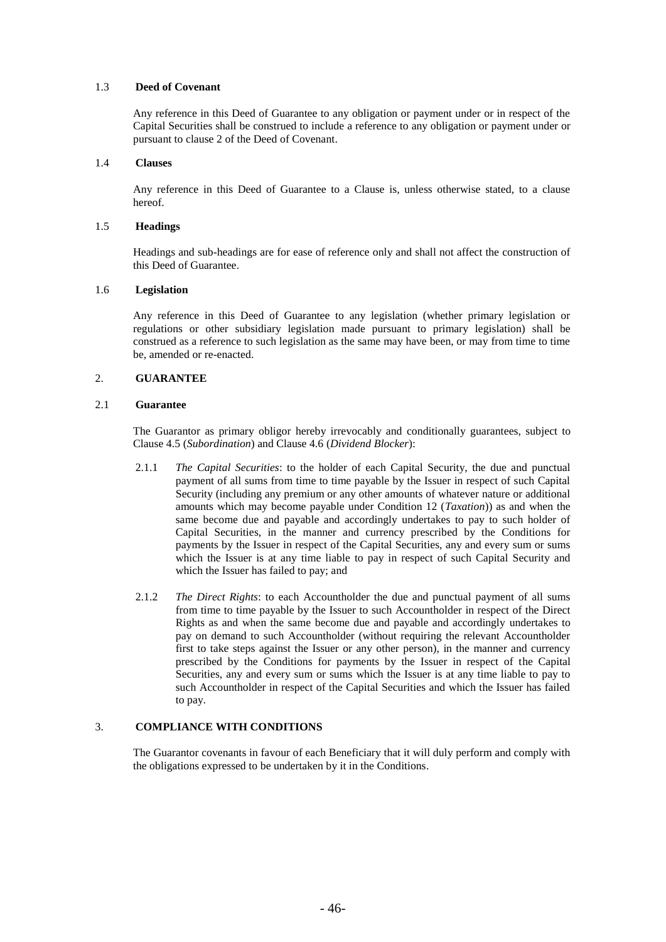# 1.3 **Deed of Covenant**

Any reference in this Deed of Guarantee to any obligation or payment under or in respect of the Capital Securities shall be construed to include a reference to any obligation or payment under or pursuant to clause 2 of the Deed of Covenant.

# 1.4 **Clauses**

Any reference in this Deed of Guarantee to a Clause is, unless otherwise stated, to a clause hereof.

# 1.5 **Headings**

Headings and sub-headings are for ease of reference only and shall not affect the construction of this Deed of Guarantee.

# 1.6 **Legislation**

Any reference in this Deed of Guarantee to any legislation (whether primary legislation or regulations or other subsidiary legislation made pursuant to primary legislation) shall be construed as a reference to such legislation as the same may have been, or may from time to time be, amended or re-enacted.

# 2. **GUARANTEE**

# 2.1 **Guarantee**

The Guarantor as primary obligor hereby irrevocably and conditionally guarantees, subject to Clause 4.5 (*Subordination*) and Clause 4.6 (*Dividend Blocker*):

- 2.1.1 *The Capital Securities*: to the holder of each Capital Security, the due and punctual payment of all sums from time to time payable by the Issuer in respect of such Capital Security (including any premium or any other amounts of whatever nature or additional amounts which may become payable under Condition 12 (*Taxation*)) as and when the same become due and payable and accordingly undertakes to pay to such holder of Capital Securities, in the manner and currency prescribed by the Conditions for payments by the Issuer in respect of the Capital Securities, any and every sum or sums which the Issuer is at any time liable to pay in respect of such Capital Security and which the Issuer has failed to pay; and
- 2.1.2 *The Direct Rights*: to each Accountholder the due and punctual payment of all sums from time to time payable by the Issuer to such Accountholder in respect of the Direct Rights as and when the same become due and payable and accordingly undertakes to pay on demand to such Accountholder (without requiring the relevant Accountholder first to take steps against the Issuer or any other person), in the manner and currency prescribed by the Conditions for payments by the Issuer in respect of the Capital Securities, any and every sum or sums which the Issuer is at any time liable to pay to such Accountholder in respect of the Capital Securities and which the Issuer has failed to pay.

# 3. **COMPLIANCE WITH CONDITIONS**

The Guarantor covenants in favour of each Beneficiary that it will duly perform and comply with the obligations expressed to be undertaken by it in the Conditions.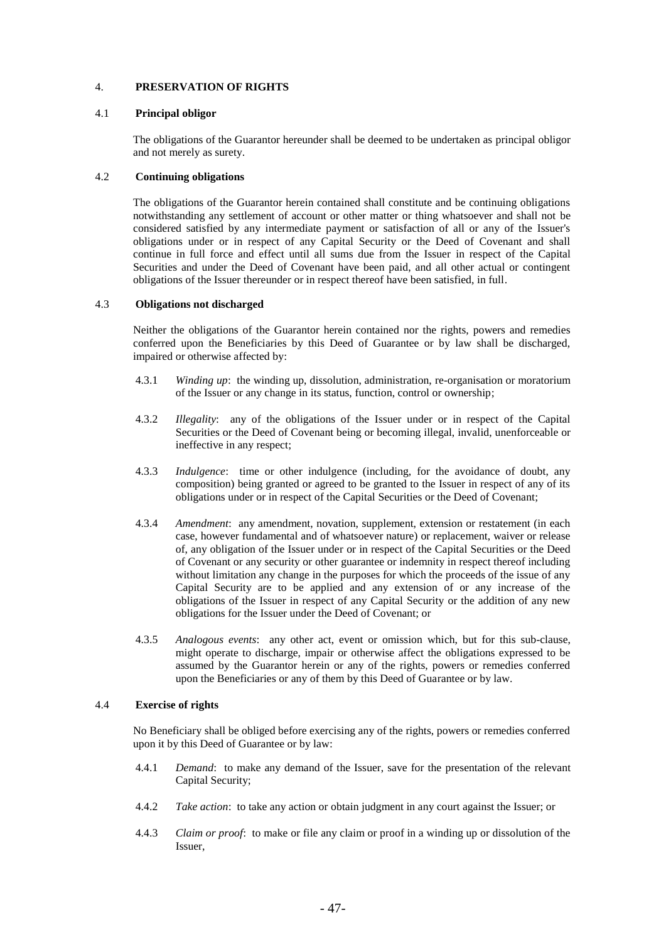# 4. **PRESERVATION OF RIGHTS**

### 4.1 **Principal obligor**

The obligations of the Guarantor hereunder shall be deemed to be undertaken as principal obligor and not merely as surety.

### 4.2 **Continuing obligations**

The obligations of the Guarantor herein contained shall constitute and be continuing obligations notwithstanding any settlement of account or other matter or thing whatsoever and shall not be considered satisfied by any intermediate payment or satisfaction of all or any of the Issuer's obligations under or in respect of any Capital Security or the Deed of Covenant and shall continue in full force and effect until all sums due from the Issuer in respect of the Capital Securities and under the Deed of Covenant have been paid, and all other actual or contingent obligations of the Issuer thereunder or in respect thereof have been satisfied, in full.

### 4.3 **Obligations not discharged**

Neither the obligations of the Guarantor herein contained nor the rights, powers and remedies conferred upon the Beneficiaries by this Deed of Guarantee or by law shall be discharged, impaired or otherwise affected by:

- 4.3.1 *Winding up*: the winding up, dissolution, administration, re-organisation or moratorium of the Issuer or any change in its status, function, control or ownership;
- 4.3.2 *Illegality*: any of the obligations of the Issuer under or in respect of the Capital Securities or the Deed of Covenant being or becoming illegal, invalid, unenforceable or ineffective in any respect;
- 4.3.3 *Indulgence*: time or other indulgence (including, for the avoidance of doubt, any composition) being granted or agreed to be granted to the Issuer in respect of any of its obligations under or in respect of the Capital Securities or the Deed of Covenant;
- 4.3.4 *Amendment*: any amendment, novation, supplement, extension or restatement (in each case, however fundamental and of whatsoever nature) or replacement, waiver or release of, any obligation of the Issuer under or in respect of the Capital Securities or the Deed of Covenant or any security or other guarantee or indemnity in respect thereof including without limitation any change in the purposes for which the proceeds of the issue of any Capital Security are to be applied and any extension of or any increase of the obligations of the Issuer in respect of any Capital Security or the addition of any new obligations for the Issuer under the Deed of Covenant; or
- 4.3.5 *Analogous events*: any other act, event or omission which, but for this sub-clause, might operate to discharge, impair or otherwise affect the obligations expressed to be assumed by the Guarantor herein or any of the rights, powers or remedies conferred upon the Beneficiaries or any of them by this Deed of Guarantee or by law.

# 4.4 **Exercise of rights**

No Beneficiary shall be obliged before exercising any of the rights, powers or remedies conferred upon it by this Deed of Guarantee or by law:

- 4.4.1 *Demand*: to make any demand of the Issuer, save for the presentation of the relevant Capital Security;
- 4.4.2 *Take action*: to take any action or obtain judgment in any court against the Issuer; or
- 4.4.3 *Claim or proof*: to make or file any claim or proof in a winding up or dissolution of the Issuer,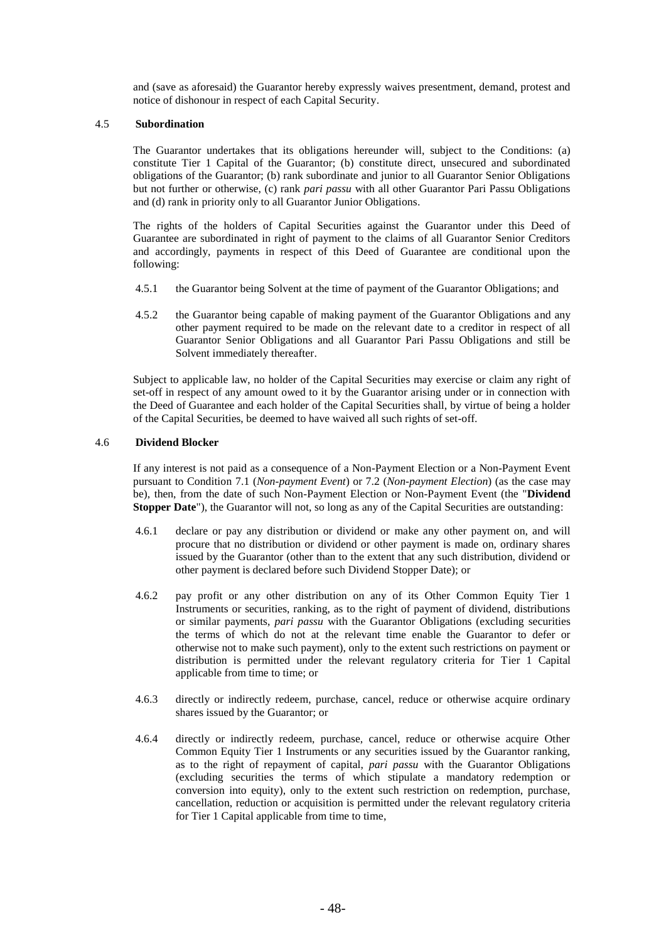and (save as aforesaid) the Guarantor hereby expressly waives presentment, demand, protest and notice of dishonour in respect of each Capital Security.

### 4.5 **Subordination**

The Guarantor undertakes that its obligations hereunder will, subject to the Conditions: (a) constitute Tier 1 Capital of the Guarantor; (b) constitute direct, unsecured and subordinated obligations of the Guarantor; (b) rank subordinate and junior to all Guarantor Senior Obligations but not further or otherwise, (c) rank *pari passu* with all other Guarantor Pari Passu Obligations and (d) rank in priority only to all Guarantor Junior Obligations.

The rights of the holders of Capital Securities against the Guarantor under this Deed of Guarantee are subordinated in right of payment to the claims of all Guarantor Senior Creditors and accordingly, payments in respect of this Deed of Guarantee are conditional upon the following:

- 4.5.1 the Guarantor being Solvent at the time of payment of the Guarantor Obligations; and
- 4.5.2 the Guarantor being capable of making payment of the Guarantor Obligations and any other payment required to be made on the relevant date to a creditor in respect of all Guarantor Senior Obligations and all Guarantor Pari Passu Obligations and still be Solvent immediately thereafter.

Subject to applicable law, no holder of the Capital Securities may exercise or claim any right of set-off in respect of any amount owed to it by the Guarantor arising under or in connection with the Deed of Guarantee and each holder of the Capital Securities shall, by virtue of being a holder of the Capital Securities, be deemed to have waived all such rights of set-off.

### 4.6 **Dividend Blocker**

If any interest is not paid as a consequence of a Non-Payment Election or a Non-Payment Event pursuant to Condition 7.1 (*Non-payment Event*) or 7.2 (*Non-payment Election*) (as the case may be), then, from the date of such Non-Payment Election or Non-Payment Event (the "**Dividend Stopper Date**"), the Guarantor will not, so long as any of the Capital Securities are outstanding:

- 4.6.1 declare or pay any distribution or dividend or make any other payment on, and will procure that no distribution or dividend or other payment is made on, ordinary shares issued by the Guarantor (other than to the extent that any such distribution, dividend or other payment is declared before such Dividend Stopper Date); or
- 4.6.2 pay profit or any other distribution on any of its Other Common Equity Tier 1 Instruments or securities, ranking, as to the right of payment of dividend, distributions or similar payments, *pari passu* with the Guarantor Obligations (excluding securities the terms of which do not at the relevant time enable the Guarantor to defer or otherwise not to make such payment), only to the extent such restrictions on payment or distribution is permitted under the relevant regulatory criteria for Tier 1 Capital applicable from time to time; or
- 4.6.3 directly or indirectly redeem, purchase, cancel, reduce or otherwise acquire ordinary shares issued by the Guarantor; or
- 4.6.4 directly or indirectly redeem, purchase, cancel, reduce or otherwise acquire Other Common Equity Tier 1 Instruments or any securities issued by the Guarantor ranking, as to the right of repayment of capital, *pari passu* with the Guarantor Obligations (excluding securities the terms of which stipulate a mandatory redemption or conversion into equity), only to the extent such restriction on redemption, purchase, cancellation, reduction or acquisition is permitted under the relevant regulatory criteria for Tier 1 Capital applicable from time to time,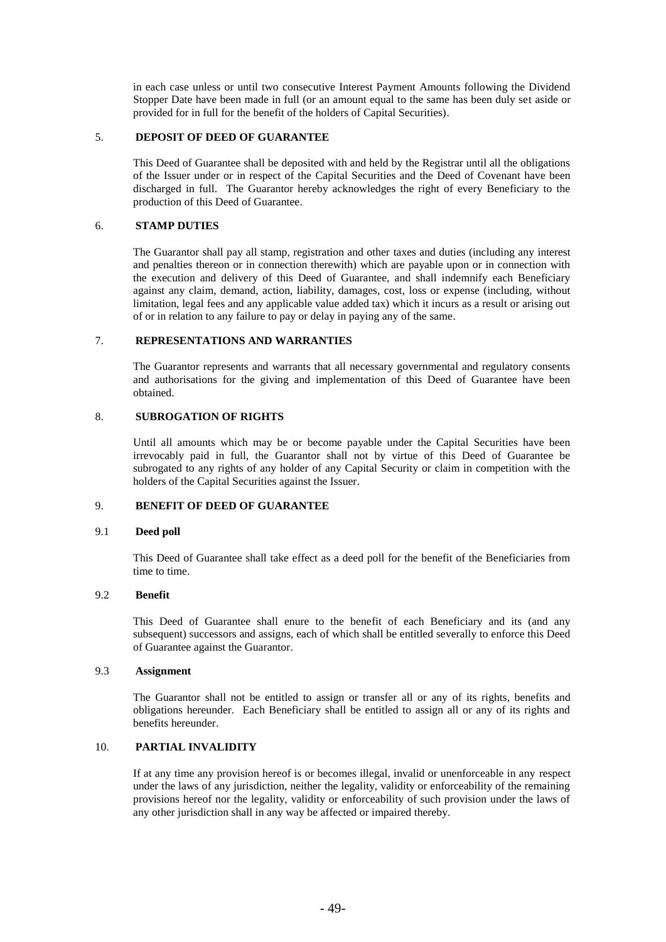in each case unless or until two consecutive Interest Payment Amounts following the Dividend Stopper Date have been made in full (or an amount equal to the same has been duly set aside or provided for in full for the benefit of the holders of Capital Securities).

## 5. **DEPOSIT OF DEED OF GUARANTEE**

This Deed of Guarantee shall be deposited with and held by the Registrar until all the obligations of the Issuer under or in respect of the Capital Securities and the Deed of Covenant have been discharged in full. The Guarantor hereby acknowledges the right of every Beneficiary to the production of this Deed of Guarantee.

### 6. **STAMP DUTIES**

The Guarantor shall pay all stamp, registration and other taxes and duties (including any interest and penalties thereon or in connection therewith) which are payable upon or in connection with the execution and delivery of this Deed of Guarantee, and shall indemnify each Beneficiary against any claim, demand, action, liability, damages, cost, loss or expense (including, without limitation, legal fees and any applicable value added tax) which it incurs as a result or arising out of or in relation to any failure to pay or delay in paying any of the same.

# 7. **REPRESENTATIONS AND WARRANTIES**

The Guarantor represents and warrants that all necessary governmental and regulatory consents and authorisations for the giving and implementation of this Deed of Guarantee have been obtained.

# 8. **SUBROGATION OF RIGHTS**

Until all amounts which may be or become payable under the Capital Securities have been irrevocably paid in full, the Guarantor shall not by virtue of this Deed of Guarantee be subrogated to any rights of any holder of any Capital Security or claim in competition with the holders of the Capital Securities against the Issuer.

# 9. **BENEFIT OF DEED OF GUARANTEE**

# 9.1 **Deed poll**

This Deed of Guarantee shall take effect as a deed poll for the benefit of the Beneficiaries from time to time.

# 9.2 **Benefit**

This Deed of Guarantee shall enure to the benefit of each Beneficiary and its (and any subsequent) successors and assigns, each of which shall be entitled severally to enforce this Deed of Guarantee against the Guarantor.

### 9.3 **Assignment**

The Guarantor shall not be entitled to assign or transfer all or any of its rights, benefits and obligations hereunder. Each Beneficiary shall be entitled to assign all or any of its rights and benefits hereunder.

# 10. **PARTIAL INVALIDITY**

If at any time any provision hereof is or becomes illegal, invalid or unenforceable in any respect under the laws of any jurisdiction, neither the legality, validity or enforceability of the remaining provisions hereof nor the legality, validity or enforceability of such provision under the laws of any other jurisdiction shall in any way be affected or impaired thereby.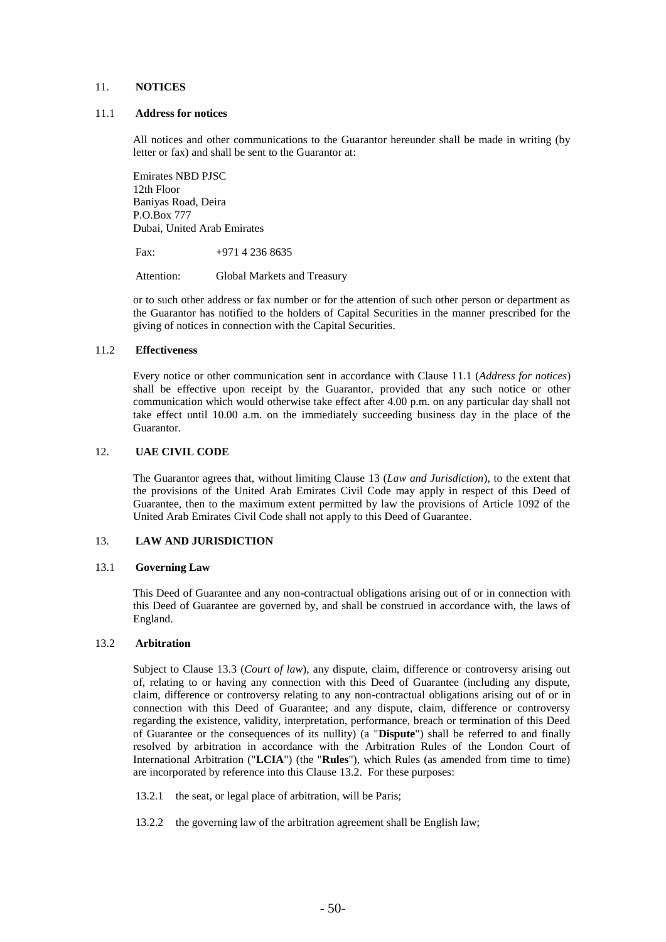# 11. **NOTICES**

#### 11.1 **Address for notices**

All notices and other communications to the Guarantor hereunder shall be made in writing (by letter or fax) and shall be sent to the Guarantor at:

Emirates NBD PJSC 12th Floor Baniyas Road, Deira P.O.Box 777 Dubai, United Arab Emirates

Fax:  $+971\,4\,236\,8635$ 

Attention: Global Markets and Treasury

or to such other address or fax number or for the attention of such other person or department as the Guarantor has notified to the holders of Capital Securities in the manner prescribed for the giving of notices in connection with the Capital Securities.

# 11.2 **Effectiveness**

Every notice or other communication sent in accordance with Clause 11.1 (*Address for notices*) shall be effective upon receipt by the Guarantor, provided that any such notice or other communication which would otherwise take effect after 4.00 p.m. on any particular day shall not take effect until 10.00 a.m. on the immediately succeeding business day in the place of the Guarantor.

#### 12. **UAE CIVIL CODE**

The Guarantor agrees that, without limiting Clause 13 (*Law and Jurisdiction*), to the extent that the provisions of the United Arab Emirates Civil Code may apply in respect of this Deed of Guarantee, then to the maximum extent permitted by law the provisions of Article 1092 of the United Arab Emirates Civil Code shall not apply to this Deed of Guarantee.

### 13. **LAW AND JURISDICTION**

#### 13.1 **Governing Law**

This Deed of Guarantee and any non-contractual obligations arising out of or in connection with this Deed of Guarantee are governed by, and shall be construed in accordance with, the laws of England.

### <span id="page-58-0"></span>13.2 **Arbitration**

Subject to Clause [13.3](#page-59-0) (*Court of law*), any dispute, claim, difference or controversy arising out of, relating to or having any connection with this Deed of Guarantee (including any dispute, claim, difference or controversy relating to any non-contractual obligations arising out of or in connection with this Deed of Guarantee; and any dispute, claim, difference or controversy regarding the existence, validity, interpretation, performance, breach or termination of this Deed of Guarantee or the consequences of its nullity) (a "**Dispute**") shall be referred to and finally resolved by arbitration in accordance with the Arbitration Rules of the London Court of International Arbitration ("**LCIA**") (the "**Rules**"), which Rules (as amended from time to time) are incorporated by reference into this Clause [13.2.](#page-58-0) For these purposes:

- 13.2.1 the seat, or legal place of arbitration, will be Paris;
- 13.2.2 the governing law of the arbitration agreement shall be English law;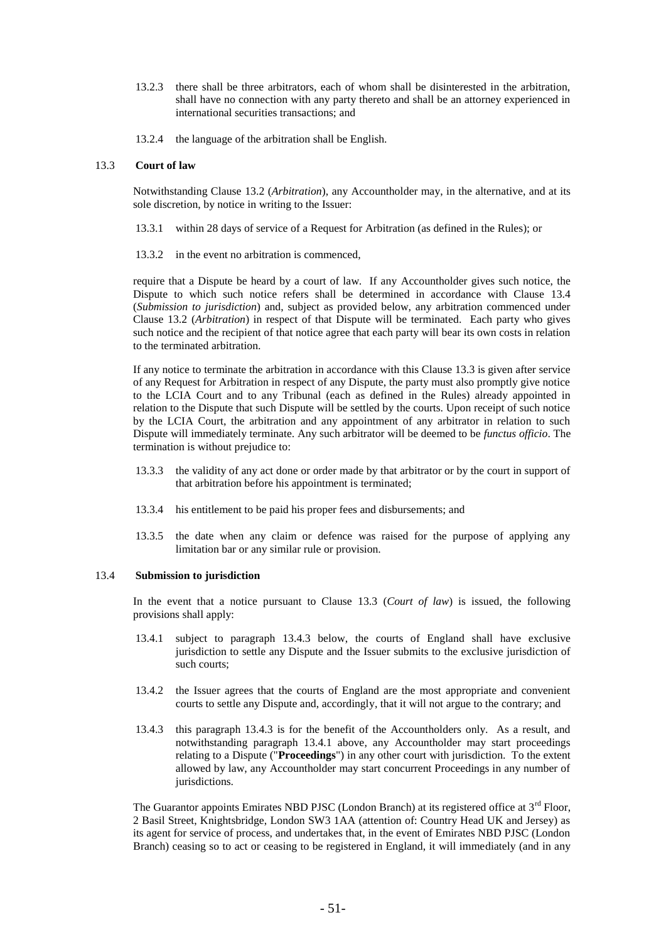- 13.2.3 there shall be three arbitrators, each of whom shall be disinterested in the arbitration, shall have no connection with any party thereto and shall be an attorney experienced in international securities transactions; and
- 13.2.4 the language of the arbitration shall be English.

### <span id="page-59-0"></span>13.3 **Court of law**

Notwithstanding Clause [13.2](#page-58-0) (*Arbitration*), any Accountholder may, in the alternative, and at its sole discretion, by notice in writing to the Issuer:

- 13.3.1 within 28 days of service of a Request for Arbitration (as defined in the Rules); or
- 13.3.2 in the event no arbitration is commenced,

require that a Dispute be heard by a court of law. If any Accountholder gives such notice, the Dispute to which such notice refers shall be determined in accordance with Clause [13.4](#page-59-1) (*Submission to jurisdiction*) and, subject as provided below, any arbitration commenced under Clause [13.2](#page-58-0) (*Arbitration*) in respect of that Dispute will be terminated. Each party who gives such notice and the recipient of that notice agree that each party will bear its own costs in relation to the terminated arbitration.

If any notice to terminate the arbitration in accordance with this Clause [13.3](#page-59-0) is given after service of any Request for Arbitration in respect of any Dispute, the party must also promptly give notice to the LCIA Court and to any Tribunal (each as defined in the Rules) already appointed in relation to the Dispute that such Dispute will be settled by the courts. Upon receipt of such notice by the LCIA Court, the arbitration and any appointment of any arbitrator in relation to such Dispute will immediately terminate. Any such arbitrator will be deemed to be *functus officio*. The termination is without prejudice to:

- 13.3.3 the validity of any act done or order made by that arbitrator or by the court in support of that arbitration before his appointment is terminated;
- 13.3.4 his entitlement to be paid his proper fees and disbursements; and
- 13.3.5 the date when any claim or defence was raised for the purpose of applying any limitation bar or any similar rule or provision.

#### <span id="page-59-1"></span>13.4 **Submission to jurisdiction**

In the event that a notice pursuant to Clause [13.3](#page-59-0) (*Court of law*) is issued, the following provisions shall apply:

- 13.4.1 subject to paragraph 13.4.3 below, the courts of England shall have exclusive jurisdiction to settle any Dispute and the Issuer submits to the exclusive jurisdiction of such courts;
- 13.4.2 the Issuer agrees that the courts of England are the most appropriate and convenient courts to settle any Dispute and, accordingly, that it will not argue to the contrary; and
- 13.4.3 this paragraph 13.4.3 is for the benefit of the Accountholders only. As a result, and notwithstanding paragraph 13.4.1 above, any Accountholder may start proceedings relating to a Dispute ("**Proceedings**") in any other court with jurisdiction. To the extent allowed by law, any Accountholder may start concurrent Proceedings in any number of jurisdictions.

The Guarantor appoints Emirates NBD PJSC (London Branch) at its registered office at  $3<sup>rd</sup>$  Floor, 2 Basil Street, Knightsbridge, London SW3 1AA (attention of: Country Head UK and Jersey) as its agent for service of process, and undertakes that, in the event of Emirates NBD PJSC (London Branch) ceasing so to act or ceasing to be registered in England, it will immediately (and in any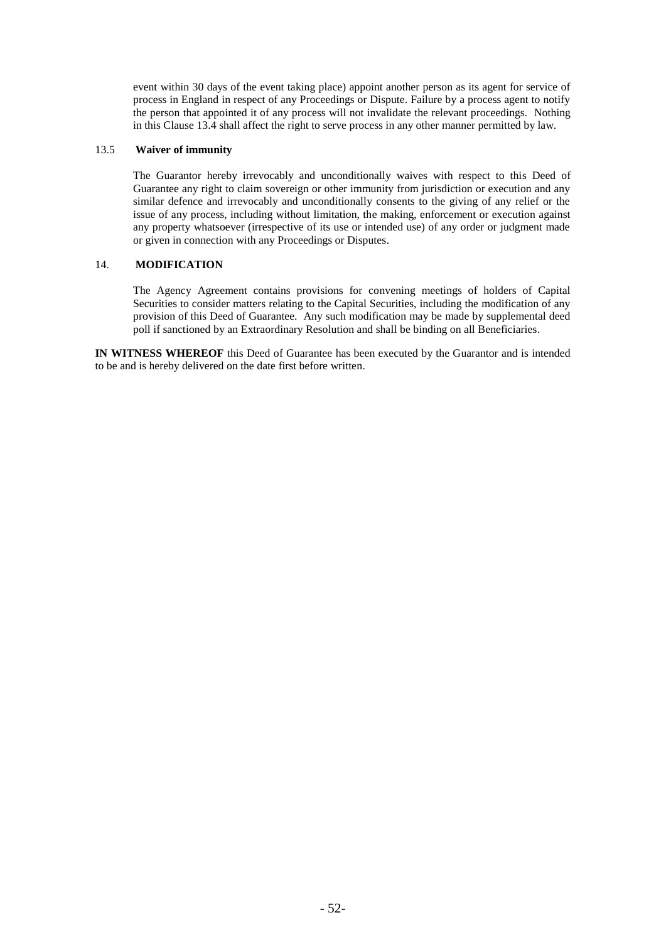event within 30 days of the event taking place) appoint another person as its agent for service of process in England in respect of any Proceedings or Dispute. Failure by a process agent to notify the person that appointed it of any process will not invalidate the relevant proceedings. Nothing in this Clause 13.4 shall affect the right to serve process in any other manner permitted by law.

### 13.5 **Waiver of immunity**

The Guarantor hereby irrevocably and unconditionally waives with respect to this Deed of Guarantee any right to claim sovereign or other immunity from jurisdiction or execution and any similar defence and irrevocably and unconditionally consents to the giving of any relief or the issue of any process, including without limitation, the making, enforcement or execution against any property whatsoever (irrespective of its use or intended use) of any order or judgment made or given in connection with any Proceedings or Disputes.

# 14. **MODIFICATION**

The Agency Agreement contains provisions for convening meetings of holders of Capital Securities to consider matters relating to the Capital Securities, including the modification of any provision of this Deed of Guarantee. Any such modification may be made by supplemental deed poll if sanctioned by an Extraordinary Resolution and shall be binding on all Beneficiaries.

**IN WITNESS WHEREOF** this Deed of Guarantee has been executed by the Guarantor and is intended to be and is hereby delivered on the date first before written.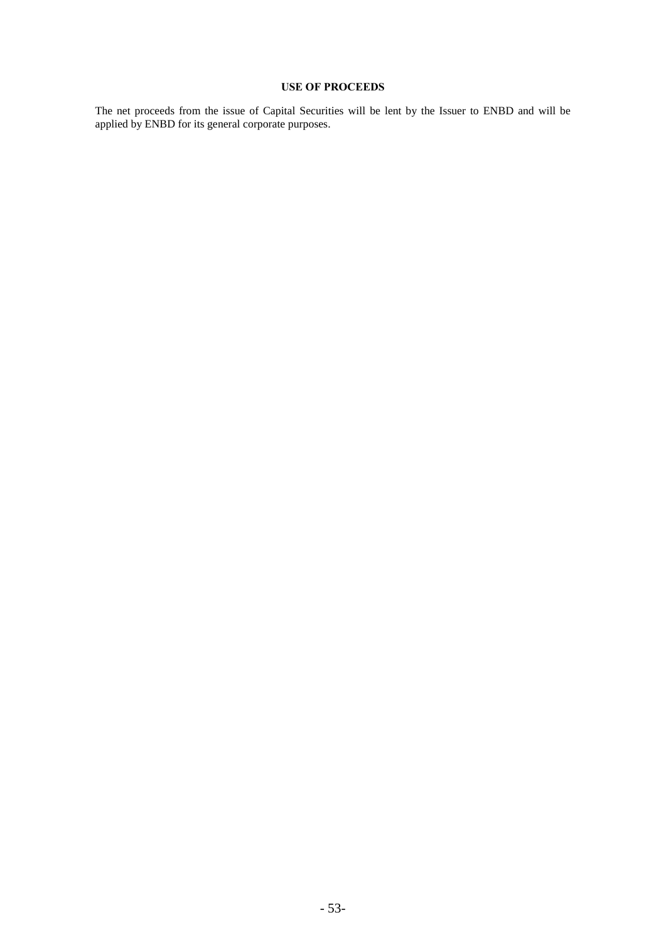# **USE OF PROCEEDS**

The net proceeds from the issue of Capital Securities will be lent by the Issuer to ENBD and will be applied by ENBD for its general corporate purposes.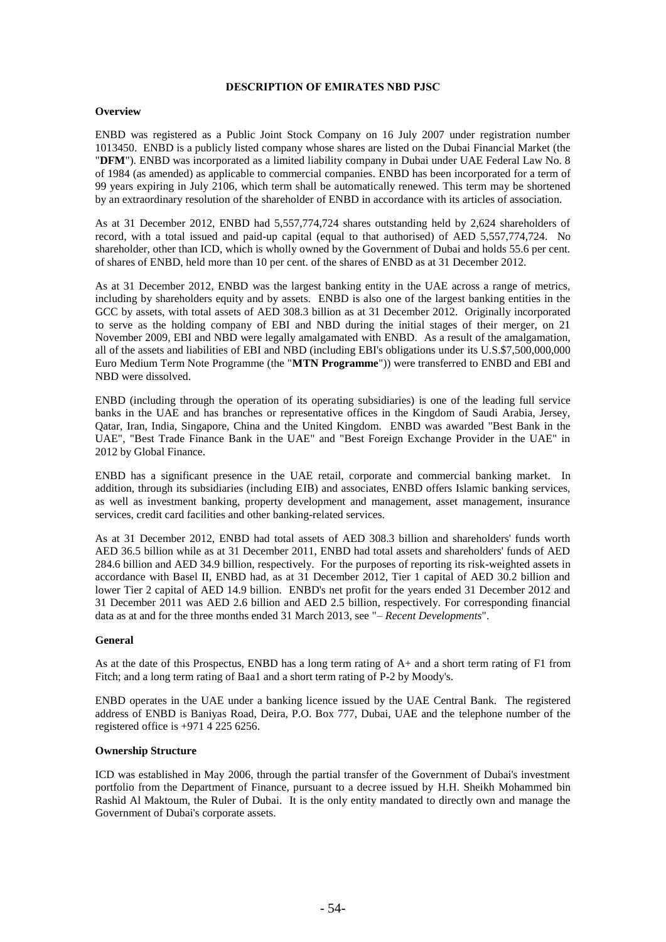### **DESCRIPTION OF EMIRATES NBD PJSC**

### **Overview**

ENBD was registered as a Public Joint Stock Company on 16 July 2007 under registration number 1013450. ENBD is a publicly listed company whose shares are listed on the Dubai Financial Market (the "**DFM**"). ENBD was incorporated as a limited liability company in Dubai under UAE Federal Law No. 8 of 1984 (as amended) as applicable to commercial companies. ENBD has been incorporated for a term of 99 years expiring in July 2106, which term shall be automatically renewed. This term may be shortened by an extraordinary resolution of the shareholder of ENBD in accordance with its articles of association.

As at 31 December 2012, ENBD had 5,557,774,724 shares outstanding held by 2,624 shareholders of record, with a total issued and paid-up capital (equal to that authorised) of AED 5,557,774,724. No shareholder, other than ICD, which is wholly owned by the Government of Dubai and holds 55.6 per cent. of shares of ENBD, held more than 10 per cent. of the shares of ENBD as at 31 December 2012.

As at 31 December 2012, ENBD was the largest banking entity in the UAE across a range of metrics, including by shareholders equity and by assets. ENBD is also one of the largest banking entities in the GCC by assets, with total assets of AED 308.3 billion as at 31 December 2012. Originally incorporated to serve as the holding company of EBI and NBD during the initial stages of their merger, on 21 November 2009, EBI and NBD were legally amalgamated with ENBD. As a result of the amalgamation, all of the assets and liabilities of EBI and NBD (including EBI's obligations under its U.S.\$7,500,000,000 Euro Medium Term Note Programme (the "**MTN Programme**")) were transferred to ENBD and EBI and NBD were dissolved.

ENBD (including through the operation of its operating subsidiaries) is one of the leading full service banks in the UAE and has branches or representative offices in the Kingdom of Saudi Arabia, Jersey, Qatar, Iran, India, Singapore, China and the United Kingdom. ENBD was awarded "Best Bank in the UAE", "Best Trade Finance Bank in the UAE" and "Best Foreign Exchange Provider in the UAE" in 2012 by Global Finance.

ENBD has a significant presence in the UAE retail, corporate and commercial banking market. In addition, through its subsidiaries (including EIB) and associates, ENBD offers Islamic banking services, as well as investment banking, property development and management, asset management, insurance services, credit card facilities and other banking-related services.

As at 31 December 2012, ENBD had total assets of AED 308.3 billion and shareholders' funds worth AED 36.5 billion while as at 31 December 2011, ENBD had total assets and shareholders' funds of AED 284.6 billion and AED 34.9 billion, respectively. For the purposes of reporting its risk-weighted assets in accordance with Basel II, ENBD had, as at 31 December 2012, Tier 1 capital of AED 30.2 billion and lower Tier 2 capital of AED 14.9 billion. ENBD's net profit for the years ended 31 December 2012 and 31 December 2011 was AED 2.6 billion and AED 2.5 billion, respectively. For corresponding financial data as at and for the three months ended 31 March 2013, see "– *Recent Developments*".

# **General**

As at the date of this Prospectus, ENBD has a long term rating of A+ and a short term rating of F1 from Fitch; and a long term rating of Baa1 and a short term rating of P-2 by Moody's.

ENBD operates in the UAE under a banking licence issued by the UAE Central Bank. The registered address of ENBD is Baniyas Road, Deira, P.O. Box 777, Dubai, UAE and the telephone number of the registered office is +971 4 225 6256.

### **Ownership Structure**

ICD was established in May 2006, through the partial transfer of the Government of Dubai's investment portfolio from the Department of Finance, pursuant to a decree issued by H.H. Sheikh Mohammed bin Rashid Al Maktoum, the Ruler of Dubai. It is the only entity mandated to directly own and manage the Government of Dubai's corporate assets.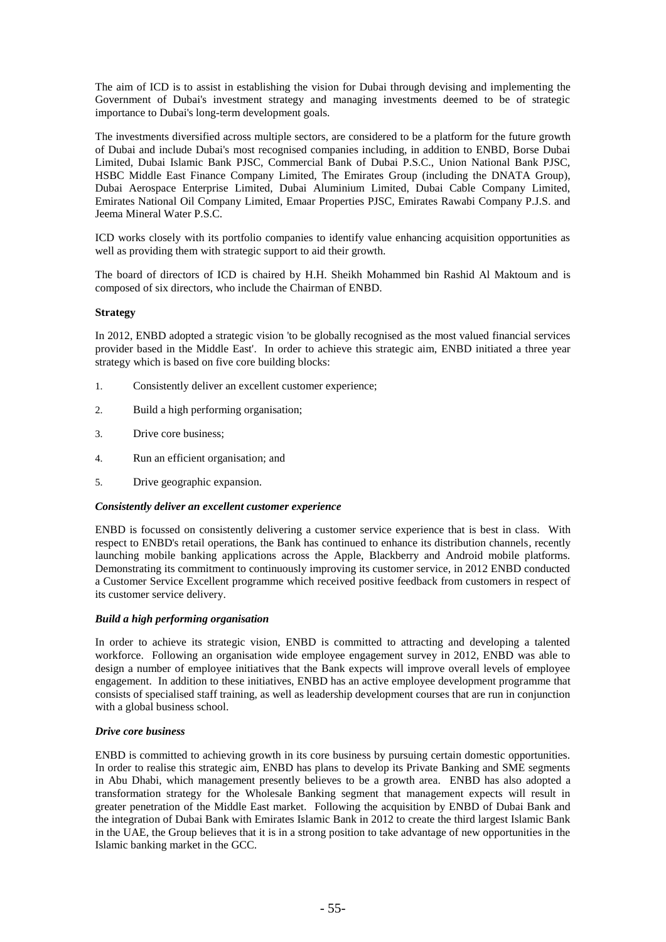The aim of ICD is to assist in establishing the vision for Dubai through devising and implementing the Government of Dubai's investment strategy and managing investments deemed to be of strategic importance to Dubai's long-term development goals.

The investments diversified across multiple sectors, are considered to be a platform for the future growth of Dubai and include Dubai's most recognised companies including, in addition to ENBD, Borse Dubai Limited, Dubai Islamic Bank PJSC, Commercial Bank of Dubai P.S.C., Union National Bank PJSC, HSBC Middle East Finance Company Limited, The Emirates Group (including the DNATA Group), Dubai Aerospace Enterprise Limited, Dubai Aluminium Limited, Dubai Cable Company Limited, Emirates National Oil Company Limited, Emaar Properties PJSC, Emirates Rawabi Company P.J.S. and Jeema Mineral Water P.S.C.

ICD works closely with its portfolio companies to identify value enhancing acquisition opportunities as well as providing them with strategic support to aid their growth.

The board of directors of ICD is chaired by H.H. Sheikh Mohammed bin Rashid Al Maktoum and is composed of six directors, who include the Chairman of ENBD.

# **Strategy**

In 2012, ENBD adopted a strategic vision 'to be globally recognised as the most valued financial services provider based in the Middle East'. In order to achieve this strategic aim, ENBD initiated a three year strategy which is based on five core building blocks:

- 1. Consistently deliver an excellent customer experience;
- 2. Build a high performing organisation;
- 3. Drive core business;
- 4. Run an efficient organisation; and
- 5. Drive geographic expansion.

# *Consistently deliver an excellent customer experience*

ENBD is focussed on consistently delivering a customer service experience that is best in class. With respect to ENBD's retail operations, the Bank has continued to enhance its distribution channels, recently launching mobile banking applications across the Apple, Blackberry and Android mobile platforms. Demonstrating its commitment to continuously improving its customer service, in 2012 ENBD conducted a Customer Service Excellent programme which received positive feedback from customers in respect of its customer service delivery.

# *Build a high performing organisation*

In order to achieve its strategic vision, ENBD is committed to attracting and developing a talented workforce. Following an organisation wide employee engagement survey in 2012, ENBD was able to design a number of employee initiatives that the Bank expects will improve overall levels of employee engagement. In addition to these initiatives, ENBD has an active employee development programme that consists of specialised staff training, as well as leadership development courses that are run in conjunction with a global business school.

# *Drive core business*

ENBD is committed to achieving growth in its core business by pursuing certain domestic opportunities. In order to realise this strategic aim, ENBD has plans to develop its Private Banking and SME segments in Abu Dhabi, which management presently believes to be a growth area. ENBD has also adopted a transformation strategy for the Wholesale Banking segment that management expects will result in greater penetration of the Middle East market. Following the acquisition by ENBD of Dubai Bank and the integration of Dubai Bank with Emirates Islamic Bank in 2012 to create the third largest Islamic Bank in the UAE, the Group believes that it is in a strong position to take advantage of new opportunities in the Islamic banking market in the GCC.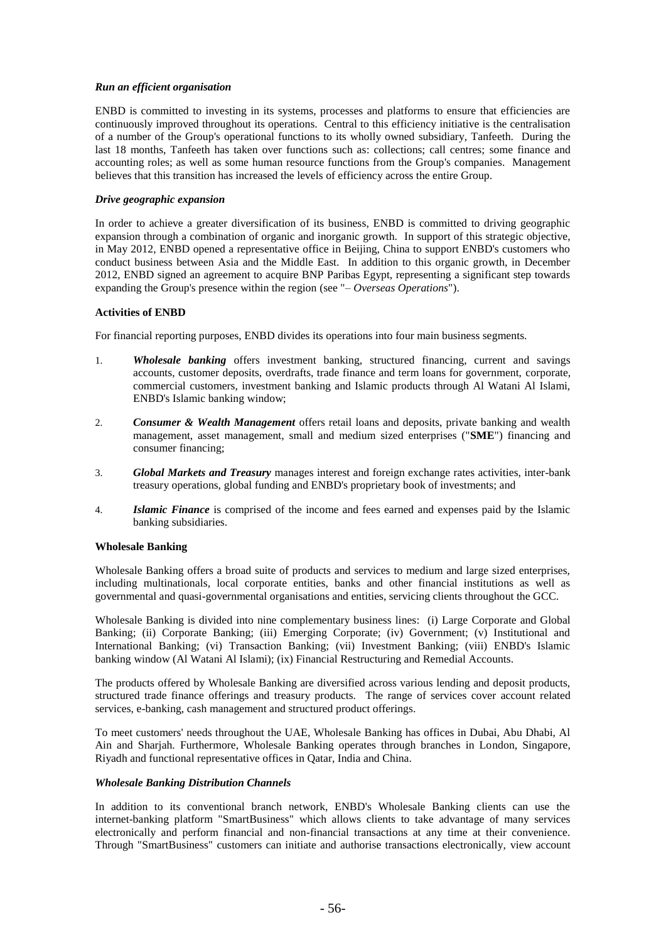### *Run an efficient organisation*

ENBD is committed to investing in its systems, processes and platforms to ensure that efficiencies are continuously improved throughout its operations. Central to this efficiency initiative is the centralisation of a number of the Group's operational functions to its wholly owned subsidiary, Tanfeeth. During the last 18 months, Tanfeeth has taken over functions such as: collections; call centres; some finance and accounting roles; as well as some human resource functions from the Group's companies. Management believes that this transition has increased the levels of efficiency across the entire Group.

### *Drive geographic expansion*

In order to achieve a greater diversification of its business, ENBD is committed to driving geographic expansion through a combination of organic and inorganic growth. In support of this strategic objective, in May 2012, ENBD opened a representative office in Beijing, China to support ENBD's customers who conduct business between Asia and the Middle East. In addition to this organic growth, in December 2012, ENBD signed an agreement to acquire BNP Paribas Egypt, representing a significant step towards expanding the Group's presence within the region (see "– *Overseas Operations*").

# **Activities of ENBD**

For financial reporting purposes, ENBD divides its operations into four main business segments.

- 1. *Wholesale banking* offers investment banking, structured financing, current and savings accounts, customer deposits, overdrafts, trade finance and term loans for government, corporate, commercial customers, investment banking and Islamic products through Al Watani Al Islami, ENBD's Islamic banking window;
- 2. *Consumer & Wealth Management* offers retail loans and deposits, private banking and wealth management, asset management, small and medium sized enterprises ("**SME**") financing and consumer financing;
- 3. *Global Markets and Treasury* manages interest and foreign exchange rates activities, inter-bank treasury operations, global funding and ENBD's proprietary book of investments; and
- 4. *Islamic Finance* is comprised of the income and fees earned and expenses paid by the Islamic banking subsidiaries.

#### **Wholesale Banking**

Wholesale Banking offers a broad suite of products and services to medium and large sized enterprises, including multinationals, local corporate entities, banks and other financial institutions as well as governmental and quasi-governmental organisations and entities, servicing clients throughout the GCC.

Wholesale Banking is divided into nine complementary business lines: (i) Large Corporate and Global Banking; (ii) Corporate Banking; (iii) Emerging Corporate; (iv) Government; (v) Institutional and International Banking; (vi) Transaction Banking; (vii) Investment Banking; (viii) ENBD's Islamic banking window (Al Watani Al Islami); (ix) Financial Restructuring and Remedial Accounts.

The products offered by Wholesale Banking are diversified across various lending and deposit products, structured trade finance offerings and treasury products. The range of services cover account related services, e-banking, cash management and structured product offerings.

To meet customers' needs throughout the UAE, Wholesale Banking has offices in Dubai, Abu Dhabi, Al Ain and Sharjah. Furthermore, Wholesale Banking operates through branches in London, Singapore, Riyadh and functional representative offices in Qatar, India and China.

# *Wholesale Banking Distribution Channels*

In addition to its conventional branch network, ENBD's Wholesale Banking clients can use the internet-banking platform "SmartBusiness" which allows clients to take advantage of many services electronically and perform financial and non-financial transactions at any time at their convenience. Through "SmartBusiness" customers can initiate and authorise transactions electronically, view account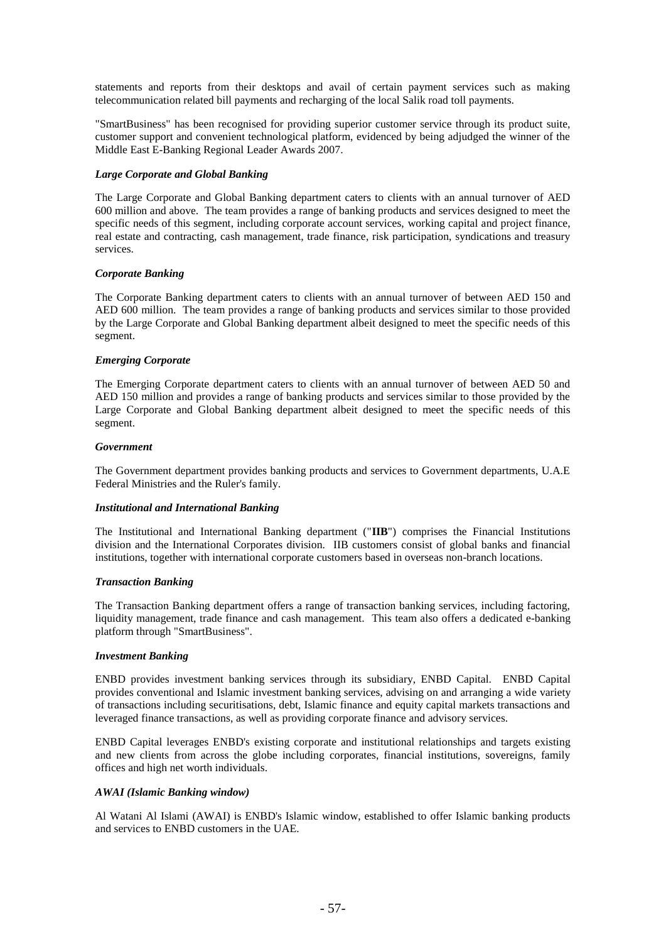statements and reports from their desktops and avail of certain payment services such as making telecommunication related bill payments and recharging of the local Salik road toll payments.

"SmartBusiness" has been recognised for providing superior customer service through its product suite, customer support and convenient technological platform, evidenced by being adjudged the winner of the Middle East E-Banking Regional Leader Awards 2007.

### *Large Corporate and Global Banking*

The Large Corporate and Global Banking department caters to clients with an annual turnover of AED 600 million and above. The team provides a range of banking products and services designed to meet the specific needs of this segment, including corporate account services, working capital and project finance, real estate and contracting, cash management, trade finance, risk participation, syndications and treasury services.

# *Corporate Banking*

The Corporate Banking department caters to clients with an annual turnover of between AED 150 and AED 600 million. The team provides a range of banking products and services similar to those provided by the Large Corporate and Global Banking department albeit designed to meet the specific needs of this segment.

### *Emerging Corporate*

The Emerging Corporate department caters to clients with an annual turnover of between AED 50 and AED 150 million and provides a range of banking products and services similar to those provided by the Large Corporate and Global Banking department albeit designed to meet the specific needs of this segment.

### *Government*

The Government department provides banking products and services to Government departments, U.A.E Federal Ministries and the Ruler's family.

#### *Institutional and International Banking*

The Institutional and International Banking department ("**IIB**") comprises the Financial Institutions division and the International Corporates division. IIB customers consist of global banks and financial institutions, together with international corporate customers based in overseas non-branch locations.

# *Transaction Banking*

The Transaction Banking department offers a range of transaction banking services, including factoring, liquidity management, trade finance and cash management. This team also offers a dedicated e-banking platform through "SmartBusiness".

# *Investment Banking*

ENBD provides investment banking services through its subsidiary, ENBD Capital. ENBD Capital provides conventional and Islamic investment banking services, advising on and arranging a wide variety of transactions including securitisations, debt, Islamic finance and equity capital markets transactions and leveraged finance transactions, as well as providing corporate finance and advisory services.

ENBD Capital leverages ENBD's existing corporate and institutional relationships and targets existing and new clients from across the globe including corporates, financial institutions, sovereigns, family offices and high net worth individuals.

# *AWAI (Islamic Banking window)*

Al Watani Al Islami (AWAI) is ENBD's Islamic window, established to offer Islamic banking products and services to ENBD customers in the UAE.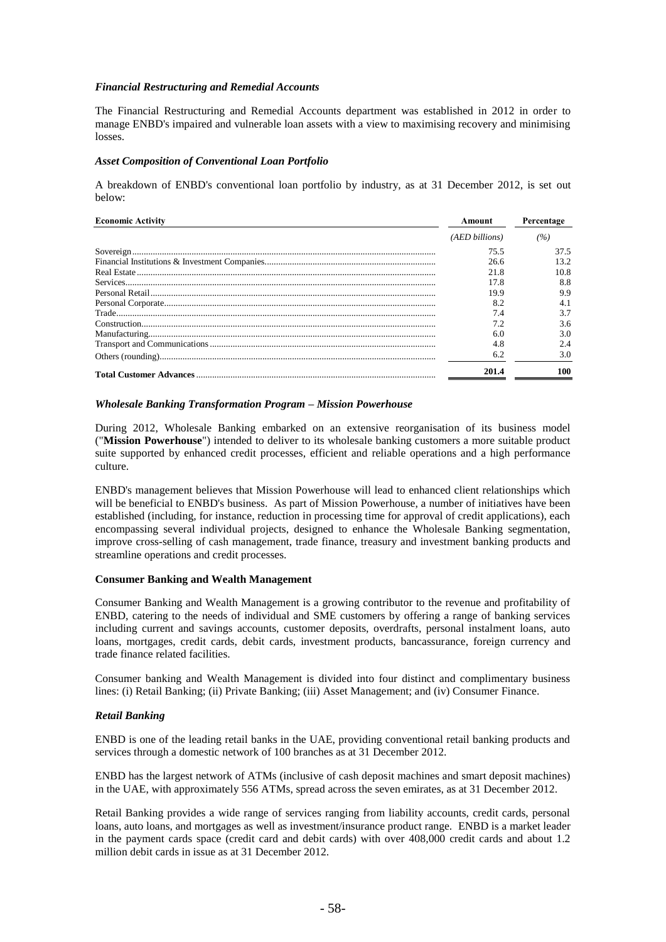### *Financial Restructuring and Remedial Accounts*

The Financial Restructuring and Remedial Accounts department was established in 2012 in order to manage ENBD's impaired and vulnerable loan assets with a view to maximising recovery and minimising losses.

#### *Asset Composition of Conventional Loan Portfolio*

A breakdown of ENBD's conventional loan portfolio by industry, as at 31 December 2012, is set out below:

| <b>Economic Activity</b>                                                                                                                                                                                                                                                                                                                                                                                                                             | Amount         | Percentage |
|------------------------------------------------------------------------------------------------------------------------------------------------------------------------------------------------------------------------------------------------------------------------------------------------------------------------------------------------------------------------------------------------------------------------------------------------------|----------------|------------|
|                                                                                                                                                                                                                                                                                                                                                                                                                                                      | (AED billions) | (%)        |
|                                                                                                                                                                                                                                                                                                                                                                                                                                                      | 75.5           | 37.5       |
|                                                                                                                                                                                                                                                                                                                                                                                                                                                      | 26.6           | 13.2       |
|                                                                                                                                                                                                                                                                                                                                                                                                                                                      | 21.8           | 10.8       |
|                                                                                                                                                                                                                                                                                                                                                                                                                                                      | 17.8           | 8.8        |
|                                                                                                                                                                                                                                                                                                                                                                                                                                                      | 19.9           | 9.9        |
| $\begin{minipage}{0.5\textwidth} \centering \textbf{Personal Corporate} \textit{}\footnotesize \textbf{1} \textit{1} \textit{1} \textit{1} \textit{2} \textit{1} \textit{2} \textit{3} \textit{3} \textit{4} \textit{5} \textit{5} \textit{6} \textit{6} \textit{7} \textit{7} \textit{8} \textit{8} \textit{9} \textit{1} \textit{1} \textit{1} \textit{1} \textit{1} \textit{1} \textit{1} \textit{1} \textit{1} \textit{1} \textit{1} \textit{1}$ | 8.2            | 4.1        |
|                                                                                                                                                                                                                                                                                                                                                                                                                                                      | 7.4            |            |
|                                                                                                                                                                                                                                                                                                                                                                                                                                                      |                | 3.6        |
|                                                                                                                                                                                                                                                                                                                                                                                                                                                      | 60             | 3.0        |
|                                                                                                                                                                                                                                                                                                                                                                                                                                                      | 4.8            | 2.4        |
|                                                                                                                                                                                                                                                                                                                                                                                                                                                      | 6.2            | 3.0        |
|                                                                                                                                                                                                                                                                                                                                                                                                                                                      | 2014           | 100        |

# *Wholesale Banking Transformation Program – Mission Powerhouse*

During 2012, Wholesale Banking embarked on an extensive reorganisation of its business model ("**Mission Powerhouse**") intended to deliver to its wholesale banking customers a more suitable product suite supported by enhanced credit processes, efficient and reliable operations and a high performance culture.

ENBD's management believes that Mission Powerhouse will lead to enhanced client relationships which will be beneficial to ENBD's business. As part of Mission Powerhouse, a number of initiatives have been established (including, for instance, reduction in processing time for approval of credit applications), each encompassing several individual projects, designed to enhance the Wholesale Banking segmentation, improve cross-selling of cash management, trade finance, treasury and investment banking products and streamline operations and credit processes.

#### **Consumer Banking and Wealth Management**

Consumer Banking and Wealth Management is a growing contributor to the revenue and profitability of ENBD, catering to the needs of individual and SME customers by offering a range of banking services including current and savings accounts, customer deposits, overdrafts, personal instalment loans, auto loans, mortgages, credit cards, debit cards, investment products, bancassurance, foreign currency and trade finance related facilities.

Consumer banking and Wealth Management is divided into four distinct and complimentary business lines: (i) Retail Banking; (ii) Private Banking; (iii) Asset Management; and (iv) Consumer Finance.

# *Retail Banking*

ENBD is one of the leading retail banks in the UAE, providing conventional retail banking products and services through a domestic network of 100 branches as at 31 December 2012.

ENBD has the largest network of ATMs (inclusive of cash deposit machines and smart deposit machines) in the UAE, with approximately 556 ATMs, spread across the seven emirates, as at 31 December 2012.

Retail Banking provides a wide range of services ranging from liability accounts, credit cards, personal loans, auto loans, and mortgages as well as investment/insurance product range. ENBD is a market leader in the payment cards space (credit card and debit cards) with over 408,000 credit cards and about 1.2 million debit cards in issue as at 31 December 2012.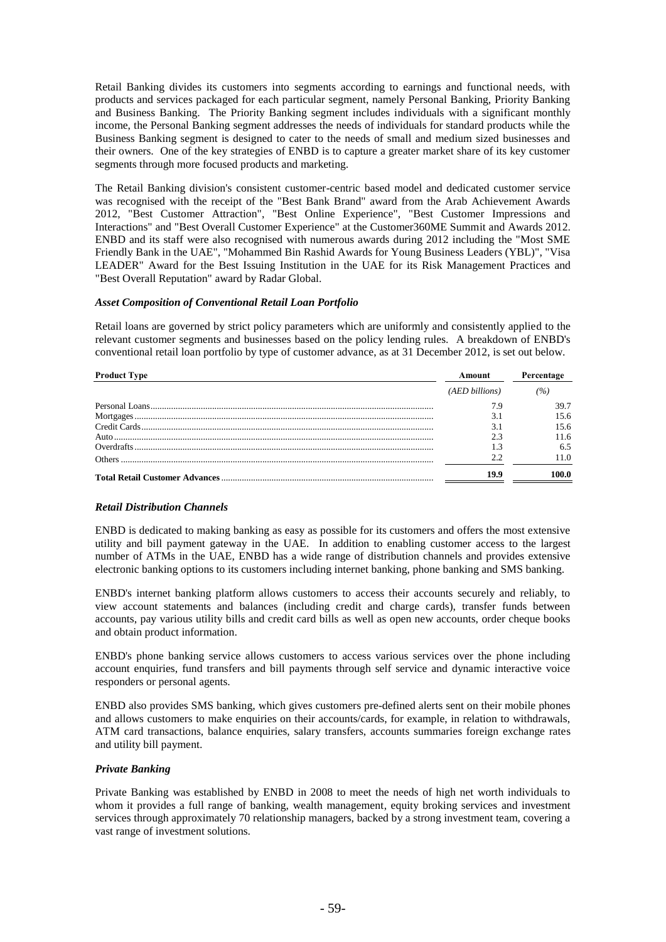Retail Banking divides its customers into segments according to earnings and functional needs, with products and services packaged for each particular segment, namely Personal Banking, Priority Banking and Business Banking. The Priority Banking segment includes individuals with a significant monthly income, the Personal Banking segment addresses the needs of individuals for standard products while the Business Banking segment is designed to cater to the needs of small and medium sized businesses and their owners. One of the key strategies of ENBD is to capture a greater market share of its key customer segments through more focused products and marketing.

The Retail Banking division's consistent customer-centric based model and dedicated customer service was recognised with the receipt of the "Best Bank Brand" award from the Arab Achievement Awards 2012, "Best Customer Attraction", "Best Online Experience", "Best Customer Impressions and Interactions" and "Best Overall Customer Experience" at the Customer360ME Summit and Awards 2012. ENBD and its staff were also recognised with numerous awards during 2012 including the "Most SME Friendly Bank in the UAE", "Mohammed Bin Rashid Awards for Young Business Leaders (YBL)", "Visa LEADER" Award for the Best Issuing Institution in the UAE for its Risk Management Practices and "Best Overall Reputation" award by Radar Global.

# *Asset Composition of Conventional Retail Loan Portfolio*

Retail loans are governed by strict policy parameters which are uniformly and consistently applied to the relevant customer segments and businesses based on the policy lending rules. A breakdown of ENBD's conventional retail loan portfolio by type of customer advance, as at 31 December 2012, is set out below.

| <b>Product Type</b> | Amount         | Percentage |
|---------------------|----------------|------------|
|                     | (AED billions) | (%)        |
|                     |                | 39.7       |
|                     |                | 15.6       |
|                     |                | 15.6       |
|                     |                | 11.6       |
|                     |                | 6.5        |
|                     |                | 11.0       |
|                     | 19.9           | 100.0      |

# *Retail Distribution Channels*

ENBD is dedicated to making banking as easy as possible for its customers and offers the most extensive utility and bill payment gateway in the UAE. In addition to enabling customer access to the largest number of ATMs in the UAE, ENBD has a wide range of distribution channels and provides extensive electronic banking options to its customers including internet banking, phone banking and SMS banking.

ENBD's internet banking platform allows customers to access their accounts securely and reliably, to view account statements and balances (including credit and charge cards), transfer funds between accounts, pay various utility bills and credit card bills as well as open new accounts, order cheque books and obtain product information.

ENBD's phone banking service allows customers to access various services over the phone including account enquiries, fund transfers and bill payments through self service and dynamic interactive voice responders or personal agents.

ENBD also provides SMS banking, which gives customers pre-defined alerts sent on their mobile phones and allows customers to make enquiries on their accounts/cards, for example, in relation to withdrawals, ATM card transactions, balance enquiries, salary transfers, accounts summaries foreign exchange rates and utility bill payment.

# *Private Banking*

Private Banking was established by ENBD in 2008 to meet the needs of high net worth individuals to whom it provides a full range of banking, wealth management, equity broking services and investment services through approximately 70 relationship managers, backed by a strong investment team, covering a vast range of investment solutions.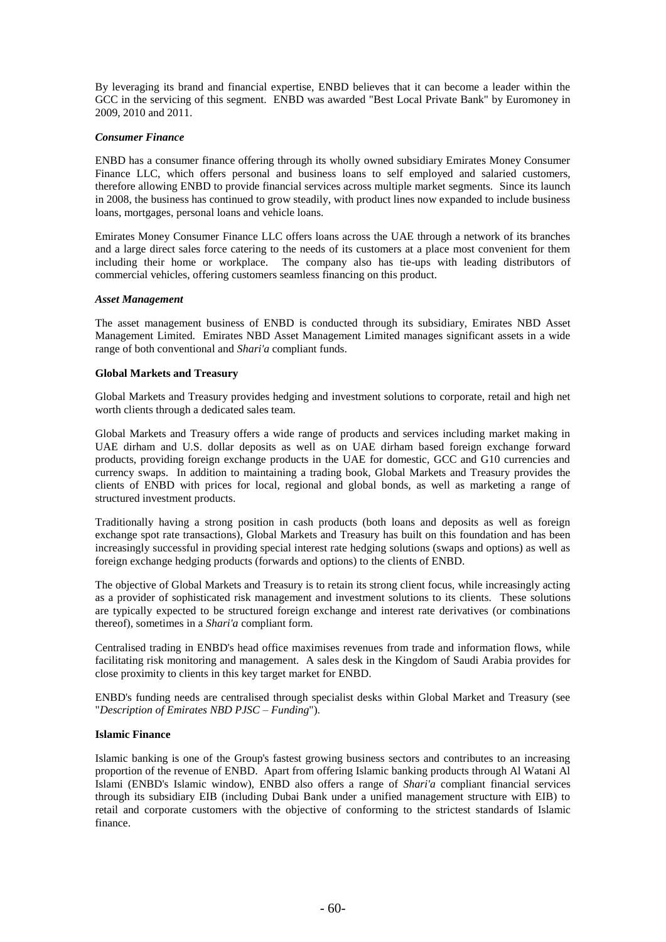By leveraging its brand and financial expertise, ENBD believes that it can become a leader within the GCC in the servicing of this segment. ENBD was awarded "Best Local Private Bank" by Euromoney in 2009, 2010 and 2011.

### *Consumer Finance*

ENBD has a consumer finance offering through its wholly owned subsidiary Emirates Money Consumer Finance LLC, which offers personal and business loans to self employed and salaried customers, therefore allowing ENBD to provide financial services across multiple market segments. Since its launch in 2008, the business has continued to grow steadily, with product lines now expanded to include business loans, mortgages, personal loans and vehicle loans.

Emirates Money Consumer Finance LLC offers loans across the UAE through a network of its branches and a large direct sales force catering to the needs of its customers at a place most convenient for them including their home or workplace. The company also has tie-ups with leading distributors of commercial vehicles, offering customers seamless financing on this product.

### *Asset Management*

The asset management business of ENBD is conducted through its subsidiary, Emirates NBD Asset Management Limited. Emirates NBD Asset Management Limited manages significant assets in a wide range of both conventional and *Shari'a* compliant funds.

### **Global Markets and Treasury**

Global Markets and Treasury provides hedging and investment solutions to corporate, retail and high net worth clients through a dedicated sales team.

Global Markets and Treasury offers a wide range of products and services including market making in UAE dirham and U.S. dollar deposits as well as on UAE dirham based foreign exchange forward products, providing foreign exchange products in the UAE for domestic, GCC and G10 currencies and currency swaps. In addition to maintaining a trading book, Global Markets and Treasury provides the clients of ENBD with prices for local, regional and global bonds, as well as marketing a range of structured investment products.

Traditionally having a strong position in cash products (both loans and deposits as well as foreign exchange spot rate transactions), Global Markets and Treasury has built on this foundation and has been increasingly successful in providing special interest rate hedging solutions (swaps and options) as well as foreign exchange hedging products (forwards and options) to the clients of ENBD.

The objective of Global Markets and Treasury is to retain its strong client focus, while increasingly acting as a provider of sophisticated risk management and investment solutions to its clients. These solutions are typically expected to be structured foreign exchange and interest rate derivatives (or combinations thereof), sometimes in a *Shari'a* compliant form.

Centralised trading in ENBD's head office maximises revenues from trade and information flows, while facilitating risk monitoring and management. A sales desk in the Kingdom of Saudi Arabia provides for close proximity to clients in this key target market for ENBD.

ENBD's funding needs are centralised through specialist desks within Global Market and Treasury (see "*Description of Emirates NBD PJSC – Funding*").

# **Islamic Finance**

Islamic banking is one of the Group's fastest growing business sectors and contributes to an increasing proportion of the revenue of ENBD. Apart from offering Islamic banking products through Al Watani Al Islami (ENBD's Islamic window), ENBD also offers a range of *Shari'a* compliant financial services through its subsidiary EIB (including Dubai Bank under a unified management structure with EIB) to retail and corporate customers with the objective of conforming to the strictest standards of Islamic finance.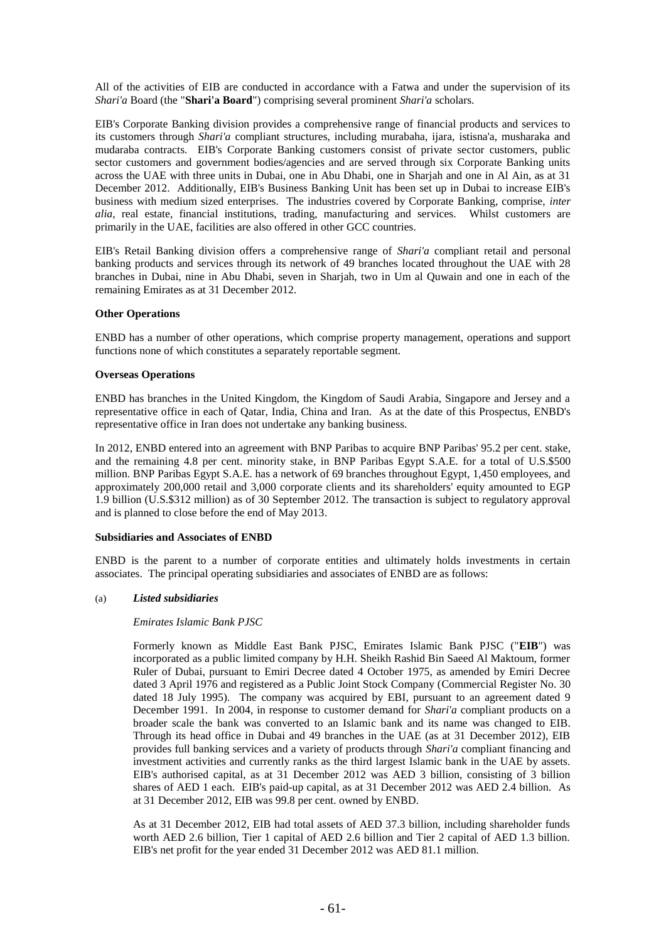All of the activities of EIB are conducted in accordance with a Fatwa and under the supervision of its *Shari'a* Board (the "**Shari'a Board**") comprising several prominent *Shari'a* scholars.

EIB's Corporate Banking division provides a comprehensive range of financial products and services to its customers through *Shari'a* compliant structures, including murabaha, ijara, istisna'a, musharaka and mudaraba contracts. EIB's Corporate Banking customers consist of private sector customers, public sector customers and government bodies/agencies and are served through six Corporate Banking units across the UAE with three units in Dubai, one in Abu Dhabi, one in Sharjah and one in Al Ain, as at 31 December 2012. Additionally, EIB's Business Banking Unit has been set up in Dubai to increase EIB's business with medium sized enterprises. The industries covered by Corporate Banking, comprise, *inter alia*, real estate, financial institutions, trading, manufacturing and services. Whilst customers are primarily in the UAE, facilities are also offered in other GCC countries.

EIB's Retail Banking division offers a comprehensive range of *Shari'a* compliant retail and personal banking products and services through its network of 49 branches located throughout the UAE with 28 branches in Dubai, nine in Abu Dhabi, seven in Sharjah, two in Um al Quwain and one in each of the remaining Emirates as at 31 December 2012.

### **Other Operations**

ENBD has a number of other operations, which comprise property management, operations and support functions none of which constitutes a separately reportable segment.

### **Overseas Operations**

ENBD has branches in the United Kingdom, the Kingdom of Saudi Arabia, Singapore and Jersey and a representative office in each of Qatar, India, China and Iran. As at the date of this Prospectus, ENBD's representative office in Iran does not undertake any banking business.

In 2012, ENBD entered into an agreement with BNP Paribas to acquire BNP Paribas' 95.2 per cent. stake, and the remaining 4.8 per cent. minority stake, in BNP Paribas Egypt S.A.E. for a total of U.S.\$500 million. BNP Paribas Egypt S.A.E. has a network of 69 branches throughout Egypt, 1,450 employees, and approximately 200,000 retail and 3,000 corporate clients and its shareholders' equity amounted to EGP 1.9 billion (U.S.\$312 million) as of 30 September 2012. The transaction is subject to regulatory approval and is planned to close before the end of May 2013.

#### **Subsidiaries and Associates of ENBD**

ENBD is the parent to a number of corporate entities and ultimately holds investments in certain associates. The principal operating subsidiaries and associates of ENBD are as follows:

# (a) *Listed subsidiaries*

#### *Emirates Islamic Bank PJSC*

Formerly known as Middle East Bank PJSC, Emirates Islamic Bank PJSC ("**EIB**") was incorporated as a public limited company by H.H. Sheikh Rashid Bin Saeed Al Maktoum, former Ruler of Dubai, pursuant to Emiri Decree dated 4 October 1975, as amended by Emiri Decree dated 3 April 1976 and registered as a Public Joint Stock Company (Commercial Register No. 30 dated 18 July 1995). The company was acquired by EBI, pursuant to an agreement dated 9 December 1991. In 2004, in response to customer demand for *Shari'a* compliant products on a broader scale the bank was converted to an Islamic bank and its name was changed to EIB. Through its head office in Dubai and 49 branches in the UAE (as at 31 December 2012), EIB provides full banking services and a variety of products through *Shari'a* compliant financing and investment activities and currently ranks as the third largest Islamic bank in the UAE by assets. EIB's authorised capital, as at 31 December 2012 was AED 3 billion, consisting of 3 billion shares of AED 1 each. EIB's paid-up capital, as at 31 December 2012 was AED 2.4 billion. As at 31 December 2012, EIB was 99.8 per cent. owned by ENBD.

As at 31 December 2012, EIB had total assets of AED 37.3 billion, including shareholder funds worth AED 2.6 billion, Tier 1 capital of AED 2.6 billion and Tier 2 capital of AED 1.3 billion. EIB's net profit for the year ended 31 December 2012 was AED 81.1 million.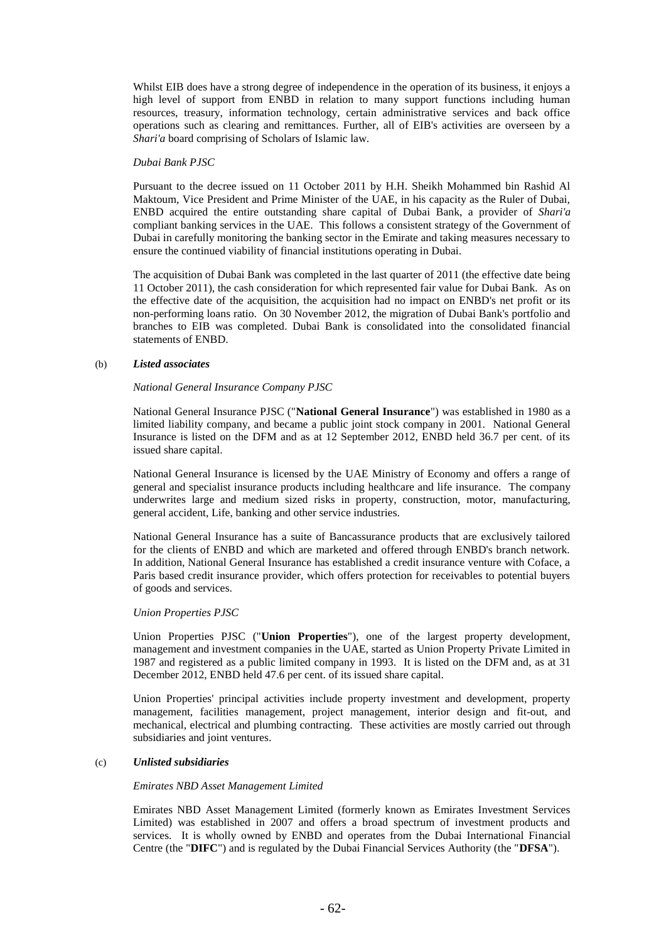Whilst EIB does have a strong degree of independence in the operation of its business, it enjoys a high level of support from ENBD in relation to many support functions including human resources, treasury, information technology, certain administrative services and back office operations such as clearing and remittances. Further, all of EIB's activities are overseen by a *Shari'a* board comprising of Scholars of Islamic law.

#### *Dubai Bank PJSC*

Pursuant to the decree issued on 11 October 2011 by H.H. Sheikh Mohammed bin Rashid Al Maktoum, Vice President and Prime Minister of the UAE, in his capacity as the Ruler of Dubai, ENBD acquired the entire outstanding share capital of Dubai Bank, a provider of *Shari'a* compliant banking services in the UAE. This follows a consistent strategy of the Government of Dubai in carefully monitoring the banking sector in the Emirate and taking measures necessary to ensure the continued viability of financial institutions operating in Dubai.

The acquisition of Dubai Bank was completed in the last quarter of 2011 (the effective date being 11 October 2011), the cash consideration for which represented fair value for Dubai Bank. As on the effective date of the acquisition, the acquisition had no impact on ENBD's net profit or its non-performing loans ratio. On 30 November 2012, the migration of Dubai Bank's portfolio and branches to EIB was completed. Dubai Bank is consolidated into the consolidated financial statements of ENBD.

# (b) *Listed associates*

# *National General Insurance Company PJSC*

National General Insurance PJSC ("**National General Insurance**") was established in 1980 as a limited liability company, and became a public joint stock company in 2001. National General Insurance is listed on the DFM and as at 12 September 2012, ENBD held 36.7 per cent. of its issued share capital.

National General Insurance is licensed by the UAE Ministry of Economy and offers a range of general and specialist insurance products including healthcare and life insurance. The company underwrites large and medium sized risks in property, construction, motor, manufacturing, general accident, Life, banking and other service industries.

National General Insurance has a suite of Bancassurance products that are exclusively tailored for the clients of ENBD and which are marketed and offered through ENBD's branch network. In addition, National General Insurance has established a credit insurance venture with Coface, a Paris based credit insurance provider, which offers protection for receivables to potential buyers of goods and services.

# *Union Properties PJSC*

Union Properties PJSC ("**Union Properties**"), one of the largest property development, management and investment companies in the UAE, started as Union Property Private Limited in 1987 and registered as a public limited company in 1993. It is listed on the DFM and, as at 31 December 2012, ENBD held 47.6 per cent. of its issued share capital.

Union Properties' principal activities include property investment and development, property management, facilities management, project management, interior design and fit-out, and mechanical, electrical and plumbing contracting. These activities are mostly carried out through subsidiaries and joint ventures.

# (c) *Unlisted subsidiaries*

# *Emirates NBD Asset Management Limited*

Emirates NBD Asset Management Limited (formerly known as Emirates Investment Services Limited) was established in 2007 and offers a broad spectrum of investment products and services. It is wholly owned by ENBD and operates from the Dubai International Financial Centre (the "**DIFC**") and is regulated by the Dubai Financial Services Authority (the "**DFSA**").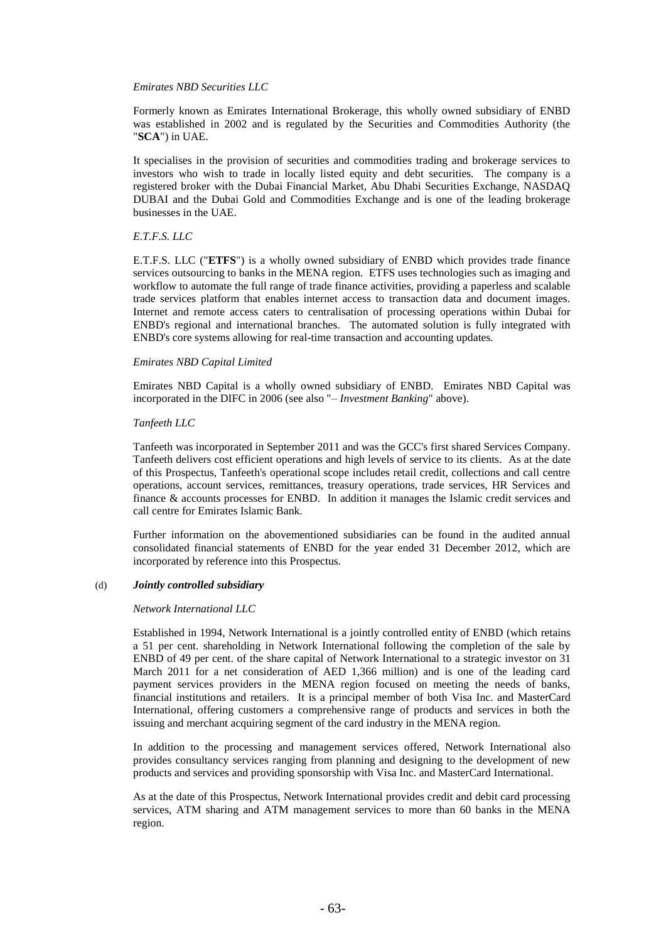#### *Emirates NBD Securities LLC*

Formerly known as Emirates International Brokerage, this wholly owned subsidiary of ENBD was established in 2002 and is regulated by the Securities and Commodities Authority (the "**SCA**") in UAE.

It specialises in the provision of securities and commodities trading and brokerage services to investors who wish to trade in locally listed equity and debt securities. The company is a registered broker with the Dubai Financial Market, Abu Dhabi Securities Exchange, NASDAQ DUBAI and the Dubai Gold and Commodities Exchange and is one of the leading brokerage businesses in the UAE.

### *E.T.F.S. LLC*

E.T.F.S. LLC ("**ETFS**") is a wholly owned subsidiary of ENBD which provides trade finance services outsourcing to banks in the MENA region. ETFS uses technologies such as imaging and workflow to automate the full range of trade finance activities, providing a paperless and scalable trade services platform that enables internet access to transaction data and document images. Internet and remote access caters to centralisation of processing operations within Dubai for ENBD's regional and international branches. The automated solution is fully integrated with ENBD's core systems allowing for real-time transaction and accounting updates.

#### *Emirates NBD Capital Limited*

Emirates NBD Capital is a wholly owned subsidiary of ENBD. Emirates NBD Capital was incorporated in the DIFC in 2006 (see also "– *Investment Banking*" above).

### *Tanfeeth LLC*

Tanfeeth was incorporated in September 2011 and was the GCC's first shared Services Company. Tanfeeth delivers cost efficient operations and high levels of service to its clients. As at the date of this Prospectus, Tanfeeth's operational scope includes retail credit, collections and call centre operations, account services, remittances, treasury operations, trade services, HR Services and finance & accounts processes for ENBD. In addition it manages the Islamic credit services and call centre for Emirates Islamic Bank.

Further information on the abovementioned subsidiaries can be found in the audited annual consolidated financial statements of ENBD for the year ended 31 December 2012, which are incorporated by reference into this Prospectus.

#### (d) *Jointly controlled subsidiary*

#### *Network International LLC*

Established in 1994, Network International is a jointly controlled entity of ENBD (which retains a 51 per cent. shareholding in Network International following the completion of the sale by ENBD of 49 per cent. of the share capital of Network International to a strategic investor on 31 March 2011 for a net consideration of AED 1,366 million) and is one of the leading card payment services providers in the MENA region focused on meeting the needs of banks, financial institutions and retailers. It is a principal member of both Visa Inc. and MasterCard International, offering customers a comprehensive range of products and services in both the issuing and merchant acquiring segment of the card industry in the MENA region.

In addition to the processing and management services offered, Network International also provides consultancy services ranging from planning and designing to the development of new products and services and providing sponsorship with Visa Inc. and MasterCard International.

As at the date of this Prospectus, Network International provides credit and debit card processing services, ATM sharing and ATM management services to more than 60 banks in the MENA region.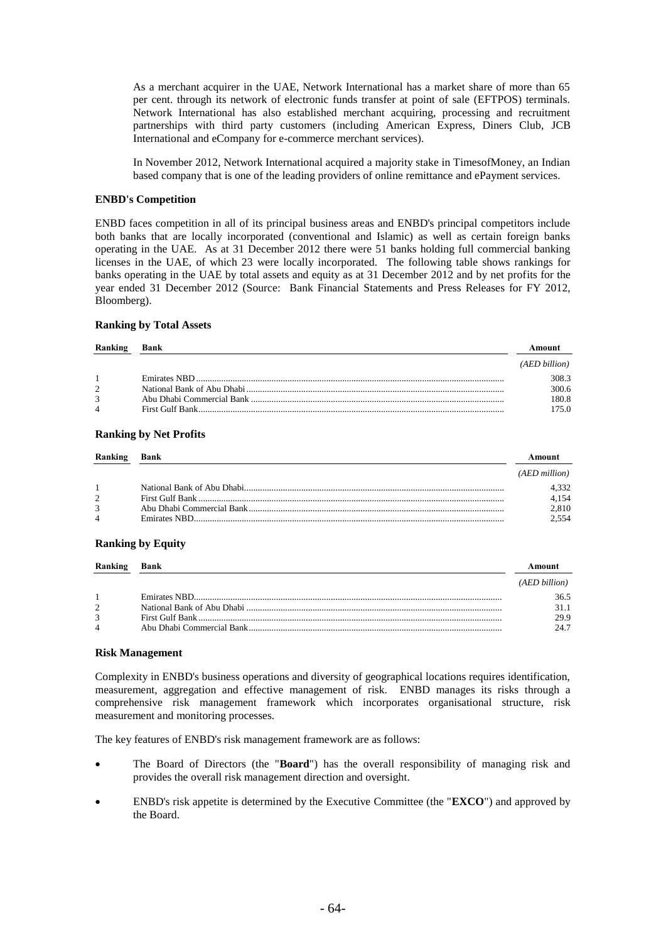As a merchant acquirer in the UAE, Network International has a market share of more than 65 per cent. through its network of electronic funds transfer at point of sale (EFTPOS) terminals. Network International has also established merchant acquiring, processing and recruitment partnerships with third party customers (including American Express, Diners Club, JCB International and eCompany for e-commerce merchant services).

In November 2012, Network International acquired a majority stake in TimesofMoney, an Indian based company that is one of the leading providers of online remittance and ePayment services.

#### **ENBD's Competition**

ENBD faces competition in all of its principal business areas and ENBD's principal competitors include both banks that are locally incorporated (conventional and Islamic) as well as certain foreign banks operating in the UAE. As at 31 December 2012 there were 51 banks holding full commercial banking licenses in the UAE, of which 23 were locally incorporated. The following table shows rankings for banks operating in the UAE by total assets and equity as at 31 December 2012 and by net profits for the year ended 31 December 2012 (Source: Bank Financial Statements and Press Releases for FY 2012, Bloomberg).

# **Ranking by Total Assets**

| Ranking        | Bank | Amount        |
|----------------|------|---------------|
|                |      | (AED billion) |
| $\overline{1}$ |      | 308.3         |
| $\mathcal{L}$  |      | 300.6         |
| 3              |      | 180.8         |
| $\Delta$       |      | 175 0         |

#### **Ranking by Net Profits**

| Ranking                  | <b>Bank</b> |               |
|--------------------------|-------------|---------------|
|                          |             | (AED million) |
|                          |             | 1.332         |
| 2                        |             | 4,154         |
| 3                        |             | 2,810         |
| $\overline{\mathcal{L}}$ |             | 2.554         |

#### **Ranking by Equity**

| Ranking        | Bank |               |
|----------------|------|---------------|
|                |      | (AED billion) |
| $\mathbf{1}$   |      | 36.5          |
| 2              |      | 31.1          |
| 3              |      | 29.9          |
| $\overline{4}$ |      | 24.7          |

#### **Risk Management**

Complexity in ENBD's business operations and diversity of geographical locations requires identification, measurement, aggregation and effective management of risk. ENBD manages its risks through a comprehensive risk management framework which incorporates organisational structure, risk measurement and monitoring processes.

The key features of ENBD's risk management framework are as follows:

- The Board of Directors (the "**Board**") has the overall responsibility of managing risk and provides the overall risk management direction and oversight.
- ENBD's risk appetite is determined by the Executive Committee (the "**EXCO**") and approved by the Board.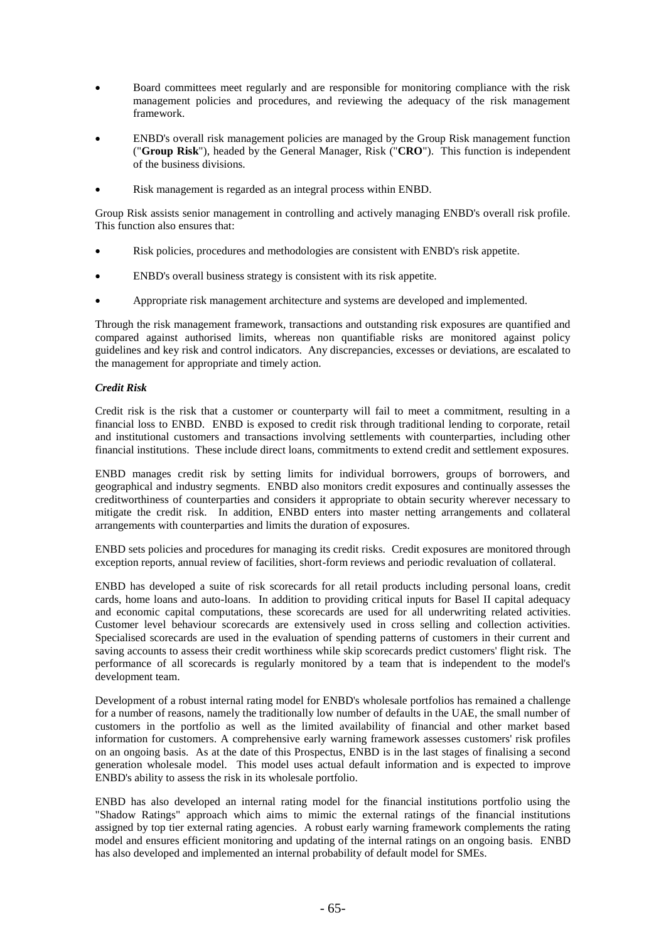- Board committees meet regularly and are responsible for monitoring compliance with the risk management policies and procedures, and reviewing the adequacy of the risk management framework.
- ENBD's overall risk management policies are managed by the Group Risk management function ("**Group Risk**"), headed by the General Manager, Risk ("**CRO**"). This function is independent of the business divisions.
- Risk management is regarded as an integral process within ENBD.

Group Risk assists senior management in controlling and actively managing ENBD's overall risk profile. This function also ensures that:

- Risk policies, procedures and methodologies are consistent with ENBD's risk appetite.
- ENBD's overall business strategy is consistent with its risk appetite.
- Appropriate risk management architecture and systems are developed and implemented.

Through the risk management framework, transactions and outstanding risk exposures are quantified and compared against authorised limits, whereas non quantifiable risks are monitored against policy guidelines and key risk and control indicators. Any discrepancies, excesses or deviations, are escalated to the management for appropriate and timely action.

# *Credit Risk*

Credit risk is the risk that a customer or counterparty will fail to meet a commitment, resulting in a financial loss to ENBD. ENBD is exposed to credit risk through traditional lending to corporate, retail and institutional customers and transactions involving settlements with counterparties, including other financial institutions. These include direct loans, commitments to extend credit and settlement exposures.

ENBD manages credit risk by setting limits for individual borrowers, groups of borrowers, and geographical and industry segments. ENBD also monitors credit exposures and continually assesses the creditworthiness of counterparties and considers it appropriate to obtain security wherever necessary to mitigate the credit risk. In addition, ENBD enters into master netting arrangements and collateral arrangements with counterparties and limits the duration of exposures.

ENBD sets policies and procedures for managing its credit risks. Credit exposures are monitored through exception reports, annual review of facilities, short-form reviews and periodic revaluation of collateral.

ENBD has developed a suite of risk scorecards for all retail products including personal loans, credit cards, home loans and auto-loans. In addition to providing critical inputs for Basel II capital adequacy and economic capital computations, these scorecards are used for all underwriting related activities. Customer level behaviour scorecards are extensively used in cross selling and collection activities. Specialised scorecards are used in the evaluation of spending patterns of customers in their current and saving accounts to assess their credit worthiness while skip scorecards predict customers' flight risk. The performance of all scorecards is regularly monitored by a team that is independent to the model's development team.

Development of a robust internal rating model for ENBD's wholesale portfolios has remained a challenge for a number of reasons, namely the traditionally low number of defaults in the UAE, the small number of customers in the portfolio as well as the limited availability of financial and other market based information for customers. A comprehensive early warning framework assesses customers' risk profiles on an ongoing basis. As at the date of this Prospectus, ENBD is in the last stages of finalising a second generation wholesale model. This model uses actual default information and is expected to improve ENBD's ability to assess the risk in its wholesale portfolio.

ENBD has also developed an internal rating model for the financial institutions portfolio using the "Shadow Ratings" approach which aims to mimic the external ratings of the financial institutions assigned by top tier external rating agencies. A robust early warning framework complements the rating model and ensures efficient monitoring and updating of the internal ratings on an ongoing basis. ENBD has also developed and implemented an internal probability of default model for SMEs.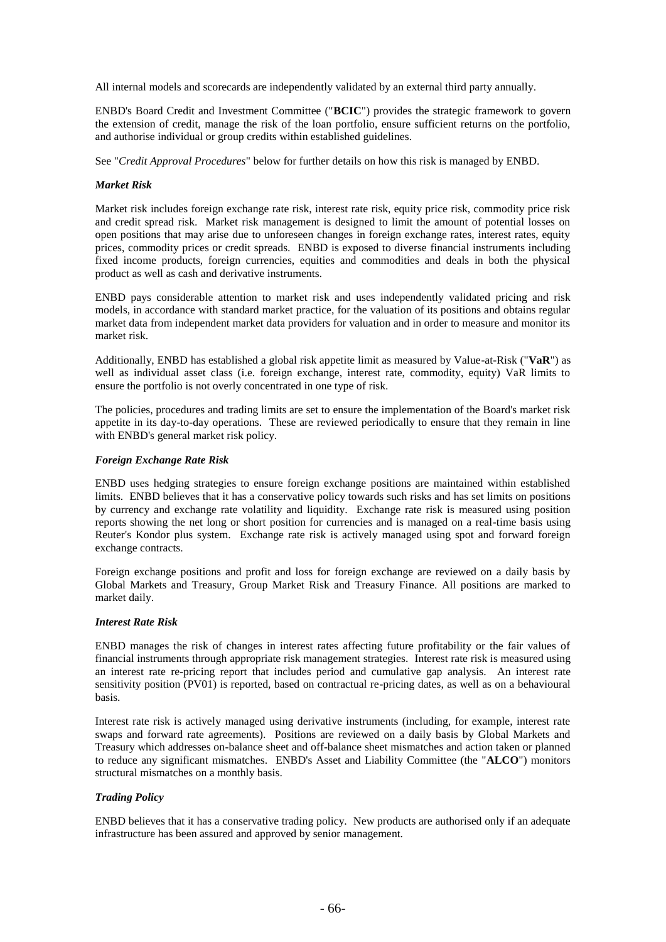All internal models and scorecards are independently validated by an external third party annually.

ENBD's Board Credit and Investment Committee ("**BCIC**") provides the strategic framework to govern the extension of credit, manage the risk of the loan portfolio, ensure sufficient returns on the portfolio, and authorise individual or group credits within established guidelines.

See "*Credit Approval Procedures*" below for further details on how this risk is managed by ENBD.

## *Market Risk*

Market risk includes foreign exchange rate risk, interest rate risk, equity price risk, commodity price risk and credit spread risk. Market risk management is designed to limit the amount of potential losses on open positions that may arise due to unforeseen changes in foreign exchange rates, interest rates, equity prices, commodity prices or credit spreads. ENBD is exposed to diverse financial instruments including fixed income products, foreign currencies, equities and commodities and deals in both the physical product as well as cash and derivative instruments.

ENBD pays considerable attention to market risk and uses independently validated pricing and risk models, in accordance with standard market practice, for the valuation of its positions and obtains regular market data from independent market data providers for valuation and in order to measure and monitor its market risk.

Additionally, ENBD has established a global risk appetite limit as measured by Value-at-Risk ("**VaR**") as well as individual asset class (i.e. foreign exchange, interest rate, commodity, equity) VaR limits to ensure the portfolio is not overly concentrated in one type of risk.

The policies, procedures and trading limits are set to ensure the implementation of the Board's market risk appetite in its day-to-day operations. These are reviewed periodically to ensure that they remain in line with ENBD's general market risk policy.

#### *Foreign Exchange Rate Risk*

ENBD uses hedging strategies to ensure foreign exchange positions are maintained within established limits. ENBD believes that it has a conservative policy towards such risks and has set limits on positions by currency and exchange rate volatility and liquidity. Exchange rate risk is measured using position reports showing the net long or short position for currencies and is managed on a real-time basis using Reuter's Kondor plus system. Exchange rate risk is actively managed using spot and forward foreign exchange contracts.

Foreign exchange positions and profit and loss for foreign exchange are reviewed on a daily basis by Global Markets and Treasury, Group Market Risk and Treasury Finance. All positions are marked to market daily.

#### *Interest Rate Risk*

ENBD manages the risk of changes in interest rates affecting future profitability or the fair values of financial instruments through appropriate risk management strategies. Interest rate risk is measured using an interest rate re-pricing report that includes period and cumulative gap analysis. An interest rate sensitivity position (PV01) is reported, based on contractual re-pricing dates, as well as on a behavioural basis.

Interest rate risk is actively managed using derivative instruments (including, for example, interest rate swaps and forward rate agreements). Positions are reviewed on a daily basis by Global Markets and Treasury which addresses on-balance sheet and off-balance sheet mismatches and action taken or planned to reduce any significant mismatches. ENBD's Asset and Liability Committee (the "**ALCO**") monitors structural mismatches on a monthly basis.

# *Trading Policy*

ENBD believes that it has a conservative trading policy. New products are authorised only if an adequate infrastructure has been assured and approved by senior management.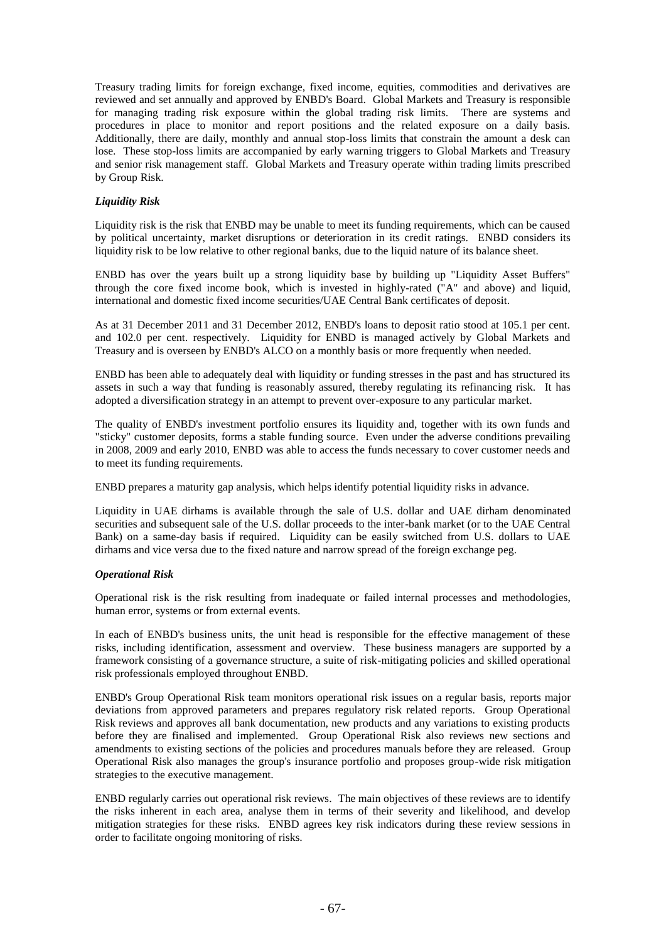Treasury trading limits for foreign exchange, fixed income, equities, commodities and derivatives are reviewed and set annually and approved by ENBD's Board. Global Markets and Treasury is responsible for managing trading risk exposure within the global trading risk limits. There are systems and procedures in place to monitor and report positions and the related exposure on a daily basis. Additionally, there are daily, monthly and annual stop-loss limits that constrain the amount a desk can lose. These stop-loss limits are accompanied by early warning triggers to Global Markets and Treasury and senior risk management staff. Global Markets and Treasury operate within trading limits prescribed by Group Risk.

# *Liquidity Risk*

Liquidity risk is the risk that ENBD may be unable to meet its funding requirements, which can be caused by political uncertainty, market disruptions or deterioration in its credit ratings. ENBD considers its liquidity risk to be low relative to other regional banks, due to the liquid nature of its balance sheet.

ENBD has over the years built up a strong liquidity base by building up "Liquidity Asset Buffers" through the core fixed income book, which is invested in highly-rated ("A" and above) and liquid, international and domestic fixed income securities/UAE Central Bank certificates of deposit.

As at 31 December 2011 and 31 December 2012, ENBD's loans to deposit ratio stood at 105.1 per cent. and 102.0 per cent. respectively. Liquidity for ENBD is managed actively by Global Markets and Treasury and is overseen by ENBD's ALCO on a monthly basis or more frequently when needed.

ENBD has been able to adequately deal with liquidity or funding stresses in the past and has structured its assets in such a way that funding is reasonably assured, thereby regulating its refinancing risk. It has adopted a diversification strategy in an attempt to prevent over-exposure to any particular market.

The quality of ENBD's investment portfolio ensures its liquidity and, together with its own funds and "sticky" customer deposits, forms a stable funding source. Even under the adverse conditions prevailing in 2008, 2009 and early 2010, ENBD was able to access the funds necessary to cover customer needs and to meet its funding requirements.

ENBD prepares a maturity gap analysis, which helps identify potential liquidity risks in advance.

Liquidity in UAE dirhams is available through the sale of U.S. dollar and UAE dirham denominated securities and subsequent sale of the U.S. dollar proceeds to the inter-bank market (or to the UAE Central Bank) on a same-day basis if required. Liquidity can be easily switched from U.S. dollars to UAE dirhams and vice versa due to the fixed nature and narrow spread of the foreign exchange peg.

# *Operational Risk*

Operational risk is the risk resulting from inadequate or failed internal processes and methodologies, human error, systems or from external events.

In each of ENBD's business units, the unit head is responsible for the effective management of these risks, including identification, assessment and overview. These business managers are supported by a framework consisting of a governance structure, a suite of risk-mitigating policies and skilled operational risk professionals employed throughout ENBD.

ENBD's Group Operational Risk team monitors operational risk issues on a regular basis, reports major deviations from approved parameters and prepares regulatory risk related reports. Group Operational Risk reviews and approves all bank documentation, new products and any variations to existing products before they are finalised and implemented. Group Operational Risk also reviews new sections and amendments to existing sections of the policies and procedures manuals before they are released. Group Operational Risk also manages the group's insurance portfolio and proposes group-wide risk mitigation strategies to the executive management.

ENBD regularly carries out operational risk reviews. The main objectives of these reviews are to identify the risks inherent in each area, analyse them in terms of their severity and likelihood, and develop mitigation strategies for these risks. ENBD agrees key risk indicators during these review sessions in order to facilitate ongoing monitoring of risks.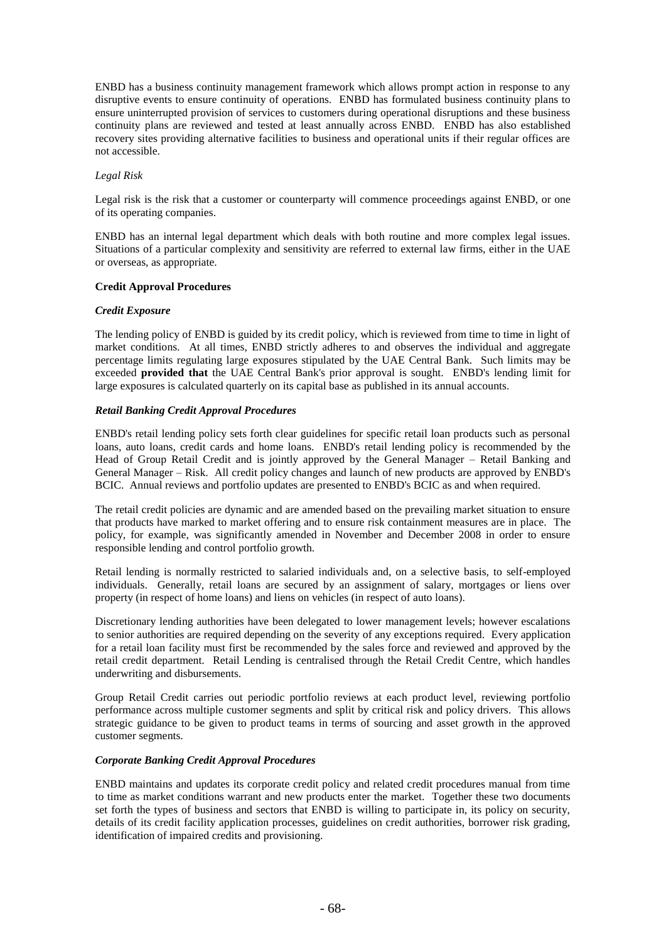ENBD has a business continuity management framework which allows prompt action in response to any disruptive events to ensure continuity of operations. ENBD has formulated business continuity plans to ensure uninterrupted provision of services to customers during operational disruptions and these business continuity plans are reviewed and tested at least annually across ENBD. ENBD has also established recovery sites providing alternative facilities to business and operational units if their regular offices are not accessible.

# *Legal Risk*

Legal risk is the risk that a customer or counterparty will commence proceedings against ENBD, or one of its operating companies.

ENBD has an internal legal department which deals with both routine and more complex legal issues. Situations of a particular complexity and sensitivity are referred to external law firms, either in the UAE or overseas, as appropriate.

# **Credit Approval Procedures**

# *Credit Exposure*

The lending policy of ENBD is guided by its credit policy, which is reviewed from time to time in light of market conditions. At all times, ENBD strictly adheres to and observes the individual and aggregate percentage limits regulating large exposures stipulated by the UAE Central Bank. Such limits may be exceeded **provided that** the UAE Central Bank's prior approval is sought. ENBD's lending limit for large exposures is calculated quarterly on its capital base as published in its annual accounts.

# *Retail Banking Credit Approval Procedures*

ENBD's retail lending policy sets forth clear guidelines for specific retail loan products such as personal loans, auto loans, credit cards and home loans. ENBD's retail lending policy is recommended by the Head of Group Retail Credit and is jointly approved by the General Manager – Retail Banking and General Manager – Risk. All credit policy changes and launch of new products are approved by ENBD's BCIC. Annual reviews and portfolio updates are presented to ENBD's BCIC as and when required.

The retail credit policies are dynamic and are amended based on the prevailing market situation to ensure that products have marked to market offering and to ensure risk containment measures are in place. The policy, for example, was significantly amended in November and December 2008 in order to ensure responsible lending and control portfolio growth.

Retail lending is normally restricted to salaried individuals and, on a selective basis, to self-employed individuals. Generally, retail loans are secured by an assignment of salary, mortgages or liens over property (in respect of home loans) and liens on vehicles (in respect of auto loans).

Discretionary lending authorities have been delegated to lower management levels; however escalations to senior authorities are required depending on the severity of any exceptions required. Every application for a retail loan facility must first be recommended by the sales force and reviewed and approved by the retail credit department. Retail Lending is centralised through the Retail Credit Centre, which handles underwriting and disbursements.

Group Retail Credit carries out periodic portfolio reviews at each product level, reviewing portfolio performance across multiple customer segments and split by critical risk and policy drivers. This allows strategic guidance to be given to product teams in terms of sourcing and asset growth in the approved customer segments.

# *Corporate Banking Credit Approval Procedures*

ENBD maintains and updates its corporate credit policy and related credit procedures manual from time to time as market conditions warrant and new products enter the market. Together these two documents set forth the types of business and sectors that ENBD is willing to participate in, its policy on security, details of its credit facility application processes, guidelines on credit authorities, borrower risk grading, identification of impaired credits and provisioning.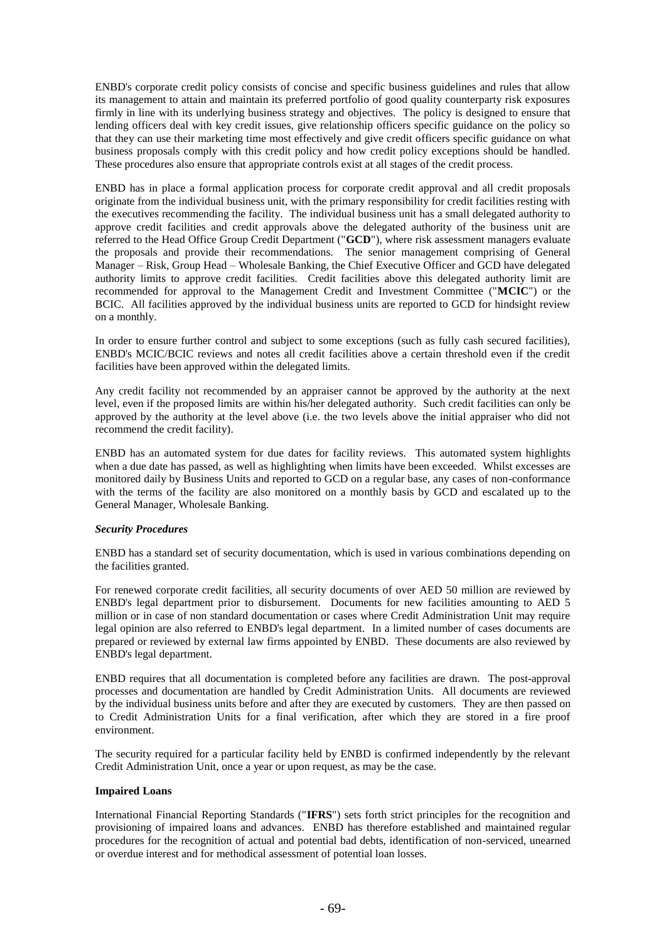ENBD's corporate credit policy consists of concise and specific business guidelines and rules that allow its management to attain and maintain its preferred portfolio of good quality counterparty risk exposures firmly in line with its underlying business strategy and objectives. The policy is designed to ensure that lending officers deal with key credit issues, give relationship officers specific guidance on the policy so that they can use their marketing time most effectively and give credit officers specific guidance on what business proposals comply with this credit policy and how credit policy exceptions should be handled. These procedures also ensure that appropriate controls exist at all stages of the credit process.

ENBD has in place a formal application process for corporate credit approval and all credit proposals originate from the individual business unit, with the primary responsibility for credit facilities resting with the executives recommending the facility. The individual business unit has a small delegated authority to approve credit facilities and credit approvals above the delegated authority of the business unit are referred to the Head Office Group Credit Department ("**GCD**"), where risk assessment managers evaluate the proposals and provide their recommendations. The senior management comprising of General Manager – Risk, Group Head – Wholesale Banking, the Chief Executive Officer and GCD have delegated authority limits to approve credit facilities. Credit facilities above this delegated authority limit are recommended for approval to the Management Credit and Investment Committee ("**MCIC**") or the BCIC. All facilities approved by the individual business units are reported to GCD for hindsight review on a monthly.

In order to ensure further control and subject to some exceptions (such as fully cash secured facilities), ENBD's MCIC/BCIC reviews and notes all credit facilities above a certain threshold even if the credit facilities have been approved within the delegated limits.

Any credit facility not recommended by an appraiser cannot be approved by the authority at the next level, even if the proposed limits are within his/her delegated authority. Such credit facilities can only be approved by the authority at the level above (i.e. the two levels above the initial appraiser who did not recommend the credit facility).

ENBD has an automated system for due dates for facility reviews. This automated system highlights when a due date has passed, as well as highlighting when limits have been exceeded. Whilst excesses are monitored daily by Business Units and reported to GCD on a regular base, any cases of non-conformance with the terms of the facility are also monitored on a monthly basis by GCD and escalated up to the General Manager, Wholesale Banking.

# *Security Procedures*

ENBD has a standard set of security documentation, which is used in various combinations depending on the facilities granted.

For renewed corporate credit facilities, all security documents of over AED 50 million are reviewed by ENBD's legal department prior to disbursement. Documents for new facilities amounting to AED 5 million or in case of non standard documentation or cases where Credit Administration Unit may require legal opinion are also referred to ENBD's legal department. In a limited number of cases documents are prepared or reviewed by external law firms appointed by ENBD. These documents are also reviewed by ENBD's legal department.

ENBD requires that all documentation is completed before any facilities are drawn. The post-approval processes and documentation are handled by Credit Administration Units. All documents are reviewed by the individual business units before and after they are executed by customers. They are then passed on to Credit Administration Units for a final verification, after which they are stored in a fire proof environment.

The security required for a particular facility held by ENBD is confirmed independently by the relevant Credit Administration Unit, once a year or upon request, as may be the case.

# **Impaired Loans**

International Financial Reporting Standards ("**IFRS**") sets forth strict principles for the recognition and provisioning of impaired loans and advances. ENBD has therefore established and maintained regular procedures for the recognition of actual and potential bad debts, identification of non-serviced, unearned or overdue interest and for methodical assessment of potential loan losses.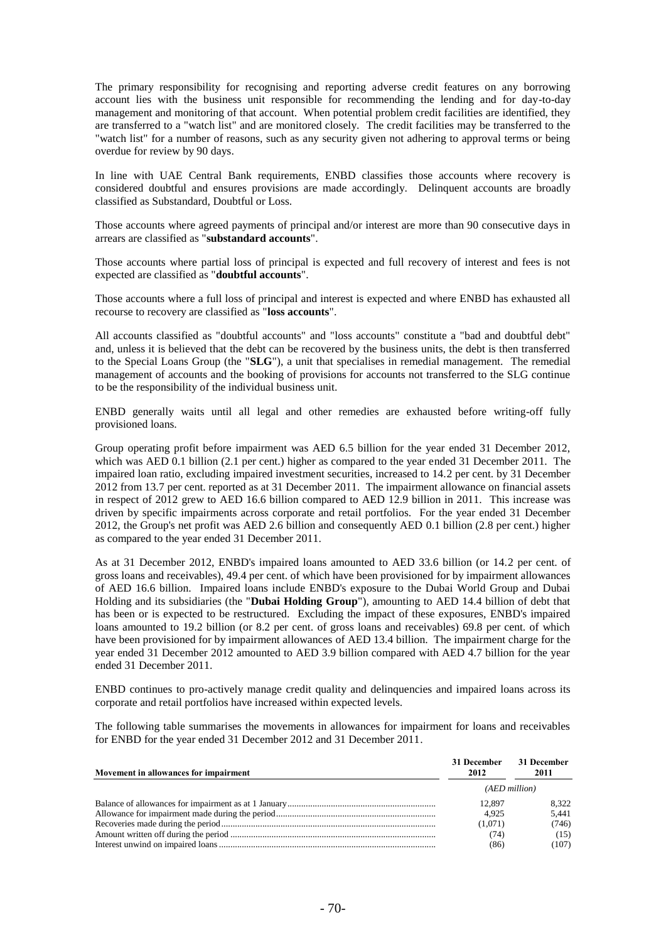The primary responsibility for recognising and reporting adverse credit features on any borrowing account lies with the business unit responsible for recommending the lending and for day-to-day management and monitoring of that account. When potential problem credit facilities are identified, they are transferred to a "watch list" and are monitored closely. The credit facilities may be transferred to the "watch list" for a number of reasons, such as any security given not adhering to approval terms or being overdue for review by 90 days.

In line with UAE Central Bank requirements, ENBD classifies those accounts where recovery is considered doubtful and ensures provisions are made accordingly. Delinquent accounts are broadly classified as Substandard, Doubtful or Loss.

Those accounts where agreed payments of principal and/or interest are more than 90 consecutive days in arrears are classified as "**substandard accounts**".

Those accounts where partial loss of principal is expected and full recovery of interest and fees is not expected are classified as "**doubtful accounts**".

Those accounts where a full loss of principal and interest is expected and where ENBD has exhausted all recourse to recovery are classified as "**loss accounts**".

All accounts classified as "doubtful accounts" and "loss accounts" constitute a "bad and doubtful debt" and, unless it is believed that the debt can be recovered by the business units, the debt is then transferred to the Special Loans Group (the "**SLG**"), a unit that specialises in remedial management. The remedial management of accounts and the booking of provisions for accounts not transferred to the SLG continue to be the responsibility of the individual business unit.

ENBD generally waits until all legal and other remedies are exhausted before writing-off fully provisioned loans.

Group operating profit before impairment was AED 6.5 billion for the year ended 31 December 2012, which was AED 0.1 billion (2.1 per cent.) higher as compared to the year ended 31 December 2011. The impaired loan ratio, excluding impaired investment securities, increased to 14.2 per cent. by 31 December 2012 from 13.7 per cent. reported as at 31 December 2011. The impairment allowance on financial assets in respect of 2012 grew to AED 16.6 billion compared to AED 12.9 billion in 2011. This increase was driven by specific impairments across corporate and retail portfolios. For the year ended 31 December 2012, the Group's net profit was AED 2.6 billion and consequently AED 0.1 billion (2.8 per cent.) higher as compared to the year ended 31 December 2011.

As at 31 December 2012, ENBD's impaired loans amounted to AED 33.6 billion (or 14.2 per cent. of gross loans and receivables), 49.4 per cent. of which have been provisioned for by impairment allowances of AED 16.6 billion. Impaired loans include ENBD's exposure to the Dubai World Group and Dubai Holding and its subsidiaries (the "**Dubai Holding Group**"), amounting to AED 14.4 billion of debt that has been or is expected to be restructured. Excluding the impact of these exposures, ENBD's impaired loans amounted to 19.2 billion (or 8.2 per cent. of gross loans and receivables) 69.8 per cent. of which have been provisioned for by impairment allowances of AED 13.4 billion. The impairment charge for the year ended 31 December 2012 amounted to AED 3.9 billion compared with AED 4.7 billion for the year ended 31 December 2011.

ENBD continues to pro-actively manage credit quality and delinquencies and impaired loans across its corporate and retail portfolios have increased within expected levels.

The following table summarises the movements in allowances for impairment for loans and receivables for ENBD for the year ended 31 December 2012 and 31 December 2011.

| Movement in allowances for impairment | 31 December 31 December<br>2012 | 2011          |
|---------------------------------------|---------------------------------|---------------|
|                                       |                                 | (AED million) |
|                                       | 12.897                          | 8.322         |
|                                       | 4.925                           | 5.441         |
|                                       | (1,071)                         | (746)         |
|                                       | (74)                            | (15)          |
|                                       | (86)                            | (107)         |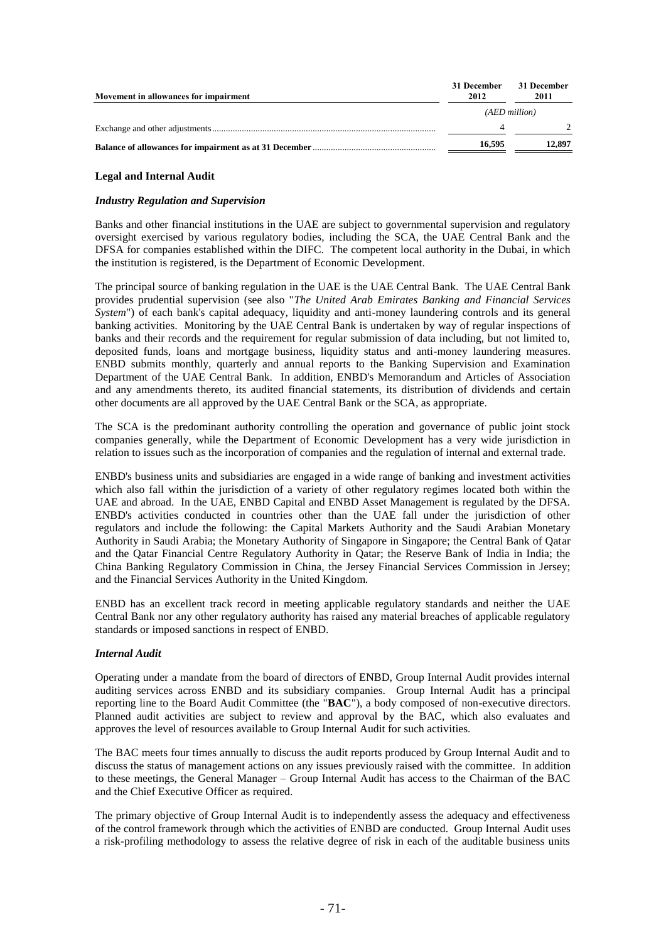| Movement in allowances for impairment | 31 December<br>2012 | 31 December<br>2011 |
|---------------------------------------|---------------------|---------------------|
|                                       |                     | (AED million)       |
|                                       |                     |                     |
|                                       | 16.595              | 12,897              |

## **Legal and Internal Audit**

# *Industry Regulation and Supervision*

Banks and other financial institutions in the UAE are subject to governmental supervision and regulatory oversight exercised by various regulatory bodies, including the SCA, the UAE Central Bank and the DFSA for companies established within the DIFC. The competent local authority in the Dubai, in which the institution is registered, is the Department of Economic Development.

The principal source of banking regulation in the UAE is the UAE Central Bank. The UAE Central Bank provides prudential supervision (see also "*The United Arab Emirates Banking and Financial Services System*") of each bank's capital adequacy, liquidity and anti-money laundering controls and its general banking activities. Monitoring by the UAE Central Bank is undertaken by way of regular inspections of banks and their records and the requirement for regular submission of data including, but not limited to, deposited funds, loans and mortgage business, liquidity status and anti-money laundering measures. ENBD submits monthly, quarterly and annual reports to the Banking Supervision and Examination Department of the UAE Central Bank. In addition, ENBD's Memorandum and Articles of Association and any amendments thereto, its audited financial statements, its distribution of dividends and certain other documents are all approved by the UAE Central Bank or the SCA, as appropriate.

The SCA is the predominant authority controlling the operation and governance of public joint stock companies generally, while the Department of Economic Development has a very wide jurisdiction in relation to issues such as the incorporation of companies and the regulation of internal and external trade.

ENBD's business units and subsidiaries are engaged in a wide range of banking and investment activities which also fall within the jurisdiction of a variety of other regulatory regimes located both within the UAE and abroad. In the UAE, ENBD Capital and ENBD Asset Management is regulated by the DFSA. ENBD's activities conducted in countries other than the UAE fall under the jurisdiction of other regulators and include the following: the Capital Markets Authority and the Saudi Arabian Monetary Authority in Saudi Arabia; the Monetary Authority of Singapore in Singapore; the Central Bank of Qatar and the Qatar Financial Centre Regulatory Authority in Qatar; the Reserve Bank of India in India; the China Banking Regulatory Commission in China, the Jersey Financial Services Commission in Jersey; and the Financial Services Authority in the United Kingdom.

ENBD has an excellent track record in meeting applicable regulatory standards and neither the UAE Central Bank nor any other regulatory authority has raised any material breaches of applicable regulatory standards or imposed sanctions in respect of ENBD.

# *Internal Audit*

Operating under a mandate from the board of directors of ENBD, Group Internal Audit provides internal auditing services across ENBD and its subsidiary companies. Group Internal Audit has a principal reporting line to the Board Audit Committee (the "**BAC**"), a body composed of non-executive directors. Planned audit activities are subject to review and approval by the BAC, which also evaluates and approves the level of resources available to Group Internal Audit for such activities.

The BAC meets four times annually to discuss the audit reports produced by Group Internal Audit and to discuss the status of management actions on any issues previously raised with the committee. In addition to these meetings, the General Manager – Group Internal Audit has access to the Chairman of the BAC and the Chief Executive Officer as required.

The primary objective of Group Internal Audit is to independently assess the adequacy and effectiveness of the control framework through which the activities of ENBD are conducted. Group Internal Audit uses a risk-profiling methodology to assess the relative degree of risk in each of the auditable business units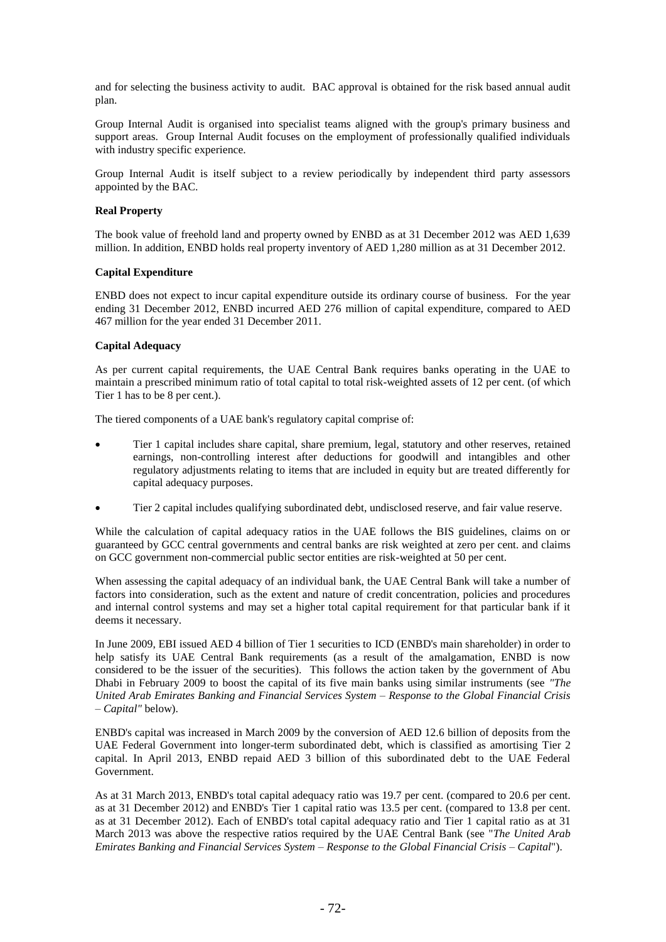and for selecting the business activity to audit. BAC approval is obtained for the risk based annual audit plan.

Group Internal Audit is organised into specialist teams aligned with the group's primary business and support areas. Group Internal Audit focuses on the employment of professionally qualified individuals with industry specific experience.

Group Internal Audit is itself subject to a review periodically by independent third party assessors appointed by the BAC.

# **Real Property**

The book value of freehold land and property owned by ENBD as at 31 December 2012 was AED 1,639 million. In addition, ENBD holds real property inventory of AED 1,280 million as at 31 December 2012.

# **Capital Expenditure**

ENBD does not expect to incur capital expenditure outside its ordinary course of business. For the year ending 31 December 2012, ENBD incurred AED 276 million of capital expenditure, compared to AED 467 million for the year ended 31 December 2011.

# **Capital Adequacy**

As per current capital requirements, the UAE Central Bank requires banks operating in the UAE to maintain a prescribed minimum ratio of total capital to total risk-weighted assets of 12 per cent. (of which Tier 1 has to be 8 per cent.).

The tiered components of a UAE bank's regulatory capital comprise of:

- Tier 1 capital includes share capital, share premium, legal, statutory and other reserves, retained earnings, non-controlling interest after deductions for goodwill and intangibles and other regulatory adjustments relating to items that are included in equity but are treated differently for capital adequacy purposes.
- Tier 2 capital includes qualifying subordinated debt, undisclosed reserve, and fair value reserve.

While the calculation of capital adequacy ratios in the UAE follows the BIS guidelines, claims on or guaranteed by GCC central governments and central banks are risk weighted at zero per cent. and claims on GCC government non-commercial public sector entities are risk-weighted at 50 per cent.

When assessing the capital adequacy of an individual bank, the UAE Central Bank will take a number of factors into consideration, such as the extent and nature of credit concentration, policies and procedures and internal control systems and may set a higher total capital requirement for that particular bank if it deems it necessary.

In June 2009, EBI issued AED 4 billion of Tier 1 securities to ICD (ENBD's main shareholder) in order to help satisfy its UAE Central Bank requirements (as a result of the amalgamation, ENBD is now considered to be the issuer of the securities). This follows the action taken by the government of Abu Dhabi in February 2009 to boost the capital of its five main banks using similar instruments (see *"The United Arab Emirates Banking and Financial Services System – Response to the Global Financial Crisis – Capital"* below).

ENBD's capital was increased in March 2009 by the conversion of AED 12.6 billion of deposits from the UAE Federal Government into longer-term subordinated debt, which is classified as amortising Tier 2 capital. In April 2013, ENBD repaid AED 3 billion of this subordinated debt to the UAE Federal Government.

As at 31 March 2013, ENBD's total capital adequacy ratio was 19.7 per cent. (compared to 20.6 per cent. as at 31 December 2012) and ENBD's Tier 1 capital ratio was 13.5 per cent. (compared to 13.8 per cent. as at 31 December 2012). Each of ENBD's total capital adequacy ratio and Tier 1 capital ratio as at 31 March 2013 was above the respective ratios required by the UAE Central Bank (see "*The United Arab Emirates Banking and Financial Services System – Response to the Global Financial Crisis – Capital*").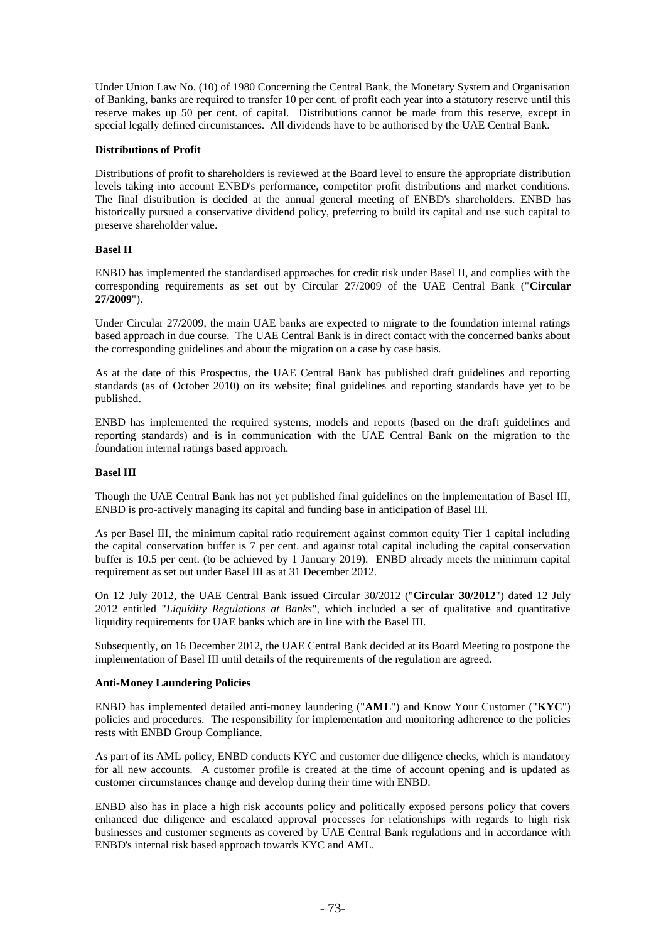Under Union Law No. (10) of 1980 Concerning the Central Bank, the Monetary System and Organisation of Banking, banks are required to transfer 10 per cent. of profit each year into a statutory reserve until this reserve makes up 50 per cent. of capital. Distributions cannot be made from this reserve, except in special legally defined circumstances. All dividends have to be authorised by the UAE Central Bank.

## **Distributions of Profit**

Distributions of profit to shareholders is reviewed at the Board level to ensure the appropriate distribution levels taking into account ENBD's performance, competitor profit distributions and market conditions. The final distribution is decided at the annual general meeting of ENBD's shareholders. ENBD has historically pursued a conservative dividend policy, preferring to build its capital and use such capital to preserve shareholder value.

# **Basel II**

ENBD has implemented the standardised approaches for credit risk under Basel II, and complies with the corresponding requirements as set out by Circular 27/2009 of the UAE Central Bank ("**Circular 27/2009**").

Under Circular 27/2009, the main UAE banks are expected to migrate to the foundation internal ratings based approach in due course. The UAE Central Bank is in direct contact with the concerned banks about the corresponding guidelines and about the migration on a case by case basis.

As at the date of this Prospectus, the UAE Central Bank has published draft guidelines and reporting standards (as of October 2010) on its website; final guidelines and reporting standards have yet to be published.

ENBD has implemented the required systems, models and reports (based on the draft guidelines and reporting standards) and is in communication with the UAE Central Bank on the migration to the foundation internal ratings based approach.

# **Basel III**

Though the UAE Central Bank has not yet published final guidelines on the implementation of Basel III, ENBD is pro-actively managing its capital and funding base in anticipation of Basel III.

As per Basel III, the minimum capital ratio requirement against common equity Tier 1 capital including the capital conservation buffer is 7 per cent. and against total capital including the capital conservation buffer is 10.5 per cent. (to be achieved by 1 January 2019). ENBD already meets the minimum capital requirement as set out under Basel III as at 31 December 2012.

On 12 July 2012, the UAE Central Bank issued Circular 30/2012 ("**Circular 30/2012**") dated 12 July 2012 entitled "*Liquidity Regulations at Banks*", which included a set of qualitative and quantitative liquidity requirements for UAE banks which are in line with the Basel III.

Subsequently, on 16 December 2012, the UAE Central Bank decided at its Board Meeting to postpone the implementation of Basel III until details of the requirements of the regulation are agreed.

#### **Anti-Money Laundering Policies**

ENBD has implemented detailed anti-money laundering ("**AML**") and Know Your Customer ("**KYC**") policies and procedures. The responsibility for implementation and monitoring adherence to the policies rests with ENBD Group Compliance.

As part of its AML policy, ENBD conducts KYC and customer due diligence checks, which is mandatory for all new accounts. A customer profile is created at the time of account opening and is updated as customer circumstances change and develop during their time with ENBD.

ENBD also has in place a high risk accounts policy and politically exposed persons policy that covers enhanced due diligence and escalated approval processes for relationships with regards to high risk businesses and customer segments as covered by UAE Central Bank regulations and in accordance with ENBD's internal risk based approach towards KYC and AML.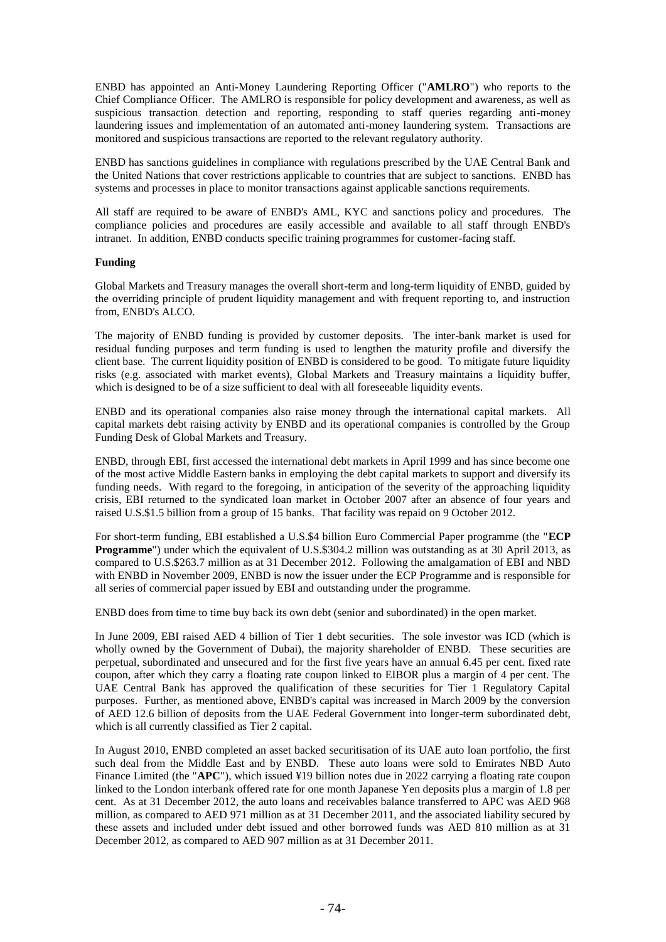ENBD has appointed an Anti-Money Laundering Reporting Officer ("**AMLRO**") who reports to the Chief Compliance Officer. The AMLRO is responsible for policy development and awareness, as well as suspicious transaction detection and reporting, responding to staff queries regarding anti-money laundering issues and implementation of an automated anti-money laundering system. Transactions are monitored and suspicious transactions are reported to the relevant regulatory authority.

ENBD has sanctions guidelines in compliance with regulations prescribed by the UAE Central Bank and the United Nations that cover restrictions applicable to countries that are subject to sanctions. ENBD has systems and processes in place to monitor transactions against applicable sanctions requirements.

All staff are required to be aware of ENBD's AML, KYC and sanctions policy and procedures. The compliance policies and procedures are easily accessible and available to all staff through ENBD's intranet. In addition, ENBD conducts specific training programmes for customer-facing staff.

## **Funding**

Global Markets and Treasury manages the overall short-term and long-term liquidity of ENBD, guided by the overriding principle of prudent liquidity management and with frequent reporting to, and instruction from, ENBD's ALCO.

The majority of ENBD funding is provided by customer deposits. The inter-bank market is used for residual funding purposes and term funding is used to lengthen the maturity profile and diversify the client base. The current liquidity position of ENBD is considered to be good. To mitigate future liquidity risks (e.g. associated with market events), Global Markets and Treasury maintains a liquidity buffer, which is designed to be of a size sufficient to deal with all foreseeable liquidity events.

ENBD and its operational companies also raise money through the international capital markets. All capital markets debt raising activity by ENBD and its operational companies is controlled by the Group Funding Desk of Global Markets and Treasury.

ENBD, through EBI, first accessed the international debt markets in April 1999 and has since become one of the most active Middle Eastern banks in employing the debt capital markets to support and diversify its funding needs. With regard to the foregoing, in anticipation of the severity of the approaching liquidity crisis, EBI returned to the syndicated loan market in October 2007 after an absence of four years and raised U.S.\$1.5 billion from a group of 15 banks. That facility was repaid on 9 October 2012.

For short-term funding, EBI established a U.S.\$4 billion Euro Commercial Paper programme (the "**ECP Programme**") under which the equivalent of U.S.\$304.2 million was outstanding as at 30 April 2013, as compared to U.S.\$263.7 million as at 31 December 2012. Following the amalgamation of EBI and NBD with ENBD in November 2009, ENBD is now the issuer under the ECP Programme and is responsible for all series of commercial paper issued by EBI and outstanding under the programme.

ENBD does from time to time buy back its own debt (senior and subordinated) in the open market.

In June 2009, EBI raised AED 4 billion of Tier 1 debt securities. The sole investor was ICD (which is wholly owned by the Government of Dubai), the majority shareholder of ENBD. These securities are perpetual, subordinated and unsecured and for the first five years have an annual 6.45 per cent. fixed rate coupon, after which they carry a floating rate coupon linked to EIBOR plus a margin of 4 per cent. The UAE Central Bank has approved the qualification of these securities for Tier 1 Regulatory Capital purposes. Further, as mentioned above, ENBD's capital was increased in March 2009 by the conversion of AED 12.6 billion of deposits from the UAE Federal Government into longer-term subordinated debt, which is all currently classified as Tier 2 capital.

In August 2010, ENBD completed an asset backed securitisation of its UAE auto loan portfolio, the first such deal from the Middle East and by ENBD. These auto loans were sold to Emirates NBD Auto Finance Limited (the "**APC**"), which issued ¥19 billion notes due in 2022 carrying a floating rate coupon linked to the London interbank offered rate for one month Japanese Yen deposits plus a margin of 1.8 per cent. As at 31 December 2012, the auto loans and receivables balance transferred to APC was AED 968 million, as compared to AED 971 million as at 31 December 2011, and the associated liability secured by these assets and included under debt issued and other borrowed funds was AED 810 million as at 31 December 2012, as compared to AED 907 million as at 31 December 2011.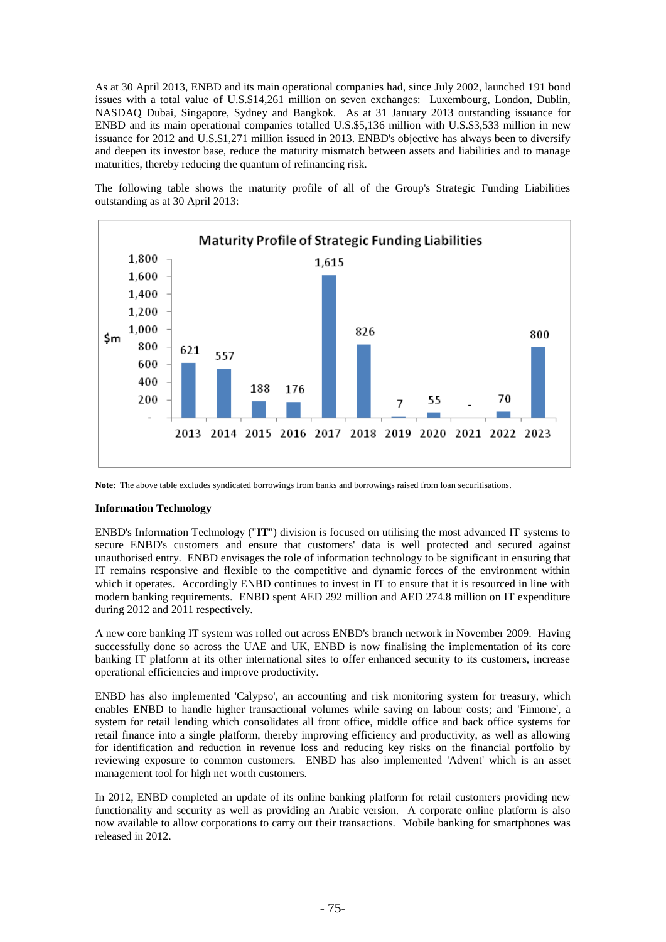As at 30 April 2013, ENBD and its main operational companies had, since July 2002, launched 191 bond issues with a total value of U.S.\$14,261 million on seven exchanges: Luxembourg, London, Dublin, NASDAQ Dubai, Singapore, Sydney and Bangkok. As at 31 January 2013 outstanding issuance for ENBD and its main operational companies totalled U.S.\$5,136 million with U.S.\$3,533 million in new issuance for 2012 and U.S.\$1,271 million issued in 2013. ENBD's objective has always been to diversify and deepen its investor base, reduce the maturity mismatch between assets and liabilities and to manage maturities, thereby reducing the quantum of refinancing risk.

The following table shows the maturity profile of all of the Group's Strategic Funding Liabilities outstanding as at 30 April 2013:



**Note**: The above table excludes syndicated borrowings from banks and borrowings raised from loan securitisations.

## **Information Technology**

ENBD's Information Technology ("**IT**") division is focused on utilising the most advanced IT systems to secure ENBD's customers and ensure that customers' data is well protected and secured against unauthorised entry. ENBD envisages the role of information technology to be significant in ensuring that IT remains responsive and flexible to the competitive and dynamic forces of the environment within which it operates. Accordingly ENBD continues to invest in IT to ensure that it is resourced in line with modern banking requirements. ENBD spent AED 292 million and AED 274.8 million on IT expenditure during 2012 and 2011 respectively.

A new core banking IT system was rolled out across ENBD's branch network in November 2009. Having successfully done so across the UAE and UK, ENBD is now finalising the implementation of its core banking IT platform at its other international sites to offer enhanced security to its customers, increase operational efficiencies and improve productivity.

ENBD has also implemented 'Calypso', an accounting and risk monitoring system for treasury, which enables ENBD to handle higher transactional volumes while saving on labour costs; and 'Finnone', a system for retail lending which consolidates all front office, middle office and back office systems for retail finance into a single platform, thereby improving efficiency and productivity, as well as allowing for identification and reduction in revenue loss and reducing key risks on the financial portfolio by reviewing exposure to common customers. ENBD has also implemented 'Advent' which is an asset management tool for high net worth customers.

In 2012, ENBD completed an update of its online banking platform for retail customers providing new functionality and security as well as providing an Arabic version. A corporate online platform is also now available to allow corporations to carry out their transactions. Mobile banking for smartphones was released in 2012.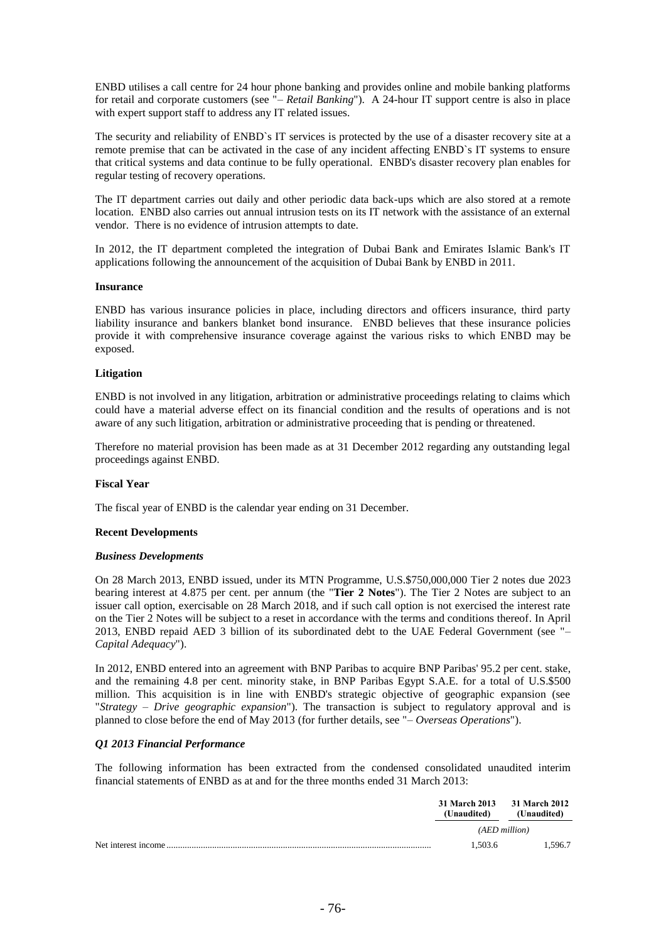ENBD utilises a call centre for 24 hour phone banking and provides online and mobile banking platforms for retail and corporate customers (see "– *Retail Banking*"). A 24-hour IT support centre is also in place with expert support staff to address any IT related issues.

The security and reliability of ENBD`s IT services is protected by the use of a disaster recovery site at a remote premise that can be activated in the case of any incident affecting ENBD`s IT systems to ensure that critical systems and data continue to be fully operational. ENBD's disaster recovery plan enables for regular testing of recovery operations.

The IT department carries out daily and other periodic data back-ups which are also stored at a remote location. ENBD also carries out annual intrusion tests on its IT network with the assistance of an external vendor. There is no evidence of intrusion attempts to date.

In 2012, the IT department completed the integration of Dubai Bank and Emirates Islamic Bank's IT applications following the announcement of the acquisition of Dubai Bank by ENBD in 2011.

#### **Insurance**

ENBD has various insurance policies in place, including directors and officers insurance, third party liability insurance and bankers blanket bond insurance. ENBD believes that these insurance policies provide it with comprehensive insurance coverage against the various risks to which ENBD may be exposed.

#### **Litigation**

ENBD is not involved in any litigation, arbitration or administrative proceedings relating to claims which could have a material adverse effect on its financial condition and the results of operations and is not aware of any such litigation, arbitration or administrative proceeding that is pending or threatened.

Therefore no material provision has been made as at 31 December 2012 regarding any outstanding legal proceedings against ENBD.

# **Fiscal Year**

The fiscal year of ENBD is the calendar year ending on 31 December.

#### **Recent Developments**

#### *Business Developments*

On 28 March 2013, ENBD issued, under its MTN Programme, U.S.\$750,000,000 Tier 2 notes due 2023 bearing interest at 4.875 per cent. per annum (the "**Tier 2 Notes**"). The Tier 2 Notes are subject to an issuer call option, exercisable on 28 March 2018, and if such call option is not exercised the interest rate on the Tier 2 Notes will be subject to a reset in accordance with the terms and conditions thereof. In April 2013, ENBD repaid AED 3 billion of its subordinated debt to the UAE Federal Government (see "– *Capital Adequacy*").

In 2012, ENBD entered into an agreement with BNP Paribas to acquire BNP Paribas' 95.2 per cent. stake, and the remaining 4.8 per cent. minority stake, in BNP Paribas Egypt S.A.E. for a total of U.S.\$500 million. This acquisition is in line with ENBD's strategic objective of geographic expansion (see "*Strategy – Drive geographic expansion*"). The transaction is subject to regulatory approval and is planned to close before the end of May 2013 (for further details, see "– *Overseas Operations*").

# *Q1 2013 Financial Performance*

The following information has been extracted from the condensed consolidated unaudited interim financial statements of ENBD as at and for the three months ended 31 March 2013:

|                     | (Unaudited) | 31 March 2013 31 March 2012<br>(Unaudited) |
|---------------------|-------------|--------------------------------------------|
|                     |             | (AED million)                              |
| Net interest income | 1.503.6     | 1.596.7                                    |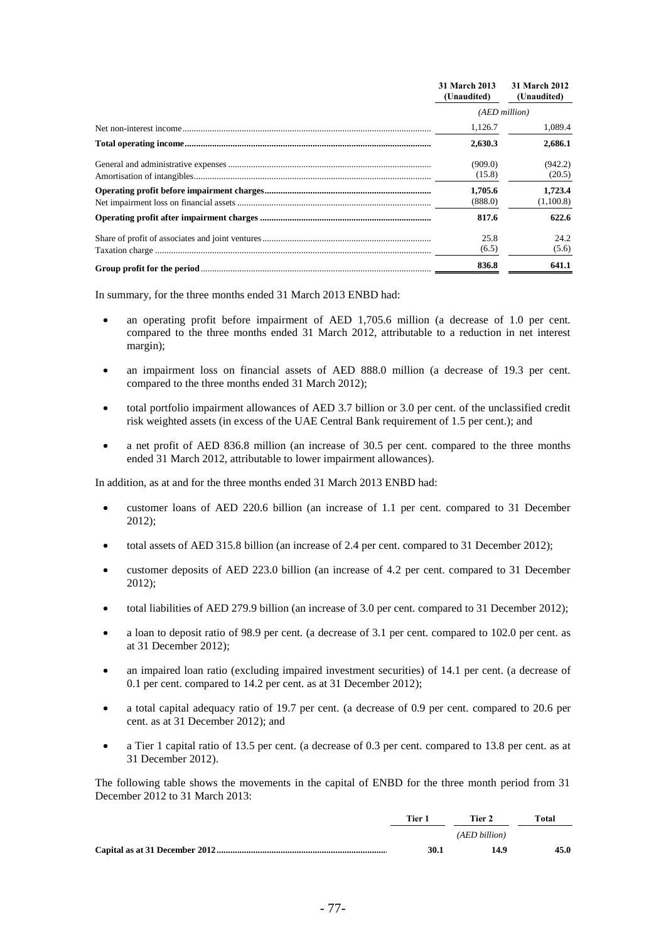| 31 March 2013<br>(Unaudited) | 31 March 2012<br>(Unaudited) |
|------------------------------|------------------------------|
| (AED million)                |                              |
| 1.126.7                      | 1,089.4                      |
| 2,630.3                      | 2,686.1                      |
| (909.0)<br>(15.8)            | (942.2)<br>(20.5)            |
| 1.705.6<br>(888.0)           | 1,723.4<br>(1,100.8)         |
| 817.6                        | 622.6                        |
| 25.8<br>(6.5)                | 24.2<br>(5.6)                |
| 836.8                        | 641.1                        |

In summary, for the three months ended 31 March 2013 ENBD had:

- an operating profit before impairment of AED 1,705.6 million (a decrease of 1.0 per cent. compared to the three months ended 31 March 2012, attributable to a reduction in net interest margin);
- an impairment loss on financial assets of AED 888.0 million (a decrease of 19.3 per cent. compared to the three months ended 31 March 2012);
- total portfolio impairment allowances of AED 3.7 billion or 3.0 per cent. of the unclassified credit risk weighted assets (in excess of the UAE Central Bank requirement of 1.5 per cent.); and
- a net profit of AED 836.8 million (an increase of 30.5 per cent. compared to the three months ended 31 March 2012, attributable to lower impairment allowances).

In addition, as at and for the three months ended 31 March 2013 ENBD had:

- customer loans of AED 220.6 billion (an increase of 1.1 per cent. compared to 31 December 2012);
- total assets of AED 315.8 billion (an increase of 2.4 per cent. compared to 31 December 2012);
- customer deposits of AED 223.0 billion (an increase of 4.2 per cent. compared to 31 December 2012);
- total liabilities of AED 279.9 billion (an increase of 3.0 per cent. compared to 31 December 2012);
- a loan to deposit ratio of 98.9 per cent. (a decrease of 3.1 per cent. compared to 102.0 per cent. as at 31 December 2012);
- an impaired loan ratio (excluding impaired investment securities) of 14.1 per cent. (a decrease of 0.1 per cent. compared to 14.2 per cent. as at 31 December 2012);
- a total capital adequacy ratio of 19.7 per cent. (a decrease of 0.9 per cent. compared to 20.6 per cent. as at 31 December 2012); and
- a Tier 1 capital ratio of 13.5 per cent. (a decrease of 0.3 per cent. compared to 13.8 per cent. as at 31 December 2012).

The following table shows the movements in the capital of ENBD for the three month period from 31 December 2012 to 31 March 2013:

| Tier 1 | Tier 2        | Total |
|--------|---------------|-------|
|        | (AED billion) |       |
| 30.1   | 14.9          | 45.0  |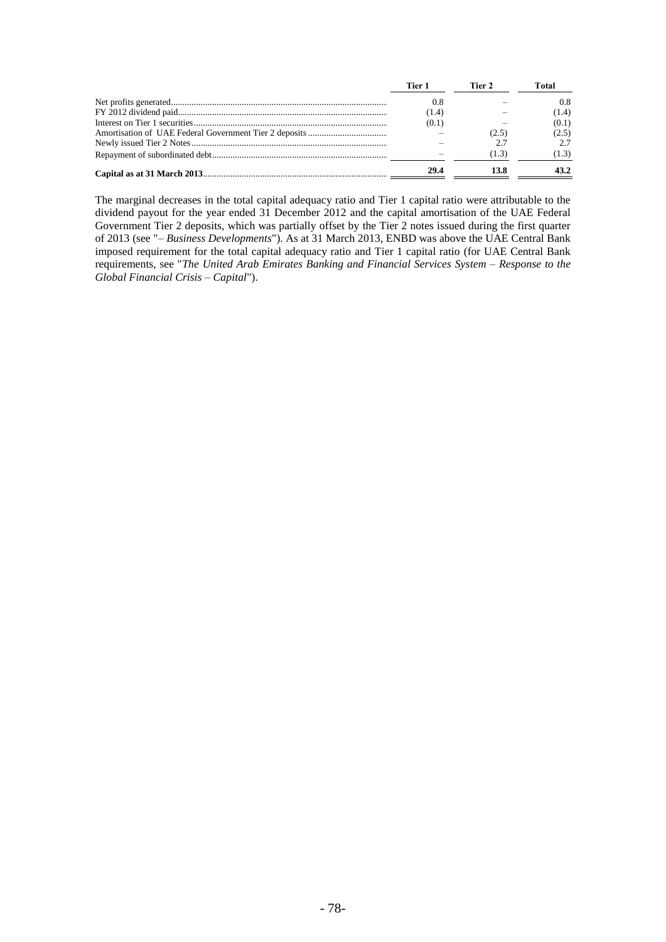| Tier 1 | Tier 2 | Total |
|--------|--------|-------|
| 0.8    |        | 0.8   |
| (1.4)  |        | (1.4) |
| (0.1)  |        | (0.1) |
|        | (2.5)  | (2.5) |
|        |        |       |
|        | (1.3)  | (1.3) |
| 29.4   |        | 43.2  |

The marginal decreases in the total capital adequacy ratio and Tier 1 capital ratio were attributable to the dividend payout for the year ended 31 December 2012 and the capital amortisation of the UAE Federal Government Tier 2 deposits, which was partially offset by the Tier 2 notes issued during the first quarter of 2013 (see "– *Business Developments*"). As at 31 March 2013, ENBD was above the UAE Central Bank imposed requirement for the total capital adequacy ratio and Tier 1 capital ratio (for UAE Central Bank requirements, see "*The United Arab Emirates Banking and Financial Services System – Response to the Global Financial Crisis – Capital*").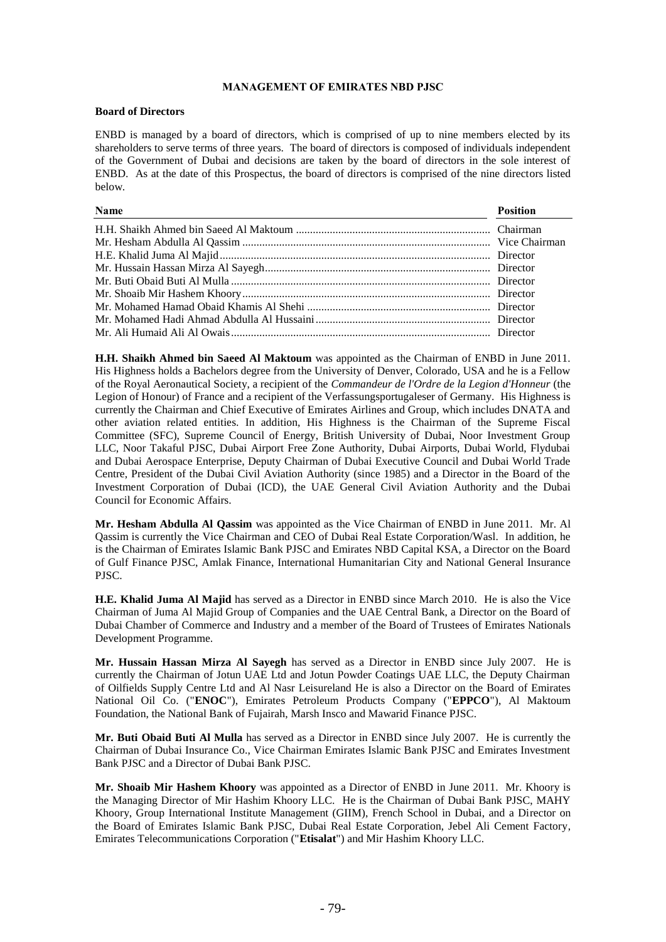## **MANAGEMENT OF EMIRATES NBD PJSC**

#### **Board of Directors**

ENBD is managed by a board of directors, which is comprised of up to nine members elected by its shareholders to serve terms of three years. The board of directors is composed of individuals independent of the Government of Dubai and decisions are taken by the board of directors in the sole interest of ENBD. As at the date of this Prospectus, the board of directors is comprised of the nine directors listed below.

| Name | <b>Position</b> |
|------|-----------------|
|      |                 |
|      |                 |
|      |                 |
|      |                 |
|      |                 |
|      |                 |
|      |                 |
|      |                 |
|      |                 |

**H.H. Shaikh Ahmed bin Saeed Al Maktoum** was appointed as the Chairman of ENBD in June 2011. His Highness holds a Bachelors degree from the University of Denver, Colorado, USA and he is a Fellow of the Royal Aeronautical Society, a recipient of the *Commandeur de l'Ordre de la Legion d'Honneur* (the Legion of Honour) of France and a recipient of the Verfassungsportugaleser of Germany. His Highness is currently the Chairman and Chief Executive of Emirates Airlines and Group, which includes DNATA and other aviation related entities. In addition, His Highness is the Chairman of the Supreme Fiscal Committee (SFC), Supreme Council of Energy, British University of Dubai, Noor Investment Group LLC, Noor Takaful PJSC, Dubai Airport Free Zone Authority, Dubai Airports, Dubai World, Flydubai and Dubai Aerospace Enterprise, Deputy Chairman of Dubai Executive Council and Dubai World Trade Centre, President of the Dubai Civil Aviation Authority (since 1985) and a Director in the Board of the Investment Corporation of Dubai (ICD), the UAE General Civil Aviation Authority and the Dubai Council for Economic Affairs.

**Mr. Hesham Abdulla Al Qassim** was appointed as the Vice Chairman of ENBD in June 2011. Mr. Al Qassim is currently the Vice Chairman and CEO of Dubai Real Estate Corporation/Wasl. In addition, he is the Chairman of Emirates Islamic Bank PJSC and Emirates NBD Capital KSA, a Director on the Board of Gulf Finance PJSC, Amlak Finance, International Humanitarian City and National General Insurance PJSC.

**H.E. Khalid Juma Al Majid** has served as a Director in ENBD since March 2010. He is also the Vice Chairman of Juma Al Majid Group of Companies and the UAE Central Bank, a Director on the Board of Dubai Chamber of Commerce and Industry and a member of the Board of Trustees of Emirates Nationals Development Programme.

**Mr. Hussain Hassan Mirza Al Sayegh** has served as a Director in ENBD since July 2007. He is currently the Chairman of Jotun UAE Ltd and Jotun Powder Coatings UAE LLC, the Deputy Chairman of Oilfields Supply Centre Ltd and Al Nasr Leisureland He is also a Director on the Board of Emirates National Oil Co. ("**ENOC**"), Emirates Petroleum Products Company ("**EPPCO**"), Al Maktoum Foundation, the National Bank of Fujairah, Marsh Insco and Mawarid Finance PJSC.

**Mr. Buti Obaid Buti Al Mulla** has served as a Director in ENBD since July 2007. He is currently the Chairman of Dubai Insurance Co., Vice Chairman Emirates Islamic Bank PJSC and Emirates Investment Bank PJSC and a Director of Dubai Bank PJSC.

**Mr. Shoaib Mir Hashem Khoory** was appointed as a Director of ENBD in June 2011. Mr. Khoory is the Managing Director of Mir Hashim Khoory LLC. He is the Chairman of Dubai Bank PJSC, MAHY Khoory, Group International Institute Management (GIIM), French School in Dubai, and a Director on the Board of Emirates Islamic Bank PJSC, Dubai Real Estate Corporation, Jebel Ali Cement Factory, Emirates Telecommunications Corporation ("**Etisalat**") and Mir Hashim Khoory LLC.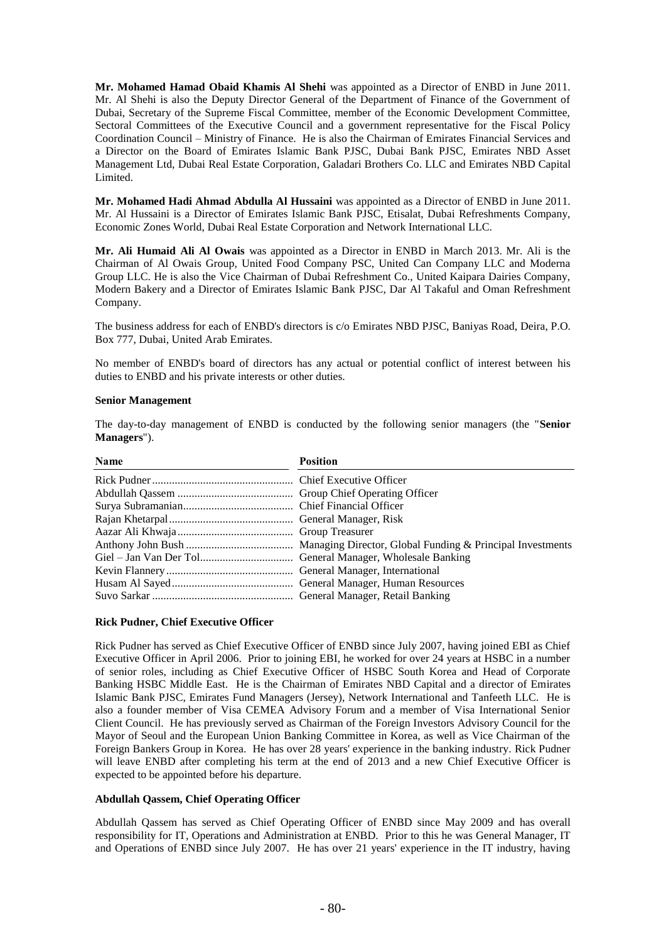**Mr. Mohamed Hamad Obaid Khamis Al Shehi** was appointed as a Director of ENBD in June 2011. Mr. Al Shehi is also the Deputy Director General of the Department of Finance of the Government of Dubai, Secretary of the Supreme Fiscal Committee, member of the Economic Development Committee, Sectoral Committees of the Executive Council and a government representative for the Fiscal Policy Coordination Council – Ministry of Finance. He is also the Chairman of Emirates Financial Services and a Director on the Board of Emirates Islamic Bank PJSC, Dubai Bank PJSC, Emirates NBD Asset Management Ltd, Dubai Real Estate Corporation, Galadari Brothers Co. LLC and Emirates NBD Capital Limited.

**Mr. Mohamed Hadi Ahmad Abdulla Al Hussaini** was appointed as a Director of ENBD in June 2011. Mr. Al Hussaini is a Director of Emirates Islamic Bank PJSC, Etisalat, Dubai Refreshments Company, Economic Zones World, Dubai Real Estate Corporation and Network International LLC.

**Mr. Ali Humaid Ali Al Owais** was appointed as a Director in ENBD in March 2013. Mr. Ali is the Chairman of Al Owais Group, United Food Company PSC, United Can Company LLC and Moderna Group LLC. He is also the Vice Chairman of Dubai Refreshment Co., United Kaipara Dairies Company, Modern Bakery and a Director of Emirates Islamic Bank PJSC, Dar Al Takaful and Oman Refreshment Company.

The business address for each of ENBD's directors is c/o Emirates NBD PJSC, Baniyas Road, Deira, P.O. Box 777, Dubai, United Arab Emirates.

No member of ENBD's board of directors has any actual or potential conflict of interest between his duties to ENBD and his private interests or other duties.

#### **Senior Management**

The day-to-day management of ENBD is conducted by the following senior managers (the "**Senior Managers**").

| <b>Name</b> | <b>Position</b> |
|-------------|-----------------|
|             |                 |
|             |                 |
|             |                 |
|             |                 |
|             |                 |
|             |                 |
|             |                 |
|             |                 |
|             |                 |
|             |                 |

#### **Rick Pudner, Chief Executive Officer**

Rick Pudner has served as Chief Executive Officer of ENBD since July 2007, having joined EBI as Chief Executive Officer in April 2006. Prior to joining EBI, he worked for over 24 years at HSBC in a number of senior roles, including as Chief Executive Officer of HSBC South Korea and Head of Corporate Banking HSBC Middle East. He is the Chairman of Emirates NBD Capital and a director of Emirates Islamic Bank PJSC, Emirates Fund Managers (Jersey), Network International and Tanfeeth LLC. He is also a founder member of Visa CEMEA Advisory Forum and a member of Visa International Senior Client Council. He has previously served as Chairman of the Foreign Investors Advisory Council for the Mayor of Seoul and the European Union Banking Committee in Korea, as well as Vice Chairman of the Foreign Bankers Group in Korea. He has over 28 years' experience in the banking industry. Rick Pudner will leave ENBD after completing his term at the end of 2013 and a new Chief Executive Officer is expected to be appointed before his departure.

# **Abdullah Qassem, Chief Operating Officer**

Abdullah Qassem has served as Chief Operating Officer of ENBD since May 2009 and has overall responsibility for IT, Operations and Administration at ENBD. Prior to this he was General Manager, IT and Operations of ENBD since July 2007. He has over 21 years' experience in the IT industry, having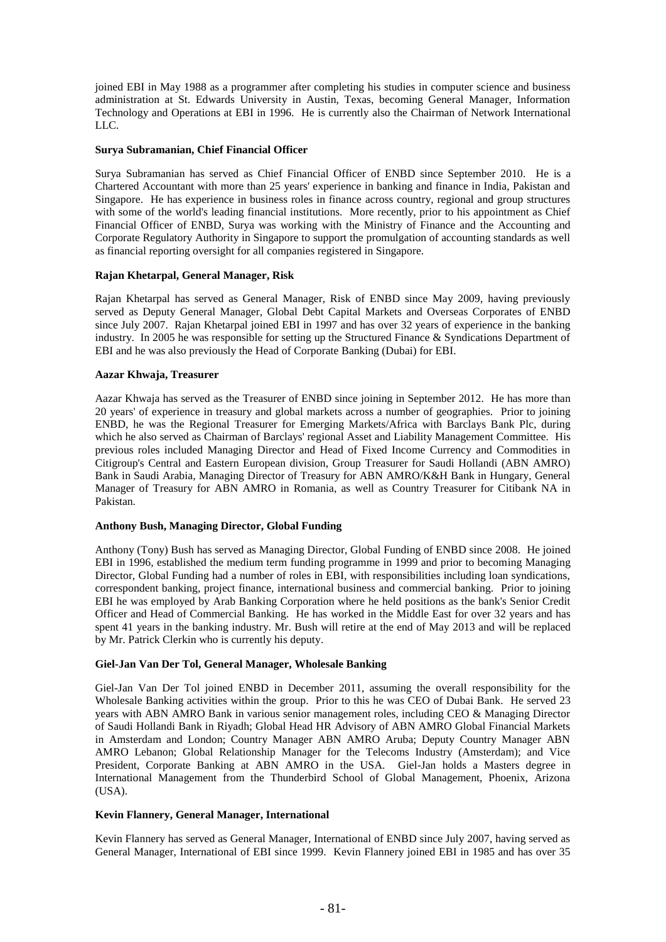joined EBI in May 1988 as a programmer after completing his studies in computer science and business administration at St. Edwards University in Austin, Texas, becoming General Manager, Information Technology and Operations at EBI in 1996. He is currently also the Chairman of Network International LLC.

#### **Surya Subramanian, Chief Financial Officer**

Surya Subramanian has served as Chief Financial Officer of ENBD since September 2010. He is a Chartered Accountant with more than 25 years' experience in banking and finance in India, Pakistan and Singapore. He has experience in business roles in finance across country, regional and group structures with some of the world's leading financial institutions. More recently, prior to his appointment as Chief Financial Officer of ENBD, Surya was working with the Ministry of Finance and the Accounting and Corporate Regulatory Authority in Singapore to support the promulgation of accounting standards as well as financial reporting oversight for all companies registered in Singapore.

#### **Rajan Khetarpal, General Manager, Risk**

Rajan Khetarpal has served as General Manager, Risk of ENBD since May 2009, having previously served as Deputy General Manager, Global Debt Capital Markets and Overseas Corporates of ENBD since July 2007. Rajan Khetarpal joined EBI in 1997 and has over 32 years of experience in the banking industry. In 2005 he was responsible for setting up the Structured Finance & Syndications Department of EBI and he was also previously the Head of Corporate Banking (Dubai) for EBI.

# **Aazar Khwaja, Treasurer**

Aazar Khwaja has served as the Treasurer of ENBD since joining in September 2012. He has more than 20 years' of experience in treasury and global markets across a number of geographies. Prior to joining ENBD, he was the Regional Treasurer for Emerging Markets/Africa with Barclays Bank Plc, during which he also served as Chairman of Barclays' regional Asset and Liability Management Committee. His previous roles included Managing Director and Head of Fixed Income Currency and Commodities in Citigroup's Central and Eastern European division, Group Treasurer for Saudi Hollandi (ABN AMRO) Bank in Saudi Arabia, Managing Director of Treasury for ABN AMRO/K&H Bank in Hungary, General Manager of Treasury for ABN AMRO in Romania, as well as Country Treasurer for Citibank NA in Pakistan.

# **Anthony Bush, Managing Director, Global Funding**

Anthony (Tony) Bush has served as Managing Director, Global Funding of ENBD since 2008. He joined EBI in 1996, established the medium term funding programme in 1999 and prior to becoming Managing Director, Global Funding had a number of roles in EBI, with responsibilities including loan syndications, correspondent banking, project finance, international business and commercial banking. Prior to joining EBI he was employed by Arab Banking Corporation where he held positions as the bank's Senior Credit Officer and Head of Commercial Banking. He has worked in the Middle East for over 32 years and has spent 41 years in the banking industry. Mr. Bush will retire at the end of May 2013 and will be replaced by Mr. Patrick Clerkin who is currently his deputy.

# **Giel-Jan Van Der Tol, General Manager, Wholesale Banking**

Giel-Jan Van Der Tol joined ENBD in December 2011, assuming the overall responsibility for the Wholesale Banking activities within the group. Prior to this he was CEO of Dubai Bank. He served 23 years with ABN AMRO Bank in various senior management roles, including CEO & Managing Director of Saudi Hollandi Bank in Riyadh; Global Head HR Advisory of ABN AMRO Global Financial Markets in Amsterdam and London; Country Manager ABN AMRO Aruba; Deputy Country Manager ABN AMRO Lebanon; Global Relationship Manager for the Telecoms Industry (Amsterdam); and Vice President, Corporate Banking at ABN AMRO in the USA. Giel-Jan holds a Masters degree in International Management from the Thunderbird School of Global Management, Phoenix, Arizona (USA).

# **Kevin Flannery, General Manager, International**

Kevin Flannery has served as General Manager, International of ENBD since July 2007, having served as General Manager, International of EBI since 1999. Kevin Flannery joined EBI in 1985 and has over 35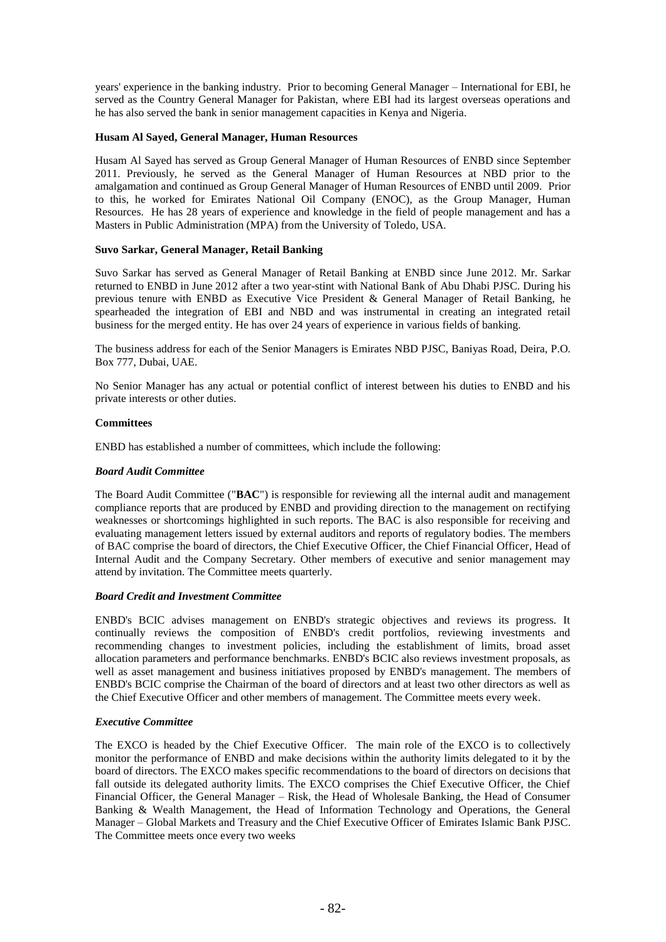years' experience in the banking industry. Prior to becoming General Manager – International for EBI, he served as the Country General Manager for Pakistan, where EBI had its largest overseas operations and he has also served the bank in senior management capacities in Kenya and Nigeria.

# **Husam Al Sayed, General Manager, Human Resources**

Husam Al Sayed has served as Group General Manager of Human Resources of ENBD since September 2011. Previously, he served as the General Manager of Human Resources at NBD prior to the amalgamation and continued as Group General Manager of Human Resources of ENBD until 2009. Prior to this, he worked for Emirates National Oil Company (ENOC), as the Group Manager, Human Resources. He has 28 years of experience and knowledge in the field of people management and has a Masters in Public Administration (MPA) from the University of Toledo, USA.

# **Suvo Sarkar, General Manager, Retail Banking**

Suvo Sarkar has served as General Manager of Retail Banking at ENBD since June 2012. Mr. Sarkar returned to ENBD in June 2012 after a two year-stint with National Bank of Abu Dhabi PJSC. During his previous tenure with ENBD as Executive Vice President & General Manager of Retail Banking, he spearheaded the integration of EBI and NBD and was instrumental in creating an integrated retail business for the merged entity. He has over 24 years of experience in various fields of banking.

The business address for each of the Senior Managers is Emirates NBD PJSC, Baniyas Road, Deira, P.O. Box 777, Dubai, UAE.

No Senior Manager has any actual or potential conflict of interest between his duties to ENBD and his private interests or other duties.

# **Committees**

ENBD has established a number of committees, which include the following:

# *Board Audit Committee*

The Board Audit Committee ("**BAC**") is responsible for reviewing all the internal audit and management compliance reports that are produced by ENBD and providing direction to the management on rectifying weaknesses or shortcomings highlighted in such reports. The BAC is also responsible for receiving and evaluating management letters issued by external auditors and reports of regulatory bodies. The members of BAC comprise the board of directors, the Chief Executive Officer, the Chief Financial Officer, Head of Internal Audit and the Company Secretary. Other members of executive and senior management may attend by invitation. The Committee meets quarterly.

# *Board Credit and Investment Committee*

ENBD's BCIC advises management on ENBD's strategic objectives and reviews its progress. It continually reviews the composition of ENBD's credit portfolios, reviewing investments and recommending changes to investment policies, including the establishment of limits, broad asset allocation parameters and performance benchmarks. ENBD's BCIC also reviews investment proposals, as well as asset management and business initiatives proposed by ENBD's management. The members of ENBD's BCIC comprise the Chairman of the board of directors and at least two other directors as well as the Chief Executive Officer and other members of management. The Committee meets every week.

# *Executive Committee*

The EXCO is headed by the Chief Executive Officer. The main role of the EXCO is to collectively monitor the performance of ENBD and make decisions within the authority limits delegated to it by the board of directors. The EXCO makes specific recommendations to the board of directors on decisions that fall outside its delegated authority limits. The EXCO comprises the Chief Executive Officer, the Chief Financial Officer, the General Manager – Risk, the Head of Wholesale Banking, the Head of Consumer Banking & Wealth Management, the Head of Information Technology and Operations, the General Manager – Global Markets and Treasury and the Chief Executive Officer of Emirates Islamic Bank PJSC. The Committee meets once every two weeks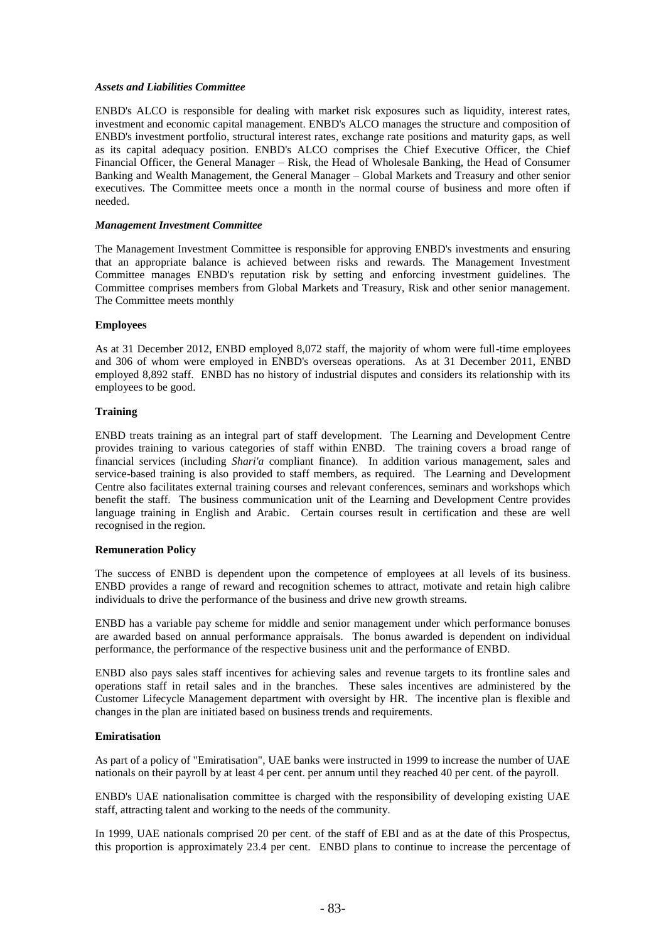## *Assets and Liabilities Committee*

ENBD's ALCO is responsible for dealing with market risk exposures such as liquidity, interest rates, investment and economic capital management. ENBD's ALCO manages the structure and composition of ENBD's investment portfolio, structural interest rates, exchange rate positions and maturity gaps, as well as its capital adequacy position. ENBD's ALCO comprises the Chief Executive Officer, the Chief Financial Officer, the General Manager – Risk, the Head of Wholesale Banking, the Head of Consumer Banking and Wealth Management, the General Manager – Global Markets and Treasury and other senior executives. The Committee meets once a month in the normal course of business and more often if needed.

#### *Management Investment Committee*

The Management Investment Committee is responsible for approving ENBD's investments and ensuring that an appropriate balance is achieved between risks and rewards. The Management Investment Committee manages ENBD's reputation risk by setting and enforcing investment guidelines. The Committee comprises members from Global Markets and Treasury, Risk and other senior management. The Committee meets monthly

#### **Employees**

As at 31 December 2012, ENBD employed 8,072 staff, the majority of whom were full-time employees and 306 of whom were employed in ENBD's overseas operations. As at 31 December 2011, ENBD employed 8,892 staff. ENBD has no history of industrial disputes and considers its relationship with its employees to be good.

#### **Training**

ENBD treats training as an integral part of staff development. The Learning and Development Centre provides training to various categories of staff within ENBD. The training covers a broad range of financial services (including *Shari'a* compliant finance). In addition various management, sales and service-based training is also provided to staff members, as required. The Learning and Development Centre also facilitates external training courses and relevant conferences, seminars and workshops which benefit the staff. The business communication unit of the Learning and Development Centre provides language training in English and Arabic. Certain courses result in certification and these are well recognised in the region.

#### **Remuneration Policy**

The success of ENBD is dependent upon the competence of employees at all levels of its business. ENBD provides a range of reward and recognition schemes to attract, motivate and retain high calibre individuals to drive the performance of the business and drive new growth streams.

ENBD has a variable pay scheme for middle and senior management under which performance bonuses are awarded based on annual performance appraisals. The bonus awarded is dependent on individual performance, the performance of the respective business unit and the performance of ENBD.

ENBD also pays sales staff incentives for achieving sales and revenue targets to its frontline sales and operations staff in retail sales and in the branches. These sales incentives are administered by the Customer Lifecycle Management department with oversight by HR. The incentive plan is flexible and changes in the plan are initiated based on business trends and requirements.

# **Emiratisation**

As part of a policy of "Emiratisation", UAE banks were instructed in 1999 to increase the number of UAE nationals on their payroll by at least 4 per cent. per annum until they reached 40 per cent. of the payroll.

ENBD's UAE nationalisation committee is charged with the responsibility of developing existing UAE staff, attracting talent and working to the needs of the community.

In 1999, UAE nationals comprised 20 per cent. of the staff of EBI and as at the date of this Prospectus, this proportion is approximately 23.4 per cent. ENBD plans to continue to increase the percentage of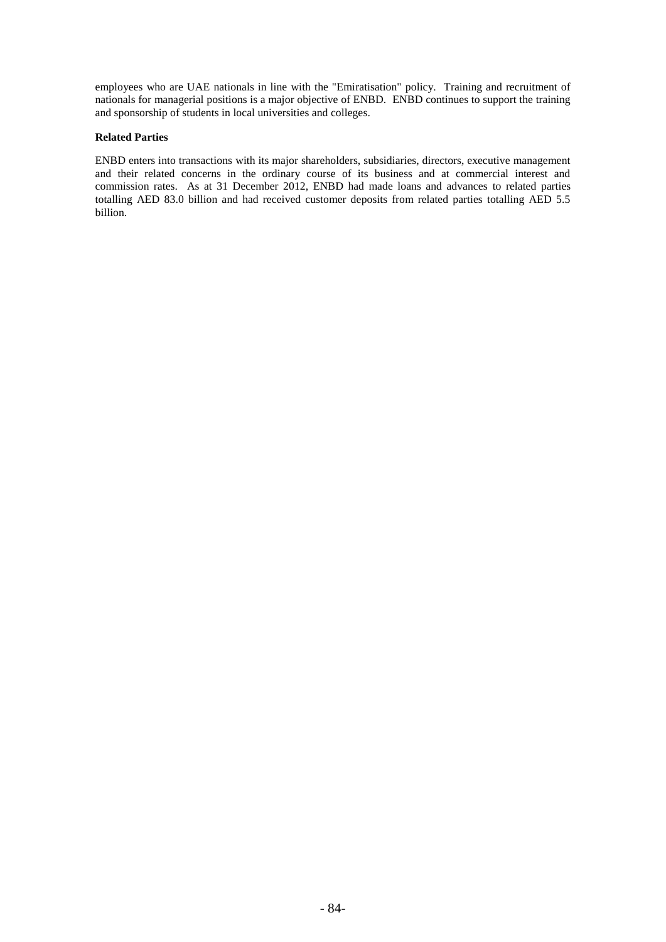employees who are UAE nationals in line with the "Emiratisation" policy. Training and recruitment of nationals for managerial positions is a major objective of ENBD. ENBD continues to support the training and sponsorship of students in local universities and colleges.

# **Related Parties**

ENBD enters into transactions with its major shareholders, subsidiaries, directors, executive management and their related concerns in the ordinary course of its business and at commercial interest and commission rates. As at 31 December 2012, ENBD had made loans and advances to related parties totalling AED 83.0 billion and had received customer deposits from related parties totalling AED 5.5 billion.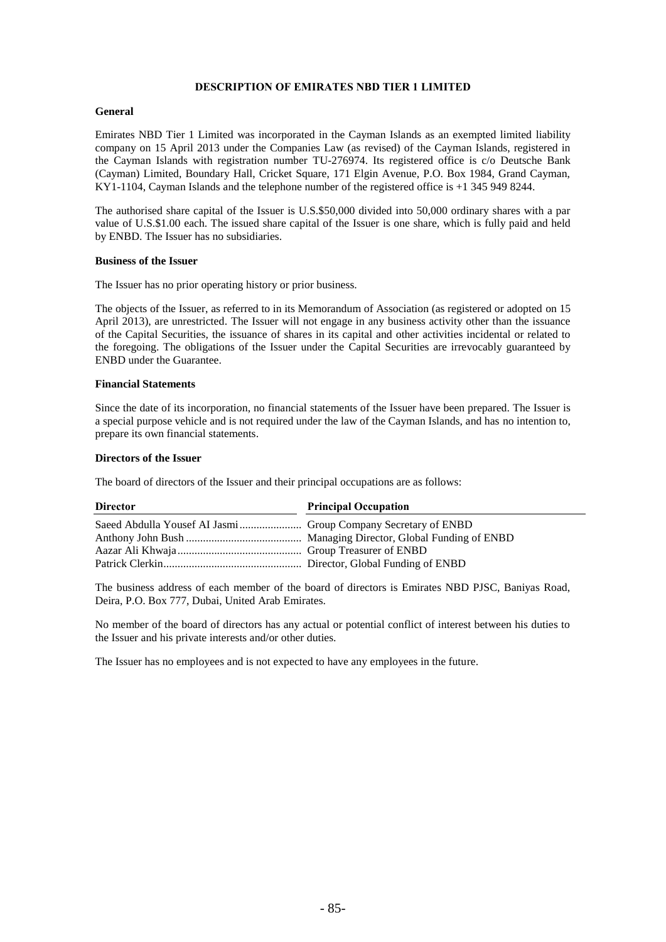#### **DESCRIPTION OF EMIRATES NBD TIER 1 LIMITED**

## **General**

Emirates NBD Tier 1 Limited was incorporated in the Cayman Islands as an exempted limited liability company on 15 April 2013 under the Companies Law (as revised) of the Cayman Islands, registered in the Cayman Islands with registration number TU-276974. Its registered office is c/o Deutsche Bank (Cayman) Limited, Boundary Hall, Cricket Square, 171 Elgin Avenue, P.O. Box 1984, Grand Cayman, KY1-1104, Cayman Islands and the telephone number of the registered office is +1 345 949 8244.

The authorised share capital of the Issuer is U.S.\$50,000 divided into 50,000 ordinary shares with a par value of U.S.\$1.00 each. The issued share capital of the Issuer is one share, which is fully paid and held by ENBD. The Issuer has no subsidiaries.

#### **Business of the Issuer**

The Issuer has no prior operating history or prior business.

The objects of the Issuer, as referred to in its Memorandum of Association (as registered or adopted on 15 April 2013), are unrestricted. The Issuer will not engage in any business activity other than the issuance of the Capital Securities, the issuance of shares in its capital and other activities incidental or related to the foregoing. The obligations of the Issuer under the Capital Securities are irrevocably guaranteed by ENBD under the Guarantee.

#### **Financial Statements**

Since the date of its incorporation, no financial statements of the Issuer have been prepared. The Issuer is a special purpose vehicle and is not required under the law of the Cayman Islands, and has no intention to, prepare its own financial statements.

#### **Directors of the Issuer**

The board of directors of the Issuer and their principal occupations are as follows:

| <b>Director</b> | <b>Principal Occupation</b> |
|-----------------|-----------------------------|
|                 |                             |
|                 |                             |
|                 |                             |
|                 |                             |

The business address of each member of the board of directors is Emirates NBD PJSC, Baniyas Road, Deira, P.O. Box 777, Dubai, United Arab Emirates.

No member of the board of directors has any actual or potential conflict of interest between his duties to the Issuer and his private interests and/or other duties.

The Issuer has no employees and is not expected to have any employees in the future.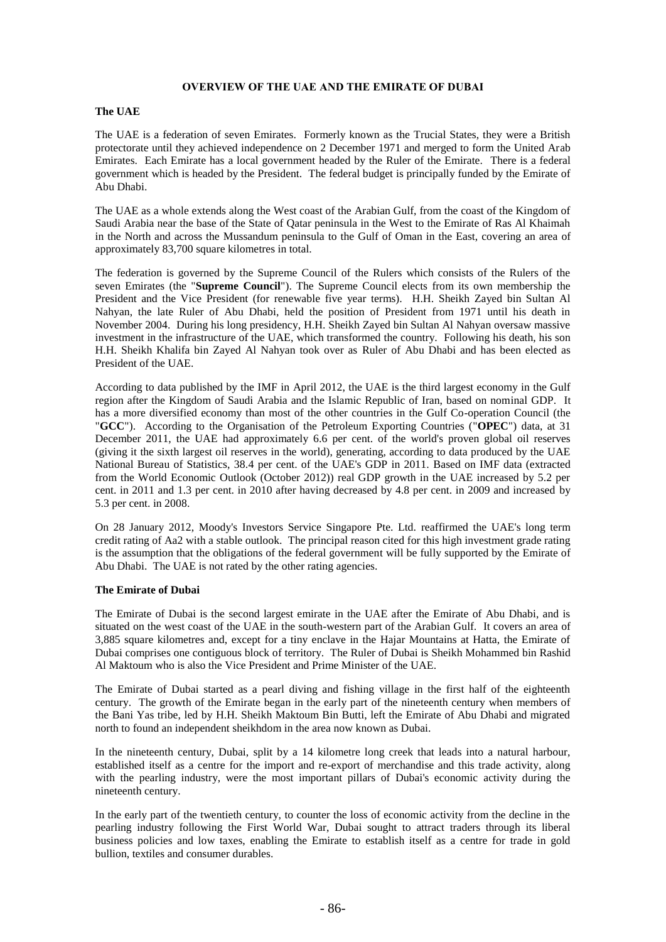## **OVERVIEW OF THE UAE AND THE EMIRATE OF DUBAI**

## **The UAE**

The UAE is a federation of seven Emirates. Formerly known as the Trucial States, they were a British protectorate until they achieved independence on 2 December 1971 and merged to form the United Arab Emirates. Each Emirate has a local government headed by the Ruler of the Emirate. There is a federal government which is headed by the President. The federal budget is principally funded by the Emirate of Abu Dhabi.

The UAE as a whole extends along the West coast of the Arabian Gulf, from the coast of the Kingdom of Saudi Arabia near the base of the State of Qatar peninsula in the West to the Emirate of Ras Al Khaimah in the North and across the Mussandum peninsula to the Gulf of Oman in the East, covering an area of approximately 83,700 square kilometres in total.

The federation is governed by the Supreme Council of the Rulers which consists of the Rulers of the seven Emirates (the "**Supreme Council**"). The Supreme Council elects from its own membership the President and the Vice President (for renewable five year terms). H.H. Sheikh Zayed bin Sultan Al Nahyan, the late Ruler of Abu Dhabi, held the position of President from 1971 until his death in November 2004. During his long presidency, H.H. Sheikh Zayed bin Sultan Al Nahyan oversaw massive investment in the infrastructure of the UAE, which transformed the country. Following his death, his son H.H. Sheikh Khalifa bin Zayed Al Nahyan took over as Ruler of Abu Dhabi and has been elected as President of the UAE.

According to data published by the IMF in April 2012, the UAE is the third largest economy in the Gulf region after the Kingdom of Saudi Arabia and the Islamic Republic of Iran, based on nominal GDP. It has a more diversified economy than most of the other countries in the Gulf Co-operation Council (the "**GCC**"). According to the Organisation of the Petroleum Exporting Countries ("**OPEC**") data, at 31 December 2011, the UAE had approximately 6.6 per cent. of the world's proven global oil reserves (giving it the sixth largest oil reserves in the world), generating, according to data produced by the UAE National Bureau of Statistics, 38.4 per cent. of the UAE's GDP in 2011. Based on IMF data (extracted from the World Economic Outlook (October 2012)) real GDP growth in the UAE increased by 5.2 per cent. in 2011 and 1.3 per cent. in 2010 after having decreased by 4.8 per cent. in 2009 and increased by 5.3 per cent. in 2008.

On 28 January 2012, Moody's Investors Service Singapore Pte. Ltd. reaffirmed the UAE's long term credit rating of Aa2 with a stable outlook. The principal reason cited for this high investment grade rating is the assumption that the obligations of the federal government will be fully supported by the Emirate of Abu Dhabi. The UAE is not rated by the other rating agencies.

#### **The Emirate of Dubai**

The Emirate of Dubai is the second largest emirate in the UAE after the Emirate of Abu Dhabi, and is situated on the west coast of the UAE in the south-western part of the Arabian Gulf. It covers an area of 3,885 square kilometres and, except for a tiny enclave in the Hajar Mountains at Hatta, the Emirate of Dubai comprises one contiguous block of territory. The Ruler of Dubai is Sheikh Mohammed bin Rashid Al Maktoum who is also the Vice President and Prime Minister of the UAE.

The Emirate of Dubai started as a pearl diving and fishing village in the first half of the eighteenth century. The growth of the Emirate began in the early part of the nineteenth century when members of the Bani Yas tribe, led by H.H. Sheikh Maktoum Bin Butti, left the Emirate of Abu Dhabi and migrated north to found an independent sheikhdom in the area now known as Dubai.

In the nineteenth century, Dubai, split by a 14 kilometre long creek that leads into a natural harbour, established itself as a centre for the import and re-export of merchandise and this trade activity, along with the pearling industry, were the most important pillars of Dubai's economic activity during the nineteenth century.

In the early part of the twentieth century, to counter the loss of economic activity from the decline in the pearling industry following the First World War, Dubai sought to attract traders through its liberal business policies and low taxes, enabling the Emirate to establish itself as a centre for trade in gold bullion, textiles and consumer durables.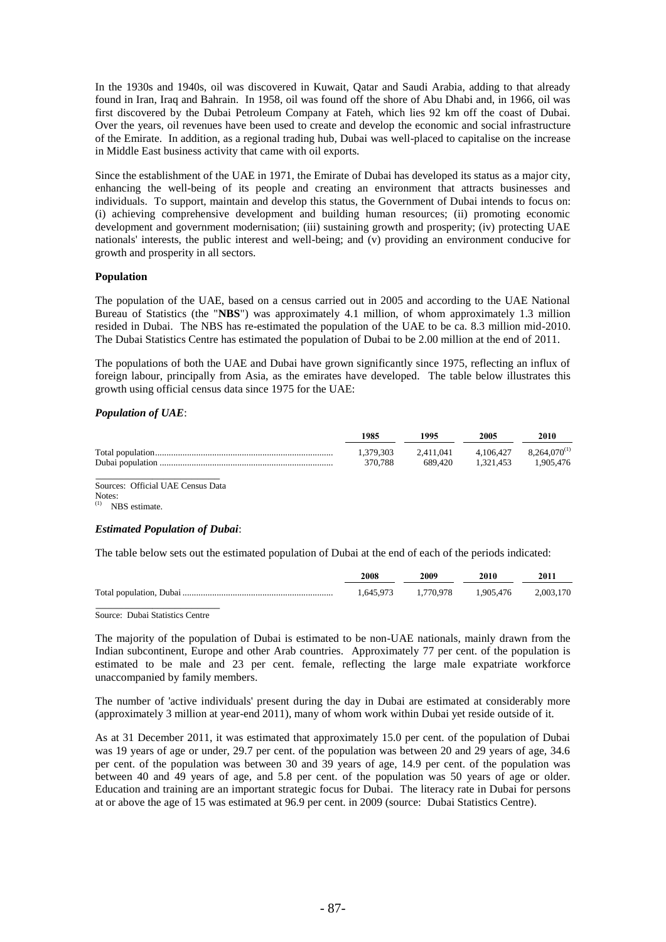In the 1930s and 1940s, oil was discovered in Kuwait, Qatar and Saudi Arabia, adding to that already found in Iran, Iraq and Bahrain. In 1958, oil was found off the shore of Abu Dhabi and, in 1966, oil was first discovered by the Dubai Petroleum Company at Fateh, which lies 92 km off the coast of Dubai. Over the years, oil revenues have been used to create and develop the economic and social infrastructure of the Emirate. In addition, as a regional trading hub, Dubai was well-placed to capitalise on the increase in Middle East business activity that came with oil exports.

Since the establishment of the UAE in 1971, the Emirate of Dubai has developed its status as a major city, enhancing the well-being of its people and creating an environment that attracts businesses and individuals. To support, maintain and develop this status, the Government of Dubai intends to focus on: (i) achieving comprehensive development and building human resources; (ii) promoting economic development and government modernisation; (iii) sustaining growth and prosperity; (iv) protecting UAE nationals' interests, the public interest and well-being; and (v) providing an environment conducive for growth and prosperity in all sectors.

#### **Population**

The population of the UAE, based on a census carried out in 2005 and according to the UAE National Bureau of Statistics (the "**NBS**") was approximately 4.1 million, of whom approximately 1.3 million resided in Dubai. The NBS has re-estimated the population of the UAE to be ca. 8.3 million mid-2010. The Dubai Statistics Centre has estimated the population of Dubai to be 2.00 million at the end of 2011.

The populations of both the UAE and Dubai have grown significantly since 1975, reflecting an influx of foreign labour, principally from Asia, as the emirates have developed. The table below illustrates this growth using official census data since 1975 for the UAE:

# *Population of UAE*:

| 1985                 | 1995                 | 2005      | 2010                                       |
|----------------------|----------------------|-----------|--------------------------------------------|
| 1.379.303<br>370.788 | 2.411.041<br>689.420 | 1.321.453 | $4.106.427$ $8.264.070^{(1)}$<br>1.905.476 |
|                      |                      |           |                                            |

Sources: Official UAE Census Data Notes: (1) NBS estimate.

#### *Estimated Population of Dubai*:

The table below sets out the estimated population of Dubai at the end of each of the periods indicated:

| 2008 | 2009 | 2010                                    | 2011 |
|------|------|-----------------------------------------|------|
|      |      | 1.645.973 1.770.978 1.905.476 2.003.170 |      |
|      |      |                                         |      |

Source: Dubai Statistics Centre

The majority of the population of Dubai is estimated to be non-UAE nationals, mainly drawn from the Indian subcontinent, Europe and other Arab countries. Approximately 77 per cent. of the population is estimated to be male and 23 per cent. female, reflecting the large male expatriate workforce unaccompanied by family members.

The number of 'active individuals' present during the day in Dubai are estimated at considerably more (approximately 3 million at year-end 2011), many of whom work within Dubai yet reside outside of it.

As at 31 December 2011, it was estimated that approximately 15.0 per cent. of the population of Dubai was 19 years of age or under, 29.7 per cent. of the population was between 20 and 29 years of age, 34.6 per cent. of the population was between 30 and 39 years of age, 14.9 per cent. of the population was between 40 and 49 years of age, and 5.8 per cent. of the population was 50 years of age or older. Education and training are an important strategic focus for Dubai. The literacy rate in Dubai for persons at or above the age of 15 was estimated at 96.9 per cent. in 2009 (source: Dubai Statistics Centre).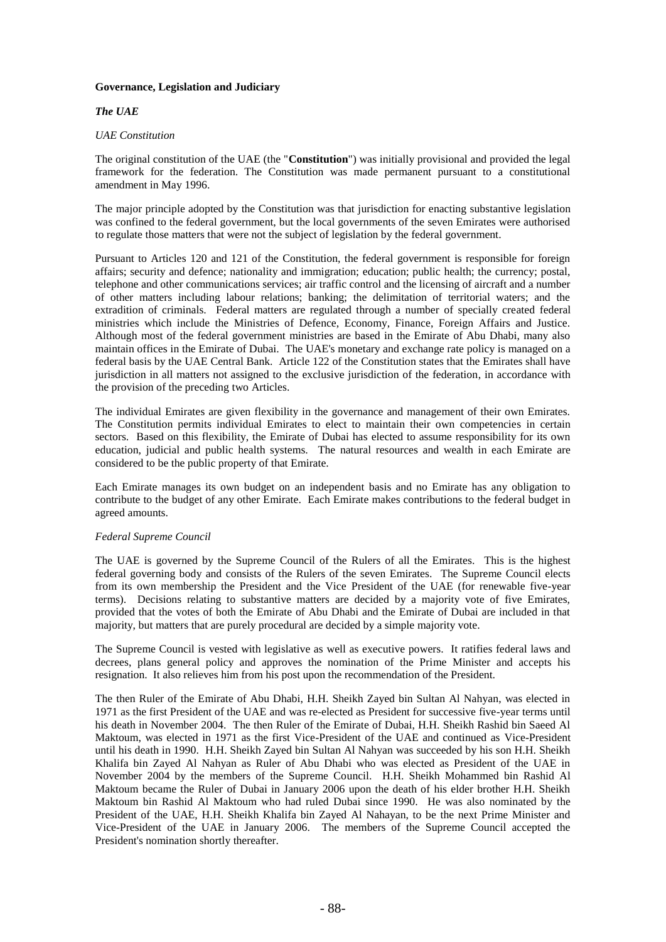# **Governance, Legislation and Judiciary**

# *The UAE*

## *UAE Constitution*

The original constitution of the UAE (the "**Constitution**") was initially provisional and provided the legal framework for the federation. The Constitution was made permanent pursuant to a constitutional amendment in May 1996.

The major principle adopted by the Constitution was that jurisdiction for enacting substantive legislation was confined to the federal government, but the local governments of the seven Emirates were authorised to regulate those matters that were not the subject of legislation by the federal government.

Pursuant to Articles 120 and 121 of the Constitution, the federal government is responsible for foreign affairs; security and defence; nationality and immigration; education; public health; the currency; postal, telephone and other communications services; air traffic control and the licensing of aircraft and a number of other matters including labour relations; banking; the delimitation of territorial waters; and the extradition of criminals. Federal matters are regulated through a number of specially created federal ministries which include the Ministries of Defence, Economy, Finance, Foreign Affairs and Justice. Although most of the federal government ministries are based in the Emirate of Abu Dhabi, many also maintain offices in the Emirate of Dubai. The UAE's monetary and exchange rate policy is managed on a federal basis by the UAE Central Bank. Article 122 of the Constitution states that the Emirates shall have jurisdiction in all matters not assigned to the exclusive jurisdiction of the federation, in accordance with the provision of the preceding two Articles.

The individual Emirates are given flexibility in the governance and management of their own Emirates. The Constitution permits individual Emirates to elect to maintain their own competencies in certain sectors. Based on this flexibility, the Emirate of Dubai has elected to assume responsibility for its own education, judicial and public health systems. The natural resources and wealth in each Emirate are considered to be the public property of that Emirate.

Each Emirate manages its own budget on an independent basis and no Emirate has any obligation to contribute to the budget of any other Emirate. Each Emirate makes contributions to the federal budget in agreed amounts.

#### *Federal Supreme Council*

The UAE is governed by the Supreme Council of the Rulers of all the Emirates. This is the highest federal governing body and consists of the Rulers of the seven Emirates. The Supreme Council elects from its own membership the President and the Vice President of the UAE (for renewable five-year terms). Decisions relating to substantive matters are decided by a majority vote of five Emirates, provided that the votes of both the Emirate of Abu Dhabi and the Emirate of Dubai are included in that majority, but matters that are purely procedural are decided by a simple majority vote.

The Supreme Council is vested with legislative as well as executive powers. It ratifies federal laws and decrees, plans general policy and approves the nomination of the Prime Minister and accepts his resignation. It also relieves him from his post upon the recommendation of the President.

The then Ruler of the Emirate of Abu Dhabi, H.H. Sheikh Zayed bin Sultan Al Nahyan, was elected in 1971 as the first President of the UAE and was re-elected as President for successive five-year terms until his death in November 2004. The then Ruler of the Emirate of Dubai, H.H. Sheikh Rashid bin Saeed Al Maktoum, was elected in 1971 as the first Vice-President of the UAE and continued as Vice-President until his death in 1990. H.H. Sheikh Zayed bin Sultan Al Nahyan was succeeded by his son H.H. Sheikh Khalifa bin Zayed Al Nahyan as Ruler of Abu Dhabi who was elected as President of the UAE in November 2004 by the members of the Supreme Council. H.H. Sheikh Mohammed bin Rashid Al Maktoum became the Ruler of Dubai in January 2006 upon the death of his elder brother H.H. Sheikh Maktoum bin Rashid Al Maktoum who had ruled Dubai since 1990. He was also nominated by the President of the UAE, H.H. Sheikh Khalifa bin Zayed Al Nahayan, to be the next Prime Minister and Vice-President of the UAE in January 2006. The members of the Supreme Council accepted the President's nomination shortly thereafter.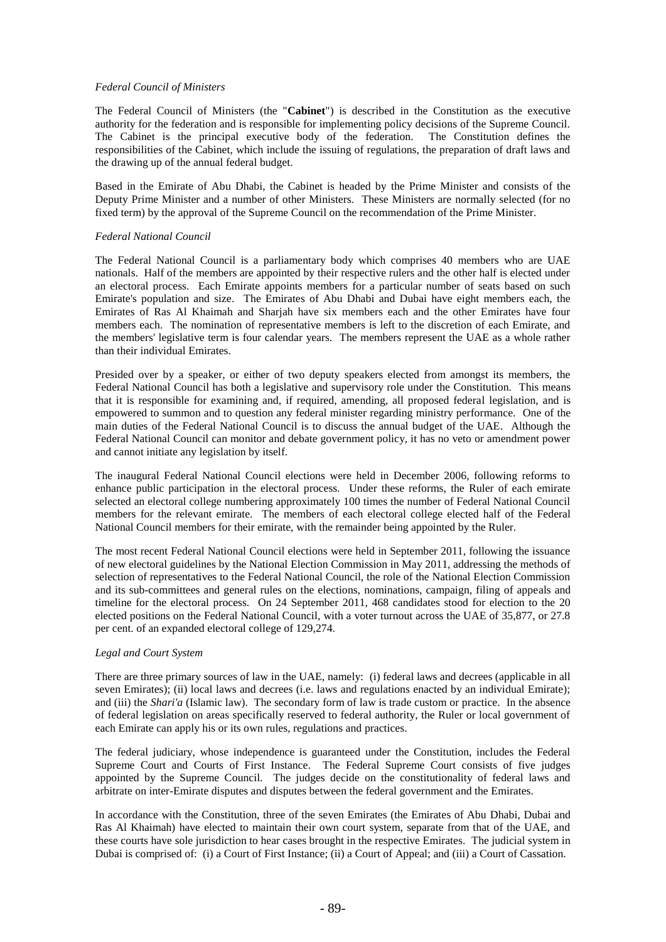## *Federal Council of Ministers*

The Federal Council of Ministers (the "**Cabinet**") is described in the Constitution as the executive authority for the federation and is responsible for implementing policy decisions of the Supreme Council. The Cabinet is the principal executive body of the federation. The Constitution defines the responsibilities of the Cabinet, which include the issuing of regulations, the preparation of draft laws and the drawing up of the annual federal budget.

Based in the Emirate of Abu Dhabi, the Cabinet is headed by the Prime Minister and consists of the Deputy Prime Minister and a number of other Ministers. These Ministers are normally selected (for no fixed term) by the approval of the Supreme Council on the recommendation of the Prime Minister.

#### *Federal National Council*

The Federal National Council is a parliamentary body which comprises 40 members who are UAE nationals. Half of the members are appointed by their respective rulers and the other half is elected under an electoral process. Each Emirate appoints members for a particular number of seats based on such Emirate's population and size. The Emirates of Abu Dhabi and Dubai have eight members each, the Emirates of Ras Al Khaimah and Sharjah have six members each and the other Emirates have four members each. The nomination of representative members is left to the discretion of each Emirate, and the members' legislative term is four calendar years. The members represent the UAE as a whole rather than their individual Emirates.

Presided over by a speaker, or either of two deputy speakers elected from amongst its members, the Federal National Council has both a legislative and supervisory role under the Constitution. This means that it is responsible for examining and, if required, amending, all proposed federal legislation, and is empowered to summon and to question any federal minister regarding ministry performance. One of the main duties of the Federal National Council is to discuss the annual budget of the UAE. Although the Federal National Council can monitor and debate government policy, it has no veto or amendment power and cannot initiate any legislation by itself.

The inaugural Federal National Council elections were held in December 2006, following reforms to enhance public participation in the electoral process. Under these reforms, the Ruler of each emirate selected an electoral college numbering approximately 100 times the number of Federal National Council members for the relevant emirate. The members of each electoral college elected half of the Federal National Council members for their emirate, with the remainder being appointed by the Ruler.

The most recent Federal National Council elections were held in September 2011, following the issuance of new electoral guidelines by the National Election Commission in May 2011, addressing the methods of selection of representatives to the Federal National Council, the role of the National Election Commission and its sub-committees and general rules on the elections, nominations, campaign, filing of appeals and timeline for the electoral process. On 24 September 2011, 468 candidates stood for election to the 20 elected positions on the Federal National Council, with a voter turnout across the UAE of 35,877, or 27.8 per cent. of an expanded electoral college of 129,274.

# *Legal and Court System*

There are three primary sources of law in the UAE, namely: (i) federal laws and decrees (applicable in all seven Emirates); (ii) local laws and decrees (i.e. laws and regulations enacted by an individual Emirate); and (iii) the *Shari'a* (Islamic law). The secondary form of law is trade custom or practice. In the absence of federal legislation on areas specifically reserved to federal authority, the Ruler or local government of each Emirate can apply his or its own rules, regulations and practices.

The federal judiciary, whose independence is guaranteed under the Constitution, includes the Federal Supreme Court and Courts of First Instance. The Federal Supreme Court consists of five judges appointed by the Supreme Council. The judges decide on the constitutionality of federal laws and arbitrate on inter-Emirate disputes and disputes between the federal government and the Emirates.

In accordance with the Constitution, three of the seven Emirates (the Emirates of Abu Dhabi, Dubai and Ras Al Khaimah) have elected to maintain their own court system, separate from that of the UAE, and these courts have sole jurisdiction to hear cases brought in the respective Emirates. The judicial system in Dubai is comprised of: (i) a Court of First Instance; (ii) a Court of Appeal; and (iii) a Court of Cassation.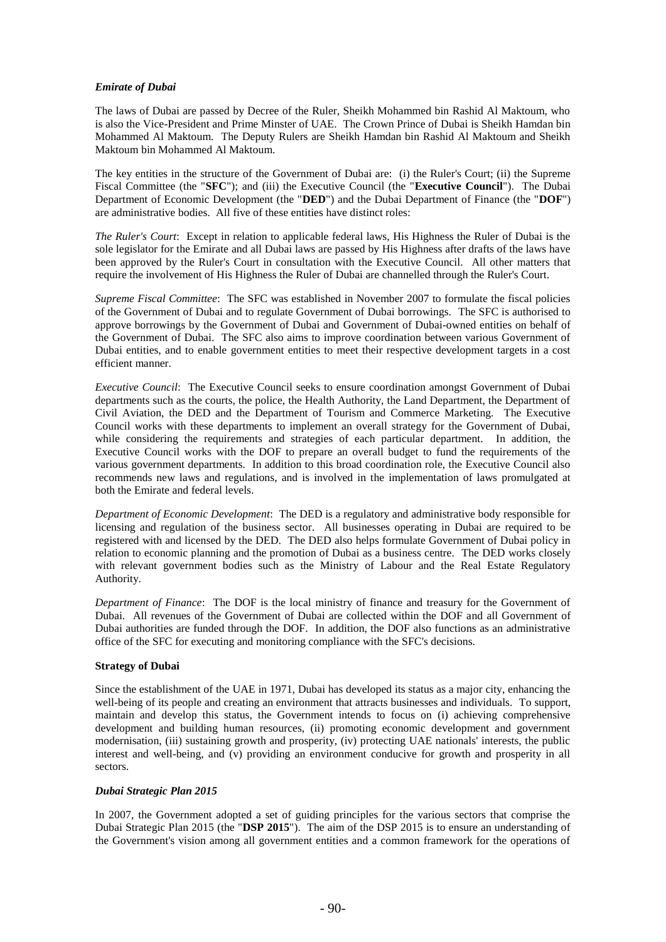# *Emirate of Dubai*

The laws of Dubai are passed by Decree of the Ruler, Sheikh Mohammed bin Rashid Al Maktoum, who is also the Vice-President and Prime Minster of UAE. The Crown Prince of Dubai is Sheikh Hamdan bin Mohammed Al Maktoum. The Deputy Rulers are Sheikh Hamdan bin Rashid Al Maktoum and Sheikh Maktoum bin Mohammed Al Maktoum.

The key entities in the structure of the Government of Dubai are: (i) the Ruler's Court; (ii) the Supreme Fiscal Committee (the "**SFC**"); and (iii) the Executive Council (the "**Executive Council**"). The Dubai Department of Economic Development (the "**DED**") and the Dubai Department of Finance (the "**DOF**") are administrative bodies. All five of these entities have distinct roles:

*The Ruler's Court*: Except in relation to applicable federal laws, His Highness the Ruler of Dubai is the sole legislator for the Emirate and all Dubai laws are passed by His Highness after drafts of the laws have been approved by the Ruler's Court in consultation with the Executive Council. All other matters that require the involvement of His Highness the Ruler of Dubai are channelled through the Ruler's Court.

*Supreme Fiscal Committee*: The SFC was established in November 2007 to formulate the fiscal policies of the Government of Dubai and to regulate Government of Dubai borrowings. The SFC is authorised to approve borrowings by the Government of Dubai and Government of Dubai-owned entities on behalf of the Government of Dubai. The SFC also aims to improve coordination between various Government of Dubai entities, and to enable government entities to meet their respective development targets in a cost efficient manner.

*Executive Council*: The Executive Council seeks to ensure coordination amongst Government of Dubai departments such as the courts, the police, the Health Authority, the Land Department, the Department of Civil Aviation, the DED and the Department of Tourism and Commerce Marketing. The Executive Council works with these departments to implement an overall strategy for the Government of Dubai, while considering the requirements and strategies of each particular department. In addition, the Executive Council works with the DOF to prepare an overall budget to fund the requirements of the various government departments. In addition to this broad coordination role, the Executive Council also recommends new laws and regulations, and is involved in the implementation of laws promulgated at both the Emirate and federal levels.

*Department of Economic Development*: The DED is a regulatory and administrative body responsible for licensing and regulation of the business sector. All businesses operating in Dubai are required to be registered with and licensed by the DED. The DED also helps formulate Government of Dubai policy in relation to economic planning and the promotion of Dubai as a business centre. The DED works closely with relevant government bodies such as the Ministry of Labour and the Real Estate Regulatory Authority.

*Department of Finance*: The DOF is the local ministry of finance and treasury for the Government of Dubai. All revenues of the Government of Dubai are collected within the DOF and all Government of Dubai authorities are funded through the DOF. In addition, the DOF also functions as an administrative office of the SFC for executing and monitoring compliance with the SFC's decisions.

# **Strategy of Dubai**

Since the establishment of the UAE in 1971, Dubai has developed its status as a major city, enhancing the well-being of its people and creating an environment that attracts businesses and individuals. To support, maintain and develop this status, the Government intends to focus on (i) achieving comprehensive development and building human resources, (ii) promoting economic development and government modernisation, (iii) sustaining growth and prosperity, (iv) protecting UAE nationals' interests, the public interest and well-being, and (v) providing an environment conducive for growth and prosperity in all sectors.

# *Dubai Strategic Plan 2015*

In 2007, the Government adopted a set of guiding principles for the various sectors that comprise the Dubai Strategic Plan 2015 (the "**DSP 2015**"). The aim of the DSP 2015 is to ensure an understanding of the Government's vision among all government entities and a common framework for the operations of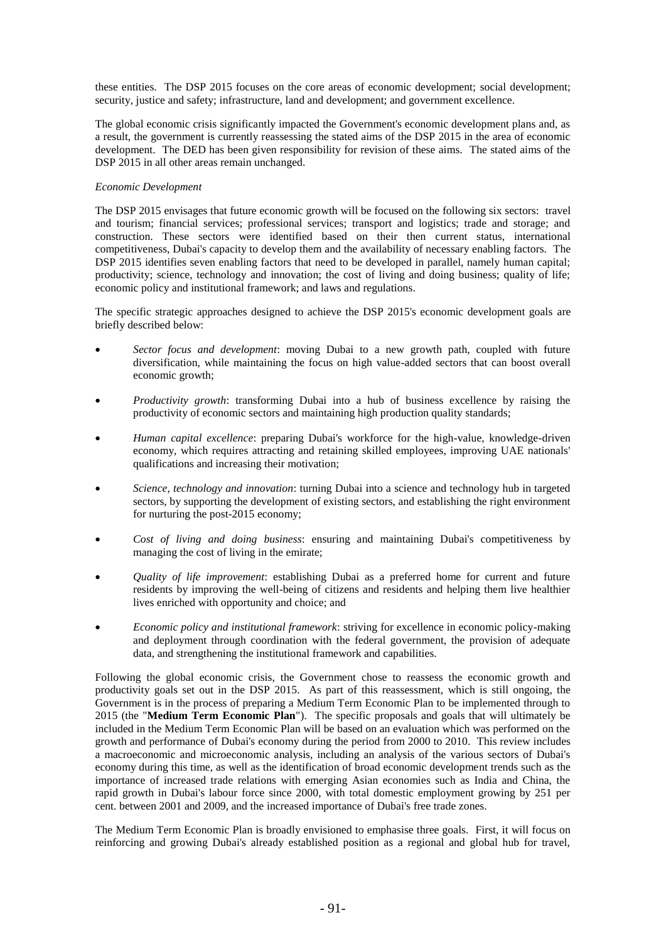these entities. The DSP 2015 focuses on the core areas of economic development; social development; security, justice and safety; infrastructure, land and development; and government excellence.

The global economic crisis significantly impacted the Government's economic development plans and, as a result, the government is currently reassessing the stated aims of the DSP 2015 in the area of economic development. The DED has been given responsibility for revision of these aims. The stated aims of the DSP 2015 in all other areas remain unchanged.

## *Economic Development*

The DSP 2015 envisages that future economic growth will be focused on the following six sectors: travel and tourism; financial services; professional services; transport and logistics; trade and storage; and construction. These sectors were identified based on their then current status, international competitiveness, Dubai's capacity to develop them and the availability of necessary enabling factors. The DSP 2015 identifies seven enabling factors that need to be developed in parallel, namely human capital; productivity; science, technology and innovation; the cost of living and doing business; quality of life; economic policy and institutional framework; and laws and regulations.

The specific strategic approaches designed to achieve the DSP 2015's economic development goals are briefly described below:

- *Sector focus and development*: moving Dubai to a new growth path, coupled with future diversification, while maintaining the focus on high value-added sectors that can boost overall economic growth;
- *Productivity growth*: transforming Dubai into a hub of business excellence by raising the productivity of economic sectors and maintaining high production quality standards;
- *Human capital excellence*: preparing Dubai's workforce for the high-value, knowledge-driven economy, which requires attracting and retaining skilled employees, improving UAE nationals' qualifications and increasing their motivation;
- *Science, technology and innovation*: turning Dubai into a science and technology hub in targeted sectors, by supporting the development of existing sectors, and establishing the right environment for nurturing the post-2015 economy;
- *Cost of living and doing business*: ensuring and maintaining Dubai's competitiveness by managing the cost of living in the emirate;
- *Quality of life improvement*: establishing Dubai as a preferred home for current and future residents by improving the well-being of citizens and residents and helping them live healthier lives enriched with opportunity and choice; and
- *Economic policy and institutional framework*: striving for excellence in economic policy-making and deployment through coordination with the federal government, the provision of adequate data, and strengthening the institutional framework and capabilities.

Following the global economic crisis, the Government chose to reassess the economic growth and productivity goals set out in the DSP 2015. As part of this reassessment, which is still ongoing, the Government is in the process of preparing a Medium Term Economic Plan to be implemented through to 2015 (the "**Medium Term Economic Plan**"). The specific proposals and goals that will ultimately be included in the Medium Term Economic Plan will be based on an evaluation which was performed on the growth and performance of Dubai's economy during the period from 2000 to 2010. This review includes a macroeconomic and microeconomic analysis, including an analysis of the various sectors of Dubai's economy during this time, as well as the identification of broad economic development trends such as the importance of increased trade relations with emerging Asian economies such as India and China, the rapid growth in Dubai's labour force since 2000, with total domestic employment growing by 251 per cent. between 2001 and 2009, and the increased importance of Dubai's free trade zones.

The Medium Term Economic Plan is broadly envisioned to emphasise three goals. First, it will focus on reinforcing and growing Dubai's already established position as a regional and global hub for travel,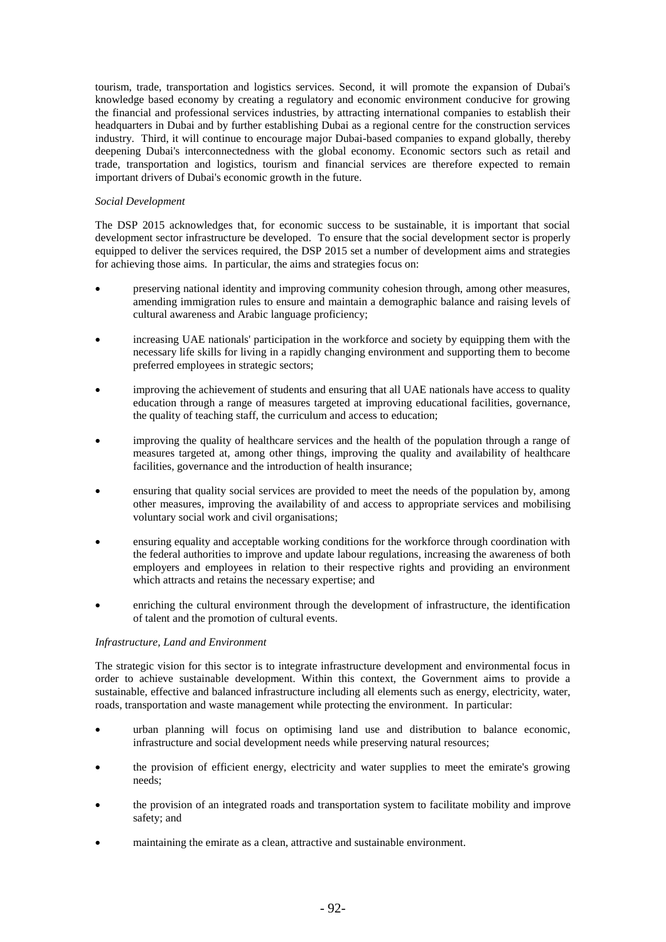tourism, trade, transportation and logistics services. Second, it will promote the expansion of Dubai's knowledge based economy by creating a regulatory and economic environment conducive for growing the financial and professional services industries, by attracting international companies to establish their headquarters in Dubai and by further establishing Dubai as a regional centre for the construction services industry. Third, it will continue to encourage major Dubai-based companies to expand globally, thereby deepening Dubai's interconnectedness with the global economy. Economic sectors such as retail and trade, transportation and logistics, tourism and financial services are therefore expected to remain important drivers of Dubai's economic growth in the future.

## *Social Development*

The DSP 2015 acknowledges that, for economic success to be sustainable, it is important that social development sector infrastructure be developed. To ensure that the social development sector is properly equipped to deliver the services required, the DSP 2015 set a number of development aims and strategies for achieving those aims. In particular, the aims and strategies focus on:

- preserving national identity and improving community cohesion through, among other measures, amending immigration rules to ensure and maintain a demographic balance and raising levels of cultural awareness and Arabic language proficiency;
- increasing UAE nationals' participation in the workforce and society by equipping them with the necessary life skills for living in a rapidly changing environment and supporting them to become preferred employees in strategic sectors;
- improving the achievement of students and ensuring that all UAE nationals have access to quality education through a range of measures targeted at improving educational facilities, governance, the quality of teaching staff, the curriculum and access to education;
- improving the quality of healthcare services and the health of the population through a range of measures targeted at, among other things, improving the quality and availability of healthcare facilities, governance and the introduction of health insurance;
- ensuring that quality social services are provided to meet the needs of the population by, among other measures, improving the availability of and access to appropriate services and mobilising voluntary social work and civil organisations;
- ensuring equality and acceptable working conditions for the workforce through coordination with the federal authorities to improve and update labour regulations, increasing the awareness of both employers and employees in relation to their respective rights and providing an environment which attracts and retains the necessary expertise; and
- enriching the cultural environment through the development of infrastructure, the identification of talent and the promotion of cultural events.

# *Infrastructure, Land and Environment*

The strategic vision for this sector is to integrate infrastructure development and environmental focus in order to achieve sustainable development. Within this context, the Government aims to provide a sustainable, effective and balanced infrastructure including all elements such as energy, electricity, water, roads, transportation and waste management while protecting the environment. In particular:

- urban planning will focus on optimising land use and distribution to balance economic, infrastructure and social development needs while preserving natural resources;
- the provision of efficient energy, electricity and water supplies to meet the emirate's growing needs;
- the provision of an integrated roads and transportation system to facilitate mobility and improve safety; and
- maintaining the emirate as a clean, attractive and sustainable environment.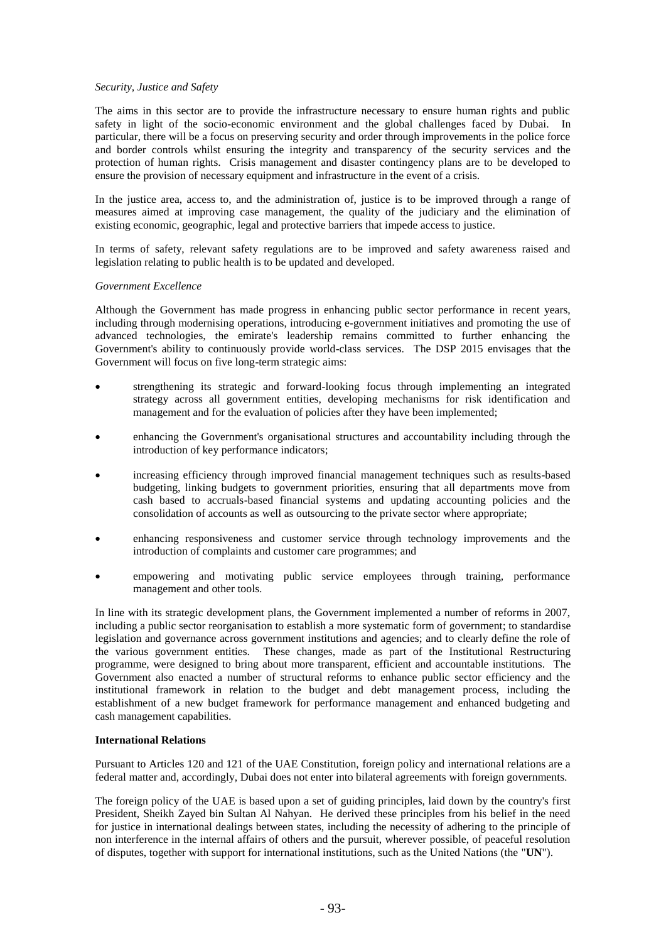## *Security, Justice and Safety*

The aims in this sector are to provide the infrastructure necessary to ensure human rights and public safety in light of the socio-economic environment and the global challenges faced by Dubai. In particular, there will be a focus on preserving security and order through improvements in the police force and border controls whilst ensuring the integrity and transparency of the security services and the protection of human rights. Crisis management and disaster contingency plans are to be developed to ensure the provision of necessary equipment and infrastructure in the event of a crisis.

In the justice area, access to, and the administration of, justice is to be improved through a range of measures aimed at improving case management, the quality of the judiciary and the elimination of existing economic, geographic, legal and protective barriers that impede access to justice.

In terms of safety, relevant safety regulations are to be improved and safety awareness raised and legislation relating to public health is to be updated and developed.

#### *Government Excellence*

Although the Government has made progress in enhancing public sector performance in recent years, including through modernising operations, introducing e-government initiatives and promoting the use of advanced technologies, the emirate's leadership remains committed to further enhancing the Government's ability to continuously provide world-class services. The DSP 2015 envisages that the Government will focus on five long-term strategic aims:

- strengthening its strategic and forward-looking focus through implementing an integrated strategy across all government entities, developing mechanisms for risk identification and management and for the evaluation of policies after they have been implemented;
- enhancing the Government's organisational structures and accountability including through the introduction of key performance indicators;
- increasing efficiency through improved financial management techniques such as results-based budgeting, linking budgets to government priorities, ensuring that all departments move from cash based to accruals-based financial systems and updating accounting policies and the consolidation of accounts as well as outsourcing to the private sector where appropriate;
- enhancing responsiveness and customer service through technology improvements and the introduction of complaints and customer care programmes; and
- empowering and motivating public service employees through training, performance management and other tools.

In line with its strategic development plans, the Government implemented a number of reforms in 2007, including a public sector reorganisation to establish a more systematic form of government; to standardise legislation and governance across government institutions and agencies; and to clearly define the role of the various government entities. These changes, made as part of the Institutional Restructuring programme, were designed to bring about more transparent, efficient and accountable institutions. The Government also enacted a number of structural reforms to enhance public sector efficiency and the institutional framework in relation to the budget and debt management process, including the establishment of a new budget framework for performance management and enhanced budgeting and cash management capabilities.

## **International Relations**

Pursuant to Articles 120 and 121 of the UAE Constitution, foreign policy and international relations are a federal matter and, accordingly, Dubai does not enter into bilateral agreements with foreign governments.

The foreign policy of the UAE is based upon a set of guiding principles, laid down by the country's first President, Sheikh Zayed bin Sultan Al Nahyan. He derived these principles from his belief in the need for justice in international dealings between states, including the necessity of adhering to the principle of non interference in the internal affairs of others and the pursuit, wherever possible, of peaceful resolution of disputes, together with support for international institutions, such as the United Nations (the "**UN**").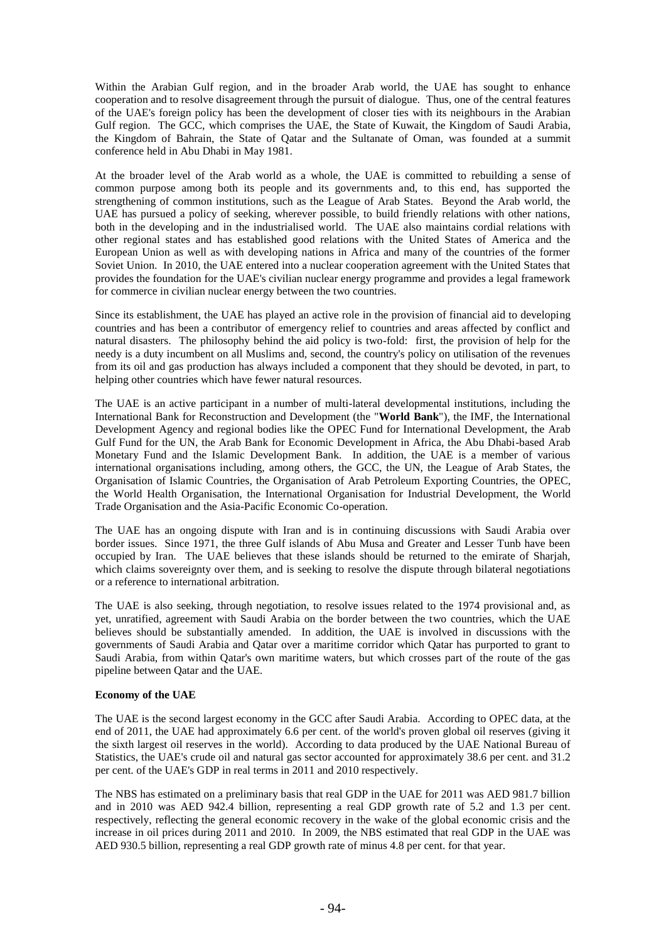Within the Arabian Gulf region, and in the broader Arab world, the UAE has sought to enhance cooperation and to resolve disagreement through the pursuit of dialogue. Thus, one of the central features of the UAE's foreign policy has been the development of closer ties with its neighbours in the Arabian Gulf region. The GCC, which comprises the UAE, the State of Kuwait, the Kingdom of Saudi Arabia, the Kingdom of Bahrain, the State of Qatar and the Sultanate of Oman, was founded at a summit conference held in Abu Dhabi in May 1981.

At the broader level of the Arab world as a whole, the UAE is committed to rebuilding a sense of common purpose among both its people and its governments and, to this end, has supported the strengthening of common institutions, such as the League of Arab States. Beyond the Arab world, the UAE has pursued a policy of seeking, wherever possible, to build friendly relations with other nations, both in the developing and in the industrialised world. The UAE also maintains cordial relations with other regional states and has established good relations with the United States of America and the European Union as well as with developing nations in Africa and many of the countries of the former Soviet Union. In 2010, the UAE entered into a nuclear cooperation agreement with the United States that provides the foundation for the UAE's civilian nuclear energy programme and provides a legal framework for commerce in civilian nuclear energy between the two countries.

Since its establishment, the UAE has played an active role in the provision of financial aid to developing countries and has been a contributor of emergency relief to countries and areas affected by conflict and natural disasters. The philosophy behind the aid policy is two-fold: first, the provision of help for the needy is a duty incumbent on all Muslims and, second, the country's policy on utilisation of the revenues from its oil and gas production has always included a component that they should be devoted, in part, to helping other countries which have fewer natural resources.

The UAE is an active participant in a number of multi-lateral developmental institutions, including the International Bank for Reconstruction and Development (the "**World Bank**"), the IMF, the International Development Agency and regional bodies like the OPEC Fund for International Development, the Arab Gulf Fund for the UN, the Arab Bank for Economic Development in Africa, the Abu Dhabi-based Arab Monetary Fund and the Islamic Development Bank. In addition, the UAE is a member of various international organisations including, among others, the GCC, the UN, the League of Arab States, the Organisation of Islamic Countries, the Organisation of Arab Petroleum Exporting Countries, the OPEC, the World Health Organisation, the International Organisation for Industrial Development, the World Trade Organisation and the Asia-Pacific Economic Co-operation.

The UAE has an ongoing dispute with Iran and is in continuing discussions with Saudi Arabia over border issues. Since 1971, the three Gulf islands of Abu Musa and Greater and Lesser Tunb have been occupied by Iran. The UAE believes that these islands should be returned to the emirate of Sharjah, which claims sovereignty over them, and is seeking to resolve the dispute through bilateral negotiations or a reference to international arbitration.

The UAE is also seeking, through negotiation, to resolve issues related to the 1974 provisional and, as yet, unratified, agreement with Saudi Arabia on the border between the two countries, which the UAE believes should be substantially amended. In addition, the UAE is involved in discussions with the governments of Saudi Arabia and Qatar over a maritime corridor which Qatar has purported to grant to Saudi Arabia, from within Qatar's own maritime waters, but which crosses part of the route of the gas pipeline between Qatar and the UAE.

# **Economy of the UAE**

The UAE is the second largest economy in the GCC after Saudi Arabia. According to OPEC data, at the end of 2011, the UAE had approximately 6.6 per cent. of the world's proven global oil reserves (giving it the sixth largest oil reserves in the world). According to data produced by the UAE National Bureau of Statistics, the UAE's crude oil and natural gas sector accounted for approximately 38.6 per cent. and 31.2 per cent. of the UAE's GDP in real terms in 2011 and 2010 respectively.

The NBS has estimated on a preliminary basis that real GDP in the UAE for 2011 was AED 981.7 billion and in 2010 was AED 942.4 billion, representing a real GDP growth rate of 5.2 and 1.3 per cent. respectively, reflecting the general economic recovery in the wake of the global economic crisis and the increase in oil prices during 2011 and 2010. In 2009, the NBS estimated that real GDP in the UAE was AED 930.5 billion, representing a real GDP growth rate of minus 4.8 per cent. for that year.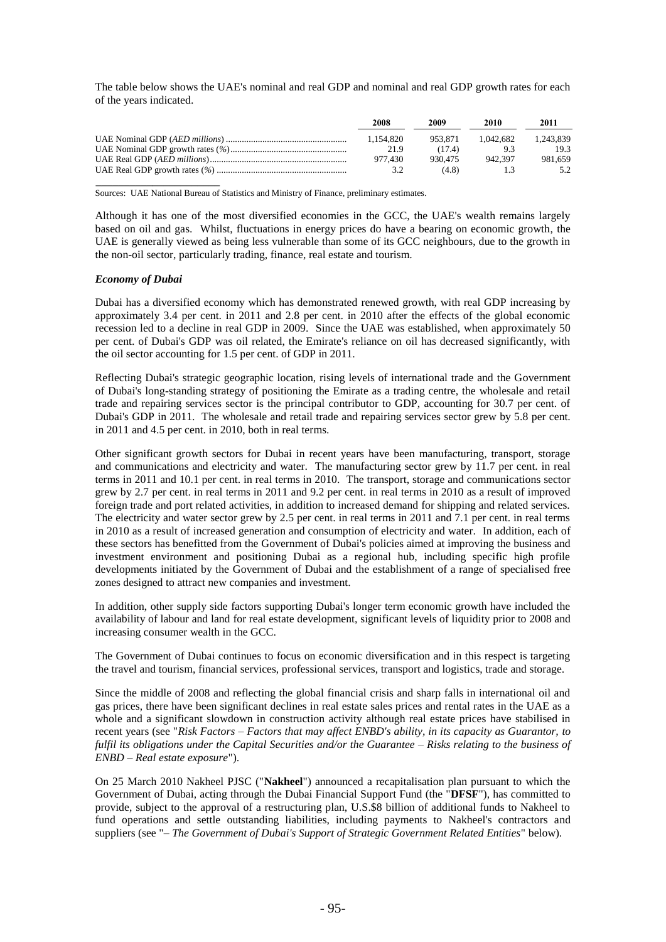The table below shows the UAE's nominal and real GDP and nominal and real GDP growth rates for each of the years indicated.

| 2008      | 2009    | 2010      | 2011      |
|-----------|---------|-----------|-----------|
| 1.154.820 | 953.871 | 1.042.682 | 1.243.839 |
| 21.9      | (17.4)  | 93        | 19.3      |
| 977.430   | 930.475 | 942.397   | 981.659   |
| 32        | (4.8)   |           |           |

\_\_\_\_\_\_\_\_\_\_\_\_\_\_\_\_\_\_\_\_\_\_ Sources: UAE National Bureau of Statistics and Ministry of Finance, preliminary estimates.

Although it has one of the most diversified economies in the GCC, the UAE's wealth remains largely based on oil and gas. Whilst, fluctuations in energy prices do have a bearing on economic growth, the UAE is generally viewed as being less vulnerable than some of its GCC neighbours, due to the growth in the non-oil sector, particularly trading, finance, real estate and tourism.

#### *Economy of Dubai*

Dubai has a diversified economy which has demonstrated renewed growth, with real GDP increasing by approximately 3.4 per cent. in 2011 and 2.8 per cent. in 2010 after the effects of the global economic recession led to a decline in real GDP in 2009. Since the UAE was established, when approximately 50 per cent. of Dubai's GDP was oil related, the Emirate's reliance on oil has decreased significantly, with the oil sector accounting for 1.5 per cent. of GDP in 2011.

Reflecting Dubai's strategic geographic location, rising levels of international trade and the Government of Dubai's long-standing strategy of positioning the Emirate as a trading centre, the wholesale and retail trade and repairing services sector is the principal contributor to GDP, accounting for 30.7 per cent. of Dubai's GDP in 2011. The wholesale and retail trade and repairing services sector grew by 5.8 per cent. in 2011 and 4.5 per cent. in 2010, both in real terms.

Other significant growth sectors for Dubai in recent years have been manufacturing, transport, storage and communications and electricity and water. The manufacturing sector grew by 11.7 per cent. in real terms in 2011 and 10.1 per cent. in real terms in 2010. The transport, storage and communications sector grew by 2.7 per cent. in real terms in 2011 and 9.2 per cent. in real terms in 2010 as a result of improved foreign trade and port related activities, in addition to increased demand for shipping and related services. The electricity and water sector grew by 2.5 per cent. in real terms in 2011 and 7.1 per cent. in real terms in 2010 as a result of increased generation and consumption of electricity and water. In addition, each of these sectors has benefitted from the Government of Dubai's policies aimed at improving the business and investment environment and positioning Dubai as a regional hub, including specific high profile developments initiated by the Government of Dubai and the establishment of a range of specialised free zones designed to attract new companies and investment.

In addition, other supply side factors supporting Dubai's longer term economic growth have included the availability of labour and land for real estate development, significant levels of liquidity prior to 2008 and increasing consumer wealth in the GCC.

The Government of Dubai continues to focus on economic diversification and in this respect is targeting the travel and tourism, financial services, professional services, transport and logistics, trade and storage.

Since the middle of 2008 and reflecting the global financial crisis and sharp falls in international oil and gas prices, there have been significant declines in real estate sales prices and rental rates in the UAE as a whole and a significant slowdown in construction activity although real estate prices have stabilised in recent years (see "*Risk Factors – Factors that may affect ENBD's ability, in its capacity as Guarantor, to fulfil its obligations under the Capital Securities and/or the Guarantee – Risks relating to the business of ENBD – Real estate exposure*").

On 25 March 2010 Nakheel PJSC ("**Nakheel**") announced a recapitalisation plan pursuant to which the Government of Dubai, acting through the Dubai Financial Support Fund (the "**DFSF**"), has committed to provide, subject to the approval of a restructuring plan, U.S.\$8 billion of additional funds to Nakheel to fund operations and settle outstanding liabilities, including payments to Nakheel's contractors and suppliers (see "*– The Government of Dubai's Support of Strategic Government Related Entities*" below).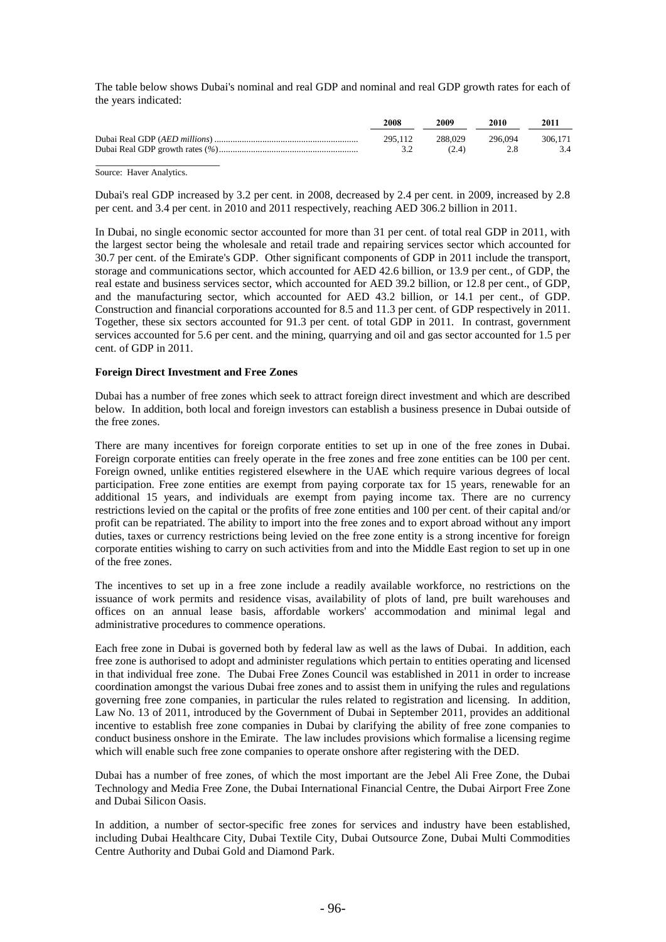The table below shows Dubai's nominal and real GDP and nominal and real GDP growth rates for each of the years indicated:

| 2008    | 2009    | 2010    | 2011    |
|---------|---------|---------|---------|
| 295.112 | 288.029 | 296.094 | 306.171 |
| 3.2     | (2.4)   | 2.8     | 3.4     |
|         |         |         |         |

Source: Haver Analytics.

Dubai's real GDP increased by 3.2 per cent. in 2008, decreased by 2.4 per cent. in 2009, increased by 2.8 per cent. and 3.4 per cent. in 2010 and 2011 respectively, reaching AED 306.2 billion in 2011.

In Dubai, no single economic sector accounted for more than 31 per cent. of total real GDP in 2011, with the largest sector being the wholesale and retail trade and repairing services sector which accounted for 30.7 per cent. of the Emirate's GDP. Other significant components of GDP in 2011 include the transport, storage and communications sector, which accounted for AED 42.6 billion, or 13.9 per cent., of GDP, the real estate and business services sector, which accounted for AED 39.2 billion, or 12.8 per cent., of GDP, and the manufacturing sector, which accounted for AED 43.2 billion, or 14.1 per cent., of GDP. Construction and financial corporations accounted for 8.5 and 11.3 per cent. of GDP respectively in 2011. Together, these six sectors accounted for 91.3 per cent. of total GDP in 2011. In contrast, government services accounted for 5.6 per cent. and the mining, quarrying and oil and gas sector accounted for 1.5 per cent. of GDP in 2011.

## **Foreign Direct Investment and Free Zones**

Dubai has a number of free zones which seek to attract foreign direct investment and which are described below. In addition, both local and foreign investors can establish a business presence in Dubai outside of the free zones.

There are many incentives for foreign corporate entities to set up in one of the free zones in Dubai. Foreign corporate entities can freely operate in the free zones and free zone entities can be 100 per cent. Foreign owned, unlike entities registered elsewhere in the UAE which require various degrees of local participation. Free zone entities are exempt from paying corporate tax for 15 years, renewable for an additional 15 years, and individuals are exempt from paying income tax. There are no currency restrictions levied on the capital or the profits of free zone entities and 100 per cent. of their capital and/or profit can be repatriated. The ability to import into the free zones and to export abroad without any import duties, taxes or currency restrictions being levied on the free zone entity is a strong incentive for foreign corporate entities wishing to carry on such activities from and into the Middle East region to set up in one of the free zones.

The incentives to set up in a free zone include a readily available workforce, no restrictions on the issuance of work permits and residence visas, availability of plots of land, pre built warehouses and offices on an annual lease basis, affordable workers' accommodation and minimal legal and administrative procedures to commence operations.

Each free zone in Dubai is governed both by federal law as well as the laws of Dubai. In addition, each free zone is authorised to adopt and administer regulations which pertain to entities operating and licensed in that individual free zone. The Dubai Free Zones Council was established in 2011 in order to increase coordination amongst the various Dubai free zones and to assist them in unifying the rules and regulations governing free zone companies, in particular the rules related to registration and licensing. In addition, Law No. 13 of 2011, introduced by the Government of Dubai in September 2011, provides an additional incentive to establish free zone companies in Dubai by clarifying the ability of free zone companies to conduct business onshore in the Emirate. The law includes provisions which formalise a licensing regime which will enable such free zone companies to operate onshore after registering with the DED.

Dubai has a number of free zones, of which the most important are the Jebel Ali Free Zone, the Dubai Technology and Media Free Zone, the Dubai International Financial Centre, the Dubai Airport Free Zone and Dubai Silicon Oasis.

In addition, a number of sector-specific free zones for services and industry have been established, including Dubai Healthcare City, Dubai Textile City, Dubai Outsource Zone, Dubai Multi Commodities Centre Authority and Dubai Gold and Diamond Park.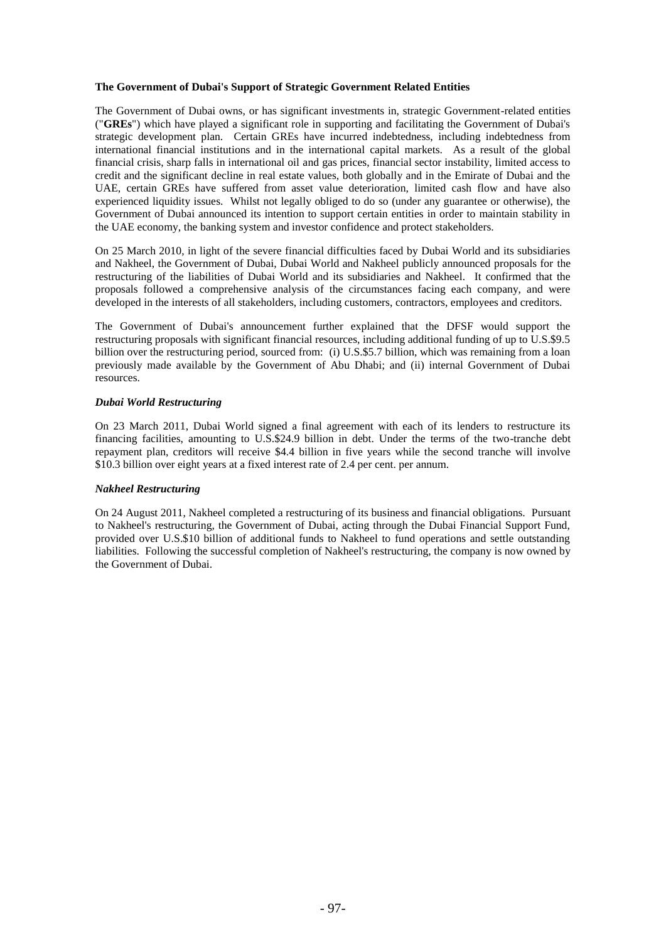# **The Government of Dubai's Support of Strategic Government Related Entities**

The Government of Dubai owns, or has significant investments in, strategic Government-related entities ("**GREs**") which have played a significant role in supporting and facilitating the Government of Dubai's strategic development plan. Certain GREs have incurred indebtedness, including indebtedness from international financial institutions and in the international capital markets. As a result of the global financial crisis, sharp falls in international oil and gas prices, financial sector instability, limited access to credit and the significant decline in real estate values, both globally and in the Emirate of Dubai and the UAE, certain GREs have suffered from asset value deterioration, limited cash flow and have also experienced liquidity issues. Whilst not legally obliged to do so (under any guarantee or otherwise), the Government of Dubai announced its intention to support certain entities in order to maintain stability in the UAE economy, the banking system and investor confidence and protect stakeholders.

On 25 March 2010, in light of the severe financial difficulties faced by Dubai World and its subsidiaries and Nakheel, the Government of Dubai, Dubai World and Nakheel publicly announced proposals for the restructuring of the liabilities of Dubai World and its subsidiaries and Nakheel. It confirmed that the proposals followed a comprehensive analysis of the circumstances facing each company, and were developed in the interests of all stakeholders, including customers, contractors, employees and creditors.

The Government of Dubai's announcement further explained that the DFSF would support the restructuring proposals with significant financial resources, including additional funding of up to  $\dot{U}$ .S.\$9.5 billion over the restructuring period, sourced from: (i) U.S.\$5.7 billion, which was remaining from a loan previously made available by the Government of Abu Dhabi; and (ii) internal Government of Dubai resources.

#### *Dubai World Restructuring*

On 23 March 2011, Dubai World signed a final agreement with each of its lenders to restructure its financing facilities, amounting to U.S.\$24.9 billion in debt. Under the terms of the two-tranche debt repayment plan, creditors will receive \$4.4 billion in five years while the second tranche will involve \$10.3 billion over eight years at a fixed interest rate of 2.4 per cent. per annum.

#### *Nakheel Restructuring*

On 24 August 2011, Nakheel completed a restructuring of its business and financial obligations. Pursuant to Nakheel's restructuring, the Government of Dubai, acting through the Dubai Financial Support Fund, provided over U.S.\$10 billion of additional funds to Nakheel to fund operations and settle outstanding liabilities. Following the successful completion of Nakheel's restructuring, the company is now owned by the Government of Dubai.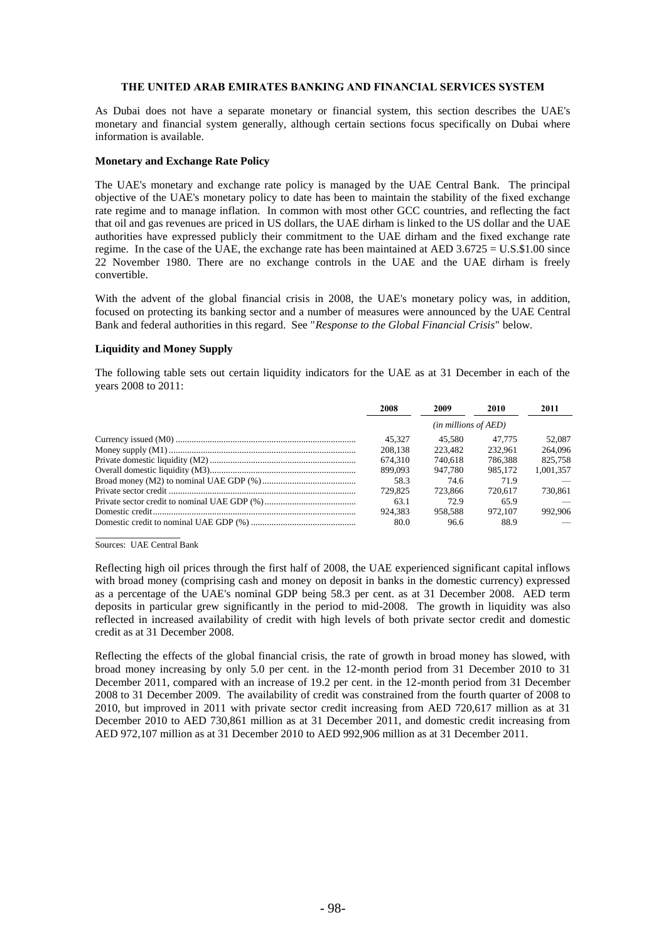#### **THE UNITED ARAB EMIRATES BANKING AND FINANCIAL SERVICES SYSTEM**

As Dubai does not have a separate monetary or financial system, this section describes the UAE's monetary and financial system generally, although certain sections focus specifically on Dubai where information is available.

#### **Monetary and Exchange Rate Policy**

The UAE's monetary and exchange rate policy is managed by the UAE Central Bank. The principal objective of the UAE's monetary policy to date has been to maintain the stability of the fixed exchange rate regime and to manage inflation. In common with most other GCC countries, and reflecting the fact that oil and gas revenues are priced in US dollars, the UAE dirham is linked to the US dollar and the UAE authorities have expressed publicly their commitment to the UAE dirham and the fixed exchange rate regime. In the case of the UAE, the exchange rate has been maintained at AED 3.6725 = U.S.\$1.00 since 22 November 1980. There are no exchange controls in the UAE and the UAE dirham is freely convertible.

With the advent of the global financial crisis in 2008, the UAE's monetary policy was, in addition, focused on protecting its banking sector and a number of measures were announced by the UAE Central Bank and federal authorities in this regard. See "*Response to the Global Financial Crisis*" below.

## **Liquidity and Money Supply**

The following table sets out certain liquidity indicators for the UAE as at 31 December in each of the years 2008 to 2011:

| 2008    | 2009                          | 2010    | 2011      |
|---------|-------------------------------|---------|-----------|
|         | ( <i>in millions of AED</i> ) |         |           |
| 45.327  | 45.580                        | 47.775  | 52,087    |
| 208,138 | 223,482                       | 232.961 | 264,096   |
| 674.310 | 740.618                       | 786.388 | 825,758   |
| 899.093 | 947.780                       | 985,172 | 1.001.357 |
| 58.3    | 74.6                          | 71.9    |           |
| 729.825 | 723.866                       | 720.617 | 730.861   |
| 63.1    | 72.9                          | 65.9    |           |
| 924.383 | 958.588                       | 972.107 | 992,906   |
| 80.0    | 96.6                          | 88.9    |           |

\_\_\_\_\_\_\_\_\_\_\_\_\_\_\_ Sources: UAE Central Bank

Reflecting high oil prices through the first half of 2008, the UAE experienced significant capital inflows with broad money (comprising cash and money on deposit in banks in the domestic currency) expressed as a percentage of the UAE's nominal GDP being 58.3 per cent. as at 31 December 2008. AED term deposits in particular grew significantly in the period to mid-2008. The growth in liquidity was also reflected in increased availability of credit with high levels of both private sector credit and domestic credit as at 31 December 2008.

Reflecting the effects of the global financial crisis, the rate of growth in broad money has slowed, with broad money increasing by only 5.0 per cent. in the 12-month period from 31 December 2010 to 31 December 2011, compared with an increase of 19.2 per cent. in the 12-month period from 31 December 2008 to 31 December 2009. The availability of credit was constrained from the fourth quarter of 2008 to 2010, but improved in 2011 with private sector credit increasing from AED 720,617 million as at 31 December 2010 to AED 730,861 million as at 31 December 2011, and domestic credit increasing from AED 972,107 million as at 31 December 2010 to AED 992,906 million as at 31 December 2011.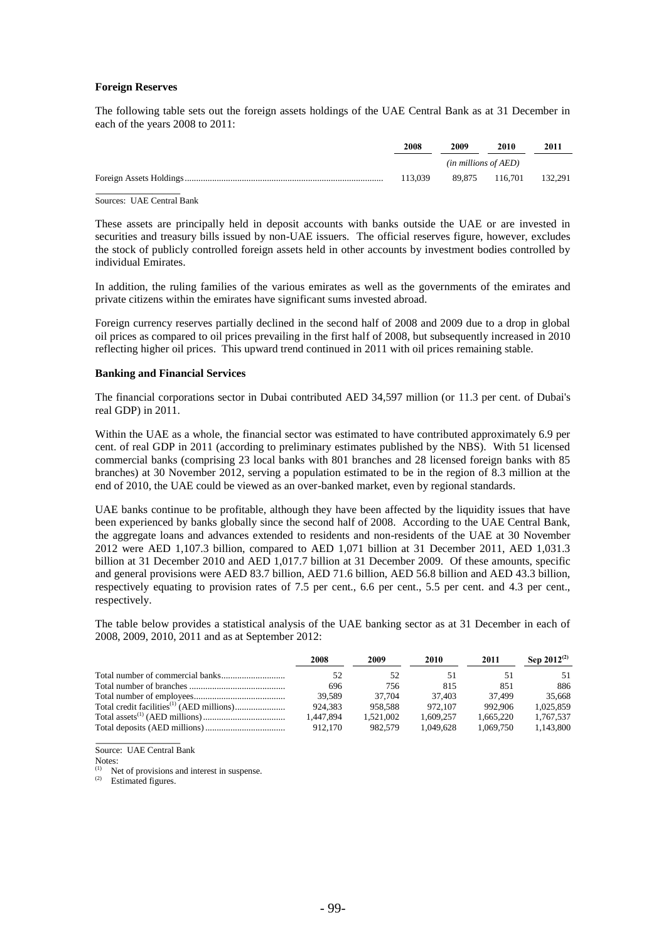## **Foreign Reserves**

The following table sets out the foreign assets holdings of the UAE Central Bank as at 31 December in each of the years 2008 to 2011:

| 2008    | 2009                      | 2010                   | 2011 |
|---------|---------------------------|------------------------|------|
|         | $(in$ millions of $AED$ ) |                        |      |
| 113.039 |                           | 89.875 116.701 132.291 |      |
|         |                           |                        |      |

Sources: UAE Central Bank

These assets are principally held in deposit accounts with banks outside the UAE or are invested in securities and treasury bills issued by non-UAE issuers. The official reserves figure, however, excludes the stock of publicly controlled foreign assets held in other accounts by investment bodies controlled by individual Emirates.

In addition, the ruling families of the various emirates as well as the governments of the emirates and private citizens within the emirates have significant sums invested abroad.

Foreign currency reserves partially declined in the second half of 2008 and 2009 due to a drop in global oil prices as compared to oil prices prevailing in the first half of 2008, but subsequently increased in 2010 reflecting higher oil prices. This upward trend continued in 2011 with oil prices remaining stable.

## **Banking and Financial Services**

The financial corporations sector in Dubai contributed AED 34,597 million (or 11.3 per cent. of Dubai's real GDP) in 2011.

Within the UAE as a whole, the financial sector was estimated to have contributed approximately 6.9 per cent. of real GDP in 2011 (according to preliminary estimates published by the NBS). With 51 licensed commercial banks (comprising 23 local banks with 801 branches and 28 licensed foreign banks with 85 branches) at 30 November 2012, serving a population estimated to be in the region of 8.3 million at the end of 2010, the UAE could be viewed as an over-banked market, even by regional standards.

UAE banks continue to be profitable, although they have been affected by the liquidity issues that have been experienced by banks globally since the second half of 2008. According to the UAE Central Bank, the aggregate loans and advances extended to residents and non-residents of the UAE at 30 November 2012 were AED 1,107.3 billion, compared to AED 1,071 billion at 31 December 2011, AED 1,031.3 billion at 31 December 2010 and AED 1,017.7 billion at 31 December 2009. Of these amounts, specific and general provisions were AED 83.7 billion, AED 71.6 billion, AED 56.8 billion and AED 43.3 billion, respectively equating to provision rates of 7.5 per cent., 6.6 per cent., 5.5 per cent. and 4.3 per cent., respectively.

The table below provides a statistical analysis of the UAE banking sector as at 31 December in each of 2008, 2009, 2010, 2011 and as at September 2012:

| 2008      | 2009      | 2010      | 2011      | Sep $2012^{(2)}$ |
|-----------|-----------|-----------|-----------|------------------|
| 52        | 52        | 51        |           | 51.              |
| 696       | 756       | 815       | 851       | 886              |
| 39.589    | 37.704    | 37.403    | 37.499    | 35,668           |
| 924.383   | 958.588   | 972,107   | 992.906   | 1.025.859        |
| 1.447.894 | 1.521.002 | 1.609.257 | 1.665.220 | 1.767.537        |
| 912.170   | 982.579   | 1.049.628 | 1.069.750 | 1.143.800        |
|           |           |           |           |                  |

Source: UAE Central Bank

Notes:

Net of provisions and interest in suspense.

(2) Estimated figures.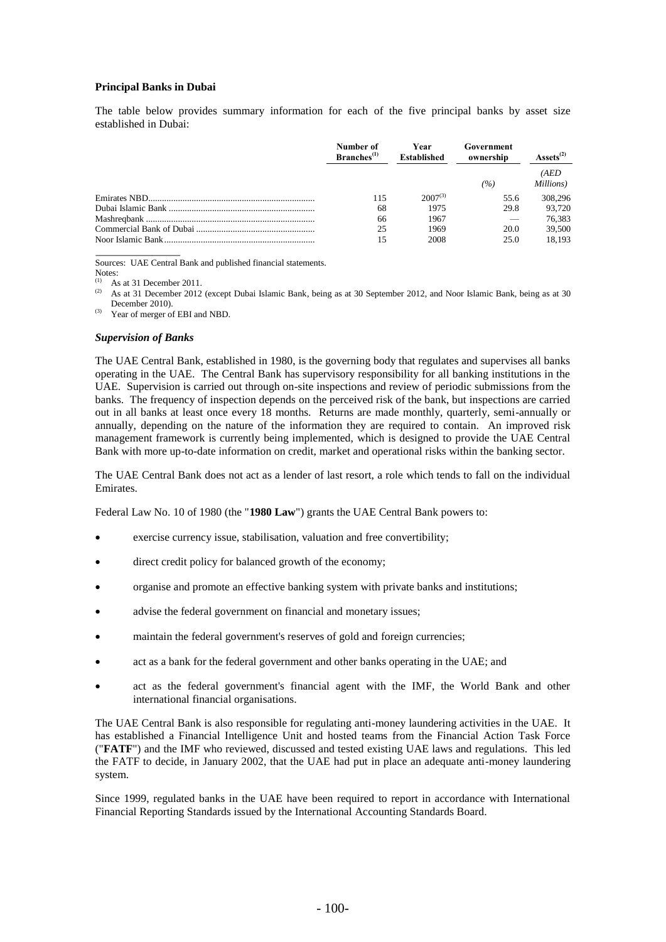## **Principal Banks in Dubai**

The table below provides summary information for each of the five principal banks by asset size established in Dubai:

| Number of<br>Branches <sup>(1)</sup> | Year<br><b>Established</b> | Government<br>ownership | $\triangle$ ssets <sup>(2)</sup> |  |
|--------------------------------------|----------------------------|-------------------------|----------------------------------|--|
|                                      |                            | (%)                     | (AED<br>Millions)                |  |
| 115                                  | $2007^{(3)}$               | 55.6                    | 308,296                          |  |
| 68                                   | 1975                       | 29.8                    | 93.720                           |  |
| 66                                   | 1967                       |                         | 76.383                           |  |
| 25                                   | 1969                       | 20.0                    | 39,500                           |  |
| 15                                   | 2008                       | 25.0                    | 18.193                           |  |

Sources: UAE Central Bank and published financial statements.

Notes:

(1) As at 31 December 2011. As at 31 December 2012 (except Dubai Islamic Bank, being as at 30 September 2012, and Noor Islamic Bank, being as at 30 December 2010).

Year of merger of EBI and NBD.

#### *Supervision of Banks*

The UAE Central Bank, established in 1980, is the governing body that regulates and supervises all banks operating in the UAE. The Central Bank has supervisory responsibility for all banking institutions in the UAE. Supervision is carried out through on-site inspections and review of periodic submissions from the banks. The frequency of inspection depends on the perceived risk of the bank, but inspections are carried out in all banks at least once every 18 months. Returns are made monthly, quarterly, semi-annually or annually, depending on the nature of the information they are required to contain. An improved risk management framework is currently being implemented, which is designed to provide the UAE Central Bank with more up-to-date information on credit, market and operational risks within the banking sector.

The UAE Central Bank does not act as a lender of last resort, a role which tends to fall on the individual Emirates.

Federal Law No. 10 of 1980 (the "**1980 Law**") grants the UAE Central Bank powers to:

- exercise currency issue, stabilisation, valuation and free convertibility;
- direct credit policy for balanced growth of the economy;
- organise and promote an effective banking system with private banks and institutions;
- advise the federal government on financial and monetary issues;
- maintain the federal government's reserves of gold and foreign currencies;
- act as a bank for the federal government and other banks operating in the UAE; and
- act as the federal government's financial agent with the IMF, the World Bank and other international financial organisations.

The UAE Central Bank is also responsible for regulating anti-money laundering activities in the UAE. It has established a Financial Intelligence Unit and hosted teams from the Financial Action Task Force ("**FATF**") and the IMF who reviewed, discussed and tested existing UAE laws and regulations. This led the FATF to decide, in January 2002, that the UAE had put in place an adequate anti-money laundering system.

Since 1999, regulated banks in the UAE have been required to report in accordance with International Financial Reporting Standards issued by the International Accounting Standards Board.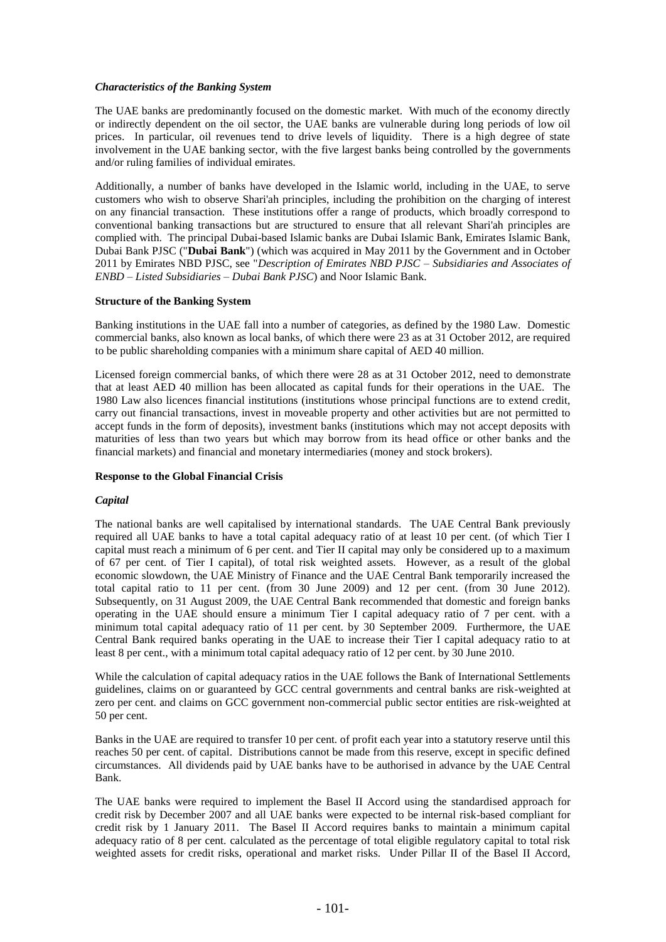## *Characteristics of the Banking System*

The UAE banks are predominantly focused on the domestic market. With much of the economy directly or indirectly dependent on the oil sector, the UAE banks are vulnerable during long periods of low oil prices. In particular, oil revenues tend to drive levels of liquidity. There is a high degree of state involvement in the UAE banking sector, with the five largest banks being controlled by the governments and/or ruling families of individual emirates.

Additionally, a number of banks have developed in the Islamic world, including in the UAE, to serve customers who wish to observe Shari'ah principles, including the prohibition on the charging of interest on any financial transaction. These institutions offer a range of products, which broadly correspond to conventional banking transactions but are structured to ensure that all relevant Shari'ah principles are complied with. The principal Dubai-based Islamic banks are Dubai Islamic Bank, Emirates Islamic Bank, Dubai Bank PJSC ("**Dubai Bank**") (which was acquired in May 2011 by the Government and in October 2011 by Emirates NBD PJSC, see "*Description of Emirates NBD PJSC – Subsidiaries and Associates of ENBD – Listed Subsidiaries – Dubai Bank PJSC*) and Noor Islamic Bank.

#### **Structure of the Banking System**

Banking institutions in the UAE fall into a number of categories, as defined by the 1980 Law. Domestic commercial banks, also known as local banks, of which there were 23 as at 31 October 2012, are required to be public shareholding companies with a minimum share capital of AED 40 million.

Licensed foreign commercial banks, of which there were 28 as at 31 October 2012, need to demonstrate that at least AED 40 million has been allocated as capital funds for their operations in the UAE. The 1980 Law also licences financial institutions (institutions whose principal functions are to extend credit, carry out financial transactions, invest in moveable property and other activities but are not permitted to accept funds in the form of deposits), investment banks (institutions which may not accept deposits with maturities of less than two years but which may borrow from its head office or other banks and the financial markets) and financial and monetary intermediaries (money and stock brokers).

#### **Response to the Global Financial Crisis**

### *Capital*

The national banks are well capitalised by international standards. The UAE Central Bank previously required all UAE banks to have a total capital adequacy ratio of at least 10 per cent. (of which Tier I capital must reach a minimum of 6 per cent. and Tier II capital may only be considered up to a maximum of 67 per cent. of Tier I capital), of total risk weighted assets. However, as a result of the global economic slowdown, the UAE Ministry of Finance and the UAE Central Bank temporarily increased the total capital ratio to 11 per cent. (from 30 June 2009) and 12 per cent. (from 30 June 2012). Subsequently, on 31 August 2009, the UAE Central Bank recommended that domestic and foreign banks operating in the UAE should ensure a minimum Tier I capital adequacy ratio of 7 per cent. with a minimum total capital adequacy ratio of 11 per cent. by 30 September 2009. Furthermore, the UAE Central Bank required banks operating in the UAE to increase their Tier I capital adequacy ratio to at least 8 per cent., with a minimum total capital adequacy ratio of 12 per cent. by 30 June 2010.

While the calculation of capital adequacy ratios in the UAE follows the Bank of International Settlements guidelines, claims on or guaranteed by GCC central governments and central banks are risk-weighted at zero per cent. and claims on GCC government non-commercial public sector entities are risk-weighted at 50 per cent.

Banks in the UAE are required to transfer 10 per cent. of profit each year into a statutory reserve until this reaches 50 per cent. of capital. Distributions cannot be made from this reserve, except in specific defined circumstances. All dividends paid by UAE banks have to be authorised in advance by the UAE Central Bank.

The UAE banks were required to implement the Basel II Accord using the standardised approach for credit risk by December 2007 and all UAE banks were expected to be internal risk-based compliant for credit risk by 1 January 2011. The Basel II Accord requires banks to maintain a minimum capital adequacy ratio of 8 per cent. calculated as the percentage of total eligible regulatory capital to total risk weighted assets for credit risks, operational and market risks. Under Pillar II of the Basel II Accord,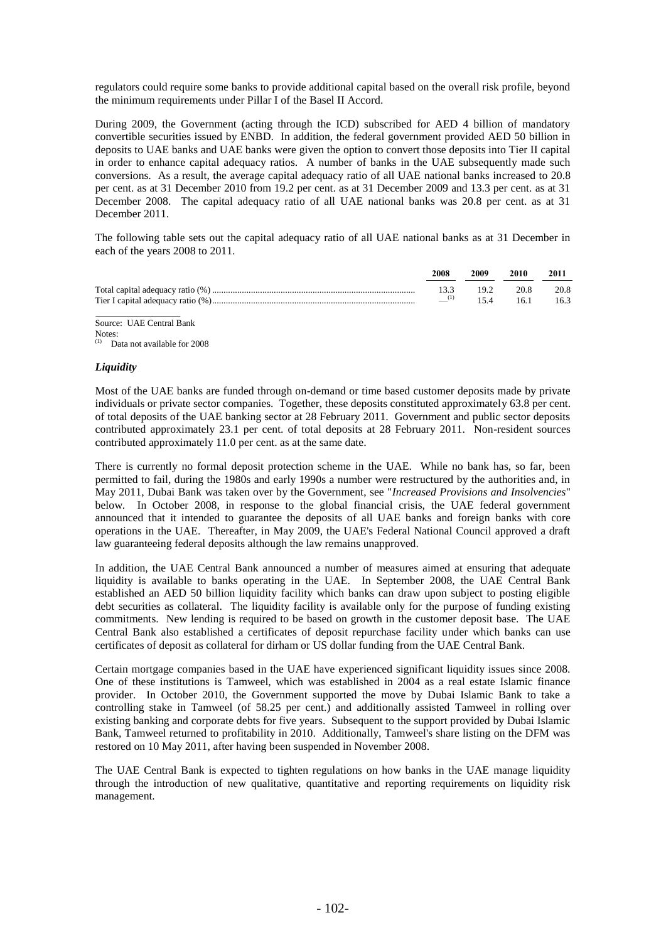regulators could require some banks to provide additional capital based on the overall risk profile, beyond the minimum requirements under Pillar I of the Basel II Accord.

During 2009, the Government (acting through the ICD) subscribed for AED 4 billion of mandatory convertible securities issued by ENBD. In addition, the federal government provided AED 50 billion in deposits to UAE banks and UAE banks were given the option to convert those deposits into Tier II capital in order to enhance capital adequacy ratios. A number of banks in the UAE subsequently made such conversions. As a result, the average capital adequacy ratio of all UAE national banks increased to 20.8 per cent. as at 31 December 2010 from 19.2 per cent. as at 31 December 2009 and 13.3 per cent. as at 31 December 2008. The capital adequacy ratio of all UAE national banks was 20.8 per cent. as at 31 December 2011.

The following table sets out the capital adequacy ratio of all UAE national banks as at 31 December in each of the years 2008 to 2011.

| 2008 | 2009 | 2010           | -2011 |
|------|------|----------------|-------|
| 133  |      | 19.2 20.8 20.8 |       |
| (1)  | 154  | 16.1           | 16.3  |
|      |      |                |       |

Source: UAE Central Bank Notes: Data not available for 2008

### *Liquidity*

Most of the UAE banks are funded through on-demand or time based customer deposits made by private individuals or private sector companies. Together, these deposits constituted approximately 63.8 per cent. of total deposits of the UAE banking sector at 28 February 2011. Government and public sector deposits contributed approximately 23.1 per cent. of total deposits at 28 February 2011. Non-resident sources contributed approximately 11.0 per cent. as at the same date.

There is currently no formal deposit protection scheme in the UAE. While no bank has, so far, been permitted to fail, during the 1980s and early 1990s a number were restructured by the authorities and, in May 2011, Dubai Bank was taken over by the Government, see "*Increased Provisions and Insolvencies*" below. In October 2008, in response to the global financial crisis, the UAE federal government announced that it intended to guarantee the deposits of all UAE banks and foreign banks with core operations in the UAE. Thereafter, in May 2009, the UAE's Federal National Council approved a draft law guaranteeing federal deposits although the law remains unapproved.

In addition, the UAE Central Bank announced a number of measures aimed at ensuring that adequate liquidity is available to banks operating in the UAE. In September 2008, the UAE Central Bank established an AED 50 billion liquidity facility which banks can draw upon subject to posting eligible debt securities as collateral. The liquidity facility is available only for the purpose of funding existing commitments. New lending is required to be based on growth in the customer deposit base. The UAE Central Bank also established a certificates of deposit repurchase facility under which banks can use certificates of deposit as collateral for dirham or US dollar funding from the UAE Central Bank.

Certain mortgage companies based in the UAE have experienced significant liquidity issues since 2008. One of these institutions is Tamweel, which was established in 2004 as a real estate Islamic finance provider. In October 2010, the Government supported the move by Dubai Islamic Bank to take a controlling stake in Tamweel (of 58.25 per cent.) and additionally assisted Tamweel in rolling over existing banking and corporate debts for five years. Subsequent to the support provided by Dubai Islamic Bank, Tamweel returned to profitability in 2010. Additionally, Tamweel's share listing on the DFM was restored on 10 May 2011, after having been suspended in November 2008.

The UAE Central Bank is expected to tighten regulations on how banks in the UAE manage liquidity through the introduction of new qualitative, quantitative and reporting requirements on liquidity risk management.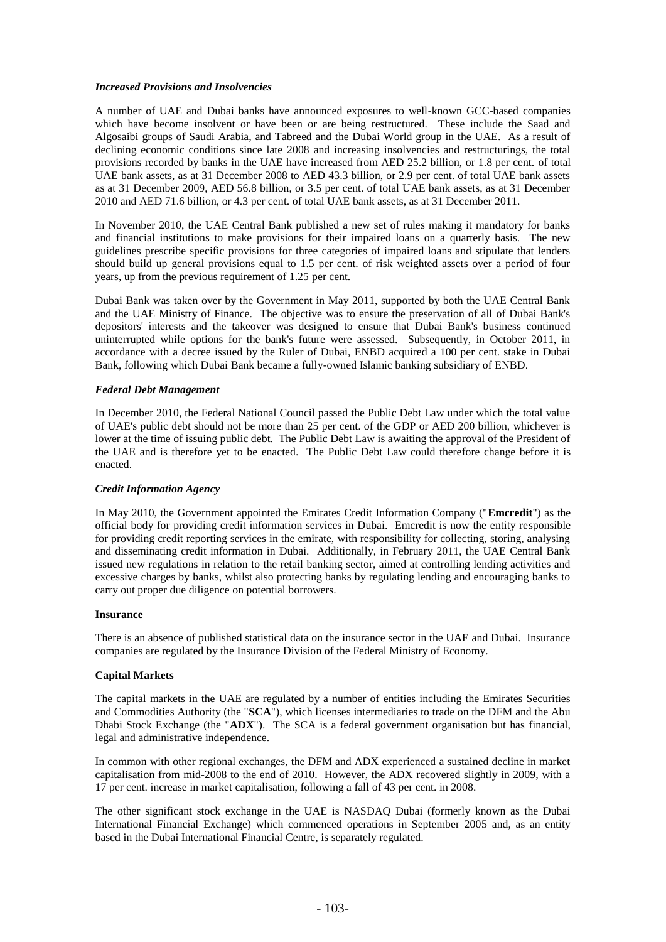## *Increased Provisions and Insolvencies*

A number of UAE and Dubai banks have announced exposures to well-known GCC-based companies which have become insolvent or have been or are being restructured. These include the Saad and Algosaibi groups of Saudi Arabia, and Tabreed and the Dubai World group in the UAE. As a result of declining economic conditions since late 2008 and increasing insolvencies and restructurings, the total provisions recorded by banks in the UAE have increased from AED 25.2 billion, or 1.8 per cent. of total UAE bank assets, as at 31 December 2008 to AED 43.3 billion, or 2.9 per cent. of total UAE bank assets as at 31 December 2009, AED 56.8 billion, or 3.5 per cent. of total UAE bank assets, as at 31 December 2010 and AED 71.6 billion, or 4.3 per cent. of total UAE bank assets, as at 31 December 2011.

In November 2010, the UAE Central Bank published a new set of rules making it mandatory for banks and financial institutions to make provisions for their impaired loans on a quarterly basis. The new guidelines prescribe specific provisions for three categories of impaired loans and stipulate that lenders should build up general provisions equal to 1.5 per cent. of risk weighted assets over a period of four years, up from the previous requirement of 1.25 per cent.

Dubai Bank was taken over by the Government in May 2011, supported by both the UAE Central Bank and the UAE Ministry of Finance. The objective was to ensure the preservation of all of Dubai Bank's depositors' interests and the takeover was designed to ensure that Dubai Bank's business continued uninterrupted while options for the bank's future were assessed. Subsequently, in October 2011, in accordance with a decree issued by the Ruler of Dubai, ENBD acquired a 100 per cent. stake in Dubai Bank, following which Dubai Bank became a fully-owned Islamic banking subsidiary of ENBD.

### *Federal Debt Management*

In December 2010, the Federal National Council passed the Public Debt Law under which the total value of UAE's public debt should not be more than 25 per cent. of the GDP or AED 200 billion, whichever is lower at the time of issuing public debt. The Public Debt Law is awaiting the approval of the President of the UAE and is therefore yet to be enacted. The Public Debt Law could therefore change before it is enacted.

#### *Credit Information Agency*

In May 2010, the Government appointed the Emirates Credit Information Company ("**Emcredit**") as the official body for providing credit information services in Dubai. Emcredit is now the entity responsible for providing credit reporting services in the emirate, with responsibility for collecting, storing, analysing and disseminating credit information in Dubai. Additionally, in February 2011, the UAE Central Bank issued new regulations in relation to the retail banking sector, aimed at controlling lending activities and excessive charges by banks, whilst also protecting banks by regulating lending and encouraging banks to carry out proper due diligence on potential borrowers.

#### **Insurance**

There is an absence of published statistical data on the insurance sector in the UAE and Dubai. Insurance companies are regulated by the Insurance Division of the Federal Ministry of Economy.

#### **Capital Markets**

The capital markets in the UAE are regulated by a number of entities including the Emirates Securities and Commodities Authority (the "**SCA**"), which licenses intermediaries to trade on the DFM and the Abu Dhabi Stock Exchange (the "**ADX**"). The SCA is a federal government organisation but has financial, legal and administrative independence.

In common with other regional exchanges, the DFM and ADX experienced a sustained decline in market capitalisation from mid-2008 to the end of 2010. However, the ADX recovered slightly in 2009, with a 17 per cent. increase in market capitalisation, following a fall of 43 per cent. in 2008.

The other significant stock exchange in the UAE is NASDAQ Dubai (formerly known as the Dubai International Financial Exchange) which commenced operations in September 2005 and, as an entity based in the Dubai International Financial Centre, is separately regulated.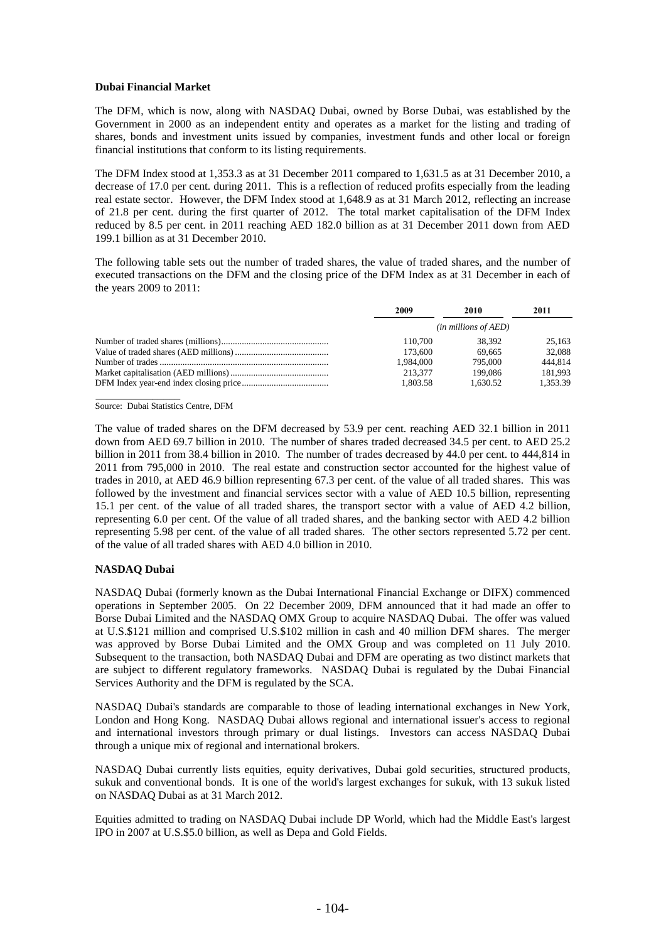# **Dubai Financial Market**

The DFM, which is now, along with NASDAQ Dubai, owned by Borse Dubai, was established by the Government in 2000 as an independent entity and operates as a market for the listing and trading of shares, bonds and investment units issued by companies, investment funds and other local or foreign financial institutions that conform to its listing requirements.

The DFM Index stood at 1,353.3 as at 31 December 2011 compared to 1,631.5 as at 31 December 2010, a decrease of 17.0 per cent. during 2011. This is a reflection of reduced profits especially from the leading real estate sector. However, the DFM Index stood at 1,648.9 as at 31 March 2012, reflecting an increase of 21.8 per cent. during the first quarter of 2012. The total market capitalisation of the DFM Index reduced by 8.5 per cent. in 2011 reaching AED 182.0 billion as at 31 December 2011 down from AED 199.1 billion as at 31 December 2010.

The following table sets out the number of traded shares, the value of traded shares, and the number of executed transactions on the DFM and the closing price of the DFM Index as at 31 December in each of the years 2009 to 2011:

| 2009                       | 2010     | 2011     |
|----------------------------|----------|----------|
| $(in\, millions\, of AED)$ |          |          |
| 110.700                    | 38.392   | 25,163   |
| 173.600                    | 69.665   | 32,088   |
| 1.984.000                  | 795.000  | 444,814  |
| 213,377                    | 199.086  | 181,993  |
| 1.803.58                   | 1.630.52 | 1.353.39 |

Source: Dubai Statistics Centre, DFM

\_\_\_\_\_\_\_\_\_\_\_\_\_\_\_

The value of traded shares on the DFM decreased by 53.9 per cent. reaching AED 32.1 billion in 2011 down from AED 69.7 billion in 2010. The number of shares traded decreased 34.5 per cent. to AED 25.2 billion in 2011 from 38.4 billion in 2010. The number of trades decreased by 44.0 per cent. to 444,814 in 2011 from 795,000 in 2010. The real estate and construction sector accounted for the highest value of trades in 2010, at AED 46.9 billion representing 67.3 per cent. of the value of all traded shares. This was followed by the investment and financial services sector with a value of AED 10.5 billion, representing 15.1 per cent. of the value of all traded shares, the transport sector with a value of AED 4.2 billion, representing 6.0 per cent. Of the value of all traded shares, and the banking sector with AED 4.2 billion representing 5.98 per cent. of the value of all traded shares. The other sectors represented 5.72 per cent. of the value of all traded shares with AED 4.0 billion in 2010.

## **NASDAQ Dubai**

NASDAQ Dubai (formerly known as the Dubai International Financial Exchange or DIFX) commenced operations in September 2005. On 22 December 2009, DFM announced that it had made an offer to Borse Dubai Limited and the NASDAQ OMX Group to acquire NASDAQ Dubai. The offer was valued at U.S.\$121 million and comprised U.S.\$102 million in cash and 40 million DFM shares. The merger was approved by Borse Dubai Limited and the OMX Group and was completed on 11 July 2010. Subsequent to the transaction, both NASDAQ Dubai and DFM are operating as two distinct markets that are subject to different regulatory frameworks. NASDAQ Dubai is regulated by the Dubai Financial Services Authority and the DFM is regulated by the SCA.

NASDAQ Dubai's standards are comparable to those of leading international exchanges in New York, London and Hong Kong. NASDAQ Dubai allows regional and international issuer's access to regional and international investors through primary or dual listings. Investors can access NASDAQ Dubai through a unique mix of regional and international brokers.

NASDAQ Dubai currently lists equities, equity derivatives, Dubai gold securities, structured products, sukuk and conventional bonds. It is one of the world's largest exchanges for sukuk, with 13 sukuk listed on NASDAQ Dubai as at 31 March 2012.

Equities admitted to trading on NASDAQ Dubai include DP World, which had the Middle East's largest IPO in 2007 at U.S.\$5.0 billion, as well as Depa and Gold Fields.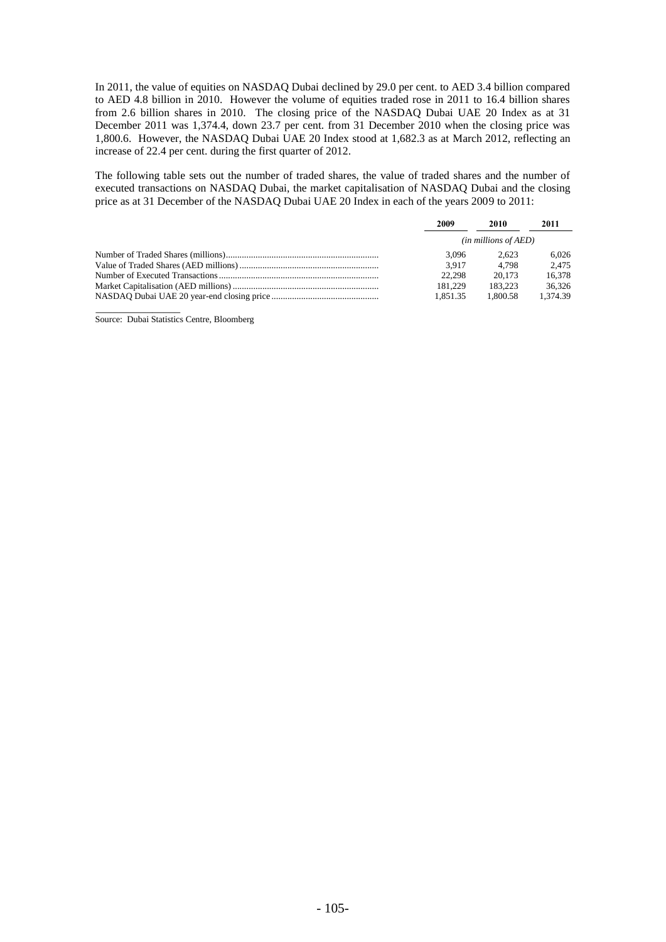In 2011, the value of equities on NASDAQ Dubai declined by 29.0 per cent. to AED 3.4 billion compared to AED 4.8 billion in 2010. However the volume of equities traded rose in 2011 to 16.4 billion shares from 2.6 billion shares in 2010. The closing price of the NASDAQ Dubai UAE 20 Index as at 31 December 2011 was 1,374.4, down 23.7 per cent. from 31 December 2010 when the closing price was 1,800.6. However, the NASDAQ Dubai UAE 20 Index stood at 1,682.3 as at March 2012, reflecting an increase of 22.4 per cent. during the first quarter of 2012.

The following table sets out the number of traded shares, the value of traded shares and the number of executed transactions on NASDAQ Dubai, the market capitalisation of NASDAQ Dubai and the closing price as at 31 December of the NASDAQ Dubai UAE 20 Index in each of the years 2009 to 2011:

| 2009                          | 2010     | 2011     |
|-------------------------------|----------|----------|
| ( <i>in millions of AED</i> ) |          |          |
| 3.096                         | 2.623    | 6.026    |
| 3.917                         | 4.798    | 2.475    |
| 22.298                        | 20.173   | 16.378   |
| 181.229                       | 183.223  | 36.326   |
| 1.851.35                      | 1.800.58 | 1.374.39 |

Source: Dubai Statistics Centre, Bloomberg

\_\_\_\_\_\_\_\_\_\_\_\_\_\_\_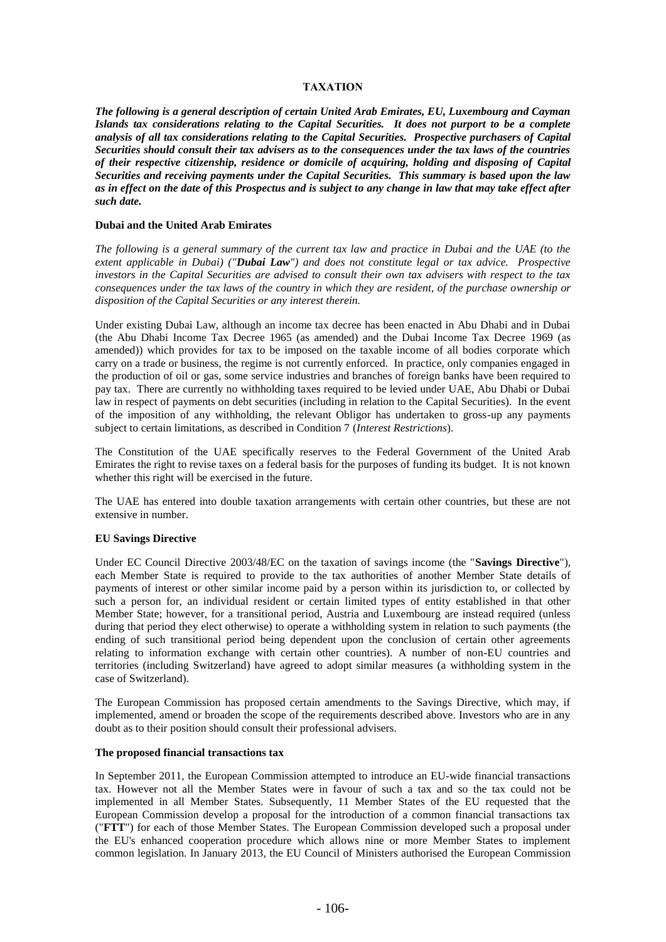# **TAXATION**

*The following is a general description of certain United Arab Emirates, EU, Luxembourg and Cayman Islands tax considerations relating to the Capital Securities. It does not purport to be a complete analysis of all tax considerations relating to the Capital Securities. Prospective purchasers of Capital Securities should consult their tax advisers as to the consequences under the tax laws of the countries of their respective citizenship, residence or domicile of acquiring, holding and disposing of Capital Securities and receiving payments under the Capital Securities. This summary is based upon the law as in effect on the date of this Prospectus and is subject to any change in law that may take effect after such date.*

### **Dubai and the United Arab Emirates**

*The following is a general summary of the current tax law and practice in Dubai and the UAE (to the extent applicable in Dubai) ("Dubai Law") and does not constitute legal or tax advice. Prospective investors in the Capital Securities are advised to consult their own tax advisers with respect to the tax consequences under the tax laws of the country in which they are resident, of the purchase ownership or disposition of the Capital Securities or any interest therein.*

Under existing Dubai Law, although an income tax decree has been enacted in Abu Dhabi and in Dubai (the Abu Dhabi Income Tax Decree 1965 (as amended) and the Dubai Income Tax Decree 1969 (as amended)) which provides for tax to be imposed on the taxable income of all bodies corporate which carry on a trade or business, the regime is not currently enforced. In practice, only companies engaged in the production of oil or gas, some service industries and branches of foreign banks have been required to pay tax. There are currently no withholding taxes required to be levied under UAE, Abu Dhabi or Dubai law in respect of payments on debt securities (including in relation to the Capital Securities). In the event of the imposition of any withholding, the relevant Obligor has undertaken to gross-up any payments subject to certain limitations, as described in Condition 7 (*Interest Restrictions*).

The Constitution of the UAE specifically reserves to the Federal Government of the United Arab Emirates the right to revise taxes on a federal basis for the purposes of funding its budget. It is not known whether this right will be exercised in the future.

The UAE has entered into double taxation arrangements with certain other countries, but these are not extensive in number.

## **EU Savings Directive**

Under EC Council Directive 2003/48/EC on the taxation of savings income (the "**Savings Directive**"), each Member State is required to provide to the tax authorities of another Member State details of payments of interest or other similar income paid by a person within its jurisdiction to, or collected by such a person for, an individual resident or certain limited types of entity established in that other Member State; however, for a transitional period, Austria and Luxembourg are instead required (unless during that period they elect otherwise) to operate a withholding system in relation to such payments (the ending of such transitional period being dependent upon the conclusion of certain other agreements relating to information exchange with certain other countries). A number of non-EU countries and territories (including Switzerland) have agreed to adopt similar measures (a withholding system in the case of Switzerland).

The European Commission has proposed certain amendments to the Savings Directive, which may, if implemented, amend or broaden the scope of the requirements described above. Investors who are in any doubt as to their position should consult their professional advisers.

## **The proposed financial transactions tax**

In September 2011, the European Commission attempted to introduce an EU-wide financial transactions tax. However not all the Member States were in favour of such a tax and so the tax could not be implemented in all Member States. Subsequently, 11 Member States of the EU requested that the European Commission develop a proposal for the introduction of a common financial transactions tax ("**FTT**") for each of those Member States. The European Commission developed such a proposal under the EU's enhanced cooperation procedure which allows nine or more Member States to implement common legislation. In January 2013, the EU Council of Ministers authorised the European Commission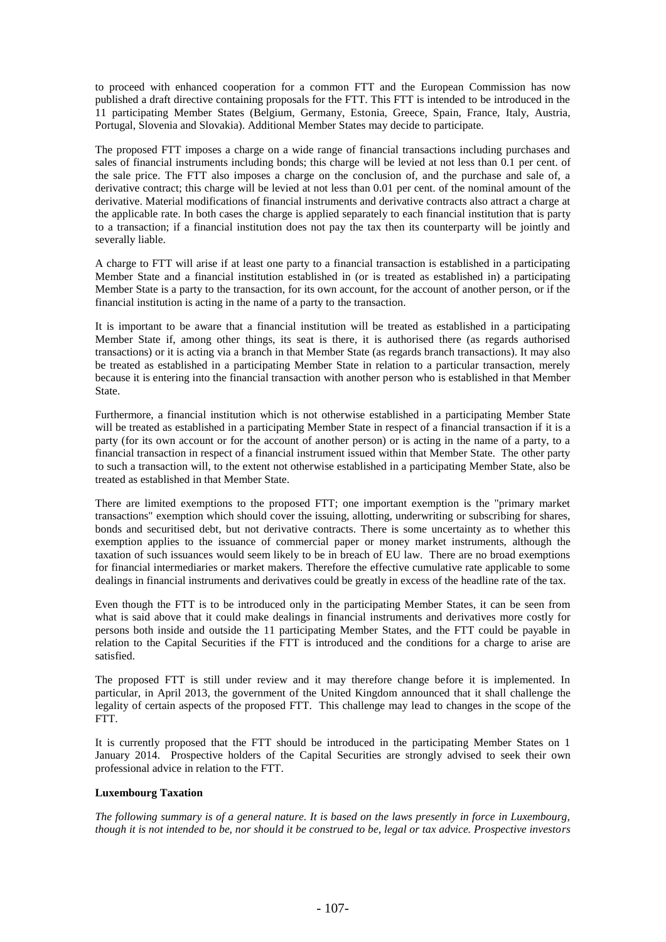to proceed with enhanced cooperation for a common FTT and the European Commission has now published a draft directive containing proposals for the FTT. This FTT is intended to be introduced in the 11 participating Member States (Belgium, Germany, Estonia, Greece, Spain, France, Italy, Austria, Portugal, Slovenia and Slovakia). Additional Member States may decide to participate.

The proposed FTT imposes a charge on a wide range of financial transactions including purchases and sales of financial instruments including bonds; this charge will be levied at not less than 0.1 per cent. of the sale price. The FTT also imposes a charge on the conclusion of, and the purchase and sale of, a derivative contract; this charge will be levied at not less than 0.01 per cent. of the nominal amount of the derivative. Material modifications of financial instruments and derivative contracts also attract a charge at the applicable rate. In both cases the charge is applied separately to each financial institution that is party to a transaction; if a financial institution does not pay the tax then its counterparty will be jointly and severally liable.

A charge to FTT will arise if at least one party to a financial transaction is established in a participating Member State and a financial institution established in (or is treated as established in) a participating Member State is a party to the transaction, for its own account, for the account of another person, or if the financial institution is acting in the name of a party to the transaction.

It is important to be aware that a financial institution will be treated as established in a participating Member State if, among other things, its seat is there, it is authorised there (as regards authorised transactions) or it is acting via a branch in that Member State (as regards branch transactions). It may also be treated as established in a participating Member State in relation to a particular transaction, merely because it is entering into the financial transaction with another person who is established in that Member State.

Furthermore, a financial institution which is not otherwise established in a participating Member State will be treated as established in a participating Member State in respect of a financial transaction if it is a party (for its own account or for the account of another person) or is acting in the name of a party, to a financial transaction in respect of a financial instrument issued within that Member State. The other party to such a transaction will, to the extent not otherwise established in a participating Member State, also be treated as established in that Member State.

There are limited exemptions to the proposed FTT; one important exemption is the "primary market transactions" exemption which should cover the issuing, allotting, underwriting or subscribing for shares, bonds and securitised debt, but not derivative contracts. There is some uncertainty as to whether this exemption applies to the issuance of commercial paper or money market instruments, although the taxation of such issuances would seem likely to be in breach of EU law. There are no broad exemptions for financial intermediaries or market makers. Therefore the effective cumulative rate applicable to some dealings in financial instruments and derivatives could be greatly in excess of the headline rate of the tax.

Even though the FTT is to be introduced only in the participating Member States, it can be seen from what is said above that it could make dealings in financial instruments and derivatives more costly for persons both inside and outside the 11 participating Member States, and the FTT could be payable in relation to the Capital Securities if the FTT is introduced and the conditions for a charge to arise are satisfied.

The proposed FTT is still under review and it may therefore change before it is implemented. In particular, in April 2013, the government of the United Kingdom announced that it shall challenge the legality of certain aspects of the proposed FTT. This challenge may lead to changes in the scope of the FTT.

It is currently proposed that the FTT should be introduced in the participating Member States on 1 January 2014. Prospective holders of the Capital Securities are strongly advised to seek their own professional advice in relation to the FTT.

## **Luxembourg Taxation**

*The following summary is of a general nature. It is based on the laws presently in force in Luxembourg, though it is not intended to be, nor should it be construed to be, legal or tax advice. Prospective investors*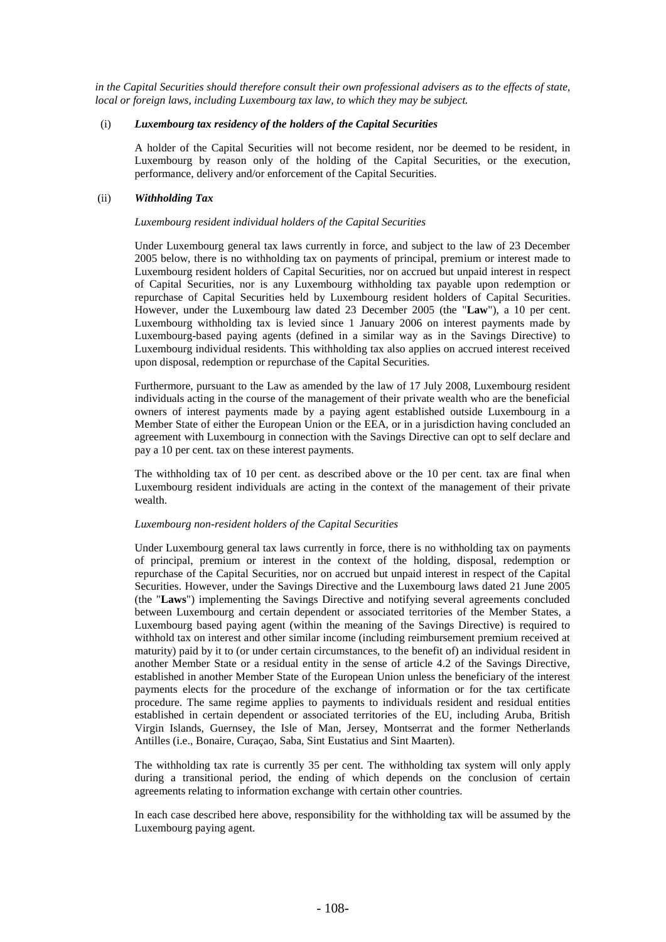*in the Capital Securities should therefore consult their own professional advisers as to the effects of state, local or foreign laws, including Luxembourg tax law, to which they may be subject.*

## (i) *Luxembourg tax residency of the holders of the Capital Securities*

A holder of the Capital Securities will not become resident, nor be deemed to be resident, in Luxembourg by reason only of the holding of the Capital Securities, or the execution, performance, delivery and/or enforcement of the Capital Securities.

## (ii) *Withholding Tax*

#### *Luxembourg resident individual holders of the Capital Securities*

Under Luxembourg general tax laws currently in force, and subject to the law of 23 December 2005 below, there is no withholding tax on payments of principal, premium or interest made to Luxembourg resident holders of Capital Securities, nor on accrued but unpaid interest in respect of Capital Securities, nor is any Luxembourg withholding tax payable upon redemption or repurchase of Capital Securities held by Luxembourg resident holders of Capital Securities. However, under the Luxembourg law dated 23 December 2005 (the "**Law**"), a 10 per cent. Luxembourg withholding tax is levied since 1 January 2006 on interest payments made by Luxembourg-based paying agents (defined in a similar way as in the Savings Directive) to Luxembourg individual residents. This withholding tax also applies on accrued interest received upon disposal, redemption or repurchase of the Capital Securities.

Furthermore, pursuant to the Law as amended by the law of 17 July 2008, Luxembourg resident individuals acting in the course of the management of their private wealth who are the beneficial owners of interest payments made by a paying agent established outside Luxembourg in a Member State of either the European Union or the EEA, or in a jurisdiction having concluded an agreement with Luxembourg in connection with the Savings Directive can opt to self declare and pay a 10 per cent. tax on these interest payments.

The withholding tax of 10 per cent. as described above or the 10 per cent. tax are final when Luxembourg resident individuals are acting in the context of the management of their private wealth.

### *Luxembourg non-resident holders of the Capital Securities*

Under Luxembourg general tax laws currently in force, there is no withholding tax on payments of principal, premium or interest in the context of the holding, disposal, redemption or repurchase of the Capital Securities, nor on accrued but unpaid interest in respect of the Capital Securities. However, under the Savings Directive and the Luxembourg laws dated 21 June 2005 (the "**Laws**") implementing the Savings Directive and notifying several agreements concluded between Luxembourg and certain dependent or associated territories of the Member States, a Luxembourg based paying agent (within the meaning of the Savings Directive) is required to withhold tax on interest and other similar income (including reimbursement premium received at maturity) paid by it to (or under certain circumstances, to the benefit of) an individual resident in another Member State or a residual entity in the sense of article 4.2 of the Savings Directive, established in another Member State of the European Union unless the beneficiary of the interest payments elects for the procedure of the exchange of information or for the tax certificate procedure. The same regime applies to payments to individuals resident and residual entities established in certain dependent or associated territories of the EU, including Aruba, British Virgin Islands, Guernsey, the Isle of Man, Jersey, Montserrat and the former Netherlands Antilles (i.e., Bonaire, Curaçao, Saba, Sint Eustatius and Sint Maarten).

The withholding tax rate is currently 35 per cent. The withholding tax system will only apply during a transitional period, the ending of which depends on the conclusion of certain agreements relating to information exchange with certain other countries.

In each case described here above, responsibility for the withholding tax will be assumed by the Luxembourg paying agent.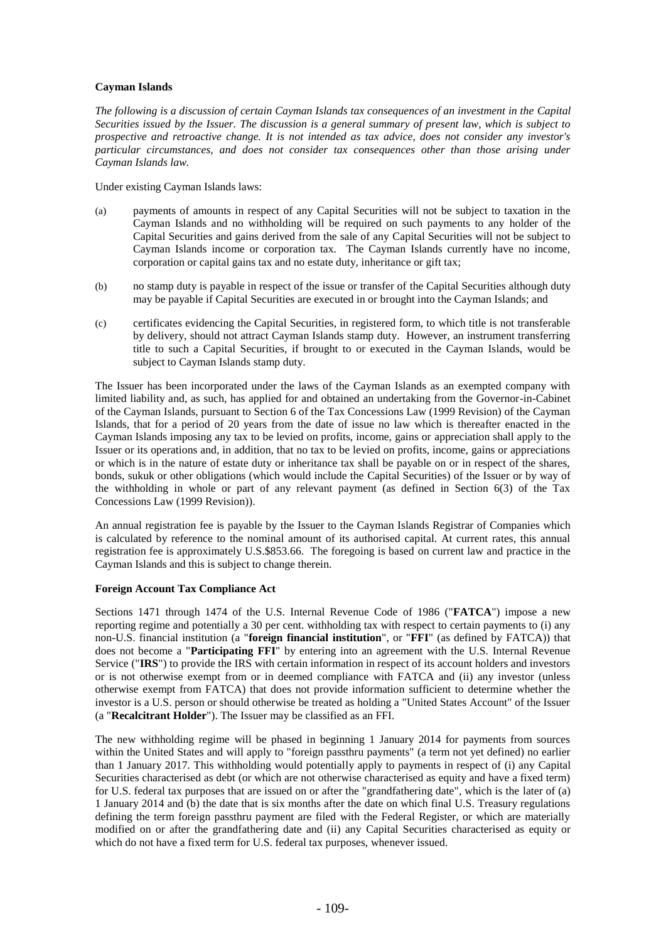# **Cayman Islands**

*The following is a discussion of certain Cayman Islands tax consequences of an investment in the Capital Securities issued by the Issuer. The discussion is a general summary of present law, which is subject to prospective and retroactive change. It is not intended as tax advice, does not consider any investor's particular circumstances, and does not consider tax consequences other than those arising under Cayman Islands law.*

Under existing Cayman Islands laws:

- (a) payments of amounts in respect of any Capital Securities will not be subject to taxation in the Cayman Islands and no withholding will be required on such payments to any holder of the Capital Securities and gains derived from the sale of any Capital Securities will not be subject to Cayman Islands income or corporation tax. The Cayman Islands currently have no income, corporation or capital gains tax and no estate duty, inheritance or gift tax;
- (b) no stamp duty is payable in respect of the issue or transfer of the Capital Securities although duty may be payable if Capital Securities are executed in or brought into the Cayman Islands; and
- (c) certificates evidencing the Capital Securities, in registered form, to which title is not transferable by delivery, should not attract Cayman Islands stamp duty. However, an instrument transferring title to such a Capital Securities, if brought to or executed in the Cayman Islands, would be subject to Cayman Islands stamp duty.

The Issuer has been incorporated under the laws of the Cayman Islands as an exempted company with limited liability and, as such, has applied for and obtained an undertaking from the Governor-in-Cabinet of the Cayman Islands, pursuant to Section 6 of the Tax Concessions Law (1999 Revision) of the Cayman Islands, that for a period of 20 years from the date of issue no law which is thereafter enacted in the Cayman Islands imposing any tax to be levied on profits, income, gains or appreciation shall apply to the Issuer or its operations and, in addition, that no tax to be levied on profits, income, gains or appreciations or which is in the nature of estate duty or inheritance tax shall be payable on or in respect of the shares, bonds, sukuk or other obligations (which would include the Capital Securities) of the Issuer or by way of the withholding in whole or part of any relevant payment (as defined in Section 6(3) of the Tax Concessions Law (1999 Revision)).

An annual registration fee is payable by the Issuer to the Cayman Islands Registrar of Companies which is calculated by reference to the nominal amount of its authorised capital. At current rates, this annual registration fee is approximately U.S.\$853.66. The foregoing is based on current law and practice in the Cayman Islands and this is subject to change therein.

# **Foreign Account Tax Compliance Act**

Sections 1471 through 1474 of the U.S. Internal Revenue Code of 1986 ("**FATCA**") impose a new reporting regime and potentially a 30 per cent. withholding tax with respect to certain payments to (i) any non-U.S. financial institution (a "**foreign financial institution**", or "**FFI**" (as defined by FATCA)) that does not become a "**Participating FFI**" by entering into an agreement with the U.S. Internal Revenue Service ("**IRS**") to provide the IRS with certain information in respect of its account holders and investors or is not otherwise exempt from or in deemed compliance with FATCA and (ii) any investor (unless otherwise exempt from FATCA) that does not provide information sufficient to determine whether the investor is a U.S. person or should otherwise be treated as holding a "United States Account" of the Issuer (a "**Recalcitrant Holder**"). The Issuer may be classified as an FFI.

The new withholding regime will be phased in beginning 1 January 2014 for payments from sources within the United States and will apply to "foreign passthru payments" (a term not yet defined) no earlier than 1 January 2017. This withholding would potentially apply to payments in respect of (i) any Capital Securities characterised as debt (or which are not otherwise characterised as equity and have a fixed term) for U.S. federal tax purposes that are issued on or after the "grandfathering date", which is the later of (a) 1 January 2014 and (b) the date that is six months after the date on which final U.S. Treasury regulations defining the term foreign passthru payment are filed with the Federal Register, or which are materially modified on or after the grandfathering date and (ii) any Capital Securities characterised as equity or which do not have a fixed term for U.S. federal tax purposes, whenever issued.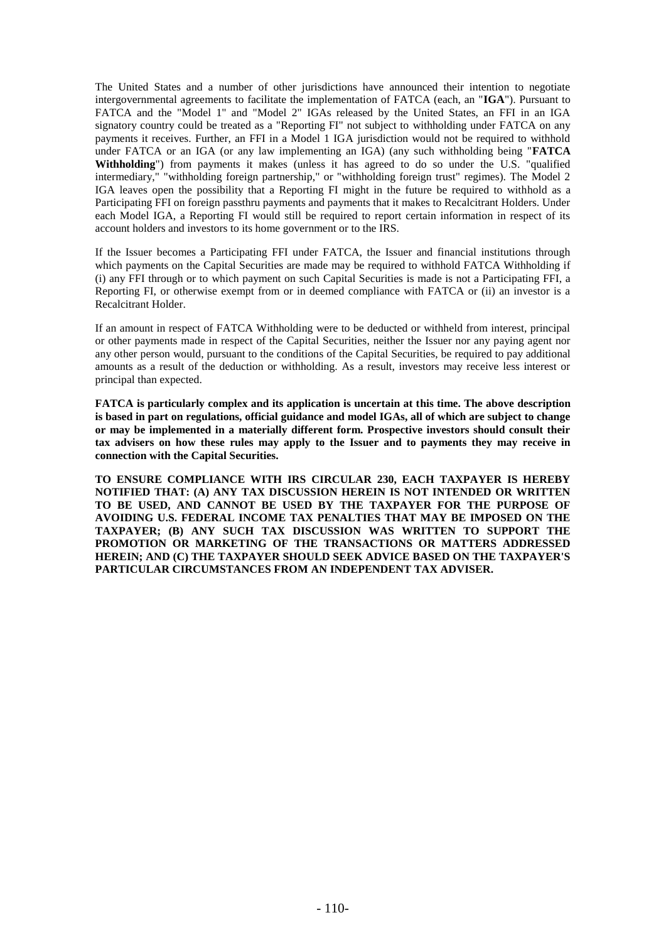The United States and a number of other jurisdictions have announced their intention to negotiate intergovernmental agreements to facilitate the implementation of FATCA (each, an "**IGA**"). Pursuant to FATCA and the "Model 1" and "Model 2" IGAs released by the United States, an FFI in an IGA signatory country could be treated as a "Reporting FI" not subject to withholding under FATCA on any payments it receives. Further, an FFI in a Model 1 IGA jurisdiction would not be required to withhold under FATCA or an IGA (or any law implementing an IGA) (any such withholding being "**FATCA Withholding**") from payments it makes (unless it has agreed to do so under the U.S. "qualified intermediary," "withholding foreign partnership," or "withholding foreign trust" regimes). The Model 2 IGA leaves open the possibility that a Reporting FI might in the future be required to withhold as a Participating FFI on foreign passthru payments and payments that it makes to Recalcitrant Holders. Under each Model IGA, a Reporting FI would still be required to report certain information in respect of its account holders and investors to its home government or to the IRS.

If the Issuer becomes a Participating FFI under FATCA, the Issuer and financial institutions through which payments on the Capital Securities are made may be required to withhold FATCA Withholding if (i) any FFI through or to which payment on such Capital Securities is made is not a Participating FFI, a Reporting FI, or otherwise exempt from or in deemed compliance with FATCA or (ii) an investor is a Recalcitrant Holder.

If an amount in respect of FATCA Withholding were to be deducted or withheld from interest, principal or other payments made in respect of the Capital Securities, neither the Issuer nor any paying agent nor any other person would, pursuant to the conditions of the Capital Securities, be required to pay additional amounts as a result of the deduction or withholding. As a result, investors may receive less interest or principal than expected.

**FATCA is particularly complex and its application is uncertain at this time. The above description is based in part on regulations, official guidance and model IGAs, all of which are subject to change or may be implemented in a materially different form. Prospective investors should consult their tax advisers on how these rules may apply to the Issuer and to payments they may receive in connection with the Capital Securities.**

**TO ENSURE COMPLIANCE WITH IRS CIRCULAR 230, EACH TAXPAYER IS HEREBY NOTIFIED THAT: (A) ANY TAX DISCUSSION HEREIN IS NOT INTENDED OR WRITTEN TO BE USED, AND CANNOT BE USED BY THE TAXPAYER FOR THE PURPOSE OF AVOIDING U.S. FEDERAL INCOME TAX PENALTIES THAT MAY BE IMPOSED ON THE TAXPAYER; (B) ANY SUCH TAX DISCUSSION WAS WRITTEN TO SUPPORT THE PROMOTION OR MARKETING OF THE TRANSACTIONS OR MATTERS ADDRESSED HEREIN; AND (C) THE TAXPAYER SHOULD SEEK ADVICE BASED ON THE TAXPAYER'S PARTICULAR CIRCUMSTANCES FROM AN INDEPENDENT TAX ADVISER.**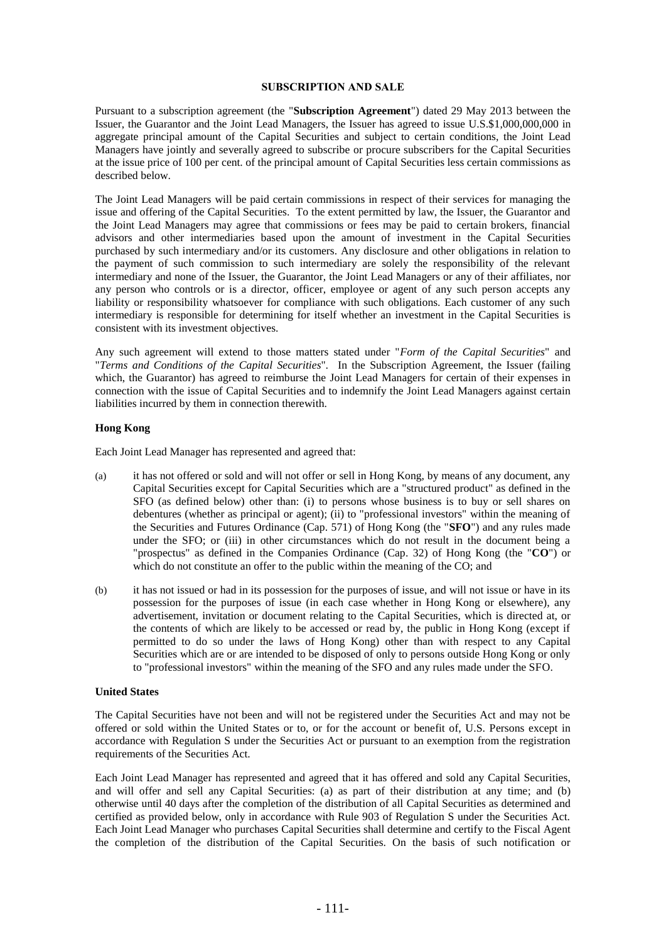#### **SUBSCRIPTION AND SALE**

Pursuant to a subscription agreement (the "**Subscription Agreement**") dated 29 May 2013 between the Issuer, the Guarantor and the Joint Lead Managers, the Issuer has agreed to issue U.S.\$1,000,000,000 in aggregate principal amount of the Capital Securities and subject to certain conditions, the Joint Lead Managers have jointly and severally agreed to subscribe or procure subscribers for the Capital Securities at the issue price of 100 per cent. of the principal amount of Capital Securities less certain commissions as described below.

The Joint Lead Managers will be paid certain commissions in respect of their services for managing the issue and offering of the Capital Securities. To the extent permitted by law, the Issuer, the Guarantor and the Joint Lead Managers may agree that commissions or fees may be paid to certain brokers, financial advisors and other intermediaries based upon the amount of investment in the Capital Securities purchased by such intermediary and/or its customers. Any disclosure and other obligations in relation to the payment of such commission to such intermediary are solely the responsibility of the relevant intermediary and none of the Issuer, the Guarantor, the Joint Lead Managers or any of their affiliates, nor any person who controls or is a director, officer, employee or agent of any such person accepts any liability or responsibility whatsoever for compliance with such obligations. Each customer of any such intermediary is responsible for determining for itself whether an investment in the Capital Securities is consistent with its investment objectives.

Any such agreement will extend to those matters stated under "*Form of the Capital Securities*" and "*Terms and Conditions of the Capital Securities*"*.* In the Subscription Agreement, the Issuer (failing which, the Guarantor) has agreed to reimburse the Joint Lead Managers for certain of their expenses in connection with the issue of Capital Securities and to indemnify the Joint Lead Managers against certain liabilities incurred by them in connection therewith.

### **Hong Kong**

Each Joint Lead Manager has represented and agreed that:

- (a) it has not offered or sold and will not offer or sell in Hong Kong, by means of any document, any Capital Securities except for Capital Securities which are a "structured product" as defined in the SFO (as defined below) other than: (i) to persons whose business is to buy or sell shares on debentures (whether as principal or agent); (ii) to "professional investors" within the meaning of the Securities and Futures Ordinance (Cap. 571) of Hong Kong (the "**SFO**") and any rules made under the SFO; or (iii) in other circumstances which do not result in the document being a "prospectus" as defined in the Companies Ordinance (Cap. 32) of Hong Kong (the "**CO**") or which do not constitute an offer to the public within the meaning of the CO; and
- (b) it has not issued or had in its possession for the purposes of issue, and will not issue or have in its possession for the purposes of issue (in each case whether in Hong Kong or elsewhere), any advertisement, invitation or document relating to the Capital Securities, which is directed at, or the contents of which are likely to be accessed or read by, the public in Hong Kong (except if permitted to do so under the laws of Hong Kong) other than with respect to any Capital Securities which are or are intended to be disposed of only to persons outside Hong Kong or only to "professional investors" within the meaning of the SFO and any rules made under the SFO.

# **United States**

The Capital Securities have not been and will not be registered under the Securities Act and may not be offered or sold within the United States or to, or for the account or benefit of, U.S. Persons except in accordance with Regulation S under the Securities Act or pursuant to an exemption from the registration requirements of the Securities Act.

Each Joint Lead Manager has represented and agreed that it has offered and sold any Capital Securities, and will offer and sell any Capital Securities: (a) as part of their distribution at any time; and (b) otherwise until 40 days after the completion of the distribution of all Capital Securities as determined and certified as provided below, only in accordance with Rule 903 of Regulation S under the Securities Act. Each Joint Lead Manager who purchases Capital Securities shall determine and certify to the Fiscal Agent the completion of the distribution of the Capital Securities. On the basis of such notification or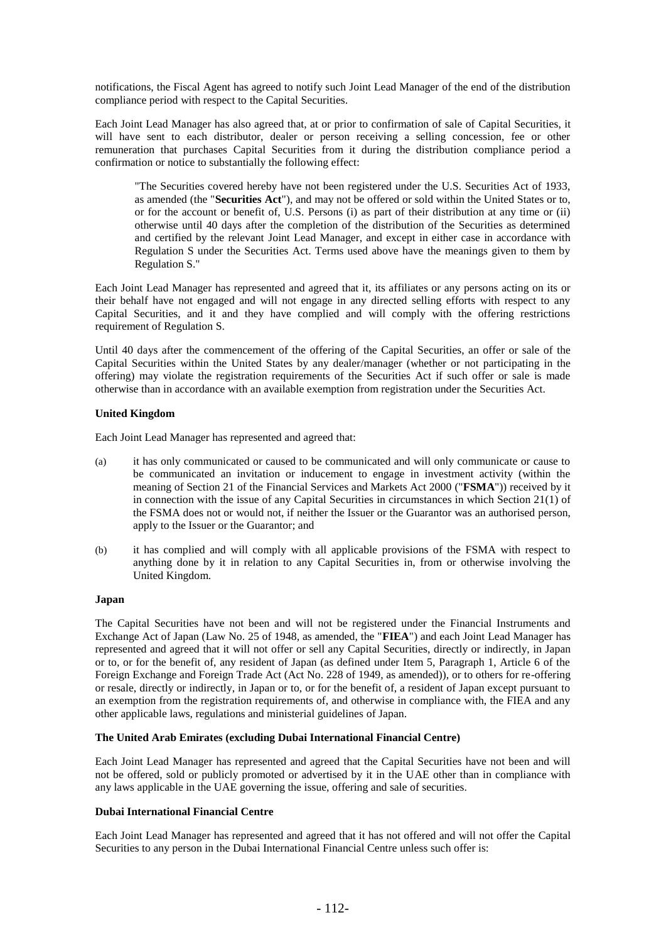notifications, the Fiscal Agent has agreed to notify such Joint Lead Manager of the end of the distribution compliance period with respect to the Capital Securities.

Each Joint Lead Manager has also agreed that, at or prior to confirmation of sale of Capital Securities, it will have sent to each distributor, dealer or person receiving a selling concession, fee or other remuneration that purchases Capital Securities from it during the distribution compliance period a confirmation or notice to substantially the following effect:

"The Securities covered hereby have not been registered under the U.S. Securities Act of 1933, as amended (the "**Securities Act**"), and may not be offered or sold within the United States or to, or for the account or benefit of, U.S. Persons (i) as part of their distribution at any time or (ii) otherwise until 40 days after the completion of the distribution of the Securities as determined and certified by the relevant Joint Lead Manager, and except in either case in accordance with Regulation S under the Securities Act. Terms used above have the meanings given to them by Regulation S."

Each Joint Lead Manager has represented and agreed that it, its affiliates or any persons acting on its or their behalf have not engaged and will not engage in any directed selling efforts with respect to any Capital Securities, and it and they have complied and will comply with the offering restrictions requirement of Regulation S.

Until 40 days after the commencement of the offering of the Capital Securities, an offer or sale of the Capital Securities within the United States by any dealer/manager (whether or not participating in the offering) may violate the registration requirements of the Securities Act if such offer or sale is made otherwise than in accordance with an available exemption from registration under the Securities Act.

## **United Kingdom**

Each Joint Lead Manager has represented and agreed that:

- (a) it has only communicated or caused to be communicated and will only communicate or cause to be communicated an invitation or inducement to engage in investment activity (within the meaning of Section 21 of the Financial Services and Markets Act 2000 ("**FSMA**")) received by it in connection with the issue of any Capital Securities in circumstances in which Section 21(1) of the FSMA does not or would not, if neither the Issuer or the Guarantor was an authorised person, apply to the Issuer or the Guarantor; and
- (b) it has complied and will comply with all applicable provisions of the FSMA with respect to anything done by it in relation to any Capital Securities in, from or otherwise involving the United Kingdom.

#### **Japan**

The Capital Securities have not been and will not be registered under the Financial Instruments and Exchange Act of Japan (Law No. 25 of 1948, as amended, the "**FIEA**") and each Joint Lead Manager has represented and agreed that it will not offer or sell any Capital Securities, directly or indirectly, in Japan or to, or for the benefit of, any resident of Japan (as defined under Item 5, Paragraph 1, Article 6 of the Foreign Exchange and Foreign Trade Act (Act No. 228 of 1949, as amended)), or to others for re-offering or resale, directly or indirectly, in Japan or to, or for the benefit of, a resident of Japan except pursuant to an exemption from the registration requirements of, and otherwise in compliance with, the FIEA and any other applicable laws, regulations and ministerial guidelines of Japan.

## **The United Arab Emirates (excluding Dubai International Financial Centre)**

Each Joint Lead Manager has represented and agreed that the Capital Securities have not been and will not be offered, sold or publicly promoted or advertised by it in the UAE other than in compliance with any laws applicable in the UAE governing the issue, offering and sale of securities.

# **Dubai International Financial Centre**

Each Joint Lead Manager has represented and agreed that it has not offered and will not offer the Capital Securities to any person in the Dubai International Financial Centre unless such offer is: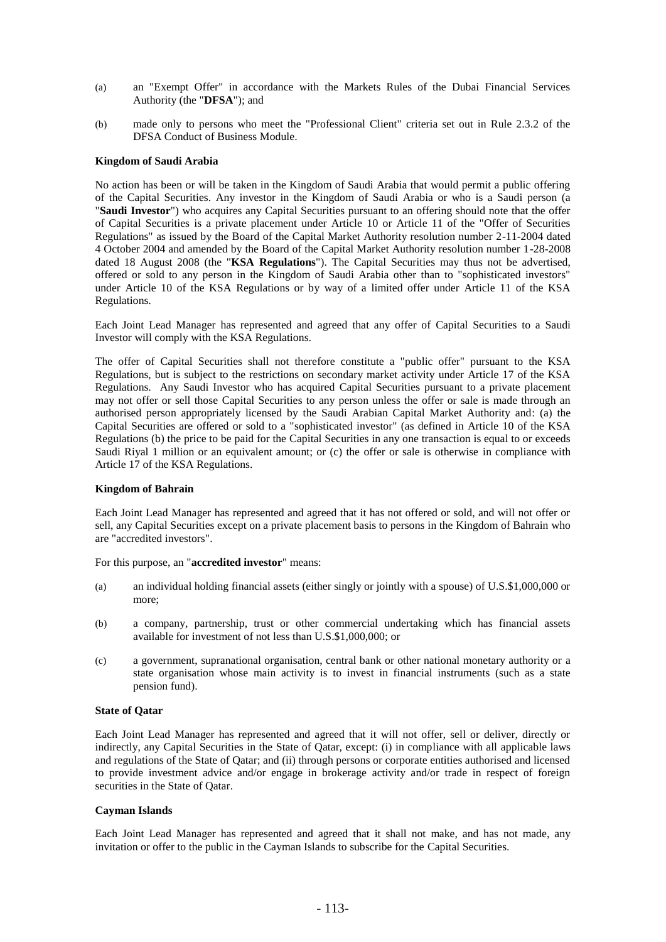- (a) an "Exempt Offer" in accordance with the Markets Rules of the Dubai Financial Services Authority (the "**DFSA**"); and
- (b) made only to persons who meet the "Professional Client" criteria set out in Rule 2.3.2 of the DFSA Conduct of Business Module.

## **Kingdom of Saudi Arabia**

No action has been or will be taken in the Kingdom of Saudi Arabia that would permit a public offering of the Capital Securities. Any investor in the Kingdom of Saudi Arabia or who is a Saudi person (a "**Saudi Investor**") who acquires any Capital Securities pursuant to an offering should note that the offer of Capital Securities is a private placement under Article 10 or Article 11 of the "Offer of Securities Regulations" as issued by the Board of the Capital Market Authority resolution number 2-11-2004 dated 4 October 2004 and amended by the Board of the Capital Market Authority resolution number 1-28-2008 dated 18 August 2008 (the "**KSA Regulations**"). The Capital Securities may thus not be advertised, offered or sold to any person in the Kingdom of Saudi Arabia other than to "sophisticated investors" under Article 10 of the KSA Regulations or by way of a limited offer under Article 11 of the KSA Regulations.

Each Joint Lead Manager has represented and agreed that any offer of Capital Securities to a Saudi Investor will comply with the KSA Regulations.

The offer of Capital Securities shall not therefore constitute a "public offer" pursuant to the KSA Regulations, but is subject to the restrictions on secondary market activity under Article 17 of the KSA Regulations. Any Saudi Investor who has acquired Capital Securities pursuant to a private placement may not offer or sell those Capital Securities to any person unless the offer or sale is made through an authorised person appropriately licensed by the Saudi Arabian Capital Market Authority and: (a) the Capital Securities are offered or sold to a "sophisticated investor" (as defined in Article 10 of the KSA Regulations (b) the price to be paid for the Capital Securities in any one transaction is equal to or exceeds Saudi Riyal 1 million or an equivalent amount; or (c) the offer or sale is otherwise in compliance with Article 17 of the KSA Regulations.

#### **Kingdom of Bahrain**

Each Joint Lead Manager has represented and agreed that it has not offered or sold, and will not offer or sell, any Capital Securities except on a private placement basis to persons in the Kingdom of Bahrain who are "accredited investors".

For this purpose, an "**accredited investor**" means:

- (a) an individual holding financial assets (either singly or jointly with a spouse) of U.S.\$1,000,000 or more;
- (b) a company, partnership, trust or other commercial undertaking which has financial assets available for investment of not less than U.S.\$1,000,000; or
- (c) a government, supranational organisation, central bank or other national monetary authority or a state organisation whose main activity is to invest in financial instruments (such as a state pension fund).

### **State of Qatar**

Each Joint Lead Manager has represented and agreed that it will not offer, sell or deliver, directly or indirectly, any Capital Securities in the State of Qatar, except: (i) in compliance with all applicable laws and regulations of the State of Qatar; and (ii) through persons or corporate entities authorised and licensed to provide investment advice and/or engage in brokerage activity and/or trade in respect of foreign securities in the State of Qatar.

#### **Cayman Islands**

Each Joint Lead Manager has represented and agreed that it shall not make, and has not made, any invitation or offer to the public in the Cayman Islands to subscribe for the Capital Securities.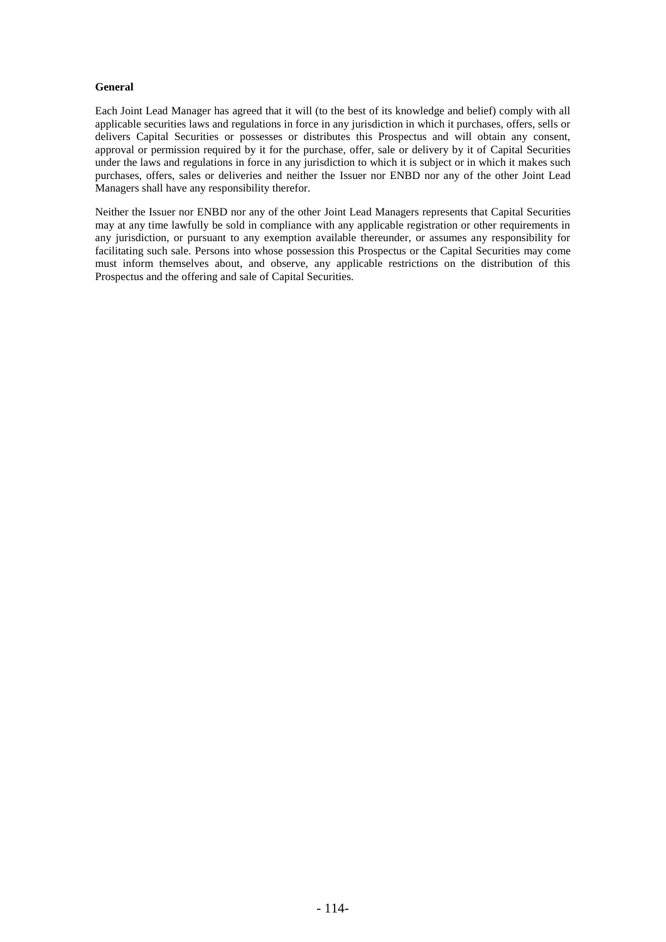# **General**

Each Joint Lead Manager has agreed that it will (to the best of its knowledge and belief) comply with all applicable securities laws and regulations in force in any jurisdiction in which it purchases, offers, sells or delivers Capital Securities or possesses or distributes this Prospectus and will obtain any consent, approval or permission required by it for the purchase, offer, sale or delivery by it of Capital Securities under the laws and regulations in force in any jurisdiction to which it is subject or in which it makes such purchases, offers, sales or deliveries and neither the Issuer nor ENBD nor any of the other Joint Lead Managers shall have any responsibility therefor.

Neither the Issuer nor ENBD nor any of the other Joint Lead Managers represents that Capital Securities may at any time lawfully be sold in compliance with any applicable registration or other requirements in any jurisdiction, or pursuant to any exemption available thereunder, or assumes any responsibility for facilitating such sale. Persons into whose possession this Prospectus or the Capital Securities may come must inform themselves about, and observe, any applicable restrictions on the distribution of this Prospectus and the offering and sale of Capital Securities.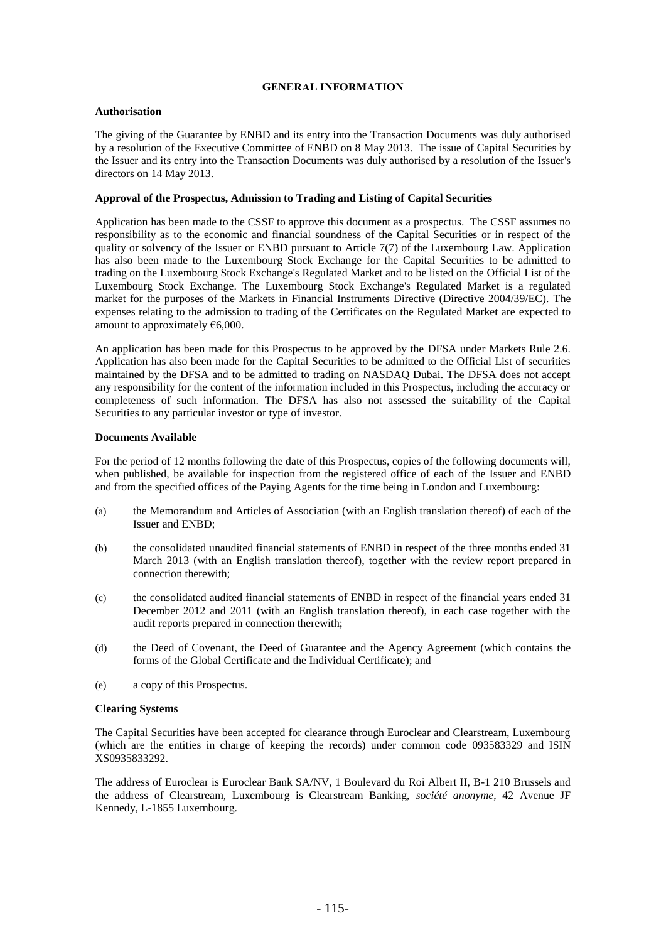# **GENERAL INFORMATION**

# **Authorisation**

The giving of the Guarantee by ENBD and its entry into the Transaction Documents was duly authorised by a resolution of the Executive Committee of ENBD on 8 May 2013. The issue of Capital Securities by the Issuer and its entry into the Transaction Documents was duly authorised by a resolution of the Issuer's directors on 14 May 2013.

## **Approval of the Prospectus, Admission to Trading and Listing of Capital Securities**

Application has been made to the CSSF to approve this document as a prospectus. The CSSF assumes no responsibility as to the economic and financial soundness of the Capital Securities or in respect of the quality or solvency of the Issuer or ENBD pursuant to Article 7(7) of the Luxembourg Law. Application has also been made to the Luxembourg Stock Exchange for the Capital Securities to be admitted to trading on the Luxembourg Stock Exchange's Regulated Market and to be listed on the Official List of the Luxembourg Stock Exchange. The Luxembourg Stock Exchange's Regulated Market is a regulated market for the purposes of the Markets in Financial Instruments Directive (Directive 2004/39/EC). The expenses relating to the admission to trading of the Certificates on the Regulated Market are expected to amount to approximately  $€6,000$ .

An application has been made for this Prospectus to be approved by the DFSA under Markets Rule 2.6. Application has also been made for the Capital Securities to be admitted to the Official List of securities maintained by the DFSA and to be admitted to trading on NASDAQ Dubai. The DFSA does not accept any responsibility for the content of the information included in this Prospectus, including the accuracy or completeness of such information. The DFSA has also not assessed the suitability of the Capital Securities to any particular investor or type of investor.

# **Documents Available**

For the period of 12 months following the date of this Prospectus, copies of the following documents will, when published, be available for inspection from the registered office of each of the Issuer and ENBD and from the specified offices of the Paying Agents for the time being in London and Luxembourg:

- (a) the Memorandum and Articles of Association (with an English translation thereof) of each of the Issuer and ENBD;
- (b) the consolidated unaudited financial statements of ENBD in respect of the three months ended 31 March 2013 (with an English translation thereof), together with the review report prepared in connection therewith;
- (c) the consolidated audited financial statements of ENBD in respect of the financial years ended 31 December 2012 and 2011 (with an English translation thereof), in each case together with the audit reports prepared in connection therewith;
- (d) the Deed of Covenant, the Deed of Guarantee and the Agency Agreement (which contains the forms of the Global Certificate and the Individual Certificate); and
- (e) a copy of this Prospectus.

## **Clearing Systems**

The Capital Securities have been accepted for clearance through Euroclear and Clearstream, Luxembourg (which are the entities in charge of keeping the records) under common code 093583329 and ISIN XS0935833292.

The address of Euroclear is Euroclear Bank SA/NV, 1 Boulevard du Roi Albert II, B-1 210 Brussels and the address of Clearstream, Luxembourg is Clearstream Banking, *société anonyme*, 42 Avenue JF Kennedy, L-1855 Luxembourg.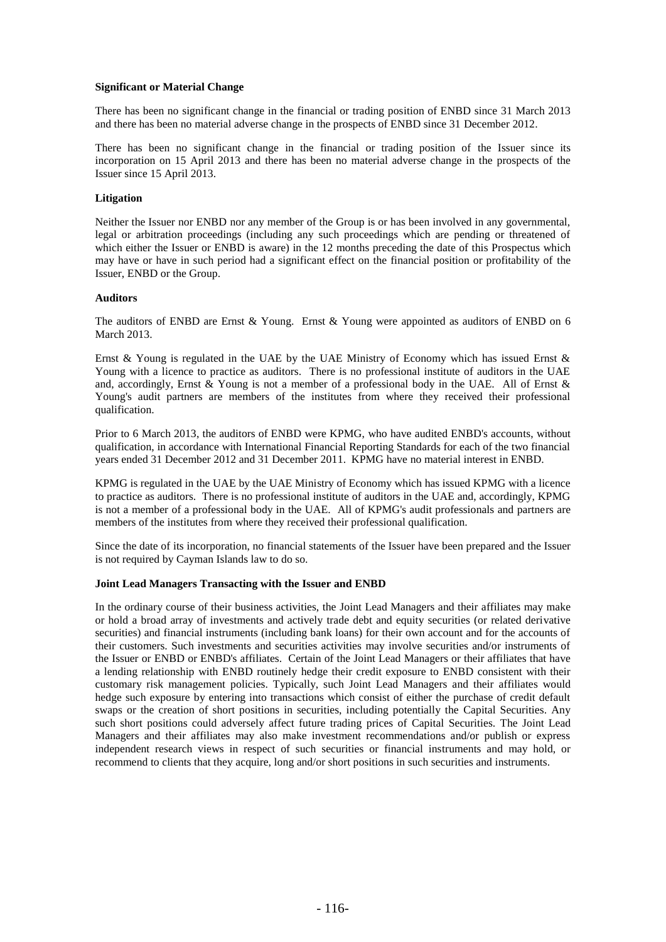## **Significant or Material Change**

There has been no significant change in the financial or trading position of ENBD since 31 March 2013 and there has been no material adverse change in the prospects of ENBD since 31 December 2012.

There has been no significant change in the financial or trading position of the Issuer since its incorporation on 15 April 2013 and there has been no material adverse change in the prospects of the Issuer since 15 April 2013.

#### **Litigation**

Neither the Issuer nor ENBD nor any member of the Group is or has been involved in any governmental, legal or arbitration proceedings (including any such proceedings which are pending or threatened of which either the Issuer or ENBD is aware) in the 12 months preceding the date of this Prospectus which may have or have in such period had a significant effect on the financial position or profitability of the Issuer, ENBD or the Group.

### **Auditors**

The auditors of ENBD are Ernst & Young. Ernst & Young were appointed as auditors of ENBD on 6 March 2013.

Ernst & Young is regulated in the UAE by the UAE Ministry of Economy which has issued Ernst & Young with a licence to practice as auditors. There is no professional institute of auditors in the UAE and, accordingly, Ernst  $\&$  Young is not a member of a professional body in the UAE. All of Ernst  $\&$ Young's audit partners are members of the institutes from where they received their professional qualification.

Prior to 6 March 2013, the auditors of ENBD were KPMG, who have audited ENBD's accounts, without qualification, in accordance with International Financial Reporting Standards for each of the two financial years ended 31 December 2012 and 31 December 2011. KPMG have no material interest in ENBD.

KPMG is regulated in the UAE by the UAE Ministry of Economy which has issued KPMG with a licence to practice as auditors. There is no professional institute of auditors in the UAE and, accordingly, KPMG is not a member of a professional body in the UAE. All of KPMG's audit professionals and partners are members of the institutes from where they received their professional qualification.

Since the date of its incorporation, no financial statements of the Issuer have been prepared and the Issuer is not required by Cayman Islands law to do so.

#### **Joint Lead Managers Transacting with the Issuer and ENBD**

In the ordinary course of their business activities, the Joint Lead Managers and their affiliates may make or hold a broad array of investments and actively trade debt and equity securities (or related derivative securities) and financial instruments (including bank loans) for their own account and for the accounts of their customers. Such investments and securities activities may involve securities and/or instruments of the Issuer or ENBD or ENBD's affiliates. Certain of the Joint Lead Managers or their affiliates that have a lending relationship with ENBD routinely hedge their credit exposure to ENBD consistent with their customary risk management policies. Typically, such Joint Lead Managers and their affiliates would hedge such exposure by entering into transactions which consist of either the purchase of credit default swaps or the creation of short positions in securities, including potentially the Capital Securities. Any such short positions could adversely affect future trading prices of Capital Securities. The Joint Lead Managers and their affiliates may also make investment recommendations and/or publish or express independent research views in respect of such securities or financial instruments and may hold, or recommend to clients that they acquire, long and/or short positions in such securities and instruments.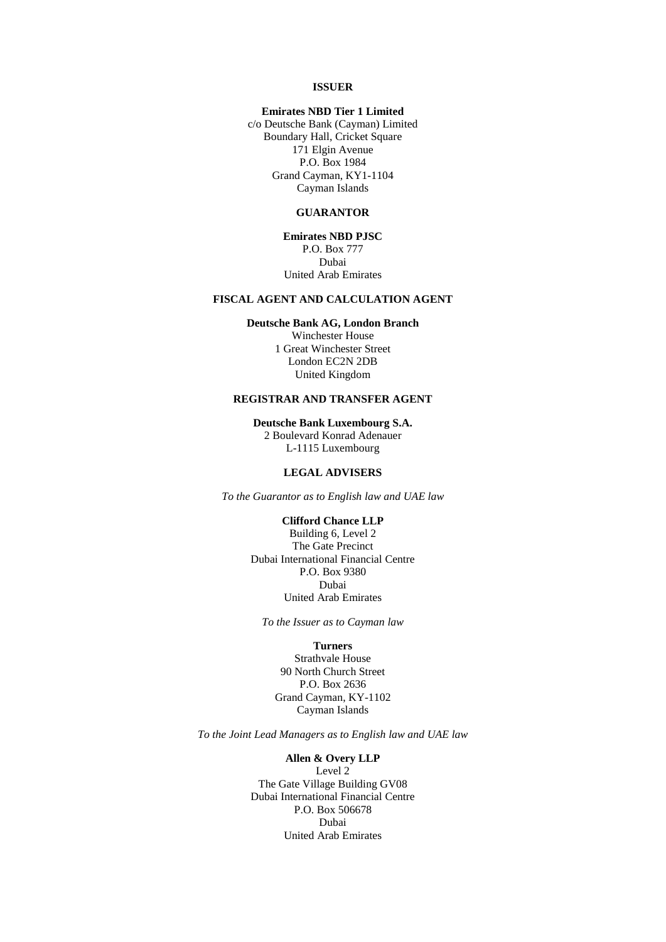#### **ISSUER**

## **Emirates NBD Tier 1 Limited**

c/o Deutsche Bank (Cayman) Limited Boundary Hall, Cricket Square 171 Elgin Avenue P.O. Box 1984 Grand Cayman, KY1-1104 Cayman Islands

#### **GUARANTOR**

**Emirates NBD PJSC** P.O. Box 777 Dubai United Arab Emirates

### **FISCAL AGENT AND CALCULATION AGENT**

#### **Deutsche Bank AG, London Branch**

Winchester House 1 Great Winchester Street London EC2N 2DB United Kingdom

# **REGISTRAR AND TRANSFER AGENT**

**Deutsche Bank Luxembourg S.A.**

2 Boulevard Konrad Adenauer L-1115 Luxembourg

## **LEGAL ADVISERS**

*To the Guarantor as to English law and UAE law*

#### **Clifford Chance LLP**

Building 6, Level 2 The Gate Precinct Dubai International Financial Centre P.O. Box 9380 Dubai United Arab Emirates

*To the Issuer as to Cayman law*

# **Turners**

Strathvale House 90 North Church Street P.O. Box 2636 Grand Cayman, KY-1102 Cayman Islands

*To the Joint Lead Managers as to English law and UAE law*

#### **Allen & Overy LLP**

Level 2 The Gate Village Building GV08 Dubai International Financial Centre P.O. Box 506678 Dubai United Arab Emirates